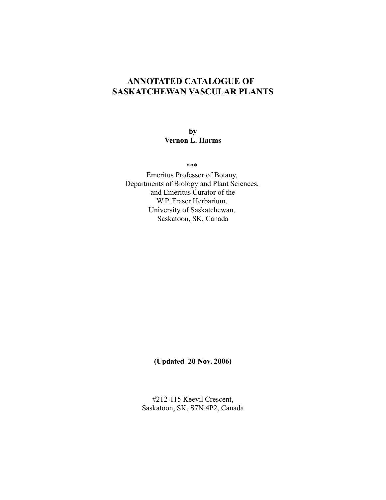# **ANNOTATED CATALOGUE OF SASKATCHEWAN VASCULAR PLANTS**

**by Vernon L. Harms**

\*\*\*

Emeritus Professor of Botany, Departments of Biology and Plant Sciences, and Emeritus Curator of the W.P. Fraser Herbarium, University of Saskatchewan, Saskatoon, SK, Canada

**(Updated 20 Nov. 2006)**

#212-115 Keevil Crescent, Saskatoon, SK, S7N 4P2, Canada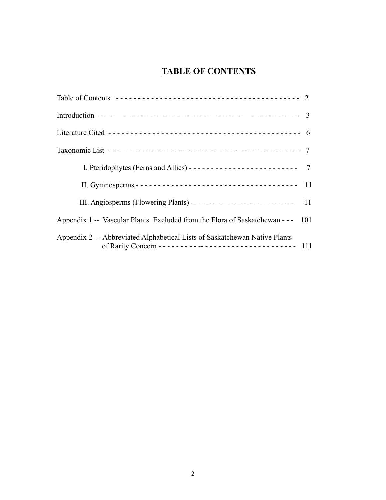# **TABLE OF CONTENTS**

| I. Pteridophytes (Ferns and Allies) ------------------------------- 7           |
|---------------------------------------------------------------------------------|
|                                                                                 |
|                                                                                 |
| Appendix 1 -- Vascular Plants Excluded from the Flora of Saskatchewan - - - 101 |
| Appendix 2 -- Abbreviated Alphabetical Lists of Saskatchewan Native Plants      |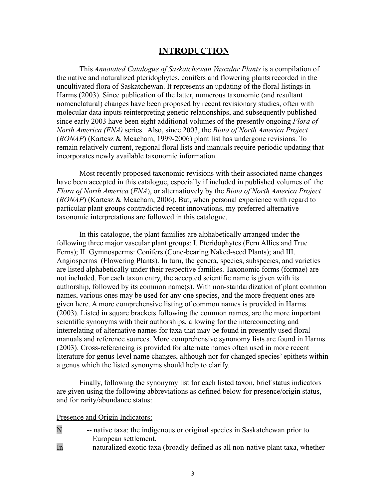#### **INTRODUCTION**

This *Annotated Catalogue of Saskatchewan Vascular Plants* is a compilation of the native and naturalized pteridophytes, conifers and flowering plants recorded in the uncultivated flora of Saskatchewan. It represents an updating of the floral listings in Harms (2003). Since publication of the latter, numerous taxonomic (and resultant nomenclatural) changes have been proposed by recent revisionary studies, often with molecular data inputs reinterpreting genetic relationships, and subsequently published since early 2003 have been eight additional volumes of the presently ongoing *Flora of North America (FNA)* series. Also, since 2003, the *Biota of North America Project* (*BONAP*) (Kartesz & Meacham, 1999-2006) plant list has undergone revisions. To remain relatively current, regional floral lists and manuals require periodic updating that incorporates newly available taxonomic information.

Most recently proposed taxonomic revisions with their associated name changes have been accepted in this catalogue, especially if included in published volumes of the *Flora of North America* (*FNA*), or alternatiovely by the *Biota of North America Project* (*BONAP*) (Kartesz & Meacham, 2006). But, when personal experience with regard to particular plant groups contradicted recent innovations, my preferred alternative taxonomic interpretations are followed in this catalogue.

In this catalogue, the plant families are alphabetically arranged under the following three major vascular plant groups: I. Pteridophytes (Fern Allies and True Ferns); II. Gymnosperms: Conifers (Cone-bearing Naked-seed Plants); and III. Angiosperms (Flowering Plants). In turn, the genera, species, subspecies, and varieties are listed alphabetically under their respective families. Taxonomic forms (formae) are not included. For each taxon entry, the accepted scientific name is given with its authorship, followed by its common name(s). With non-standardization of plant common names, various ones may be used for any one species, and the more frequent ones are given here. A more comprehensive listing of common names is provided in Harms (2003). Listed in square brackets following the common names, are the more important scientific synonyms with their authorships, allowing for the interconnecting and interrelating of alternative names for taxa that may be found in presently used floral manuals and reference sources. More comprehensive synonomy lists are found in Harms (2003). Cross-referencing is provided for alternate names often used in more recent literature for genus-level name changes, although nor for changed species' epithets within a genus which the listed synonyms should help to clarify.

Finally, following the synonymy list for each listed taxon, brief status indicators are given using the following abbreviations as defined below for presence/origin status, and for rarity/abundance status:

#### Presence and Origin Indicators:

- N -- native taxa: the indigenous or original species in Saskatchewan prior to European settlement.
- 
- In -- naturalized exotic taxa (broadly defined as all non-native plant taxa, whether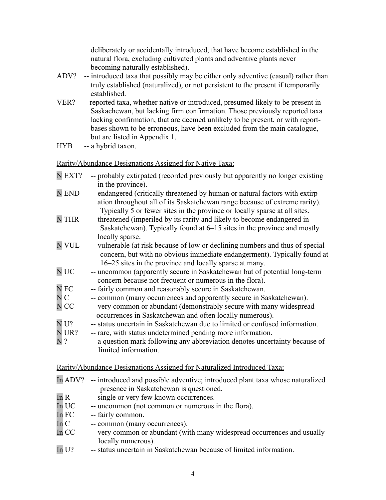deliberately or accidentally introduced, that have become established in the natural flora, excluding cultivated plants and adventive plants never becoming naturally established).

- ADV? -- introduced taxa that possibly may be either only adventive (casual) rather than truly established (naturalized), or not persistent to the present if temporarily established.
- VER? -- reported taxa, whether native or introduced, presumed likely to be present in Saskachewan, but lacking firm confirmation. Those previously reported taxa lacking confirmation, that are deemed unlikely to be present, or with reportbases shown to be erroneous, have been excluded from the main catalogue, but are listed in Appendix 1.
- HYB -- a hybrid taxon.

Rarity/Abundance Designations Assigned for Native Taxa:

- N EXT? -- probably extirpated (recorded previously but apparently no longer existing in the province).
- N END -- endangered (critically threatened by human or natural factors with extirpation throughout all of its Saskatchewan range because of extreme rarity). Typically 5 or fewer sites in the province or locally sparse at all sites.<br>N THR -- threatened (imperiled by its rarity and likely to become endangered in
- -- threatened (imperiled by its rarity and likely to become endangered in Saskatchewan). Typically found at 6–15 sites in the province and mostly locally sparse.
- N VUL -- vulnerable (at risk because of low or declining numbers and thus of special concern, but with no obvious immediate endangerment). Typically found at 16–25 sites in the province and locally sparse at many.
- N UC -- uncommon (apparently secure in Saskatchewan but of potential long-term concern because not frequent or numerous in the flora).
- N FC -- fairly common and reasonably secure in Saskatchewan.
- N C -- common (many occurrences and apparently secure in Saskatchewan).
- N CC -- very common or abundant (demonstrably secure with many widespread occurrences in Saskatchewan and often locally numerous).<br>N U? -- status uncertain in Saskatchewan due to limited or confuse
- -- status uncertain in Saskatchewan due to limited or confused information.
- N UR? -- rare, with status undetermined pending more information.
- N ? -- a question mark following any abbreviation denotes uncertainty because of limited information.

# Rarity/Abundance Designations Assigned for Naturalized Introduced Taxa:

- In ADV? -- introduced and possible adventive; introduced plant taxa whose naturalized presence in Saskatchewan is questioned.
- In R -- single or very few known occurrences.
- In UC -- uncommon (not common or numerous in the flora).
- In FC -- fairly common.
- In C -- common (many occurrences).
- In CC -- very common or abundant (with many widespread occurrences and usually locally numerous).
- In U? -- status uncertain in Saskatchewan because of limited information.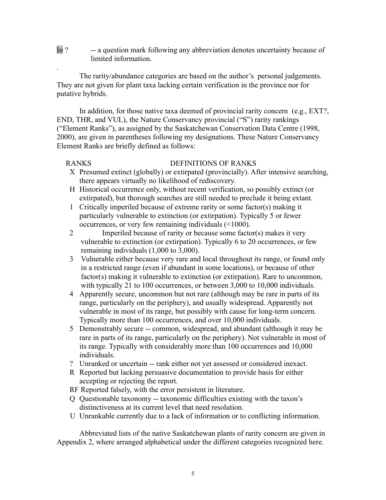In ? -- a question mark following any abbreviation denotes uncertainty because of limited information.

The rarity/abundance categories are based on the author's personal judgements. They are not given for plant taxa lacking certain verification in the province nor for putative hybrids.

In addition, for those native taxa deemed of provincial rarity concern (e.g., EXT?, END, THR, and VUL), the Nature Conservancy provincial ("S") rarity rankings ("Element Ranks"), as assigned by the Saskatchewan Conservation Data Centre (1998, 2000), are given in parentheses following my designations. These Nature Conservancy Element Ranks are briefly defined as follows:

.

# RANKS DEFINITIONS OF RANKS

- X Presumed extinct (globally) or extirpated (provincially). After intensive searching, there appears virtually no likelihood of rediscovery.
- H Historical occurrence only, without recent verification, so possibly extinct (or extirpated), but thorough searches are still needed to preclude it being extant.
- 1 Critically imperiled because of extreme rarity or some factor(s) making it particularly vulnerable to extinction (or extirpation). Typically 5 or fewer occurrences, or very few remaining individuals (<1000).
- 2 Imperiled because of rarity or because some factor(s) makes it very vulnerable to extinction (or extirpation). Typically 6 to 20 occurrences, or few remaining individuals (1,000 to 3,000).
- 3 Vulnerable either because very rare and local throughout its range, or found only in a restricted range (even if abundant in some locations), or because of other factor(s) making it vulnerable to extinction (or extirpation). Rare to uncommon, with typically 21 to 100 occurrences, or between 3,000 to 10,000 individuals.
- 4 Apparently secure, uncommon but not rare (although may be rare in parts of its range, particularly on the periphery), and usually widespread. Apparently not vulnerable in most of its range, but possibly with cause for long-term concern. Typically more than 100 occurrences, and over 10,000 individuals.
- 5 Demonstrably secure -- common, widespread, and abundant (although it may be rare in parts of its range, particularly on the periphery). Not vulnerable in most of its range. Typically with considerably more than 100 occurrences and 10,000 individuals.
- ? Unranked or uncertain -- rank either not yet assessed or considered inexact.
- R Reported but lacking persuasive documentation to provide basis for either accepting or rejecting the report.
- RF Reported falsely, with the error persistent in literature.
- Q Questionable taxonomy -- taxonomic difficulties existing with the taxon's distinctiveness at its current level that need resolution.
- U Unrankable currently due to a lack of information or to conflicting information.

Abbreviated lists of the native Saskatchewan plants of rarity concern are given in Appendix 2, where arranged alphabetical under the different categories recognized here.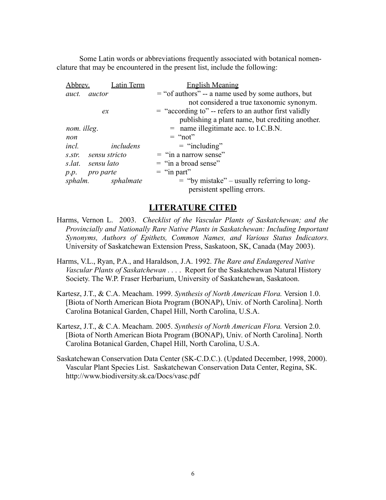Some Latin words or abbreviations frequently associated with botanical nomenclature that may be encountered in the present list, include the following:

| Abbrev.                                                               | Latin Term | <b>English Meaning</b>                                  |
|-----------------------------------------------------------------------|------------|---------------------------------------------------------|
| auct.<br>auctor                                                       |            | $=$ "of authors" -- a name used by some authors, but    |
|                                                                       |            | not considered a true taxonomic synonym.                |
| ex                                                                    |            | $=$ "according to" -- refers to an author first validly |
|                                                                       |            | publishing a plant name, but crediting another.         |
| nom. illeg.                                                           |            | $=$ name illegitimate acc. to I.C.B.N.                  |
| non                                                                   |            | $=$ "not"                                               |
| includens<br>incl.                                                    |            | $=$ "including"                                         |
| sensu stricto<br>S. Str.<br>sensu lato<br>s.lat.<br>pro parte<br>p.p. |            | $=$ "in a narrow sense"                                 |
|                                                                       |            | $=$ "in a broad sense"                                  |
|                                                                       |            | $=$ "in part"                                           |
| sphalm. sphalmate                                                     |            | $=$ "by mistake" – usually referring to long-           |
|                                                                       |            | persistent spelling errors.                             |

# **LITERATURE CITED**

- Harms, Vernon L. 2003. *Checklist of the Vascular Plants of Saskatchewan; and the Provincially and Nationally Rare Native Plants in Saskatchewan: Including Important Synonyms, Authors of Epithets, Common Names, and Various Status Indicators.* University of Saskatchewan Extension Press, Saskatoon, SK, Canada (May 2003).
- Harms, V.L., Ryan, P.A., and Haraldson, J.A. 1992. *The Rare and Endangered Native Vascular Plants of Saskatchewan . . .* . Report for the Saskatchewan Natural History Society. The W.P. Fraser Herbarium, University of Saskatchewan, Saskatoon.
- Kartesz, J.T., & C.A. Meacham. 1999. *Synthesis of North American Flora.* Version 1.0. [Biota of North American Biota Program (BONAP), Univ. of North Carolina]. North Carolina Botanical Garden, Chapel Hill, North Carolina, U.S.A.
- Kartesz, J.T., & C.A. Meacham. 2005. *Synthesis of North American Flora.* Version 2.0. [Biota of North American Biota Program (BONAP), Univ. of North Carolina]. North Carolina Botanical Garden, Chapel Hill, North Carolina, U.S.A.
- Saskatchewan Conservation Data Center (SK-C.D.C.). (Updated December, 1998, 2000). Vascular Plant Species List. Saskatchewan Conservation Data Center, Regina, SK. http://www.biodiversity.sk.ca/Docs/vasc.pdf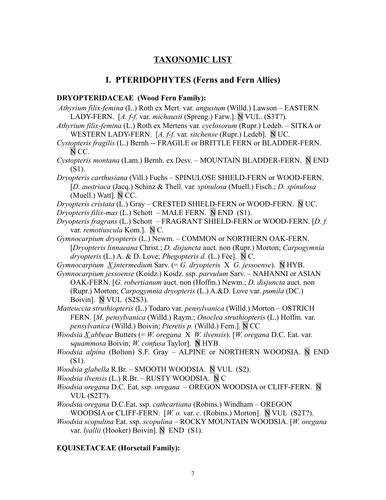# **TAXONOMIC LIST**

# **I. PTERIDOPHYTES (Ferns and Fern Allies)**

#### **DRYOPTERIDACEAE (Wood Fern Family):**

- *Athyrium filix-femina* (L.) Roth ex Mert. var. *angustum* (Willd.) Lawson EASTERN LADY-FERN. [*A. f-f.* var. *michauxii* (Spreng.) Farw.]. N VUL. (S3T?).
- *Athyrium filix-femina* (L.) Roth ex Mertens var*. cyclosorum* (Rupr.) Ledeb. SITKA or WESTERN LADY-FERN. [*A. f-f*. var*. sitchense* (Rupr.) Ledeb]. N UC.
- *Cystopteris fragilis* (L.) Bernh -- FRAGILE or BRITTLE FERN or BLADDER-FERN. N CC.
- *Cystopteris montana* (Lam.) Bernh. ex Desv. MOUNTAIN BLADDER-FERN. N END (S1).
- *Dryopteris carthusiana* (Vill.) Fuchs SPINULOSE SHIELD-FERN or WOOD-FERN. [*D. austriaca* (Jacq.) Schinz & Thell. var*. spinulosa* (Muell.) Fisch.; *D. spinulosa* (Muell.) Watt]. N CC.
- *Dryopteris cristata* (L.) Gray CRESTED SHIELD-FERN or WOOD-FERN. N UC.
- *Dryopteris filix-mas* (L.) Schott MALE FERN. N END (S1).
- *Dryopteris fragrans* (L.) Schott FRAGRANT SHIELD-FERN or WOOD-FERN. [*D. f.* var. *remotiuscula* Kom.]. N C.
- *Gymnocarpium dryopteris* (L.) Newm. COMMON or NORTHERN OAK-FERN. [*Dryopteris linnaeana* Christ.; *D. disjuncta* auct*.* non (Rupr.) Morton; *Carpogymnia dryopteris* (L.) A. & D. Love; *Phegopteris d.* (L.) Fèe]. N C.
- *Gymnocarpium X intermedium* Sarv. (= *G. dryopteris* X *G. jessoense*). N HYB.
- *Gymnocarpium jessoense* (Koidz.) Koidz. ssp. *parvulum* Sarv. NAHANNI or ASIAN OAK-FERN. [*G. robertianum* auct. non (Hoffm.) Newm.; *D. disjuncta* auct. non (Rupr.) Morton; *Carpogymnia dryopteris* (L.) A.&D. Love var. *pumila* (DC.) Boivin]. N VUL (S2S3).
- *Matteuccia struthiopteris* (L.) Todaro var. *pensylvanica* (Willd.) Morton OSTRICH FERN. [*M. pensylvanica* (Willd.) Raym.; *Onoclea struthiopteris* (L.) Hoffm. var. *pensylvanica* (Willd.) Boivin; *Pteretis p.* (Willd.) Fern.]. N CC
- *Woodsia X abbeae* Butters (= *W. oregana* X *W. ilvensis*). [*W. oregana* D.C. Eat. var. s*quammosa* Boivin; *W. confusa* Taylor]. **N** HYB.
- *Woodsia alpina* (Bolton) S.F. Gray ALPINE or NORTHERN WOODSIA. N END (S1).
- *Woodsia glabella* R.Br. SMOOTH WOODSIA. N VUL (S2).
- *Woodsia ilvensis* (L.) R.Br. RUSTY WOODSIA. N C
- *Woodsia oregana* D.C. Eat. ssp. *oregana* OREGON WOODSIA or CLIFF-FERN. N VUL (S2T?).
- *Woodsia oregana* D.C.Eat. ssp. *cathcartiana* (Robins.) Windham OREGON WOODSIA or CLIFF-FERN. [*W. o.* var. *c.* (Robins.) Morton]. N VUL (S2T?).
- *Woodsia scopulina* Eat. ssp. *scopulina* ROCKY MOUNTAIN WOODSIA. [*W. oregana* var. *lyallii* (Hooker) Boivin]. N END (S1).

### **EQUISETACEAE (Horsetail Family):**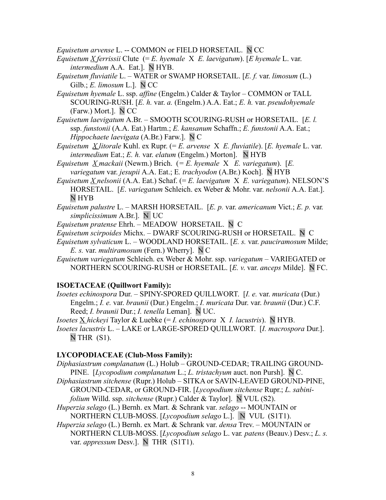*Equisetum arvense* L. -- COMMON or FIELD HORSETAIL. N CC

- *Equisetum X ferrissii* Clute (= *E. hyemale* X *E. laevigatum*). [*E hyemale* L. var. *intermedium* A.A. Eat.]. N HYB.
- *Equisetum fluviatile* L. WATER or SWAMP HORSETAIL. [*E. f.* var. *limosum* (L.) Gilb.; *E. limosum* L.]. N CC
- *Equisetum hyemale* L. ssp. *affine* (Engelm.) Calder & Taylor COMMON or TALL SCOURING-RUSH. [*E. h.* var. *a.* (Engelm.) A.A. Eat.; *E. h.* var. *pseudohyemale* (Farw.) Mort.]. N CC
- *Equisetum laevigatum* A.Br. SMOOTH SCOURING-RUSH or HORSETAIL. [*E. l.* ssp. *funstonii* (A.A. Eat.) Hartm.; *E. kansanum* Schaffn.; *E. funstonii* A.A. Eat.; *Hippochaete laevigata* (A.Br.) Farw.]. N C
- *Equisetum X litorale* Kuhl. ex Rupr. (= *E. arvense* X *E. fluviatile*). [*E. hyemale* L. var. *intermedium* Eat.; *E. h. var. elatum* (Engelm.) Morton]. N HYB
- *Equisetum X mackaii* (Newm.) Brich. (*= E. hyemale* X *E. variegatum*). [*E. variegatum* var. *jesupii* A.A. Eat.; E*. trachyodon* (A.Br.) Koch]. N HYB
- *Equisetum X nelsonii* (A.A. Eat.) Schaf. (= *E. laevigatum* X *E. variegatum*). NELSON'S HORSETAIL. [*E*. *variegatum* Schleich. ex Weber & Mohr. var. *nelsonii* A.A. Eat.]. N HYB
- *Equisetum palustre* L. MARSH HORSETAIL. [*E. p.* var. *americanum* Vict.; *E. p.* var*. simplicissimum* A.Br.]. N UC
- *Equisetum pratense* Ehrh. MEADOW HORSETAIL. N C
- *Equisetum scirpoides* Michx. DWARF SCOURING-RUSH or HORSETAIL. N C
- *Equisetum sylvaticum* L. WOODLAND HORSETAIL. [*E. s.* var. *pauciramosum* Milde; *E. s.* var. *multiramosum* (Fern.) Wherry]. N C
- *Equisetum variegatum* Schleich. ex Weber & Mohr. ssp. *variegatum* VARIEGATED or NORTHERN SCOURING-RUSH or HORSETAIL. [*E. v*. var. *anceps* Milde]. N FC.

# **ISOETACEAE (Quillwort Family):**

*Isoetes echinospora* Dur. – SPINY-SPORED QUILLWORT. [*I. e.* var. *muricata* (Dur.) Engelm.; *I. e.* var. *braunii* (Dur.) Engelm.; *I. muricata* Dur. var. *braunii* (Dur.) C.F. Reed; *I. braunii* Dur.; *I. tenella* Leman]. N UC.

*Isoetes*  $\underline{X}$  *hickeyi* Taylor & Luebke (= *I. echinospora*  $X$  *I. lacustris*). N HYB.

*Isoetes lacustris* L. – LAKE or LARGE-SPORED QUILLWORT.[*I. macrospora* Dur.].  $N$  THR  $(S1)$ .

# **LYCOPODIACEAE (Club-Moss Family):**

- *Diphasiastrum complanatum* (L.) Holub GROUND-CEDAR; TRAILING GROUND-PINE.[*Lycopodium complanatum* L.; *L. tristachyum* auct. non Pursh]. N C.
- *Diphasiastrum sitchense* (Rupr.) HolubSITKA or SAVIN-LEAVED GROUND-PINE, GROUND-CEDAR, or GROUND-FIR. [*Lycopodium sitchense* Rupr.; *L. sabinifolium* Willd. ssp. *sitchense* (Rupr.) Calder & Taylor]. N VUL (S2).
- *Huperzia selago* (L.) Bernh. ex Mart. & Schrank var. *selago* -- MOUNTAIN or NORTHERN CLUB-MOSS. [*Lycopodium selago* L.]. N VUL (S1T1).
- *Huperzia selago* (L.) Bernh. ex Mart. & Schrank var. *densa* Trev. MOUNTAIN or NORTHERN CLUB-MOSS. [*Lycopodium selago* L. var*. patens* (Beauv.) Desv.; *L. s.* var. *appressum* Desv.]. N THR (S1T1).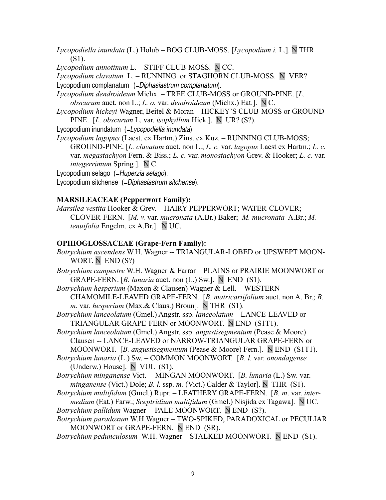*Lycopodiella inundata* (L.) Holub – BOG CLUB-MOSS. [*Lycopodium i.* L.]. N THR (S1).

*Lycopodium annotinum* L. *–* STIFF CLUB-MOSS. N CC.

*Lycopodium clavatum* L. – RUNNING or STAGHORN CLUB-MOSS. N VER? Lycopodium complanatum (=Diphasiastrum complanatum).

- *Lycopodium dendroideum* Michx. TREE CLUB-MOSS or GROUND-PINE. [*L. obscurum* auct. non L.; *L. o.* var. *dendroideum* (Michx.) Eat.]. N C.
- *Lycopodium hickeyi* Wagner, Beitel & Moran HICKEY'S CLUB-MOSS or GROUND-PINE. [*L. obscurum* L. var. *isophyllum* Hick.]. N UR? (S?).
- Lycopodium inundatum (=Lycopodiella inundata)
- *Lycopodium lagopus* (Laest. ex Hartm.) Zins. ex Kuz. RUNNING CLUB-MOSS; GROUND-PINE. [*L. clavatum* auct. non L.; *L. c.* var. *lagopus* Laest ex Hartm.; *L. c.* var. *megastachyon* Fern. & Biss.; *L. c.* var. *monostachyon* Grev. & Hooker; *L. c.* var. *integerrimum* Spring ]. N C.

Lycopodium selago (=Huperzia selago).

Lycopodium sitchense (=Diphasiastrum sitchense).

### **MARSILEACEAE (Pepperwort Family):**

*Marsilea vestita* Hooker & Grev. – HAIRY PEPPERWORT; WATER-CLOVER; CLOVER-FERN. [*M. v.* var. *mucronata* (A.Br.) Baker; *M. mucronata* A.Br.; *M. tenuifolia* Engelm. ex A.Br.]. N UC.

### **OPHIOGLOSSACEAE (Grape-Fern Family):**

*Botrychium ascendens* W.H. Wagner -- TRIANGULAR-LOBED or UPSWEPT MOON-WORT. N END (S?) *Botrychium campestre* W.H. Wagner & Farrar – PLAINS or PRAIRIE MOONWORT or GRAPE-FERN. [*B. lunaria* auct. non (L.) Sw.]. NEND (S1). *Botrychium hesperium* (Maxon & Clausen) Wagner & Lell. *–* WESTERN CHAMOMILE-LEAVED GRAPE-FERN. [*B. matricariifolium* auct. non A. Br.; *B. m.* var. *hesperium* (Max.& Claus.) Broun]. N THR (S1). *Botrychium lanceolatum* (Gmel.) Angstr. ssp. *lanceolatum* – LANCE-LEAVED or TRIANGULAR GRAPE-FERN or MOONWORT. N END (S1T1). *Botrychium lanceolatum* (Gmel.) Angstr. ssp. *angustisegmentum* (Pease & Moore) Clausen -- LANCE-LEAVED or NARROW-TRIANGULAR GRAPE-FERN or MOONWORT. [*B. angustisegmentum* (Pease & Moore) Fern.]. N END (S1T1). *Botrychium lunaria* (L.) Sw. – COMMON MOONWORT*.* [*B. l.* var. *onondagense* (Underw.) House]. N VUL (S1). *Botrychium minganense* Vict. -- MINGAN MOONWORT. [*B. lunaria* (L.) Sw. var. *minganense* (Vict.) Dole; *B. l.* ssp. *m.* (Vict.) Calder & Taylor]. N THR (S1). *Botrychium multifidum* (Gmel.) Rupr. – LEATHERY GRAPE-FERN. [*B. m*. var. *intermedium* (Eat.) Farw.; *Sceptridium multifidum* (Gmel.) Nisjida ex Tagawa]. N UC. *Botrychium pallidum* Wagner -- PALE MOONWORT. N END (S?). *Botrychium paradoxum* W.H.Wagner – TWO-SPIKED, PARADOXICAL or PECULIAR MOONWORT or GRAPE-FERN. N END (SR). *Botrychium pedunculosum* W.H. Wagner – STALKED MOONWORT.N END (S1).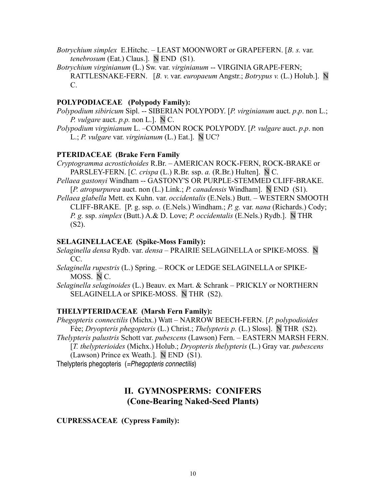- *Botrychium simplex* E.Hitchc. LEAST MOONWORT or GRAPEFERN. [*B. s.* var. *tenebrosum* (Eat.) Claus.]. N END (S1).
- *Botrychium virginianum* (L.) Sw*.* var. *virginianum* -- VIRGINIA GRAPE-FERN; RATTLESNAKE-FERN. [*B. v*. var. *europaeum* Angstr.; *Botrypus v.* (L.) Holub.]. N C.

### **POLYPODIACEAE (Polypody Family):**

- *Polypodium sibiricum* Sipl. -- SIBERIAN POLYPODY. [*P. virginianum* auct. *p*.*p*. non L.; *P. vulgare* auct. *p.p.* non L.]. N C.
- *Polypodium virginianum* L. –COMMON ROCK POLYPODY. [*P. vulgare* auct. *p*.*p*. non L.; *P. vulgare* var. *virginianum* (L.) Eat.]. N UC?

#### **PTERIDACEAE (Brake Fern Family**

- *Cryptogramma acrostichoides* R.Br. AMERICAN ROCK-FERN, ROCK-BRAKE or PARSLEY-FERN. [*C. crispa* (L.) R.Br. ssp. *a.* (R.Br.) Hulten]. N C.
- *Pellaea gastonyi* Windham -- GASTONY'S OR PURPLE-STEMMED CLIFF-BRAKE. [*P. atropurpurea* auct. non (L.) Link.; *P. canadensis* Windham]. N END (S1).
- *Pellaea glabella* Mett. ex Kuhn. var. *occidentalis* (E.Nels.) Butt. WESTERN SMOOTH CLIFF-BRAKE.[P. g. ssp. *o.* (E.Nels.) Windham.; *P. g.* var. *nana* (Richards.) Cody; *P. g.* ssp. *simplex* (Butt.) A.& D. Love; *P. occidentalis* (E.Nels.) Rydb.]. N THR  $(S2)$ .

#### **SELAGINELLACEAE (Spike-Moss Family):**

- *Selaginella densa* Rydb. var. *densa*  PRAIRIE SELAGINELLA or SPIKE-MOSS. N CC.
- *Selaginella rupestris* (L.) Spring. ROCK or LEDGE SELAGINELLA or SPIKE-MOSS. N C.
- *Selaginella selaginoides* (L.) Beauv. ex Mart. & Schrank PRICKLY or NORTHERN SELAGINELLA or SPIKE-MOSS. N THR (S2).

#### **THELYPTERIDACEAE (Marsh Fern Family):**

- *Phegopteris connectilis* (Michx.) Watt NARROW BEECH-FERN. [*P. polypodioides* Fèe; *Dryopteris phegopteris* (L.) Christ.; *Thelypteris p.* (L.) Sloss]. N THR (S2).
- *Thelypteris palustris* Schott var. *pubescens* (Lawson) Fern. EASTERN MARSH FERN.

[*T. thelypterioides* (Michx.) Holub.; *Dryopteris thelypteris* (L.) Gray var. *pubescens* (Lawson) Prince ex Weath.]. N END (S1).

Thelypteris phegopteris (=Phegopteris connectilis)

# **II. GYMNOSPERMS: CONIFERS (Cone-Bearing Naked-Seed Plants)**

#### **CUPRESSACEAE (Cypress Family):**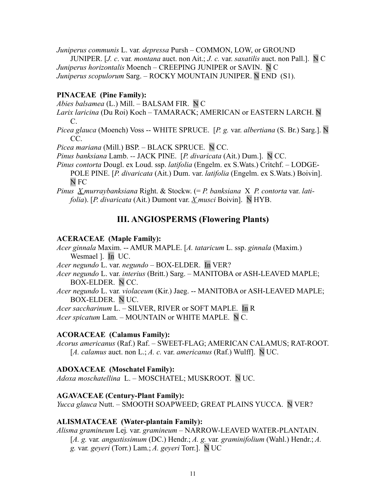*Juniperus communis* L. var*. depressa* Pursh *–* COMMON, LOW, or GROUND

JUNIPER. [*J. c*. var*. montana* auct. non Ait.; *J. c.* var. *saxatilis* auct. non Pall.]. N C *Juniperus horizontalis* Moench – CREEPING JUNIPER or SAVIN. N C *Juniperus scopulorum* Sarg. – ROCKY MOUNTAIN JUNIPER. N END (S1).

#### **PINACEAE (Pine Family):**

*Abies balsamea* (L.) Mill. – BALSAM FIR. N C

- *Larix laricina* (Du Roi) Koch TAMARACK; AMERICAN or EASTERN LARCH. N C.
- *Picea glauca* (Moench) Voss -- WHITE SPRUCE. [*P. g.* var. *albertiana* (S. Br.) Sarg.]. N CC.

*Picea mariana* (Mill.) BSP. – BLACK SPRUCE. N CC.

*Pinus banksiana* Lamb. *--* JACK PINE.[*P. divaricata* (Ait.) Dum.]. N CC.

*Pinus contorta* Dougl. ex Loud. ssp. *latifolia* (Engelm. ex S.Wats.) Critchf. – LODGE-POLE PINE. [*P. divaricata* (Ait.) Dum. var. *latifolia* (Engelm. ex S.Wats.) Boivin]. N FC

*Pinus X murraybanksiana* Right. & Stockw. (= *P. banksiana* X *P. contorta* var. *latifolia*). [*P. divaricata* (Ait.) Dumont var. *X musci* Boivin]. N HYB.

# **III. ANGIOSPERMS (Flowering Plants)**

#### **ACERACEAE (Maple Family):**

*Acer ginnala* Maxim. -- AMUR MAPLE. [*A. tataricum* L. ssp. *ginnala* (Maxim.) Wesmael ]. In UC.

*Acer negundo* L. var. *negundo* – BOX-ELDER. In VER?

*Acer negundo* L. var. *interius* (Britt.) Sarg. – MANITOBA or ASH-LEAVED MAPLE; BOX-ELDER. N CC.

*Acer negundo* L. var*. violaceum* (Kir.) Jaeg. -- MANITOBA or ASH-LEAVED MAPLE; BOX-ELDER. N UC.

*Acer saccharinum* L. – SILVER, RIVER or SOFT MAPLE. In R

*Acer spicatum* Lam. – MOUNTAIN or WHITE MAPLE. N C.

#### **ACORACEAE (Calamus Family):**

*Acorus americanus* (Raf.) Raf. – SWEET-FLAG; AMERICAN CALAMUS; RAT-ROOT. [*A. calamus* auct. non L.; *A. c.* var. *americanus* (Raf.) Wulff]. N UC.

#### **ADOXACEAE (Moschatel Family):**

*Adoxa moschatellina* L. – MOSCHATEL; MUSKROOT. N UC.

#### **AGAVACEAE (Century-Plant Family):**

*Yucca glauca* Nutt. – SMOOTH SOAPWEED; GREAT PLAINS YUCCA. N VER?

#### **ALISMATACEAE (Water-plantain Family):**

*Alisma gramineum* Lej*.* var. *gramineum –* NARROW-LEAVED WATER-PLANTAIN. [*A. g.* var*. angustissimum* (DC.) Hendr.; *A. g.* var*. graminifolium* (Wahl.) Hendr.; *A. g.* var*. geyeri* (Torr.) Lam.; *A. geyeri* Torr.]. N UC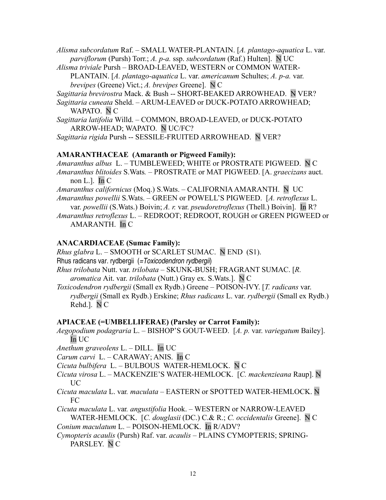*Alisma subcordatum* Raf. – SMALL WATER-PLANTAIN. [*A. plantago-aquatica* L. var. *parviflorum* (Pursh) Torr.; *A. p-a.* ssp. *subcordatum* (Raf.) Hulten]. N UC

*Alisma triviale* Pursh – BROAD-LEAVED, WESTERN or COMMON WATER-PLANTAIN. [*A. plantago-aquatica* L. var. *americanum* Schultes; *A. p-a.* var. *brevipes* (Greene) Vict.; *A. brevipes* Greene]. N C

*Sagittaria brevirostra* Mack. & Bush -- SHORT-BEAKED ARROWHEAD. N VER?

*Sagittaria cuneata* Sheld. – ARUM-LEAVED or DUCK-POTATO ARROWHEAD; WAPATO. N C

*Sagittaria latifolia* Willd. *–* COMMON, BROAD-LEAVED, or DUCK-POTATO ARROW-HEAD; WAPATO. N UC/FC?

*Sagittaria rigida* Pursh -- SESSILE-FRUITED ARROWHEAD. N VER?

#### **AMARANTHACEAE (Amaranth or Pigweed Family):**

*Amaranthus albus* L. – TUMBLEWEED; WHITE or PROSTRATE PIGWEED. N C *Amaranthus blitoides* S.Wats*.* – PROSTRATE or MAT PIGWEED. [A. *graecizans* auct. non L.]. In C

*Amaranthus californicus* (Moq.) S.Wats. – CALIFORNIAAMARANTH. N UC *Amaranthus powellii* S.Wats. – GREEN or POWELL'S PIGWEED. [*A. retroflexus* L. var. *powellii* (S.Wats.) Boivin; *A. r.* var. *pseudoretroflexus* (Thell.) Boivin]. In R?

*Amaranthus retroflexus* L. – REDROOT; REDROOT, ROUGH or GREEN PIGWEED or AMARANTH. In C

#### **ANACARDIACEAE (Sumac Family):**

*Rhus glabra L.* – SMOOTH or SCARLET SUMAC. N END (S1).

Rhus radicans var. rydbergii (=Toxicodendron rydbergii)

*Rhus trilobata* Nutt. var. *trilobata –* SKUNK-BUSH; FRAGRANT SUMAC. [*R. aromatica* Ait. var. *trilobata* (Nutt.) Gray ex. S.Wats.]. N C

*Toxicodendron rydbergii* (Small ex Rydb.) Greene – POISON-IVY. [*T. radicans* var. *rydbergii* (Small ex Rydb.) Erskine; *Rhus radicans* L. var. *rydbergii* (Small ex Rydb.) Rehd.]. N C

#### **APIACEAE (=UMBELLIFERAE) (Parsley or Carrot Family):**

*Aegopodium podagraria* L. – BISHOP'S GOUT-WEED. [*A. p.* var. *variegatum* Bailey]. In UC

*Anethum graveolens* L. – DILL. In UC

*Carum carvi* L. – CARAWAY; ANIS. In C

*Cicuta bulbifera* L. – BULBOUS WATER-HEMLOCK. N C

- *Cicuta virosa* L. MACKENZIE'S WATER-HEMLOCK. [*C. mackenzieana* Raup]. N UC
- *Cicuta maculata* L. var*. maculata* EASTERN or SPOTTED WATER-HEMLOCK. N FC

*Cicuta maculata* L. var*. angustifolia* Hook. – WESTERN or NARROW-LEAVED WATER-HEMLOCK. [*C. douglasii* (DC.) C.& R.; *C. occidentalis* Greene]. N C

*Conium maculatum* L. – POISON-HEMLOCK. In R/ADV?

*Cymopteris acaulis* (Pursh) Raf. var. *acaulis –* PLAINS CYMOPTERIS; SPRING-PARSLEY. N C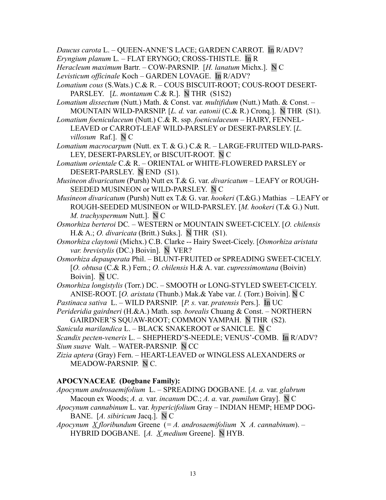*Daucus carota* L. – QUEEN-ANNE'S LACE; GARDEN CARROT. In R/ADV?

*Eryngium planum* L*.* – FLAT ERYNGO; CROSS-THISTLE. In R

*Heracleum maximum* Bartr. *–* COW-PARSNIP. [*H. lanatum* Michx.]. N C

*Levisticum officinale* Koch – GARDEN LOVAGE. In R/ADV?

*Lomatium cous* (S.Wats.) C.& R. – COUS BISCUIT-ROOT; COUS-ROOT DESERT-PARSLEY. [*L. montanum* C.& R.]. N THR (S1S2)

*Lomatium dissectum* (Nutt.) Math. & Const. var*. multifidum* (Nutt.) Math. & Const. – MOUNTAIN WILD-PARSNIP. [*L. d.* var. *eatonii* (C.& R.) Cronq.]. N THR (S1).

*Lomatium foeniculaceum* (Nutt.) C.& R. ssp. *foeniculaceum* – HAIRY, FENNEL-LEAVED or CARROT-LEAF WILD-PARSLEY or DESERT-PARSLEY. [*L.*

*villosum* Raf.]. N C

*Lomatium macrocarpum* (Nutt. ex T. & G.) C.& R. – LARGE-FRUITED WILD-PARS-LEY, DESERT-PARSLEY, or BISCUIT-ROOT. N C

*Lomatium orientale* C.& R. – ORIENTAL or WHITE-FLOWERED PARSLEY or DESERT-PARSLEY. N END (S1).

*Musineon divaricatum* (Pursh) Nutt ex T.& G. var. *divaricatum* – LEAFY or ROUGH-SEEDED MUSINEON or WILD-PARSLEY. N C

*Musineon divaricatum* (Pursh) Nutt ex T.& G. var. *hookeri* (T.&G.) Mathias – LEAFY or ROUGH-SEEDED MUSINEON or WILD-PARSLEY. [*M. hookeri* (T.& G.) Nutt. *M. trachyspermum* Nutt.]. N C

*Osmorhiza berteroi* DC*.* – WESTERN or MOUNTAIN SWEET-CICELY. [*O. chilensis* H.& A.; *O. divaricata* (Britt.) Suks.]. N THR (S1).

*Osmorhiza claytonii* (Michx.) C.B. Clarke -- Hairy Sweet-Cicely. [*Osmorhiza aristata var. brevistylis* (DC.) Boivin]. N VER?

*Osmorhiza depauperata* Phil. – BLUNT-FRUITED or SPREADING SWEET-CICELY. [*O. obtusa* (C.& R.) Fern.; *O. chilensis* H.& A. var. *cupressimontana* (Boivin) Boivin]. N UC.

*Osmorhiza longistylis* (Torr.) DC. – SMOOTH or LONG-STYLED SWEET-CICELY. ANISE-ROOT. [*O. aristata* (Thunb.) Mak.& Yabe var. *l.* (Torr.) Boivin]. N C

*Pastinaca sativa* L. – WILD PARSNIP. [*P. s.* var. *pratensis* Pers.]. In UC

*Perideridia gairdneri* (H.&A.) Math. ssp*. borealis* Chuang & Const. – NORTHERN GAIRDNER'S SQUAW-ROOT; COMMON YAMPAH.N THR (S2).

*Sanicula marilandica* L. – BLACK SNAKEROOT or SANICLE. N C

*Scandix pecten-veneris* L. – SHEPHERD'S-NEEDLE; VENUS'-COMB. In R/ADV? *Sium suave* Walt. – WATER-PARSNIP. N CC

*Zizia aptera* (Gray) Fern. – HEART-LEAVED or WINGLESS ALEXANDERS or MEADOW-PARSNIP. N C.

# **APOCYNACEAE (Dogbane Family):**

*Apocynum androsaemifolium* L. – SPREADING DOGBANE. [*A. a.* var. *glabrum* Macoun ex Woods; *A. a.* var. *incanum* DC.; *A. a.* var. *pumilum* Gray]. N C

- *Apocynum cannabinum* L. var. *hypericifolium* Gray INDIAN HEMP; HEMP DOG-BANE. [*A. sibiricum* Jacq.]. N C
- *Apocynum X floribundum* Greene(*= A. androsaemifolium* X *A. cannabinum*). HYBRID DOGBANE.[*A. X medium* Greene]. N HYB.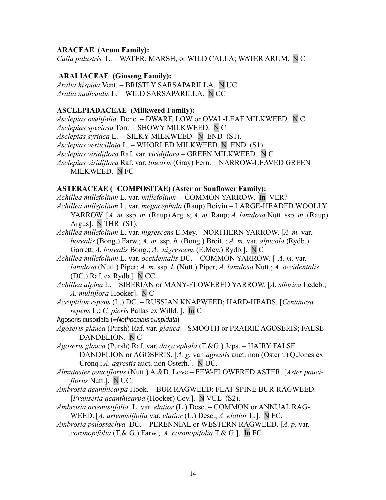#### **ARACEAE (Arum Family):**

*Calla palustris* L. – WATER, MARSH, or WILD CALLA; WATER ARUM. N C

## **ARALIACEAE (Ginseng Family):**

*Aralia hispida* Vent. – BRISTLY SARSAPARILLA. N UC. *Aralia nudicaulis* L. – WILD SARSAPARILLA. N CC

### **ASCLEPIADACEAE (Milkweed Family):**

*Asclepias ovalifolia* Dcne. – DWARF, LOW or OVAL-LEAF MILKWEED. N C *Asclepias speciosa* Torr. – SHOWY MILKWEED. N C *Asclepias syriaca* L. -- SILKY MILKWEED. N END (S1). *Asclepias verticillata* L. – WHORLED MILKWEED. N END (S1). *Asclepias viridiflora* Raf. var. *viridiflora* – GREEN MILKWEED. N C *Asclepias viridiflora* Raf. var. *linearis* (Gray) Fern. – NARROW-LEAVED GREEN MILKWEED. N FC

#### **ASTERACEAE (=COMPOSITAE) (Aster or Sunflower Family):**

*Achillea millefolium* L. var. *millefolium* -- COMMON YARROW. In VER? *Achillea millefolium* L. var. *megacephala* (Raup) Boivin – LARGE-HEADED WOOLLY YARROW. [*A. m.* ssp. *m.* (Raup) Argus; *A. m.* Raup; *A. lanulosa* Nutt. ssp*. m.* (Raup) Argus]. N THR (S1). *Achillea millefolium* L. var*. nigrescens* E.Mey.– NORTHERN YARROW. [*A. m.* var.

*borealis* (Bong.) Farw.; *A. m.* ssp. *b.* (Bong.) Breit. ; *A. m.* var. *alpicola* (Rydb.) Garrett; *A. borealis* Bong.; *A. nigrescens* (E.Mey.) Rydb.]. N C

*Achillea millefolium* L. var. *occidentalis* DC. – COMMON YARROW. [ *A. m.* var. *lanulosa* (Nutt.) Piper; *A. m.* ssp. *l.* (Nutt.) Piper; *A. lanulosa* Nutt.; *A. occidentalis* (DC.) Raf. ex Rydb.] N CC

- *Achillea alpina* L. SIBERIAN or MANY-FLOWERED YARROW. [*A. sibirica* Ledeb.; *A. multiflora* Hooker]. N C
- *Acroptilon repens* (L.) DC. RUSSIAN KNAPWEED; HARD-HEADS. [*Centaurea repens* L.; *C. picris* Pallas ex Willd. ]. In C
- Agoseris cuspidata (=Nothocalais cuspidata)

*Agoseris glauca* (Pursh) Raf. var. *glauca* – SMOOTH or PRAIRIE AGOSERIS; FALSE DANDELION. N C

*Agoseris glauca* (Pursh) Raf. var. *dasycephala* (T.&G.) Jeps. – HAIRY FALSE DANDELION or AGOSERIS. [*A. g.* var. *agrestis* auct. non (Osterh.) Q.Jones ex Cronq.; *A. agrestis* auct. non Osterh.]. N UC.

*Almutaster pauciflorus* (Nutt.) A.&D. Love – FEW-FLOWERED ASTER. [*Aster pauciflorus* Nutt.]. N UC.

- *Ambrosia acanthicarpa* Hook. BUR RAGWEED: FLAT-SPINE BUR-RAGWEED. [*Franseria acanthicarpa* (Hooker) Cov.]. N VUL (S2).
- *Ambrosia artemisiifolia* L. var. *elatior* (L.) Desc. COMMON or ANNUAL RAG-WEED. [*A. artemisiifolia* var. *elatior* (L.) Desc.; *A. elatior* L.]. N FC.
- *Ambrosia psilostachya* DC. PERENNIAL or WESTERN RAGWEED. [*A. p.* var*. coronopifolia* (T.& G.) Farw.; *A. coronopifolia* T.& G.]. In FC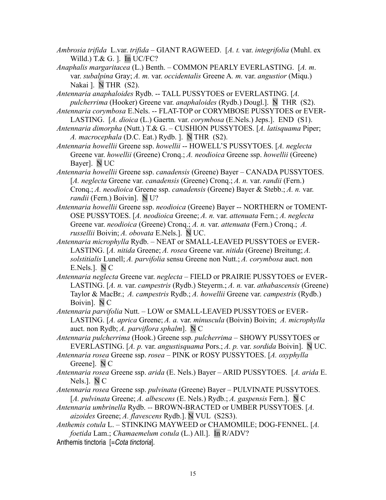- *Ambrosia trifida* L.var. *trifida* GIANT RAGWEED. [*A. t.* var. *integrifolia* (Muhl. ex Willd.) T.& G. ]. In UC/FC?
- *Anaphalis margaritacea* (L.) Benth. COMMON PEARLY EVERLASTING. [*A. m*. var. *subalpina* Gray; *A. m.* var. *occidentalis* Greene A*. m.* var. *angustior* (Miqu.) Nakai ]. N THR (S2).
- *Antennaria anaphaloides* Rydb. -- TALL PUSSYTOES or EVERLASTING. [*A. pulcherrima* (Hooker) Greene var. *anaphaloides* (Rydb.) Dougl.]. N THR (S2).
- *Antennaria corymbosa* E.Nels. -- FLAT-TOP or CORYMBOSE PUSSYTOES or EVER-LASTING. [*A. dioica* (L.) Gaertn*.* var. *corymbosa* (E.Nels.) Jeps.]. END (S1).
- *Antennaria dimorpha* (Nutt.) T.& G. CUSHION PUSSYTOES. [*A. latisquama* Piper; *A. macrocephala* (D.C. Eat.) Rydb. ]. N THR (S2).
- *Antennaria howellii* Greene ssp. *howellii* -- HOWELL'S PUSSYTOES. [*A. neglecta* Greene var. *howellii* (Greene) Cronq.; *A. neodioica* Greene ssp. *howellii* (Greene) Bayer]. N UC
- *Antennaria howellii* Greene ssp. *canadensis* (Greene) Bayer CANADA PUSSYTOES. [*A. neglecta* Greene var. *canadensis* (Greene) Cronq.; *A. n.* var. *randii* (Fern.) Cronq.; *A. neodioica* Greene ssp. *canadensis* (Greene) Bayer & Stebb.; *A. n.* var. *randii* (Fern.) Boivin]. N U?
- *Antennaria howellii* Greene ssp. *neodioica* (Greene) Bayer -- NORTHERN or TOMENT-OSE PUSSYTOES. [*A. neodioica* Greene; *A. n.* var. *attenuata* Fern.; *A. neglecta* Greene var. *neodioica* (Greene) Cronq.; *A. n.* var. *attenuata* (Fern.) Cronq.; *A. russellii* Boivin; *A. obovata* E.Nels.]. N UC.
- *Antennaria microphylla* Rydb. NEAT or SMALL-LEAVED PUSSYTOES or EVER-LASTING. [*A. nitida* Greene; *A. rosea* Greene var. *nitida* (Greene) Breitung; *A. solstitialis* Lunell; *A. parvifolia* sensu Greene non Nutt.; *A. corymbosa* auct. non E.Nels.]. N C
- *Antennaria neglecta* Greene var. *neglecta* FIELD or PRAIRIE PUSSYTOES or EVER-LASTING. [*A. n.* var. *campestris* (Rydb.) Steyerm.; *A. n.* var. *athabascensis* (Greene) Taylor & MacBr.; *A. campestris* Rydb.; *A. howellii* Greene var. *campestris* (Rydb.) Boivin]. N C
- *Antennaria parvifolia* Nutt. LOW or SMALL-LEAVED PUSSYTOES or EVER-LASTING. [*A. aprica* Greene; *A. a.* var. *minuscula* (Boivin) Boivin; *A. microphylla* auct. non Rydb; *A. parviflora sphalm*]. N C
- *Antennaria pulcherrima* (Hook.) Greene ssp. *pulcherrima* SHOWY PUSSYTOES or EVERLASTING. [*A. p.* var. *angustisquama* Pors.; *A. p.* var. *sordida* Boivin]. N UC.
- *Antennaria rosea* Greene ssp. *rosea* PINK or ROSY PUSSYTOES. [*A. oxyphylla* Greene]. N C
- *Antennaria rosea* Greene ssp. *arida* (E. Nels.) Bayer ARID PUSSYTOES. [*A. arida* E. Nels.]. N C
- *Antennaria rosea* Greene ssp. *pulvinata* (Greene) Bayer PULVINATE PUSSYTOES. [*A. pulvinata* Greene; *A. albescens* (E. Nels.) Rydb.; *A. gaspensis* Fern.]. N C
- *Antennaria umbrinella* Rydb. *--* BROWN-BRACTED or UMBER PUSSYTOES. [*A. aizoides* Greene; *A. flavescens* Rydb.]. N VUL (S2S3).
- *Anthemis cotula* L. STINKING MAYWEED or CHAMOMILE; DOG-FENNEL. [*A. foetida* Lam.; *Chamaemelum cotula* (L.) All.]. In R/ADV?
- Anthemis tinctoria [=Cota tinctoria].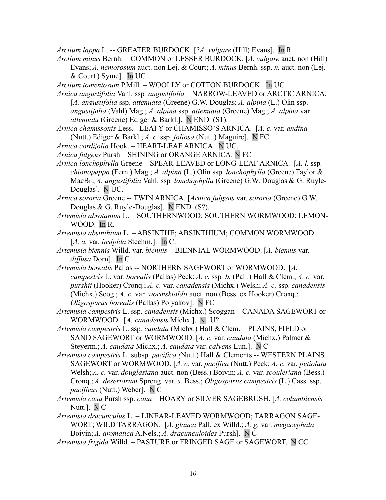*Arctium lappa* L. -- GREATER BURDOCK. [?*A. vulgare* (Hill) Evans]. In R

*Arctium minus* Bernh. – COMMON or LESSER BURDOCK. [*A. vulgare* auct. non (Hill) Evans; *A. nemorosum* auct. non Lej. & Court; *A. minus* Bernh. ssp. *n.* auct. non (Lej. & Court.) Syme]. In UC

*Arctium tomentosum* P.Mill. – WOOLLY or COTTON BURDOCK. In UC

- *Arnica angustifolia* Vahl. ssp*. angustifolia* NARROW-LEAVED or ARCTIC ARNICA. [*A. angustifolia* ssp. *attenuata* (Greene) G.W. Douglas; *A. alpina* (L.) Olin ssp. *angustifolia* (Vahl) Mag.; *A. alpina* ssp. *attenuata* (Greene) Mag.; *A. alpina* var*. attenuata* (Greene) Ediger & Barkl.]. N END (S1).
- *Arnica chamissonis* Less.– LEAFY or CHAMISSO'S ARNICA. [*A. c*. var*. andina* (Nutt.) Ediger & Barkl.; *A. c.* ssp. *foliosa* (Nutt.) Maguire]. N FC
- *Arnica cordifolia* Hook. HEART-LEAF ARNICA. N UC.
- *Arnica fulgens* Pursh SHINING or ORANGE ARNICA. N FC
- *Arnica lonchophylla* GreeneSPEAR-LEAVED or LONG-LEAF ARNICA.[*A. l.* ssp*. chionopappa* (Fern.) Mag.; *A. alpina* (L.) Olin ssp. *lonchophylla* (Greene) Taylor & MacBr.; *A. angustifolia* Vahl. ssp*. lonchophylla* (Greene) G.W. Douglas & G. Ruyle-Douglas]. N UC.
- *Arnica sororia* Greene -- TWIN ARNICA. [*Arnica fulgens* var. *sororia* (Greene) G.W. Douglas & G. Ruyle-Douglas]. N END (S?).
- *Artemisia abrotanum* L. SOUTHERNWOOD; SOUTHERN WORMWOOD; LEMON-WOOD. In R.
- *Artemisia absinthium* L. ABSINTHE; ABSINTHIUM; COMMON WORMWOOD. [*A. a.* var. *insipida* Stechm.]. In C.
- *Artemisia biennis* Willd. var. *biennis* BIENNIAL WORMWOOD. [*A. biennis* var. *diffusa* Dorn]. In C
- *Artemisia borealis* Pallas -- NORTHERN SAGEWORT or WORMWOOD. [*A. campestris* L. var*. borealis* (Pallas) Peck; *A. c.* ssp*. b.* (Pall.) Hall & Clem.; *A. c.* var. *purshii* (Hooker) Cronq.; *A. c.* var. *canadensis* (Michx.) Welsh; *A. c.* ssp. *canadensis* (Michx.) Scog.; *A. c.* var. *wormskioldii* auct. non (Bess. ex Hooker) Cronq.; *Oligosporus borealis* (Pallas) Polyakov]. N FC
- *Artemisia campestris* L. ssp. *canadensis* (Michx.) Scoggan CANADA SAGEWORT or WORMWOOD. [*A. canadensis* Michx.]. N U?

*Artemisia campestris* L. ssp*. caudata* (Michx.) Hall & Clem. – PLAINS, FIELD or SAND SAGEWORT or WORMWOOD. [*A. c.* var. *caudata* (Michx.) Palmer & Steyerm.; *A. caudata* Michx.; *A. caudata* var. *calvens* Lun.]. N C

- *Artemisia campestris* L. subsp. *pacifica (*Nutt.) Hall & Clements -- WESTERN PLAINS SAGEWORT or WORMWOOD. [*A. c.* var. *pacifica* (Nutt.) Peck; *A. c.* var*. petiolata* Welsh; *A. c.* var. *douglasiana* auct. non (Bess.) Boivin; *A. c.* var. *scouleriana* (Bess.) Cronq.; *A. desertorum* Spreng. var. *s.* Bess.; *Oligosporus campestris* (L.) Cass. ssp. *pacificus* (Nutt.) Weber]. N C
- *Artemisia cana* Pursh ssp. *cana* HOARY or SILVER SAGEBRUSH. [*A. columbiensis* Nutt.]. N C
- *Artemisia dracunculus* L.LINEAR-LEAVED WORMWOOD; TARRAGON SAGE-WORT; WILD TARRAGON. [*A. glauca* Pall. ex Willd.; *A. g.* var. *megacephala* Boivin; *A. aromatica* A.Nels.; *A. dracunculoides* Pursh]. N C
- *Artemisia frigida* Willd. PASTURE or FRINGED SAGE or SAGEWORT. N CC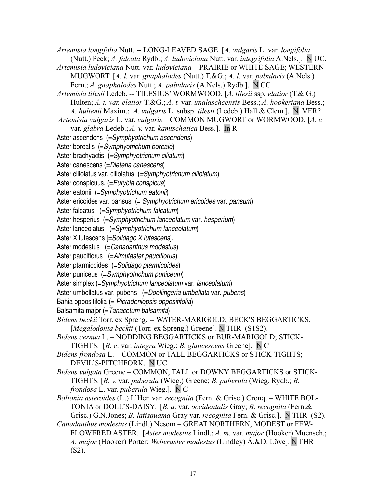*Artemisia longifolia* Nutt. -- LONG-LEAVED SAGE. [*A. vulgaris* L. var. *longifolia* (Nutt.) Peck; *A. falcata* Rydb.; *A. ludoviciana* Nutt. var. *integrifolia* A.Nels.]. N UC. *Artemisia ludoviciana* Nutt. var*. ludoviciana –* PRAIRIE or WHITE SAGE; WESTERN MUGWORT. [*A. l.* var. *gnaphalodes* (Nutt.) T.&G.; *A. l.* var. *pabularis* (A.Nels.) Fern.; *A. gnaphalodes* Nutt.; *A. pabularis* (A.Nels.) Rydb.]. N CC *Artemisia tilesii* Ledeb. -- TILESIUS' WORMWOOD. [*A. tilesii* ssp*. elatior* (T.& G.) Hulten; *A. t. var. elatior* T.&G.; *A. t.* var*. unalaschcensis* Bess.; *A. hookeriana* Bess.; *A. hultenii* Maxim.; *A. vulgaris* L. subsp. *tilesii* (Ledeb.) Hall & Clem.]. N VER? *Artemisia vulgaris* L. var*. vulgaris –* COMMON MUGWORT or WORMWOOD. [*A. v.* var. *glabra* Ledeb.; *A. v.* var. *kamtschatica* Bess.]. In R Aster ascendens (=Symphyotrichum ascendens) Aster borealis (=Symphyotrichum boreale) Aster brachyactis (=Symphyotrichum ciliatum) Aster canescens (=Dieteria canescens) Aster ciliolatus var. ciliolatus (=Symphyotrichum ciliolatum) Aster conspicuus. (=Eurybia conspicua) Aster eatonii (=Symphyotrichum eatonii) Aster ericoides var. pansus (= Symphyotrichum ericoides var. pansum) Aster falcatus (=Symphyotrichum falcatum) Aster hesperius (=Symphyotrichum lanceolatum var. hesperium) Aster lanceolatus (=Symphyotrichum lanceolatum) Aster X lutescens [=Solidago X lutescens]. Aster modestus  $(-\text{Canadianthus models})$ Aster pauciflorus (= Almutaster pauciflorus) Aster ptarmicoides (=Solidago ptarmicoides) Aster puniceus (=Symphyotrichum puniceum) Aster simplex (=Symphyotrichum lanceolatum var. lanceolatum) Aster umbellatus var. pubens (=Doellingeria umbellata var. pubens) Bahia oppositifolia (= Picradeniopsis oppositifolia) Balsamita major (= Tanacetum balsamita) *Bidens beckii* Torr. ex Spreng. -- WATER-MARIGOLD; BECK'S BEGGARTICKS. [*Megalodonta beckii* (Torr. ex Spreng.) Greene]. N THR (S1S2). *Bidens cernua* L. – NODDING BEGGARTICKS or BUR-MARIGOLD; STICK-TIGHTS. [*B. c*. var. *integra* Wieg.; *B. glaucescens* Greene]. N C *Bidens frondosa* L. – COMMON or TALL BEGGARTICKS or STICK-TIGHTS; DEVIL'S-PITCHFORK. N UC. *Bidens vulgata* Greene – COMMON, TALL or DOWNY BEGGARTICKS or STICK-TIGHTS. [*B. v.* var. *puberula* (Wieg.) Greene; *B. puberula* (Wieg. Rydb.; *B. frondosa* L. var. *puberula* Wieg.]. N C *Boltonia asteroides* (L.) L'Her. var. *recognita* (Fern. & Grisc.) Cronq. *–* WHITE BOL-TONIA or DOLL'S-DAISY. [*B. a.* var. *occidentalis* Gray; *B. recognita* (Fern.& Grisc.) G.N.Jones; *B. latisquama* Gray var. *recognita* Fern. & Grisc.]. N THR (S2). *Canadanthus modestus* (Lindl.) Nesom – GREAT NORTHERN, MODEST or FEW-FLOWERED ASTER. [*Aster modestus* Lindl.; *A. m.* var. *major* (Hooker) Muensch.; *A. major* (Hooker) Porter; *Weberaster modestus* (Lindley) Á.&D. Löve]. N THR (S2).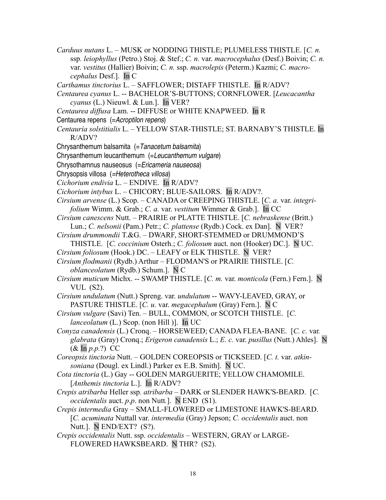- *Carduus nutans* L. MUSK or NODDING THISTLE; PLUMELESS THISTLE. [*C. n.* ssp*. leiophyllus* (Petro.) Stoj. & Stef.; *C. n.* var. *macrocephalus* (Desf.) Boivin; *C. n.* var. *vestitus* (Hallier) Boivin; *C. n.* ssp. *macrolepis* (Peterm.) Kazmi; *C. macrocephalus* Desf.]. In C
- *Carthamus tinctorius* L. SAFFLOWER; DISTAFF THISTLE. In R/ADV?
- *Centaurea cyanus* L. -- BACHELOR'S-BUTTONS; CORNFLOWER. [*Leucacantha cyanus* (L.) Nieuwl. & Lun.]. In VER?
- *Centaurea diffusa* Lam. -- DIFFUSE or WHITE KNAPWEED. In R
- Centaurea repens (=Acroptilon repens)
- *Centauria solstitialis* L. YELLOW STAR-THISTLE; ST. BARNABY'S THISTLE. In R/ADV?
- Chrysanthemum balsamita  $(=Tanacetum balsamita)$
- Chrysanthemum leucanthemum (=Leucanthemum vulgare)
- Chrysothamnus nauseosus (=Ericameria nauseosa)
- Chrysopsis villosa (=Heterotheca villosa)
- *Cichorium endivia* L. ENDIVE. In R/ADV?
- *Cichorium intybus* L. CHICORY; BLUE-SAILORS. In R/ADV?.
- *Cirsium arvense* (L.) Scop. CANADA or CREEPING THISTLE. [*C. a.* var. *integrifolium* Wimm. & Grab.; *C. a.* var. *vestitum* Wimmer & Grab.]. In CC
- *Cirsium canescens* Nutt. PRAIRIE or PLATTE THISTLE. [*C. nebraskense* (Britt.) Lun.; *C. nelsonii* (Pam.) Petr.; *C. plattense* (Rydb.) Cock. ex Dan]. N VER?
- *Cirsium drummondii* T.&G. DWARF, SHORT-STEMMED or DRUMMOND'S THISTLE. [*C. coccinium* Osterh.; *C. foliosum* auct. non (Hooker) DC.]. N UC.
- *Cirsium foliosum* (Hook.) DC. LEAFY or ELK THISTLE. N VER?
- *Cirsium flodmanii* (Rydb.) Arthur FLODMAN'S or PRAIRIE THISTLE. [*C. oblanceolatum* (Rydb.) Schum.]. N C
- *Cirsium muticum* Michx. -- SWAMP THISTLE. [*C. m.* var. *monticola* (Fern.) Fern.]. N VUL (S2).
- *Cirsium undulatum* (Nutt.) Spreng. var. *undulatum* -- WAVY-LEAVED, GRAY, or PASTURE THISTLE. [*C. u.* var. *megacephalum* (Gray) Fern.]. N C
- *Cirsium vulgare* (Savi) Ten. BULL, COMMON, or SCOTCH THISTLE. [*C. lanceolatum* (L.) Scop. (non Hill )]. In UC
- *Conyza canadensis* (L.) Cronq.HORSEWEED; CANADA FLEA-BANE. [*C. c.* var*. glabrata* (Gray) Cronq.; *Erigeron canadensis* L.; *E. c.* var. *pusillus* (Nutt.) Ahles]. N (& In *p.p.*?) CC
- *Coreopsis tinctoria* Nutt.GOLDEN COREOPSIS or TICKSEED. [*C. t.* var. *atkinsoniana* (Dougl. ex Lindl.) Parker ex E.B. Smith]. N UC.
- *Cota tinctoria* (L.) Gay -- GOLDEN MARGUERITE; YELLOW CHAMOMILE. [*Anthemis tinctoria* L.]. In R/ADV?
- *Crepis atribarba* Heller ssp*. atribarba* DARK or SLENDER HAWK'S-BEARD. [*C. occidentalis* auct. *p*.*p*. non Nutt*.*]. N END (S1).
- *Crepis intermedia* Gray SMALL-FLOWERED or LIMESTONE HAWK'S-BEARD. [*C. acuminata* Nuttall var. *intermedia* (Gray) Jepson; *C. occidentalis* auct. non Nutt.]. N END/EXT? (S?).
- *Crepis occidentalis* Nutt. ssp. *occidentalis* WESTERN, GRAY or LARGE-FLOWERED HAWKSBEARD. N THR? (S2).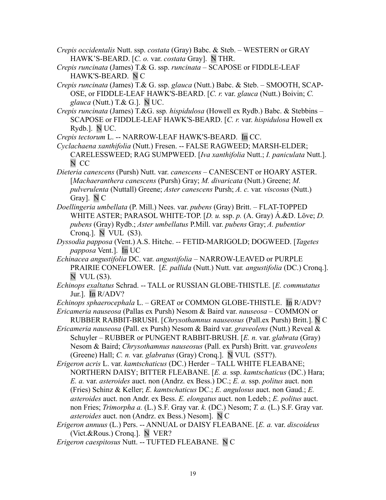- *Crepis occidentalis* Nutt. ssp. *costata* (Gray) Babc. & Steb. WESTERN or GRAY HAWK'S-BEARD. [*C. o.* var. *costata* Gray]. N THR.
- *Crepis runcinata* (James) T.& G. ssp. *runcinata* SCAPOSE or FIDDLE-LEAF HAWK'S-BEARD. N C
- *Crepis runcinata* (James) T.& G. ssp. *glauca* (Nutt.) Babc. & Steb.SMOOTH, SCAP-OSE, or FIDDLE-LEAF HAWK'S-BEARD. [*C. r.* var. *glauca* (Nutt.) Boivin; *C. glauca* (Nutt.) T.& G.]. N UC.
- *Crepis runcinata* (James) T.&G. ssp*. hispidulosa* (Howell ex Rydb.) Babc. & Stebbins SCAPOSE or FIDDLE-LEAF HAWK'S-BEARD. [*C. r.* var. *hispidulosa* Howell ex Rydb.]. N UC.

*Crepis tectorum* L. -- NARROW-LEAF HAWK'S-BEARD. In CC.

- *Cyclachaena xanthifolia* (Nutt.) Fresen. -- FALSE RAGWEED; MARSH-ELDER; CARELESSWEED; RAG SUMPWEED. [*Iva xanthifolia* Nutt.; *I. paniculata* Nutt.]. N CC
- *Dieteria canescens* (Pursh) Nutt. var. *canescens* CANESCENT or HOARY ASTER. [*Machaeranthera canescens* (Pursh) Gray; *M. divaricata* (Nutt.) Greene; *M. pulverulenta* (Nuttall) Greene; *Aster canescens* Pursh; *A. c.* var*. viscosus* (Nutt.) Gray]. N C
- *Doellingeria umbellata* (P. Mill.) Nees. var. *pubens* (Gray) Britt. FLAT-TOPPED WHITE ASTER; PARASOL WHITE-TOP. [*D. u.* ssp. *p.* (A. Gray) Á.&D. Löve; *D. pubens* (Gray) Rydb.; *Aster umbellatus* P.Mill. var. *pubens* Gray; *A. pubentior* Cronq.]. N VUL (S3).
- *Dyssodia papposa* (Vent.) A.S. Hitchc. *--* FETID-MARIGOLD; DOGWEED. [*Tagetes papposa* Vent.]. In UC
- *Echinacea angustifolia* DC. var. *angustifolia* NARROW-LEAVED or PURPLE PRAIRIE CONEFLOWER. [*E. pallida* (Nutt.) Nutt. var*. angustifolia* (DC.) Cronq.]. N VUL (S3).
- *Echinops exaltatus* Schrad. -- TALL or RUSSIAN GLOBE-THISTLE. [*E. commutatus* Jur.]. In R/ADV?

*Echinops sphaerocephala* L. – GREAT or COMMON GLOBE-THISTLE. In R/ADV?

- *Ericameria nauseosa* (Pallas ex Pursh) Nesom & Baird var. *nauseosa* COMMON or RUBBER RABBIT-BRUSH. [*Chrysothamnus nauseosus* (Pall.ex Pursh) Britt.]. N C
- *Ericameria nauseosa* (Pall. ex Pursh) Nesom & Baird var. *graveolens* (Nutt.) Reveal & Schuyler *–* RUBBER or PUNGENT RABBIT-BRUSH. [*E. n.* var. *glabrata* (Gray) Nesom & Baird; *Chrysothamnus nauseosus* (Pall. ex Pursh) Britt. var. *graveolens* (Greene) Hall; *C. n.* var. *glabratus* (Gray) Cronq.]. N VUL (S5T?).
- *Erigeron acris* L. var. *kamtschaticus* (DC.) Herder TALL WHITE FLEABANE; NORTHERN DAISY; BITTER FLEABANE. [*E. a.* ssp. *kamtschaticus* (DC.) Hara; *E. a.* var. *asteroides* auct. non (Andrz. ex Bess.) DC.; *E. a.* ssp. *politus* auct. non (Fries) Schinz & Keller; *E. kamtschaticus* DC.; *E. angulosus* auct. non Gaud.; *E. asteroides* auct. non Andr. ex Bess. *E. elongatus* auct. non Ledeb.; *E. politus* auct. non Fries; *Trimorpha a.* (L.) S.F. Gray var. *k.* (DC.) Nesom; *T. a.* (L.) S.F. Gray var. *asteroides* auct. non (Andrz. ex Bess.) Nesom]. N C
- *Erigeron annuus* (L.) Pers. -- ANNUAL or DAISY FLEABANE. [*E. a.* var. *discoideus* (Vict.&Rous.) Cronq.]. N VER?
- *Erigeron caespitosus* Nutt. -- TUFTED FLEABANE. N C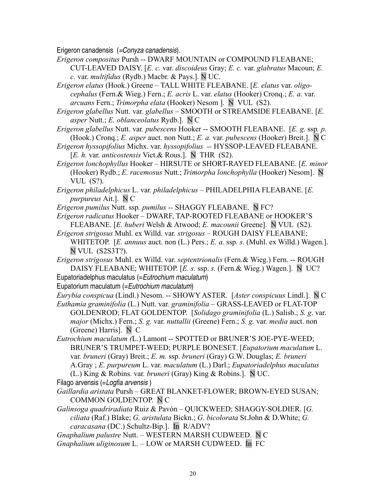Erigeron canadensis (=Conyza canadensis).

*Erigeron compositus* Pursh -- DWARF MOUNTAIN or COMPOUND FLEABANE; CUT-LEAVED DAISY. [*E. c.* var. *discoideus* Gray; *E. c.* var. *glabratus* Macoun; *E. c.* var. *multifidus* (Rydb.) Macbr. & Pays.]. N UC.

*Erigeron elatus* (Hook.) Greene – TALL WHITE FLEABANE. [*E. elatus* var. *oligocephalus* (Fern.& Wieg.) Fern.; *E. acris* L. var. *elatus* (Hooker) Cronq.; *E. a.* var. *arcuans* Fern.; *Trimorpha elata* (Hooker) Nesom ]. N VUL (S2).

*Erigeron glabellus* Nutt. var*. glabellus –* SMOOTH or STREAMSIDE FLEABANE. [*E. asper* Nutt.; *E. oblanceolatus* Rydb.]. N C

- *Erigeron glabellus* Nutt. var*. pubescens* Hooker -- SMOOTH FLEABANE. [*E. g.* ssp*. p.* (Hook.) Cronq.; *E. asper* auct. non Nutt.; *E. a.* var. *pubescens* (Hooker) Breit.]. N C
- *Erigeron hyssopifolius* Michx. var. *hyssopifolius --* HYSSOP-LEAVED FLEABANE. [*E. h.* var. *anticostensis* Vict.& Rous.].N THR (S2).
- *Erigeron lonchophyllus* HookerHIRSUTE or SHORT-RAYED FLEABANE. [*E. minor* (Hooker) Rydb.; *E. racemosus* Nutt.; *Trimorpha lonchophylla* (Hooker) Nesom]. N VUL (S?).

*Erigeron philadelphicus* L. var*. philadelphicus* – PHILADELPHIA FLEABANE. [*E. purpureus* Ait.]. N C

*Erigeron pumilus* Nutt. ssp*. pumilus --* SHAGGY FLEABANE. N FC?

*Erigeron radicatus* Hooker – DWARF, TAP-ROOTED FLEABANE or HOOKER'S FLEABANE. [*E. huberi* Welsh & Atwood; *E. macounii* Greene]. N VUL (S2).

- *Erigeron strigosus* Muhl. ex Willd. var*. strigosus* ROUGH DAISY FLEABANE; WHITETOP. [*E. annuus* auct. non (L.) Pers.; *E. a.* ssp*. s.* (Muhl. ex Willd.) Wagen.]. N VUL (S2S3T?).
- *Erigeron strigosus* Muhl. ex Willd. var. *septentrionalis* (Fern.& Wieg.) Fern. -- ROUGH DAISY FLEABANE; WHITETOP. [*E. s.* ssp. *s.* (Fern.& Wieg.) Wagen.]. N UC? Eupatoriadelphus maculatus (=Eutrochium maculatum)

Eupatorium maculatum (=Eutrochium maculatum)

*Eurybia conspicua* (Lindl.) Nesom. -- SHOWY ASTER. [*Aster conspicuus* Lindl.]. N C *Euthamia graminifolia* (L.) Nutt. var*. graminifolia –* GRASS-LEAVED or FLAT-TOP

GOLDENROD; FLAT GOLDENTOP.[*Solidago graminifolia* (L.) Salisb.; *S. g*. var. *major* (Michx.) Fern.; *S. g.* var. *nuttallii* (Greene) Fern.; *S. g.* var. *media* auct. non (Greene) Harris]. N C

*Eutrochium maculatum (*L.) Lamont -- SPOTTED or BRUNER'S JOE-PYE-WEED; BRUNER'S TRUMPET-WEED; PURPLE BONESET. [*Eupatorium maculatum* L. var*. bruneri* (Gray) Breit.; *E. m.* ssp. *bruneri* (Gray) G.W. Douglas; *E. bruneri* A.Gray ; *E. purpureum* L. var. *maculatum* (L.) Darl.; *Eupatoriadelphus maculatus* (L.) King & Robins. var*. bruneri* (Gray) King & Robins.]. N UC.

Filago arvensis (=Logfia arvensis )

- *Gaillardia aristata* Pursh GREAT BLANKET-FLOWER; BROWN-EYED SUSAN; COMMON GOLDENTOP. N C
- *Galinsoga quadriradiata* Ruiz & Pavón QUICKWEED; SHAGGY-SOLDIER. [*G. ciliata* (Raf.) Blake; *G. aristulata* Bickn.; *G. bicolorata* St.John & D.White; *G. caracasana* (DC.) Schultz-Bip.]. In R/ADV?

*Gnaphalium palustre* Nutt. *–* WESTERN MARSH CUDWEED.N C *Gnaphalium uliginosum* L. *–* LOW or MARSH CUDWEED. In FC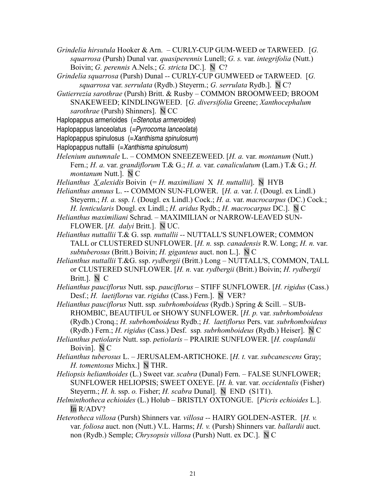- *Grindelia hirsutula* Hooker & Arn. CURLY-CUP GUM-WEED or TARWEED. [*G. squarrosa* (Pursh) Dunal var. *quasiperennis* Lunell; *G. s.* var. *integrifolia* (Nutt.) Boivin; *G. perennis* A.Nels.; *G. stricta* DC.]. N C?
- *Grindelia squarrosa* (Pursh) Dunal *--* CURLY-CUP GUMWEED or TARWEED. [*G. squarrosa* var. *serrulata* (Rydb.) Steyerm.; *G. serrulata* Rydb.]. N C?
- *Gutierrezia sarothrae* (Pursh) Britt. & Rusby COMMON BROOMWEED; BROOM SNAKEWEED; KINDLINGWEED. [*G. diversifolia* Greene; *Xanthocephalum sarothrae* (Pursh) Shinners]. N CC
- Haplopappus armerioides (=Stenotus armeroides)
- Haplopappus lanceolatus (=Pyrrocoma lanceolata)
- Haplopappus spinulosus (=Xanthisma spinulosum)
- Haplopappus nuttallii (=Xanthisma spinulosum)
- *Helenium autumnale* L. COMMON SNEEZEWEED. [*H. a.* var. *montanum* (Nutt.) Fern.; *H. a.* var. *grandiflorum* T.& G.; *H. a.* var. *canaliculatum* (Lam.) T.& G.; *H. montanum* Nutt.]. N C
- *Helianthus X alexidis* Boivin (= *H. maximiliani* X *H. nuttallii*]. N HYB
- *Helianthus annuus* L. -- COMMON SUN-FLOWER. [*H. a.* var. *l*. (Dougl. ex Lindl.) Steyerm.; *H. a.* ssp. *l*. (Dougl. ex Lindl.) Cock.; *H. a.* var. *macrocarpus* (DC.) Cock.; *H. lenticularis* Dougl. ex Lindl.; *H. aridus* Rydb.; *H. macrocarpus* DC.]. N C
- *Helianthus maximiliani* Schrad. MAXIMILIAN or NARROW-LEAVED SUN-FLOWER. [*H. dalyi* Britt.]. N UC.
- *Helianthus nuttallii* T.& G. ssp*. nuttallii --* NUTTALL'S SUNFLOWER; COMMON TALL or CLUSTERED SUNFLOWER. [*H. n.* ssp*. canadensis* R.W. Long; *H. n.* var. *subtuberosus* (Britt.) Boivin; *H. giganteus* auct. non L.]. N C
- *Helianthus nuttallii* T.&G. ssp. *rydbergii* (Britt.) Long NUTTALL'S, COMMON, TALL or CLUSTERED SUNFLOWER. [*H. n.* var*. rydbergii* (Britt.) Boivin; *H. rydbergii* Britt.]. N C
- *Helianthus pauciflorus* Nutt. ssp. *pauciflorus* STIFF SUNFLOWER. [*H. rigidus* (Cass.) Desf.; *H. laetiflorus* var. *rigidus* (Cass.) Fern.]. N VER?
- *Helianthus pauciflorus* Nutt. ssp*. subrhomboideus* (Rydb.) Spring & Scill. SUB-RHOMBIC, BEAUTIFUL or SHOWY SUNFLOWER. [*H. p.* var. *subrhomboideus* (Rydb.) Cronq.; *H. subrhomboideus* Rydb.; *H. laetiflorus* Pers. var*. subrhomboideus* (Rydb.) Fern.; *H. rigidus* (Cass.) Desf. ssp*. subrhomboideus* (Rydb.) Heiser]. N C
- *Helianthus petiolaris* Nutt. ssp. *petiolaris* PRAIRIE SUNFLOWER. [*H. couplandii* Boivin]. N C
- *Helianthus tuberosus* L. JERUSALEM-ARTICHOKE. [*H. t.* var. *subcanescens* Gray; *H. tomentosus* Michx.] N THR.
- *Heliopsis helianthoides* (L.) Sweet var. *scabra* (Dunal) Fern. FALSE SUNFLOWER; SUNFLOWER HELIOPSIS; SWEET OXEYE. [*H. h.* var. var. *occidentalis* (Fisher) Steyerm.; *H. h.* ssp. *o.* Fisher; *H. scabra* Dunal]. N END (S1T1).
- *Helminthotheca echioides* (L.) Holub BRISTLY OXTONGUE. [*Picris echioides* L.]. In R/ADV?
- *Heterotheca villosa* (Pursh) Shinners var*. villosa --* HAIRY GOLDEN-ASTER. [*H. v.* var. *foliosa* auct. non (Nutt.) V.L. Harms; *H. v.* (Pursh) Shinners var. *ballardii* auct. non (Rydb.) Semple; *Chrysopsis villosa* (Pursh) Nutt. ex DC.]. N C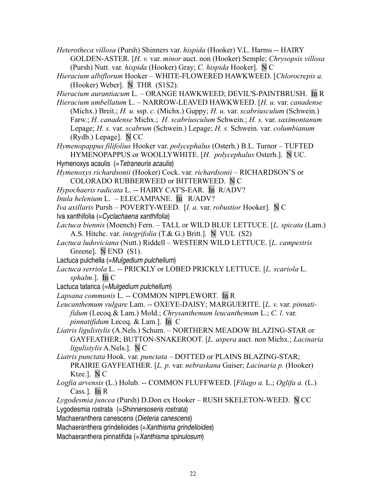*Heterotheca villosa* (Pursh) Shinners var. *hispida* (Hooker) V.L. Harms -- HAIRY GOLDEN-ASTER. [*H. v.* var. *minor* auct. non (Hooker) Semple; *Chrysopsis villosa* (Pursh) Nutt. var. *hispida* (Hooker) Gray; *C. hispida* Hooker]. N C

*Hieracium albiflorum* Hooker *–* WHITE-FLOWERED HAWKWEED. [*Chlorocrepis a.* (Hooker) Weber]. N THR (S1S2).

*Hieracium aurantiacum* L. – ORANGE HAWKWEED; DEVIL'S-PAINTBRUSH. In R

*Hieracium umbellatum* L. – NARROW-LEAVED HAWKWEED. [*H. u.* var. *canadense* (Michx.) Breit.; *H. u.* ssp. *c.* (Michx.) Guppy; *H. u.* var. *scabriusculum* (Schwein.) Farw.; *H. canadense* Michx.; *H. scabriusculum* Schwein.; *H. s.* var. *saximontanum* Lepage; *H. s.* var. *scabrum* (Schwein.) Lepage; *H. s.* Schwein. var. *columbianum* (Rydb.) Lepage]. N CC

*Hymenopappus filifolius* Hooker var. *polycephalus* (Osterh.) B.L. Turnor – TUFTED HYMENOPAPPUS or WOOLLYWHITE. [*H. polycephalus* Osterh.]. N UC.

Hymenoxys acaulis (= Tetraneuris acaulis)

*Hymenoxys richardsonii* (Hooker) Cock. var. *richardsonii –* RICHARDSON'S or COLORADO RUBBERWEED or BITTERWEED. N C

*Hypochaeris radicata* L. -- HAIRY CAT'S-EAR. In R/ADV?

*Inula helenium* L. – ELECAMPANE. In R/ADV?

*Iva axillaris* Pursh – POVERTY-WEED. [*I. a.* var. *robustior* Hooker]. N C

Iva xanthifolia (=Cyclachaena xanthifolia)

*Lactuca biennis* (Moench) Fern. – TALL or WILD BLUE LETTUCE. [*L. spicata* (Lam.) A.S. Hitchc. var. *integrifolia* (T.& G.) Britt.]. N VUL (S2)

*Lactuca ludoviciana* (Nutt.) Riddell – WESTERN WILD LETTUCE. [*L. campestris* Greene]. N END (S1).

Lactuca pulchella (=Mulgedium pulchellum)

*Lactuca serriola* L. -- PRICKLY or LOBED PRICKLY LETTUCE. [*L. scariola* L. *sphalm*.]. In C

Lactuca tatarica (=Mulgedium pulchellum)

*Lapsana communis* L. -- COMMON NIPPLEWORT. In R

*Leucanthemum vulgare* Lam. -- OXEYE-DAISY; MARGUERITE. [*L. v*. var. *pinnatifidum* (Lecoq.& Lam.) Mold.; *Chrysanthemum leucanthemum* L.; *C. l.* var. *pinnatifidum* Lecoq. & Lam.]. In C

*Liatris ligulistylis* (A.Nels.) Schum. – NORTHERN MEADOW BLAZING-STAR or GAYFEATHER; BUTTON-SNAKEROOT. [*L. aspera* auct. non Michx.; *Lacinaria ligulistylis* A.Nels.]. N C

*Liatris punctata* Hook. var*. punctata –* DOTTED or PLAINS BLAZING-STAR; PRAIRIE GAYFEATHER. [*L. p.* var. *nebraskana* Gaiser; *Lacinaria p.* (Hooker) Ktze.]. N C

*Logfia arvensis* (L.) Holub. -- COMMON FLUFFWEED. [*Filago a.* L.; *Oglifa a.* (L.) Cass.]. In R

*Lygodesmia juncea* (Pursh) D.Don ex Hooker – RUSH SKELETON-WEED. N CC

Lygodesmia rostrata (=Shinnersoseris rostrata)

Machaeranthera canescens (Dieteria canescens)

Machaeranthera grindelioides (= Xanthisma grindelioides)

Machaeranthera pinnatifida (=Xanthisma spinulosum)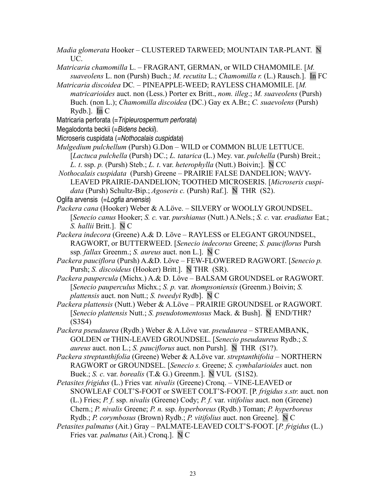- *Madia glomerata* Hooker CLUSTERED TARWEED; MOUNTAIN TAR-PLANT. N UC.
- *Matricaria chamomilla* L. FRAGRANT, GERMAN, or WILD CHAMOMILE. [*M. suaveolens* L. non (Pursh) Buch.; *M. recutita* L.; *Chamomilla r.* (L.) Rausch.]. In FC
- *Matricaria discoidea* DC*.* PINEAPPLE-WEED; RAYLESS CHAMOMILE. [*M. matricarioides* auct. non (Less.) Porter ex Britt., *nom. illeg*.; *M. suaveolens* (Pursh) Buch. (non L.); *Chamomilla discoidea* (DC.) Gay ex A.Br.; *C. suaevolens* (Pursh) Rydb.]. In C
- Matricaria perforata (=Tripleurospermum perforata)
- Megalodonta beckii (=Bidens beckii).
- Microseris cuspidata (=Nothocalais cuspidata)
- *Mulgedium pulchellum* (Pursh) G.Don WILD or COMMON BLUE LETTUCE. [*Lactuca pulchella* (Pursh) DC.; *L. tatarica* (L.) Mey. var. *pulchella* (Pursh) Breit.; *L. t*. ssp. *p.* (Pursh) Steb.; *L. t*. var. *heterophylla* (Nutt.) Boivin;]. N CC
- *Nothocalais cuspidata* (Pursh) Greene PRAIRIE FALSE DANDELION; WAVY-LEAVED PRAIRIE-DANDELION; TOOTHED MICROSERIS. [*Microseris cuspidata* (Pursh) Schultz-Bip.; *Agoseris c.* (Pursh) Raf.]. N THR (S2).

- *Packera cana* (Hooker) Weber & A.Löve. SILVERY or WOOLLY GROUNDSEL. [*Senecio canus* Hooker; *S. c.* var. *purshianus* (Nutt.) A.Nels.; *S. c.* var. *eradiatus* Eat.; *S. hallii* Britt.]. N C
- *Packera indecora* (Greene) A.& D. Löve RAYLESS or ELEGANT GROUNDSEL, RAGWORT, or BUTTERWEED. [*Senecio indecorus* Greene; *S. pauciflorus* Pursh ssp*. fallax* Greenm.; *S. aureus* auct. non L.]. N C
- *Packera pauciflora* (Pursh) A.&D. Löve FEW-FLOWERED RAGWORT. [*Senecio p.* Pursh; *S. discoideus* (Hooker) Britt.]. N THR (SR).
- *Packera paupercula* (Michx.) A.& D. Löve BALSAM GROUNDSEL or RAGWORT. [*Senecio pauperculus* Michx.; *S. p.* var. *thompsoniensis* (Greenm.) Boivin; *S. plattensis* auct. non Nutt.; *S. tweedyi* Rydb]. N C
- *Packera plattensis* (Nutt.) Weber & A.Löve PRAIRIE GROUNDSEL or RAGWORT. [*Senecio plattensis* Nutt.; *S. pseudotomentosus* Mack. & Bush]. N END/THR? (S3S4)
- *Packera pseudaurea* (Rydb.) Weber & A.Löve var. *pseudaurea* STREAMBANK, GOLDEN or THIN-LEAVED GROUNDSEL. [*Senecio pseudaureus* Rydb.; *S. aureus* auct. non L.; *S. pauciflorus* auct. non Pursh]. N THR (S1?).
- *Packera streptanthifolia* (Greene) Weber & A.Löve var. *streptanthifolia* NORTHERN RAGWORT or GROUNDSEL. [*Senecio s.* Greene; *S. cymbalarioides* auct. non Buek.; *S. c.* var. *borealis* (T.& G.) Greenm.]. N VUL (S1S2).
- *Petasites frigidus* (L.) Fries var*. nivalis* (Greene) Cronq. VINE-LEAVED or SNOWLEAF COLT'S-FOOT or SWEET COLT'S-FOOT. [P. *frigidus s.str.* auct. non (L.) Fries; *P. f.* ssp. *nivalis* (Greene) Cody; *P. f.* var. *vitifolius* auct. non (Greene) Chern.; *P. nivalis* Greene; *P. n.* ssp. *hyperboreus* (Rydb.) Toman; *P. hyperboreus* Rydb.; *P. corymbosus* (Brown) Rydb.; *P. vitifolius* auct. non Greene]. N C
- *Petasites palmatus* (Ait.) GrayPALMATE-LEAVED COLT'S-FOOT. [*P. frigidus* (L.) Fries var*. palmatus* (Ait.) Cronq.]. N C

Oglifa arvensis (=Logfia arvensis)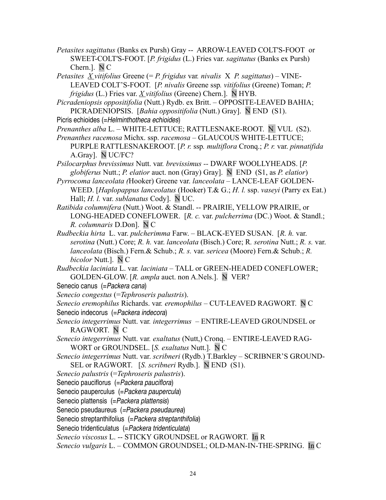- *Petasites sagittatus* (Banks ex Pursh) Gray -- ARROW-LEAVED COLT'S-FOOT or SWEET-COLT'S-FOOT. [*P. frigidus* (L.) Fries var. *sagittatus* (Banks ex Pursh) Chern.]. N C
- *Petasites X vitifolius* Greene (= *P. frigidus* var*. nivalis* X *P. sagittatus*) VINE-LEAVED COLT'S-FOOT. [*P. nivalis* Greene ssp*. vitifolius* (Greene) Toman; *P. frigidus* (L.) Fries var. *X vitifolius* (Greene) Chern.]. N HYB.
- *Picradeniopsis oppositifolia* (Nutt.) Rydb. ex Britt.OPPOSITE-LEAVED BAHIA; PICRADENIOPSIS. [*Bahia oppositifolia* (Nutt.) Gray]. N END (S1).
- Picris echioides (=Helminthotheca echioides)
- *Prenanthes alba* L. WHITE-LETTUCE; RATTLESNAKE-ROOT. N VUL (S2).
- *Prenanthes racemosa* Michx. ssp. *racemosa* GLAUCOUS WHITE-LETTUCE; PURPLE RATTLESNAKEROOT. [*P. r.* ssp*. multiflora* Cronq.; *P. r.* var. *pinnatifida* A.Gray]. N UC/FC?
- *Psilocarphus brevissimus* Nutt. var*. brevissimus --* DWARF WOOLLYHEADS. [*P. globiferus* Nutt.; *P. elatior* auct. non (Gray) Gray]. N END (S1, as *P. elatior*)
- *Pyrrocoma lanceolata (*Hooker) Greene var. *lanceolata*  LANCE-LEAF GOLDEN-WEED. [*Haplopappus lanceolatus* (Hooker) T.& G.; *H. l.* ssp. *vaseyi* (Parry ex Eat.) Hall; *H. l.* var. *sublanatus* Cody]. N UC.
- *Ratibida columnifera* (Nutt.) Woot. & Standl. -- PRAIRIE, YELLOW PRAIRIE, or LONG-HEADED CONEFLOWER. [*R. c.* var. *pulcherrima* (DC.) Woot. & Standl.; *R. columnaris* D.Don]. N C
- *Rudbeckia hirta* L. var. *pulcherimma* Farw. BLACK-EYED SUSAN. [*R. h.* var. *serotina* (Nutt.) Core; *R. h.* var. *lanceolata* (Bisch.) Core; R*. serotina* Nutt.; *R. s.* var. *lanceolata* (Bisch.) Fern.& Schub.; *R. s.* var. *sericea* (Moore) Fern.& Schub.; *R. bicolor* Nutt.]. N C
- *Rudbeckia laciniata* L. var*. laciniata*  TALL or GREEN-HEADED CONEFLOWER; GOLDEN-GLOW. [*R. ampla* auct. non A.Nels.]. N VER?
- Senecio canus (= Packera cana)
- *Senecio congestus* (=*Tephroseris palustris*).
- *Senecio eremophilus* Richards. var*. eremophilus* CUT-LEAVED RAGWORT.N C Senecio indecorus (=Packera indecora)
- *Senecio integerrimus* Nutt. var*. integerrimus*  ENTIRE-LEAVED GROUNDSEL or RAGWORT. N C
- *Senecio integerrimus* Nutt. var*. exaltatus* (Nutt,) Cronq. ENTIRE-LEAVED RAG-WORT or GROUNDSEL. [*S. exaltatus* Nutt.]. N C
- *Senecio integerrimus* Nutt. var. *scribneri* (Rydb.) T.Barkley SCRIBNER'S GROUND-SEL or RAGWORT. [*S. scribneri* Rydb.]. N END (S1).
- *Senecio palustris* (=*Tephroseris palustris*).
- Senecio pauciflorus (= Packera pauciflora)
- Senecio pauperculus (= Packera paupercula)
- Senecio plattensis (=Packera plattensis)
- Senecio pseudaureus (=Packera pseudaurea)
- Senecio streptanthifolius (= Packera streptanthifolia)
- Senecio tridenticulatus (= Packera tridenticulata)
- *Senecio viscosus* L. -- STICKY GROUNDSEL or RAGWORT. In R
- *Senecio vulgaris* L. COMMON GROUNDSEL; OLD-MAN-IN-THE-SPRING. In C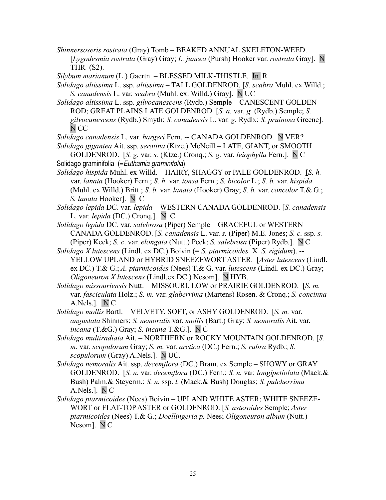*Shinnersoseris rostrata* (Gray) Tomb *–* BEAKED ANNUAL SKELETON-WEED. [*Lygodesmia rostrata* (Gray) Gray; *L. juncea* (Pursh) Hooker var. *rostrata* Gray]. N THR (S2).

*Silybum marianum* (L.) Gaertn. *–* BLESSED MILK-THISTLE. In R

*Solidago altissima* L. ssp. *altissima –* TALL GOLDENROD. [*S. scabra* Muhl. ex Willd.; *S. canadensis* L. var*. scabra* (Muhl. ex. Willd.) Gray]. N UC

*Solidago altissima* L. ssp. *gilvocanescens* (Rydb.) Semple *–* CANESCENT GOLDEN-ROD; GREAT PLAINS LATE GOLDENROD. [*S. a.* var. *g.* (Rydb.) Semple; *S. gilvocanescens* (Rydb.) Smyth; *S. canadensis* L. var*. g.* Rydb.; *S. pruinosa* Greene]. N CC

*Solidago canadensis* L. var*. hargeri* Fern. -- CANADA GOLDENROD. N VER?

*Solidago gigantea* Ait. ssp. *serotina* (Ktze.) McNeill – LATE, GIANT, or SMOOTH GOLDENROD. [*S. g.* var. *s.* (Ktze.) Cronq.; *S. g.* var. *leiophylla* Fern.]. N C

Solidago graminifolia (= Euthamia graminifolia)

*Solidago hispida* Muhl. ex Willd. – HAIRY, SHAGGY or PALE GOLDENROD. [*S. h.* var. *lanata* (Hooker) Fern.; *S. h.* var. *tonsa* Fern.; *S. bicolor* L.; *S. b.* var. *hispida* (Muhl. ex Willd.) Britt.; *S. b.* var. *lanata* (Hooker) Gray; *S. b.* var. *concolor* T.& G.; *S. lanata* Hooker]. N C

*Solidago lepida* DC. var. *lepida* – WESTERN CANADA GOLDENROD. [*S. canadensis* L. var. *lepida* (DC.) Cronq.]. N C

*Solidago lepida* DC. var*. salebrosa* (Piper) Semple – GRACEFUL or WESTERN CANADA GOLDENROD. [*S. canadensis* L. var. *s.* (Piper) M.E. Jones; *S. c.* ssp. *s.* (Piper) Keck; *S. c*. var. *elongata* (Nutt.) Peck; *S. salebrosa* (Piper) Rydb.]. N C

*Solidago X lutescens* (Lindl. ex DC.) Boivin (= *S. ptarmicoides* X *S. rigidum*). -- YELLOW UPLAND or HYBRID SNEEZEWORT ASTER. [*Aster lutescens* (Lindl. ex DC.) T.& G.; *A. ptarmicoides* (Nees) T.& G. var*. lutescens* (Lindl. ex DC.) Gray; *Oligoneuron X lutescens* (Lindl.ex DC.) Nesom]. N HYB.

*Solidago missouriensis* Nutt. *–* MISSOURI, LOW or PRAIRIE GOLDENROD. [*S. m.* var. *fasciculata* Holz.; *S. m.* var. *glaberrima* (Martens) Rosen. & Cronq.; *S. concinna* A.Nels.]. N C

*Solidago mollis* Bartl. *–* VELVETY, SOFT, or ASHY GOLDENROD. [*S. m.* var. *angustata* Shinners; *S. nemoralis* var. *mollis* (Bart.) Gray; *S. nemoralis* Ait. var. *incana* (T.&G.) Gray; *S. incana* T.&G.]. N C

*Solidago multiradiata* Ait. – NORTHERN or ROCKY MOUNTAIN GOLDENROD. [*S. m.* var. *scopulorum* Gray; *S. m.* var. *arctica* (DC.) Fern.; *S. rubra* Rydb.; *S. scopulorum* (Gray) A.Nels.]. N UC.

*Solidago nemoralis* Ait. ssp. *decemflora* (DC.) Bram. ex Semple – SHOWY or GRAY GOLDENROD. [*S. n.* var. *decemflora* (DC.) Fern.; *S. n.* var*. longipetiolata* (Mack.& Bush) Palm.& Steyerm.; *S. n.* ssp. *l.* (Mack.& Bush) Douglas; *S. pulcherrima* A.Nels.]. N C

*Solidago ptarmicoides* (Nees) Boivin – UPLAND WHITE ASTER; WHITE SNEEZE-WORT or FLAT-TOPASTER or GOLDENROD. [*S. asteroides* Semple; *Aster ptarmicoides* (Nees) T.& G.; *Doellingeria p.* Nees; *Oligoneuron album* (Nutt.) Nesom]. N C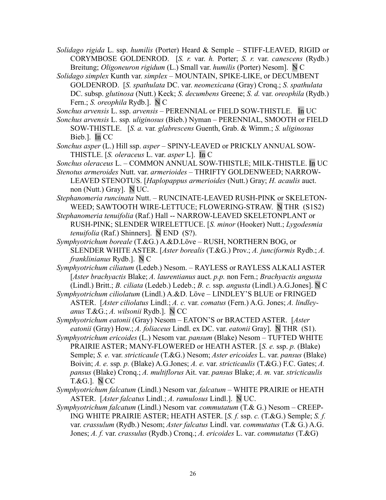*Solidago rigida* L. ssp. *humilis* (Porter) Heard & Semple *–* STIFF-LEAVED, RIGID or CORYMBOSE GOLDENROD. [*S. r.* var. *h.* Porter; *S. r.* var. *canescens* (Rydb.) Breitung; *Oligoneuron rigidum* (L.) Small var. *humilis* (Porter) Nesom]. N C

- *Solidago simplex* Kunth var. *simplex* MOUNTAIN, SPIKE-LIKE, or DECUMBENT GOLDENROD. [*S. spathulata* DC. var. *neomexicana* (Gray) Cronq.; *S. spathulata* DC. subsp. *glutinosa* (Nutt.) Keck; *S. decumbens* Greene; *S. d.* var. *oreophila* (Rydb.) Fern.; *S. oreophila* Rydb.]. N C
- *Sonchus arvensis* L. ssp. *arvensis* PERENNIAL or FIELD SOW-THISTLE. In UC
- *Sonchus arvensis* L. ssp*. uliginosus* (Bieb.) Nyman PERENNIAL, SMOOTH or FIELD SOW-THISTLE. [*S. a.* var*. glabrescens* Guenth, Grab. & Wimm.; *S. uliginosus* Bieb.]. In CC
- *Sonchus asper* (L.) Hill ssp. *asper* SPINY-LEAVED or PRICKLY ANNUAL SOW-THISTLE. [*S. oleraceus* L. var. *asper* L]. In C
- *Sonchus oleraceus* L. COMMON ANNUAL SOW-THISTLE; MILK-THISTLE. In UC
- *Stenotus armeroides* Nutt. var. *armerioides* THRIFTY GOLDENWEED; NARROW-LEAVED STENOTUS. [*Haplopappus armerioides* (Nutt.) Gray; *H. acaulis* auct. non (Nutt.) Gray]. N UC.
- *Stephanomeria runcinata* Nutt. RUNCINATE-LEAVED RUSH-PINK or SKELETON-WEED; SAWTOOTH WIRE-LETTUCE; FLOWERING-STRAW. N THR (S1S2)
- *Stephanomeria tenuifolia* (Raf.) Hall -- NARROW-LEAVED SKELETONPLANT or RUSH-PINK; SLENDER WIRELETTUCE. [*S. minor* (Hooker) Nutt.; *Lygodesmia tenuifolia* (Raf.) Shinners]. N END (S?).
- *Symphyotrichum boreale* (T.&G.) A.&D.Löve RUSH, NORTHERN BOG, or SLENDER WHITE ASTER. [*Aster borealis* (T.&G.) Prov.; *A. junciformis* Rydb.; *A. franklinianus* Rydb.]. N C
- *Symphyotrichum ciliatum* (Ledeb.) Nesom. RAYLESS or RAYLESS ALKALI ASTER [*Aster brachyactis* Blake; *A. laurentianus* auct. *p.p.* non Fern.; *Brachyactis angusta* (Lindl.) Britt.; *B. ciliata* (Ledeb.) Ledeb.; *B. c.* ssp. *angusta* (Lindl.) A.G.Jones]. N C
- *Symphyotrichum ciliolatum* (Lindl.) A.&D. Löve LINDLEY'S BLUE or FRINGED ASTER. [*Aster ciliolatus* Lindl.; *A. c.* var. *comatus* (Fern.) A.G. Jones; *A. lindleyanus* T.&G.; *A. wilsonii* Rydb.]. N CC
- *Symphyotrichum eatonii* (Gray) NesomEATON'S or BRACTED ASTER. [*Aster eatonii* (Gray) How.; *A. foliaceus* Lindl. ex DC. var. *eatonii* Gray]. N THR (S1).
- *Symphyotrichum ericoides* (L.) Nesom var. *pansum* (Blake) NesomTUFTED WHITE PRAIRIE ASTER; MANY-FLOWERED or HEATH ASTER. [*S. e.* ssp. *p.* (Blake) Semple; *S. e.* var. *stricticaule* (T.&G.) Nesom; *Aster ericoides* L. var. *pansus* (Blake) Boivin; *A. e.* ssp*. p.* (Blake) A.G.Jones; *A. e.* var. *stricticaulis* (T.&G.) F.C. Gates; *A. pansus* (Blake) Cronq.; *A. multiflorus* Ait. var. *pansus* Blake; *A. m.* var. *stricticaulis* T.&G.]. N CC
- *Symphyotrichum falcatum* (Lindl.) Nesom var. *falcatum* WHITE PRAIRIE or HEATH ASTER. [*Aster falcatus* Lindl.; *A. ramulosus* Lindl.]. N UC.
- *Symphyotrichum falcatum* (Lindl.) Nesom var*. commutatum* (T.& G.) NesomCREEP-ING WHITE PRAIRIE ASTER; HEATH ASTER. [*S. f.* ssp. *c.* (T.&G.) Semple; *S. f.* var. *crassulum* (Rydb.) Nesom; *Aster falcatus* Lindl. var. *commutatus* (T.& G.) A.G. Jones; *A. f.* var. *crassulus* (Rydb.) Cronq.; *A. ericoides* L. var. *commutatus* (T.&G)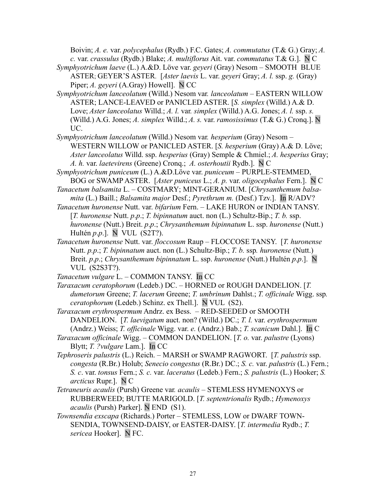Boivin; *A. e.* var. *polycephalus* (Rydb.) F.C. Gates; *A. commutatus* (T.& G.) Gray; *A. c.* var. *crassulus* (Rydb.) Blake; *A. multiflorus* Ait. var. *commutatus* T.& G.]. N C

- *Symphyotrichum laeve* (L.) A.&D. Löve var. *geyeri* (Gray) Nesom SMOOTH BLUE ASTER; GEYER'S ASTER. [*Aster laevis* L. var. *geyeri* Gray; *A. l.* ssp. *g.* (Gray) Piper; *A. geyeri* (A.Gray) Howell]. N CC
- *Symphyotrichum lanceolatum* (Willd.) Nesom var*. lanceolatum* EASTERN WILLOW ASTER; LANCE-LEAVED or PANICLED ASTER. [*S. simplex* (Willd.) A.& D. Love; *Aster lanceolatus* Willd.; *A. l.* var*. simplex* (Willd.) A.G. Jones; *A. l.* ssp. *s.* (Willd.) A.G. Jones; *A. simplex* Willd.; *A. s.* var. *ramosissimus* (T.& G.) Cronq.]. N UC.
- *Symphyotrichum lanceolatum* (Willd.) Nesom var*. hesperium* (Gray) Nesom *–* WESTERN WILLOW or PANICLED ASTER. [*S. hesperium* (Gray) A.& D. Löve; *Aster lanceolatus* Willd. ssp. *hesperius* (Gray) Semple & Chmiel.; *A. hesperius* Gray; *A. h.* var. *laetevirens* (Greene) Cronq.; *A. osterhoutii* Rydb.]. N C
- *Symphyotrichum puniceum* (L.) A.&D.Löve var. *puniceum* PURPLE-STEMMED, BOG or SWAMP ASTER. [*Aster puniceus* L.; *A. p.* var. *oligocephalus* Fern.]. N C
- *Tanacetum balsamita* L. COSTMARY; MINT-GERANIUM. [*Chrysanthemum balsamita* (L.) Baill.; *Balsamita major* Desf.; *Pyrethrum m.* (Desf.) Tzv.]. In R/ADV?
- *Tanacetum huronense* Nutt. var. *bifarium* Fern. LAKE HURON or INDIAN TANSY. [*T. huronense* Nutt. *p*.*p*.; *T. bipinnatum* auct. non (L.) Schultz-Bip.; *T. b.* ssp. *huronense* (Nutt.) Breit. *p*.*p*.; *Chrysanthemum bipinnatum* L. ssp. *huronense* (Nutt.) Hultén *p*.*p*.]. N VUL (S2T?).
- *Tanacetum huronense* Nutt. var. *floccosum* Raup FLOCCOSE TANSY. [*T. huronense* Nutt. *p.p*.; *T. bipinnatum* auct. non (L.) Schultz-Bip.; *T. b.* ssp*. huronense* (Nutt.) Breit. *p*.*p*.; *Chrysanthemum bipinnatum* L. ssp. *huronense* (Nutt.) Hultén *p*.*p*.]. N VUL (S2S3T?).
- *Tanacetum vulgare* L. COMMON TANSY. In CC
- *Taraxacum ceratophorum* (Ledeb.) DC.HORNED or ROUGH DANDELION. [*T. dumetorum* Greene; *T. lacerum* Greene; *T. umbrinum* Dahlst.; *T. officinale* Wigg. ssp*. ceratophorum* (Ledeb.) Schinz. ex Thell.]. N VUL(S2).
- *Taraxacum erythrospermum* Andrz. ex Bess. RED-SEEDED or SMOOTH DANDELION. [*T. laevigatum* auct. non? (Willd.) DC.; *T. l.* var. *erythrospermum* (Andrz.) Weiss; *T. officinale* Wigg. var. *e.* (Andrz.) Bab.; *T. scanicum* Dahl.]. In C
- *Taraxacum officinale* Wigg. COMMON DANDELION. [*T. o.* var. *palustre* (Lyons) Blytt; *T. ?vulgare* Lam.]. In CC
- *Tephroseris palustris* (L.) Reich. MARSH or SWAMP RAGWORT. [*T. palustris* ssp. *congesta* (R.Br.) Holub; *Senecio congestus* (R.Br.) DC.; *S. c.* var. *palustris* (L.) Fern.; *S. c*. var. *tonsus* Fern.; *S. c.* var. *laceratus* (Ledeb.) Fern.; *S. palustris* (L.) Hooker; *S. arcticus* Rupr.]. N C
- *Tetraneuris acaulis* (Pursh) Greene var*. acaulis* STEMLESS HYMENOXYS or RUBBERWEED; BUTTE MARIGOLD. [*T. septentrionalis* Rydb.; *Hymenoxys acaulis* (Pursh) Parker]. N END (S1).
- *Townsendia exscapa* (Richards.) Porter STEMLESS, LOW or DWARF TOWN-SENDIA, TOWNSEND-DAISY, or EASTER-DAISY. [*T. intermedia* Rydb.; *T. sericea* Hooker]. N FC.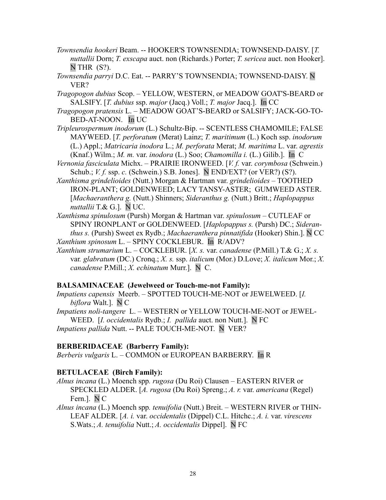- *Townsendia hookeri* Beam. -- HOOKER'S TOWNSENDIA; TOWNSEND-DAISY. [*T. nuttallii* Dorn; *T. exscapa* auct. non (Richards.) Porter; *T. sericea* auct. non Hooker].  $N$  THR  $(S?)$ .
- *Townsendia parryi* D.C. Eat. -- PARRY'S TOWNSENDIA; TOWNSEND-DAISY. N VER?

*Tragopogon dubius* Scop. – YELLOW, WESTERN, or MEADOW GOAT'S-BEARD or SALSIFY. [*T. dubius* ssp. *major* (Jacq.) Voll.; *T. major* Jacq.]. In CC

- *Tragopogon pratensis* L. MEADOW GOAT'S-BEARD or SALSIFY; JACK-GO-TO-BED-AT-NOON. In UC
- *Tripleurospermum inodorum* (L.) Schultz-Bip. -- SCENTLESS CHAMOMILE; FALSE MAYWEED. [*T. perforatum* (Merat) Lainz; *T. maritimum* (L.) Koch ssp. *inodorum* (L.) Appl.; *Matricaria inodora* L.; *M. perforata* Merat; *M. maritima* L. var. *agrestis* (Knaf.) Wilm.; *M. m.* var. *inodora* (L.) Soo; *Chamomilla i.* (L.) Gilib.]. In C
- *Vernonia fasciculata* Michx. PRAIRIE IRONWEED. [*V. f.* var. *corymbosa* (Schwein.) Schub.; *V. f.* ssp. *c.* (Schwein.) S.B. Jones]. N END/EXT? (or VER?) (S?).
- *Xanthisma grindelioides* (Nutt.) Morgan & Hartman var. *grindelioides* TOOTHED IRON-PLANT; GOLDENWEED; LACY TANSY-ASTER; GUMWEED ASTER. [*Machaeranthera g.* (Nutt.) Shinners; *Sideranthus g.* (Nutt.) Britt.; *Haplopappus nuttallii* T.& G.]. N UC.
- *Xanthisma spinulosum* (Pursh) Morgan & Hartman var. *spinulosum* CUTLEAF or SPINY IRONPLANT or GOLDENWEED. [*Haplopappus s.* (Pursh) DC.; *Sideranthus s.* (Pursh) Sweet ex Rydb.; *Machaeranthera pinnatifida* (Hooker) Shin.]. N CC *Xanthium spinosum* L. – SPINY COCKLEBUR. In R/ADV?
- *Xanthium strumarium* L. COCKLEBUR. [*X. s.* var. *canadense* (P.Mill.) T.& G.; *X. s.* var*. glabratum* (DC.) Cronq.; *X. s.* ssp. *italicum* (Mor.) D.Love; *X. italicum* Mor.; *X. canadense* P.Mill.; *X. echinatum* Murr.]. N C.

#### **BALSAMINACEAE (Jewelweed or Touch-me-not Family):**

- *Impatiens capensis* Meerb. SPOTTED TOUCH-ME-NOT or JEWELWEED. [*I. biflora* Walt.]. N C
- *Impatiens noli-tangere* L. WESTERN or YELLOW TOUCH-ME-NOT or JEWEL-WEED. [*I. occidentalis* Rydb.; *I. pallida* auct. non Nutt.]. N FC *Impatiens pallida* Nutt. -- PALE TOUCH-ME-NOT. N VER?

# **BERBERIDACEAE (Barberry Family):**

*Berberis vulgaris* L. – COMMON or EUROPEAN BARBERRY. In R

# **BETULACEAE (Birch Family):**

- *Alnus incana* (L.) Moench spp*. rugosa* (Du Roi) Clausen EASTERN RIVER or SPECKLED ALDER. [*A. rugosa* (Du Roi) Spreng.; *A. r.* var. *americana* (Regel) Fern.]. N C
- *Alnus incana* (L.) Moench spp*. tenuifolia* (Nutt.) Breit.WESTERN RIVER or THIN-LEAF ALDER. [*A. i.* var. *occidentalis* (Dippel) C.L. Hitchc.; *A. i.* var. *virescens* S.Wats.; *A. tenuifolia* Nutt.; *A. occidentalis* Dippel]. N FC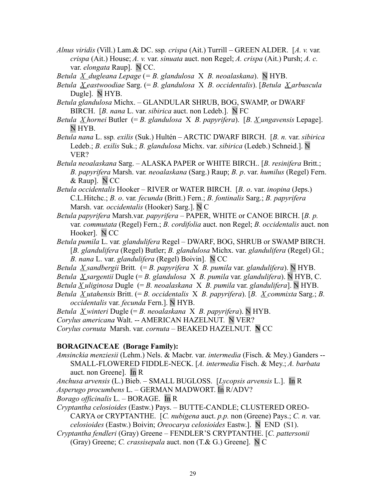*Alnus viridis* (Vill.) Lam.& DC. ssp*. crispa* (Ait.) Turrill *–* GREEN ALDER. [*A. v.* var*. crispa* (Ait.) House; *A. v.* var. *sinuata* auct. non Regel; *A. crispa* (Ait.) Pursh; *A. c.* var. *elongata* Raup]. N CC.

*Betula X dugleana Lepage* (*= B. glandulosa* X *B. neoalaskana*).N HYB.

*Betula X eastwoodiae* Sarg. (= *B. glandulosa* X *B. occidentalis*). [*Betula X arbuscula* Dugle]. N HYB.

*Betula glandulosa* Michx. – GLANDULAR SHRUB, BOG, SWAMP, or DWARF BIRCH. [*B. nana* L. var. *sibirica* auct. non Ledeb.]. N FC

*Betula X hornei* Butler (= *B. glandulosa* X *B. papyrifera*). [*B. X ungavensis* Lepage]. N HYB.

*Betula nana* L. ssp*. exilis* (Suk.) Hultén – ARCTIC DWARF BIRCH. [*B. n.* var. *sibirica* Ledeb.; *B. exilis* Suk.; *B. glandulosa* Michx. var. *sibirica* (Ledeb.) Schneid.]. N VER?

*Betula neoalaskana* Sarg. – ALASKA PAPER or WHITE BIRCH.. [*B. resinifera* Britt.; *B. papyrifera* Marsh. var*. neoalaskana* (Sarg.) Raup; *B. p*. var. *humilus* (Regel) Fern. & Raup]. N CC

*Betula occidentalis* Hooker – RIVER or WATER BIRCH. [*B. o*. var. *inopina* (Jeps.) C.L.Hitchc.; *B. o*. var*. fecunda* (Britt.) Fern.; *B. fontinalis* Sarg.; *B. papyrifera* Marsh. var*. occidentalis* (Hooker) Sarg.]. N C

- *Betula papyrifera* Marsh.var*. papyrifera* PAPER, WHITE or CANOE BIRCH. [*B. p.* var*. commutata* (Regel) Fern.; *B. cordifolia* auct. non Regel; *B. occidentalis* auct. non Hooker]. N CC
- *Betula pumila* L. var*. glandulifera* Regel DWARF, BOG, SHRUB or SWAMP BIRCH. [*B. glandulifera* (Regel) Butler; *B. glandulosa* Michx. var. *glandulifera* (Regel) Gl.; *B. nana* L. var. *glandulifera* (Regel) Boivin]. N CC
- *Betula X sandbergii* Britt*.* (= *B. papyrifera* X *B. pumila* var. *glandulifera*). N HYB.
- *Betula X sargentii* Dugle (= *B. glandulosa* X *B. pumila* var. *glandulifera*). N HYB, C.
- *Betula X uliginosa* Dugle (= *B. neoalaskana* X *B. pumila* var. *glandulifera*]. N HYB.
- *Betula X utahensis* Britt. (= *B. occidentalis* X *B. papyrifera*). [*B. X commixta* Sarg.; *B. occidentalis* var. *fecunda* Fern.]. N HYB.
- *Betula X winteri* Dugle (= *B. neoalaskana* X *B. papyrifera*). N HYB.

*Corylus americana* Walt. -- AMERICAN HAZELNUT. N VER?

*Corylus cornuta* Marsh. var. *cornuta* – BEAKED HAZELNUT. **N** CC

#### **BORAGINACEAE (Borage Family):**

*Amsinckia menziesii* (Lehm.) Nels. & Macbr. var. *intermedia* (Fisch. & Mey.) Ganders -- SMALL-FLOWERED FIDDLE-NECK. [*A. intermedia* Fisch. & Mey.; *A. barbata* auct. non Greene]. In R

*Anchusa arvensis* (L.) Bieb. *–* SMALL BUGLOSS. [*Lycopsis arvensis* L.]. In R

*Asperugo procumbens* L. – GERMAN MADWORT. In R/ADV?

*Borago officinalis* L. – BORAGE. In R

*Cryptantha celosioides* (Eastw.) Pays. – BUTTE-CANDLE; CLUSTERED OREO-CARYA or CRYPTANTHE. [*C. nubigena* auct. *p.p.* non (Greene) Pays.; *C. n.* var. *celosioides* (Eastw.) Boivin; *Oreocarya celosioides* Eastw.]. NEND(S1).

*Cryptantha fendleri* (Gray) Greene *–* FENDLER'S CRYPTANTHE. [*C. pattersonii* (Gray) Greene; *C. crassisepala* auct. non (T.& G.) Greene]. N C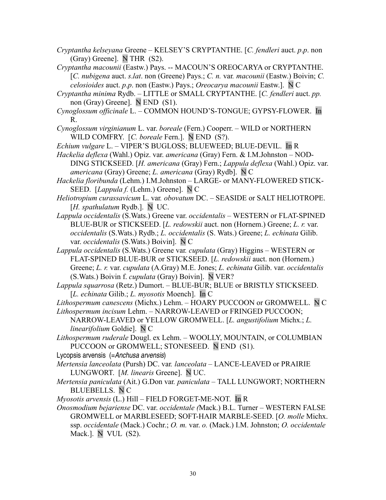- *Cryptantha kelseyana* Greene KELSEY'S CRYPTANTHE. [*C. fendleri* auct. *p*.*p*. non (Gray) Greene]. N THR (S2).
- *Cryptantha macounii* (Eastw.) Pays. -- MACOUN'S OREOCARYA or CRYPTANTHE. [*C. nubigena* auct. *s*.*lat*. non (Greene) Pays.; *C. n.* var*. macounii* (Eastw.) Boivin; *C. celosioides* auct. *p*.*p*. non (Eastw.) Pays.; *Oreocarya macounii* Eastw.]. N C
- *Cryptantha minima* Rydb. LITTLE or SMALL CRYPTANTHE. [*C. fendleri* auct. *pp.* non (Gray) Greene]. N END(S1).
- *Cynoglossum officinale* L. COMMON HOUND'S-TONGUE; GYPSY-FLOWER. In R.
- *Cynoglossum virginianum* L. var. *boreale* (Fern.) Cooperr. WILD or NORTHERN WILD COMFRY. [*C. boreale* Fern.]. N END(S?).
- *Echium vulgare* L.VIPER'S BUGLOSS; BLUEWEED; BLUE-DEVIL. In R
- *Hackelia deflexa* (Wahl.) Opiz. var. *americana* (Gray) Fern. & I.M.Johnston NOD-DING STICKSEED. [*H. americana* (Gray) Fern.; *Lappula deflexa* (Wahl.) Opiz. var. *americana* (Gray) Greene; *L. americana* (Gray) Rydb]. N C
- *Hackelia floribunda* (Lehm.) I.M.Johnston LARGE- or MANY-FLOWERED STICK-SEED. [*Lappula f.* (Lehm.) Greene]. N C
- *Heliotropium curassavicum* L. var*. obovatum* DC.SEASIDE or SALT HELIOTROPE. [*H. spathulatum* Rydb.]. N UC.
- *Lappula occidentalis* (S.Wats.) Greene var. *occidentalis* WESTERN or FLAT-SPINED BLUE-BUR or STICKSEED. [*L. redowskii* auct. non (Hornem.) Greene; *L. r.* var. *occidentalis* (S.Wats.) Rydb.; *L. occidentalis* (S. Wats.) Greene; *L. echinata* Gilib. var. *occidentalis* (S.Wats.) Boivin]. N C
- *Lappula occidentalis* (S.Wats.) Greene var*. cupulata* (Gray) Higgins WESTERN or FLAT-SPINED BLUE-BUR or STICKSEED. [*L. redowskii* auct. non (Hornem.) Greene; *L. r.* var. *cupulata* (A.Gray) M.E. Jones; *L. echinata* Gilib. var. *occidentalis* (S.Wats.) Boivin f. *cupulata* (Gray) Boivin]. N VER?
- *Lappula squarrosa* (Retz.) Dumort. BLUE-BUR; BLUE or BRISTLY STICKSEED. [*L. echinata* Gilib.; *L. myosotis* Moench]. In C
- *Lithospermum canescens* (Michx.) Lehm.HOARY PUCCOON or GROMWELL. N C *Lithospermum incisum* Lehm. – NARROW-LEAVED or FRINGED PUCCOON;
- NARROW-LEAVED or YELLOW GROMWELL. [*L. angustifolium* Michx.; *L. linearifolium* Goldie]. N C
- *Lithospermum ruderale* Dougl. ex Lehm.WOOLLY, MOUNTAIN, or COLUMBIAN PUCCOON or GROMWELL; STONESEED. N END(S1).
- Lycopsis arvensis (=Anchusa arvensis)
- *Mertensia lanceolata* (Pursh) DC. var*. lanceolata* LANCE-LEAVED or PRAIRIE LUNGWORT. [*M. linearis* Greene]. N UC.
- *Mertensia paniculata* (Ait.) G.Don var*. paniculata* TALL LUNGWORT; NORTHERN BLUEBELLS. N C
- *Myosotis arvensis* (L.) Hill FIELD FORGET-ME-NOT. In R
- *Onosmodium bejariense* DC. var. *occidentale (*Mack.) B.L. Turner WESTERN FALSE GROMWELL or MARBLESEED; SOFT-HAIR MARBLE-SEED. [*O. molle* Michx. ssp. *occidentale* (Mack.) Cochr.; *O. m.* var. *o.* (Mack.) I.M. Johnston; *O. occidentale* Mack.]. N VUL (S2).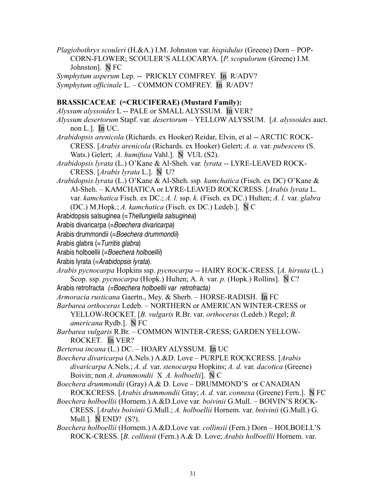*Plagiobothrys scouleri* (H.&A.) I.M. Johnston var. *hispidulus* (Greene) Dorn – POP-CORN-FLOWER; SCOULER'S ALLOCARYA. [*P. scopulorum* (Greene) I.M. Johnston]. N FC *Symphytum asperum* Lep. -- PRICKLY COMFREY. In R/ADV?

*Symphytum officinale* L. – COMMON COMFREY. In R/ADV?

# **BRASSICACEAE (=CRUCIFERAE) (Mustard Family):**

*Alyssum alyssoides* L -- PALE or SMALL ALYSSUM. In VER? *Alyssum desertorum* Stapf. var*. desertorum –* YELLOW ALYSSUM. [*A. alyssoides* auct. non L.]. In UC. *Arabidopsis arenicola* (Richards. ex Hooker) Reidar, Elvin, et al -- ARCTIC ROCK-CRESS. [*Arabis arenicola* (Richards. ex Hooker) Gelert; *A. a.* var. *pubescens* (S. Wats.) Gelert; *A. humifusa* Vahl.]. N VUL (S2). *Arabidopsis lyrata* (L.) O'Kane & Al-Sheh. var*. lyrata* -- LYRE-LEAVED ROCK-CRESS. [*Arabis lyrata* L.]. N U? *Arabidopsis lyrata* (L.) O'Kane & Al-Sheh. ssp*. kamchatica* (Fisch. ex DC) O'Kane & Al-Sheh. – KAMCHATICA or LYRE-LEAVED ROCKCRESS. [*Arabis lyrata* L. var*. kamchatica* Fisch. ex DC.; *A. l.* ssp. *k.* (Fisch. ex DC.) Hulten; *A. l.* var. *glabra* (DC.) M.Hopk.; *A. kamchatica* (Fisch. ex DC.) Ledeb.]. N C Arabidopsis salsuginea (= Thellungiella salsuginea) Arabis divaricarpa (=Boechera divaricarpa)

Arabis drummondii (=Boechera drummondii)

Arabis glabra (=Turritis glabra)

Arabis holboellii (=Boechera holboellii)

Arabis lyrata (=Arabidopsis lyrata).

- *Arabis pycnocarpa* Hopkins ssp. *pycnocarpa* -- HAIRY ROCK-CRESS. [*A. hirsuta* (L.) Scop. ssp*. pycnocarpa* (Hopk.) Hulten; A. *h.* var. *p.* (Hopk.) Rollins]. N C?
- Arabis retrofracta (=Boechera holboellii var retrofracta)
- *Armoracia rusticana* Gaertn., Mey. & Sherb. HORSE-RADISH. In FC
- *Barbarea orthoceras* Ledeb. NORTHERN or AMERICAN WINTER-CRESS or YELLOW-ROCKET. [*B. vulgaris* R.Br. var. *orthoceras* (Ledeb.) Regel; *B. americana* Rydb.]. N FC
- *Barbarea vulgaris* R.Br. COMMON WINTER-CRESS; GARDEN YELLOW-ROCKET. In VER?

*Berteroa incana* (L.) DC. – HOARY ALYSSUM.In UC

*Boechera divaricarpa* (A.Nels.) A.&D. Love – PURPLE ROCKCRESS. [*Arabis divaricarpa* A.Nels.; *A. d.* var. *stenocarpa* Hopkins; *A. d.* var. *dacotica* (Greene) Boivin; non *A. drummondii* X *A. holboelii*]. N C

*Boechera drummondii* (Gray) A.& D. Love – DRUMMOND'S or CANADIAN ROCKCRESS. [*Arabis drummondii* Gray; *A. d.* var. *connexa* (Greene) Fern.]. N FC

- *Boechera holboellii* (Hornem.) A.&D.Love var. *boivinii* G.Mull. *–* BOIVIN'S ROCK-CRESS. [*Arabis boivinii* G.Mull.; *A. holboellii* Hornem. var. *boivinii* (G.Mull.) G. Mull.]. N END? (S?).
- *Boechera holboellii* (Hornem.) A.&D.Love var. *collinsii* (Fern.) Dorn HOLBOELL'S ROCK-CRESS. [*B. collinsii* (Fern.) A.& D. Love; *Arabis holboellii* Hornem. var.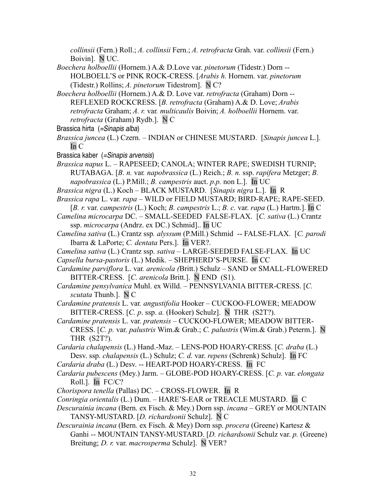*collinsii* (Fern.) Roll.; *A. collinsii* Fern.; *A. retrofracta* Grah. var. *collinsii* (Fern.) Boivin]. N UC.

*Boechera holboellii* (Hornem.) A.& D.Love var. *pinetorum* (Tidestr.) Dorn -- HOLBOELL'S or PINK ROCK-CRESS. [*Arabis h.* Hornem. var. *pinetorum* (Tidestr.) Rollins; *A. pinetorum* Tidestrom]. N C?

- *Boechera holboellii* (Hornem.) A.& D. Love var. *retrofracta* (Graham) Dorn -- REFLEXED ROCKCRESS. [*B. retrofracta* (Graham) A.& D. Love; *Arabis retrofracta* Graham; *A. r.* var*. multicaulis* Boivin; *A. holboellii* Hornem. var. *retrofracta* (Graham) Rydb.]. N C
- Brassica hirta (=Sinapis alba)
- *Brassica juncea* (L.) Czern. INDIAN or CHINESE MUSTARD. [*Sinapis juncea* L.]. In C
- Brassica kaber (=Sinapis arvensis)
- *Brassica napus* L. RAPESEED; CANOLA; WINTER RAPE; SWEDISH TURNIP; RUTABAGA. [*B. n.* var*. napobrassica* (L.) Reich.; *B. n.* ssp. *rapifera* Metzger; *B. napobrassica* (L.) P.Mill.; *B. campestris* auct. *p.p.* non L.]. In UC
- *Brassica nigra* (L.) Koch BLACK MUSTARD. [*Sinapis nigra* L.]. In R

*Brassica rapa* L. var*. rapa –* WILD or FIELD MUSTARD; BIRD-RAPE; RAPE-SEED.

[*B. r.* var. *campestris* (L.) Koch; *B. campestris* L.; *B. c.* var. *rapa* (L.) Hartm.]. In C

*Camelina microcarpa* DC. – SMALL-SEEDED FALSE-FLAX. [*C. sativa* (L.) Crantz ssp. *microcarpa* (Andrz. ex DC.) Schmid].. In UC

- *Camelina sativa* (L.) Crantz ssp*. alyssum* (P.Mill.) Schmid -- FALSE-FLAX.[*C. parodi* Ibarra & LaPorte; *C. dentata* Pers.]. In VER?.
- *Camelina sativa* (L.) Crantz ssp. *sativa* LARGE-SEEDED FALSE-FLAX. In UC

*Capsella bursa-pastoris* (L.) Medik. – SHEPHERD'S-PURSE. In CC

*Cardamine parviflora* L. var*. arenicola (*Britt.) Schulz – SAND or SMALL-FLOWERED BITTER-CRESS. [*C. arenicola* Britt.]. N END (S1).

*Cardamine pensylvanica* Muhl. ex Willd. – PENNSYLVANIA BITTER-CRESS. [*C. scutata* Thunb.]. N C

*Cardamine pratensis* L. var*. angustifolia* Hooker *–* CUCKOO-FLOWER; MEADOW BITTER-CRESS. [*C. p*. ssp. *a.* (Hooker) Schulz]. N THR (S2T?).

*Cardamine pratensis* L. var. *pratensis –* CUCKOO-FLOWER; MEADOW BITTER-CRESS. [*C. p.* var. *palustris* Wim.& Grab.; *C. palustris* (Wim.& Grab.) Peterm.]. N THR (S2T?).

*Cardaria chalapensis* (L.) Hand.-Maz. – LENS-POD HOARY-CRESS. [*C. draba* (L.) Desv. ssp. *chalapensis* (L.) Schulz; *C. d.* var. *repens* (Schrenk) Schulz]. In FC

*Cardaria draba* (L.) Desv. -- HEART-POD HOARY-CRESS. In FC

*Cardaria pubescens* (Mey.) Jarm. – GLOBE-POD HOARY-CRESS. [*C. p.* var. *elongata* Roll.]. In FC/C?

*Chorispora tenella* (Pallas) DC. – CROSS-FLOWER. In R

*Conringia orientalis* (L.) Dum. – HARE'S-EAR or TREACLE MUSTARD. In C

- *Descurainia incana* (Bern. ex Fisch. & Mey.) Dorn ssp. *incana* GREY or MOUNTAIN TANSY-MUSTARD. [*D. richardsonii* Schulz]. N C
- *Descurainia incana* (Bern. ex Fisch. & Mey) Dorn ssp. *procera* (Greene) Kartesz & Ganhi -- MOUNTAIN TANSY-MUSTARD. [*D. richardsonii* Schulz var. *p.* (Greene) Breitung; *D. r.* var. *macrosperma* Schulz]. N VER?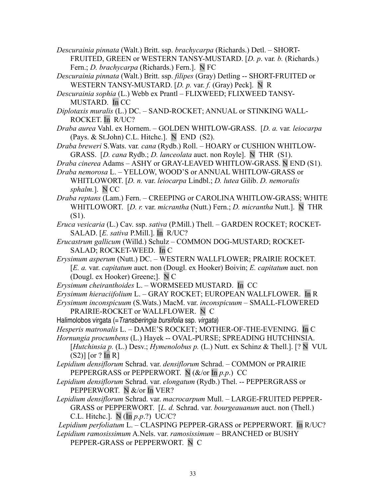*Descurainia pinnata* (Walt.) Britt. ssp. *brachycarpa* (Richards.) Detl. – SHORT-FRUITED, GREEN or WESTERN TANSY-MUSTARD. [*D. p*. var*. b.* (Richards.) Fern.; *D. brachycarpa* (Richards.) Fern.]. N FC

*Descurainia pinnata* (Walt.) Britt. ssp. *filipes* (Gray) Detling -- SHORT-FRUITED or WESTERN TANSY-MUSTARD. [*D. p.* var. *f.* (Gray) Peck]. N R

*Descurainia sophia* (L.) Webb ex Prantl – FLIXWEED; FLIXWEED TANSY-MUSTARD. In CC

- *Diplotaxis muralis* (L.) DC. SAND-ROCKET; ANNUAL or STINKING WALL-ROCKET. In R/UC?
- *Draba aurea* Vahl. ex Hornem. GOLDEN WHITLOW-GRASS. [*D. a.* var*. leiocarpa* (Pays. & St.John) C.L. Hitchc.]. N END (S2).

*Draba breweri* S.Wats. var*. cana* (Rydb.) Roll. – HOARY or CUSHION WHITLOW-GRASS. [*D. cana* Rydb.; *D. lanceolata* auct. non Royle]. N THR (S1).

*Draba cinerea* Adams *–* ASHY or GRAY-LEAVED WHITLOW-GRASS. N END (S1).

- *Draba nemorosa* L. YELLOW, WOOD'S or ANNUAL WHITLOW-GRASS or WHITLOWORT. [*D. n.* var. *leiocarpa* Lindbl.; *D. lutea* Gilib. *D. nemoralis sphalm.*]. N CC
- *Draba reptans* (Lam.) Fern. CREEPING or CAROLINA WHITLOW-GRASS; WHITE WHITLOWORT. [*D. r.* var. *micrantha* (Nutt.) Fern.; *D. micrantha* Nutt.]. N THR (S1).
- *Eruca vesicaria* (L.) Cav. ssp. *sativa* (P.Mill.) Thell. GARDEN ROCKET; ROCKET-SALAD. [*E. sativa* P.Mill.]. In R/UC?
- *Erucastrum gallicum* (Willd.) SchulzCOMMON DOG-MUSTARD; ROCKET-SALAD; ROCKET-WEED. In C
- *Erysimum asperum* (Nutt.) DC. WESTERN WALLFLOWER; PRAIRIE ROCKET. [*E. a.* var. *capitatum* auct. non (Dougl. ex Hooker) Boivin; *E. capitatum* auct. non (Dougl. ex Hooker) Greene;]. N C
- *Erysimum cheiranthoides* L. WORMSEED MUSTARD. In CC
- *Erysimum hieraciifolium* L. GRAY ROCKET; EUROPEAN WALLFLOWER. In R
- *Erysimum inconspicuum* (S.Wats.) MacM. var. *inconspicuum –* SMALL-FLOWERED PRAIRIE-ROCKET or WALLFLOWER. N C
- Halimolobos virgata (= Transberingia bursifolia ssp. virgata)
- *Hesperis matronalis* L. DAME'S ROCKET; MOTHER-OF-THE-EVENING. In C
- *Hornungia procumbens* (L.) Hayek -- OVAL-PURSE; SPREADING HUTCHINSIA. [*Hutchinsia p. (L.) Desv.; Hymenolobus p. (L.)* Nutt. ex Schinz & Thell.]. [? N VUL  $(S2)$ ] [or ? In R]
- *Lepidium densiflorum* Schrad. var. *densiflorum* Schrad. COMMON or PRAIRIE PEPPERGRASS or PEPPERWORT. N (&/or In *p.p*.) CC
- *Lepidium densiflorum* Schrad. var. *elongatum* (Rydb.) Thel. -- PEPPERGRASS or PEPPERWORT. N &/or In VER?
- *Lepidium densiflorum* Schrad. var. *macrocarpum* Mull. LARGE-FRUITED PEPPER-GRASS or PEPPERWORT. [*L. d.* Schrad. var. *bourgeauanum* auct. non (Thell.) C.L. Hitchc.]. N (In *p.p*.?) UC/C?
- *Lepidium perfoliatum* L. CLASPING PEPPER-GRASS or PEPPERWORT. In R/UC? *Lepidium ramosissimum* A.Nels. var. *ramosissimum* – BRANCHED or BUSHY
	- PEPPER-GRASS or PEPPERWORT. N C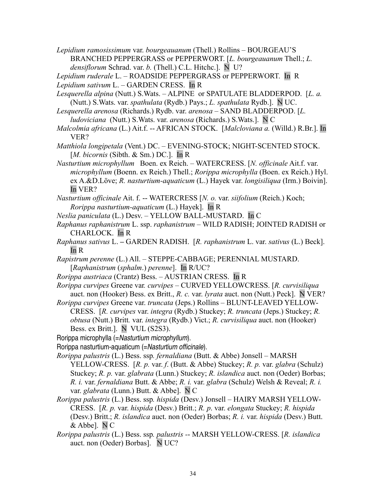*Lepidium ramosissimum* var. *bourgeauanum* (Thell.) Rollins – BOURGEAU'S BRANCHED PEPPERGRASS or PEPPERWORT. [*L. bourgeauanum* Thell.; *L. densiflorum* Schrad. var. *b.* (Thell.) C.L. Hitchc.]. N U?

*Lepidium ruderale* L. – ROADSIDE PEPPERGRASS or PEPPERWORT. In R *Lepidium sativum* L. – GARDEN CRESS. In R

- *Lesquerella alpina* (Nutt.) S.Wats. ALPINE or SPATULATE BLADDERPOD. [*L. a.* (Nutt.) S.Wats. var. *spathulata* (Rydb.) Pays.; *L. spathulata* Rydb.]. N UC.
- *Lesquerella arenosa* (Richards.) Rydb. var. *arenosa*  SAND BLADDERPOD. [*L. ludoviciana* (Nutt.) S.Wats. var. *arenosa* (Richards.) S.Wats.]. N C
- *Malcolmia africana* (L.) Ait.f. -- AFRICAN STOCK. [*Malcloviana a.* (Willd.) R.Br.]. In VER?

*Matthiola longipetala* (Vent.) DC. – EVENING-STOCK; NIGHT-SCENTED STOCK. [*M. bicornis* (Sibth. & Sm.) DC.]. In R

- *Nasturtium microphyllum* Boen. ex Reich. WATERCRESS. [*N. officinale* Ait.f. var. *microphyllum* (Boenn. ex Reich.) Thell.; *Rorippa microphylla* (Boen. ex Reich.) Hyl. ex A.&D.Löve; *R. nasturtium-aquaticum* (L.) Hayek var. *longisiliqua* (Irm.) Boivin]. In VER?
- *Nasturtium officinale* Ait. f. -- WATERCRESS [*N. o.* var. *siifolium* (Reich.) Koch; *Rorippa nasturtium-aquaticum* (L.) Hayek]. In R
- *Neslia paniculata* (L.) Desv. YELLOW BALL-MUSTARD. In C
- *Raphanus raphanistrum* L. ssp. *raphanistrum* WILD RADISH; JOINTED RADISH or CHARLOCK. In R
- *Raphanus sativus* L.GARDEN RADISH. [*R. raphanistrum* L. var. *sativus* (L.) Beck]. In R
- *Rapistrum perenne* (L.) All. STEPPE-CABBAGE; PERENNIAL MUSTARD. [*Raphanistrum* (*sphalm*.) *perenne*]. In R/UC?
- *Rorippa austriaca* (Crantz) Bess. AUSTRIAN CRESS. In R
- *Rorippa curvipes* Greene var*. curvipes –* CURVED YELLOWCRESS. [*R. curvisiliqua* auct. non (Hooker) Bess. ex Britt., *R. c.* var. *lyrata* auct. non (Nutt.) Peck]. N VER?
- *Rorippa curvipes* Greene var. *truncata* (Jeps.) Rollins BLUNT-LEAVED YELLOW-CRESS. [*R. curvipes* var. *integra* (Rydb.) Stuckey; *R. truncata* (Jeps.) Stuckey; *R. obtusa* (Nutt.) Britt*.* var. *integra* (Rydb.) Vict.; *R. curvisiliqua* auct. non (Hooker) Bess. ex Britt.]. N VUL (S2S3).
- Rorippa microphylla (=Nasturtium microphyllum).
- Rorippa nasturtium-aquaticum (=Nasturtium officinale).
- *Rorippa palustris* (L.) Bess. ssp*. fernaldiana* (Butt. & Abbe) Jonsell MARSH YELLOW-CRESS. [*R. p.* var. *f*. (Butt. & Abbe) Stuckey; *R. p.* var. *glabra* (Schulz) Stuckey; *R. p.* var. *glabrata* (Lunn.) Stuckey; *R. islandica* auct. non (Oeder) Borbas; *R. i.* var. *fernaldiana* Butt. & Abbe; *R. i.* var. *glabra* (Schulz) Welsh & Reveal; *R. i.* var. *glabrata* (Lunn.) Butt. & Abbe]. N C
- *Rorippa palustris* (L.) Bess. ssp*. hispida* (Desv.) Jonsell HAIRY MARSH YELLOW-CRESS. [*R. p.* var. *hispida* (Desv.) Britt.; *R. p*. var. *elongata* Stuckey; *R. hispida* (Desv.) Britt.; *R. islandica* auct. non (Oeder) Borbas; *R. i.* var. *hispida* (Desv.) Butt. & Abbe]. N C
- *Rorippa palustris* (L.) Bess. ssp*. palustris -* MARSH YELLOW-CRESS. [*R. islandica* auct. non (Oeder) Borbas]. N UC?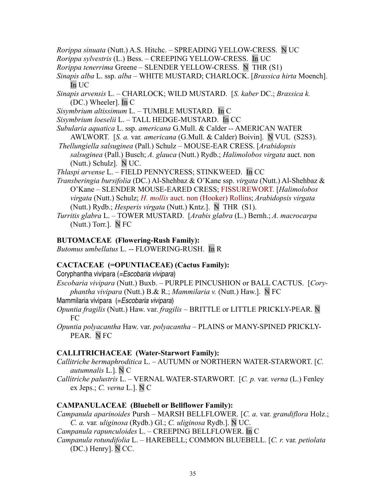*Rorippa sinuata* (Nutt.) A.S. Hitchc. *–* SPREADING YELLOW-CRESS. N UC

*Rorippa sylvestris* (L.) Bess. – CREEPING YELLOW-CRESS. In UC

*Rorippa tenerrima* Greene – SLENDER YELLOW-CRESS. N THR (S1)

*Sinapis alba* L. ssp. *alba* – WHITE MUSTARD; CHARLOCK. [*Brassica hirta* Moench]. In UC

*Sinapis arvensis* L. – CHARLOCK; WILD MUSTARD. [*S. kaber* DC.; *Brassica k.* (DC.) Wheeler]. In C

*Sisymbrium altissimum* L. – TUMBLE MUSTARD. In C

*Sisymbrium loeselii* L. – TALL HEDGE-MUSTARD. In CC

- *Subularia aquatica* L. ssp. *americana* G.Mull. & Calder *--* AMERICAN WATER AWLWORT. [*S. a.* var*. americana* (G.Mull. & Calder) Boivin]. N VUL (S2S3).
- *Thellungiella salsuginea* (Pall.) Schulz MOUSE-EAR CRESS. [*Arabidopsis salsuginea* (Pall.) Busch; *A. glauca* (Nutt.) Rydb.; *Halimolobos virgata* auct. non (Nutt.) Schulz]. N UC.

*Thlaspi arvense* L. *–* FIELD PENNYCRESS; STINKWEED. In CC

- *Transberingia bursifolia* (DC.) Al-Shehbaz & O'Kane ssp. *virgata* (Nutt.) Al-Shehbaz & O'Kane – SLENDER MOUSE-EARED CRESS; FISSUREWORT. [*Halimolobos virgata* (Nutt.) Schulz; *H. mollis* auct. non (Hooker) Rollins; *Arabidopsis virgata* (Nutt.) Rydb.; *Hesperis virgata* (Nutt.) Kntz.]. N THR (S1).
- *Turritis glabra* L. TOWER MUSTARD. [*Arabis glabra* (L.) Bernh.; *A. macrocarpa* (Nutt.) Torr.]. N FC

### **BUTOMACEAE (Flowering-Rush Family):**

*Butomus umbellatus* L. -- FLOWERING-RUSH.In R

# **CACTACEAE (=OPUNTIACEAE) (Cactus Family):**

Coryphantha vivipara (=Escobaria vivipara)

- *Escobaria vivipara* (Nutt.) Buxb. PURPLE PINCUSHION or BALL CACTUS. [*Coryphantha vivipara* (Nutt.) B.& R.; *Mammilaria v.* (Nutt.) Haw.]. N FC
- Mammilaria vivipara (= Escobaria vivipara)
- *Opuntia fragilis* (Nutt.) Haw. var. *fragilis* BRITTLE or LITTLE PRICKLY-PEAR. N FC
- *Opuntia polyacantha* Haw. var. *polyacantha* PLAINS or MANY-SPINED PRICKLY-PEAR. N FC

# **CALLITRICHACEAE (Water-Starwort Family):**

- *Callitriche hermaphroditica* L. AUTUMN or NORTHERN WATER-STARWORT. [*C. autumnalis* L.]. N C
- *Callitriche palustris* L. VERNAL WATER-STARWORT. [*C. p.* var. *verna* (L.) Fenley ex Jeps.; *C. verna* L.]. N C

# **CAMPANULACEAE (Bluebell or Bellflower Family):**

*Campanula aparinoides* Pursh – MARSH BELLFLOWER. [*C. a.* var. *grandiflora* Holz.; *C. a.* var*. uliginosa* (Rydb.) Gl.; *C. uliginosa* Rydb.]. N UC.

*Campanula rapunculoides* L. – CREEPING BELLFLOWER. In C

*Campanula rotundifolia* L. – HAREBELL; COMMON BLUEBELL. [*C. r.* var*. petiolata* (DC.) Henry]. N CC.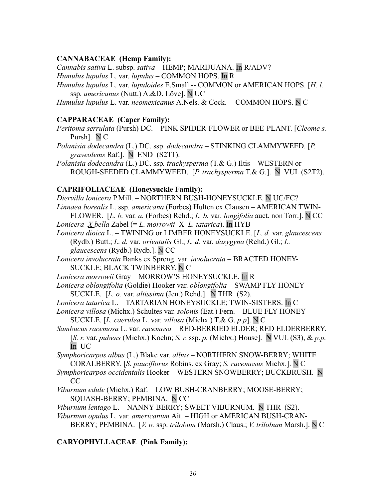#### **CANNABACEAE (Hemp Family):**

*Cannabis sativa* L. subsp. *sativa* – HEMP; MARIJUANA. In R/ADV?

- *Humulus lupulus* L. var. *lupulus* COMMON HOPS. In R
- *Humulus lupulus* L. var. *lupuloides* E.Small -- COMMON or AMERICAN HOPS. [*H. l.* ssp*. americanus* (Nutt.) A.&D. Löve]. N UC
- *Humulus lupulus* L. var. *neomexicanus* A.Nels. & Cock. -- COMMON HOPS. N C

### **CAPPARACEAE (Caper Family):**

- *Peritoma serrulata* (Pursh) DC. PINK SPIDER-FLOWER or BEE-PLANT. [*Cleome s.* Pursh]. N C
- *Polanisia dodecandra* (L.) DC. ssp. *dodecandra*  STINKING CLAMMYWEED. [*P. graveolems* Raf.]. N END (S2T1).
- *Polanisia dodecandra* (L.) DC. ssp*. trachysperma* (T.& G.) Iltis WESTERN or ROUGH-SEEDED CLAMMYWEED. [*P. trachysperma* T.& G.]. N VUL (S2T2).

### **CAPRIFOLIACEAE (Honeysuckle Family):**

*Diervilla lonicera* P*.*Mill. – NORTHERN BUSH-HONEYSUCKLE. N UC/FC? *Linnaea borealis* L. ssp*. americana* (Forbes) Hulten ex Clausen – AMERICAN TWIN-FLOWER. [*L. b.* var*. a.* (Forbes) Rehd.; *L. b.* var. *longifolia* auct. non Torr.]. N CC *Lonicera X bella* Zabel (= *L. morrowii* X *L. tatarica*). In HYB

- *Lonicera dioica* L. TWINING or LIMBER HONEYSUCKLE. [*L. d.* var. *glaucescens* (Rydb.) Butt.; *L. d.* var*. orientalis* Gl.; *L. d*. var*. dasygyna* (Rehd.) Gl.; *L. glaucescens* (Rydb.) Rydb.]. N CC
- *Lonicera involucrata* Banks ex Spreng. var. *involucrata* BRACTED HONEY-SUCKLE; BLACK TWINBERRY. N C
- *Lonicera morrowii* Gray MORROW'S HONEYSUCKLE. In R
- *Lonicera oblongifolia* (Goldie) Hooker var. *oblongifolia* SWAMP FLY-HONEY-SUCKLE. [*L. o.* var. *altissima* (Jen.) Rehd.]. N THR (S2).
- *Lonicera tatarica* L. TARTARIAN HONEYSUCKLE; TWIN-SISTERS. In C
- *Lonicera villosa* (Michx.) Schultes var*. solonis* (Eat.) Fern. BLUE FLY-HONEY-
- SUCKLE. [*L. caerulea* L. var*. villosa* (Michx.) T.& G. *p*.*p*]. N C *Sambucus racemosa* L. var. *racemosa –* RED-BERRIED ELDER; RED ELDERBERRY.
- [*S. r.* var. *pubens* (Michx.) Koehn; *S. r*. ssp. *p.* (Michx.) House]. **N** VUL (S3), & *p.p.* In UC
- *Symphoricarpos albus* (L.) Blake var*. albus* NORTHERN SNOW-BERRY; WHITE CORALBERRY. [*S. pauciflorus* Robins. ex Gray; *S. racemosus* Michx.]. N C
- *Symphoricarpos occidentalis* HookerWESTERN SNOWBERRY; BUCKBRUSH. N CC
- *Viburnum edule* (Michx.) Raf. LOW BUSH-CRANBERRY; MOOSE-BERRY; SQUASH-BERRY; PEMBINA. N CC
- *Viburnum lentago* L. NANNY-BERRY; SWEET VIBURNUM. N THR (S2).
- *Viburnum opulus* L. var. *americanum* Ait. HIGH or AMERICAN BUSH-CRAN-BERRY; PEMBINA. [*V. o.* ssp. *trilobum* (Marsh.) Claus.; *V. trilobum* Marsh.]. N C

# **CARYOPHYLLACEAE (Pink Family):**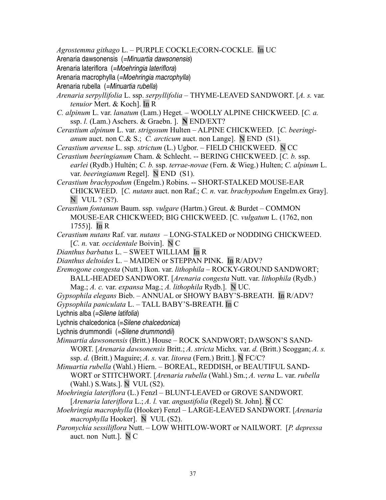*Agrostemma githago* L. – PURPLE COCKLE;CORN-COCKLE. In UC

Arenaria dawsonensis (=Minuartia dawsonensis)

Arenaria lateriflora (=Moehringia lateriflora)

Arenaria macrophylla (=Moehringia macrophylla)

Arenaria rubella (=Minuartia rubella)

- *Arenaria serpyllifolia* L. ssp. *serpyllifolia* THYME-LEAVED SANDWORT. [*A. s.* var*. tenuior* Mert. & Koch]. In R
- *C. alpinum* L. var. *lanatum* (Lam.) Heget*.* WOOLLY ALPINE CHICKWEED. [*C. a.* ssp. *l.* (Lam.) Aschers. & Graebn. ]. **N** END/EXT?
- *Cerastium alpinum* L. var. *strigosum* Hulten ALPINE CHICKWEED. [*C. beeringianum* auct. non C.& S.; *C. arcticum* auct. non Lange]. N END (S1).
- *Cerastium arvense* L. ssp*. strictum* (L.) Ugbor.FIELD CHICKWEED. N CC
- *Cerastium beeringianum* Cham. & Schlecht. -- BERING CHICKWEED. [*C. b.* ssp. *earlei* (Rydb.) Hultén; *C. b.* ssp. *terrae-novae* (Fern. & Wieg.) Hulten; *C. alpinum* L. var. *beeringianum* Regel]. N END (S1).
- *Cerastium brachypodum* (Engelm.) Robins. -- SHORT-STALKED MOUSE-EAR CHICKWEED. [*C. nutans* auct. non Raf.; *C. n.* var. *brachypodum* Engelm.ex Gray].  $N$  VUL ? (S?).
- *Cerastium fontanum* Baum. ssp*. vulgare* (Hartm.) Greut. & Burdet COMMON MOUSE-EAR CHICKWEED; BIG CHICKWEED. [C*. vulgatum* L. (1762, non 1755)]. In R
- *Cerastium nutans* Raf. var. *nutans* LONG-STALKED or NODDING CHICKWEED. [*C. n.* var*. occidentale* Boivin]. N C
- *Dianthus barbatus* L. SWEET WILLIAM In R
- *Dianthus deltoides* L. MAIDEN or STEPPAN PINK. In R/ADV?
- *Eremogone congesta* (Nutt.) Ikon. var. *lithophila*  ROCKY-GROUND SANDWORT; BALL-HEADED SANDWORT. [*Arenaria congesta* Nutt. var. *lithophila* (Rydb.) Mag.; *A. c.* var. *expansa* Mag.; *A. lithophila* Rydb.]. N UC.

*Gypsophila elegans* Bieb. – ANNUAL or SHOWY BABY'S-BREATH. In R/ADV?

- *Gypsophila paniculata* L. TALL BABY'S-BREATH. In C
- Lychnis alba (=Silene latifolia)
- Lychnis chalcedonica (=Silene chalcedonica)
- Lychnis drummondii (=Silene drummondii)
- *Minuartia dawsonensis* (Britt.) House ROCK SANDWORT; DAWSON'S SAND-WORT. [*Arenaria dawsonensis* Britt.; *A. stricta* Michx*.* var. *d.* (Britt.) Scoggan; *A. s.* ssp. *d.* (Britt.) Maguire; *A. s.* var. *litorea* (Fern.) Britt.]. N FC/C?
- *Minuartia rubella* (Wahl.) Hiern. BOREAL, REDDISH, or BEAUTIFUL SAND-WORT or STITCHWORT. [*Arenaria rubella* (Wahl.) Sm.; *A. verna* L. var. *rubella* (Wahl.) S.Wats.]. NVUL (S2).
- *Moehringia lateriflora* (L.) Fenzl BLUNT-LEAVED or GROVE SANDWORT. [*Arenaria lateriflora* L.; *A. l.* var. *angustifolia* (Regel) St. John]. N CC
- *Moehringia macrophylla* (Hooker) FenzlLARGE-LEAVED SANDWORT. [*Arenaria macrophylla* Hooker]. N VUL (S2).
- *Paronychia sessiliflora* Nutt. LOW WHITLOW-WORT or NAILWORT. [*P. depressa* auct. non Nutt.]. N C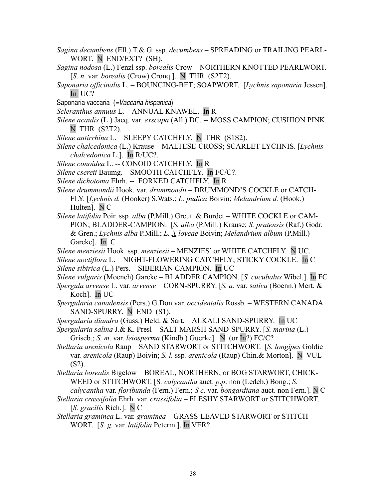- *Sagina decumbens* (Ell.) T.& G. ssp. *decumbens* SPREADING or TRAILING PEARL-WORT. N END/EXT? (SH).
- *Sagina nodosa* (L.) Fenzl ssp. *borealis* CrowNORTHERN KNOTTED PEARLWORT. [*S. n.* var*. borealis* (Crow) Cronq.]. N THR (S2T2).
- *Saponaria officinalis* L. BOUNCING-BET; SOAPWORT. [*Lychnis saponaria* Jessen]. In UC?
- Saponaria vaccaria (=Vaccaria hispanica)
- *Scleranthus annuus* L. ANNUAL KNAWEL. In R
- *Silene acaulis* (L.) Jacq. var*. exscapa* (All.) DC. -- MOSS CAMPION; CUSHION PINK. N THR (S2T2).
- *Silene antirrhina* L.SLEEPY CATCHFLY. N THR (S1S2).
- *Silene chalcedonica* (L.) Krause MALTESE-CROSS; SCARLET LYCHNIS. [*Lychnis chalcedonica* L.]. In R/UC?.
- *Silene conoidea* L. -- CONOID CATCHFLY. In R
- *Silene csereii* Baumg. SMOOTH CATCHFLY. In FC/C?.
- *Silene dichotoma* Ehrh. -- FORKED CATCHFLY. In R
- *Silene drummondii* Hook. var*. drummondii* DRUMMOND'S COCKLE or CATCH-FLY. [*Lychnis d.* (Hooker) S.Wats.; *L. pudica* Boivin; *Melandrium d.* (Hook.) Hulten]. N C
- *Silene latifolia* Poir. ssp*. alba* (P.Mill.) Greut. & Burdet WHITE COCKLE or CAM-PION; BLADDER-CAMPION. [*S. alba* (P.Mill.) Krause; *S. pratensis* (Raf.) Godr. & Gren.; *Lychnis alba* P.Mill.; *L. X loveae* Boivin; *Melandrium album* (P.Mill.) Garcke]. In C
- *Silene menziesii* Hook. ssp. *menziesii* MENZIES' or WHITE CATCHFLY. N UC.
- *Silene noctiflora* L. NIGHT-FLOWERING CATCHFLY; STICKY COCKLE. In C *Silene sibirica* (L.) Pers. – SIBERIAN CAMPION. In UC
- *Silene vulgaris* (Moench) Garcke BLADDER CAMPION. [*S. cucubalus* Wibel.]. In FC
- *Spergula arvense* L. var*. arvense* CORN-SPURRY. [*S. a.* var. s*ativa* (Boenn.) Mert. & Koch]. In UC
- *Spergularia canadensis* (Pers.) G.Don var. *occidentalis* Rossb. WESTERN CANADA SAND-SPURRY. N END (S1).
- *Spergularia diandra* (Guss.) Held. & Sart. ALKALI SAND-SPURRY. In UC
- *Spergularia salina* J.& K. PreslSALT-MARSH SAND-SPURRY. [*S. marina* (L.) Griseb.; *S. m*. var. *leiosperma* (Kindb.) Guerke]. N (or In?) FC/C?
- *Stellaria arenicola* RaupSAND STARWORT or STITCHWORT. [*S. longipes* Goldie var*. arenicola* (Raup) Boivin; *S. l.* ssp*. arenicola* (Raup) Chin.& Morton]. N VUL (S2).
- *Stellaria borealis* Bigelow BOREAL, NORTHERN, or BOG STARWORT, CHICK-WEED or STITCHWORT. [S*. calycantha* auct. *p*.*p*. non (Ledeb.) Bong.; *S. calycantha* var. *floribunda* (Fern.) Fern.; *S c.* var. *bongardiana* auct. non Fern.]. N C
- *Stellaria crassifolia* Ehrh. var. *crassifolia* FLESHY STARWORT or STITCHWORT. [*S. gracilis* Rich.]. N C
- *Stellaria graminea* L. var*. graminea* GRASS-LEAVED STARWORT or STITCH-WORT. [*S. g.* var. *latifolia* Peterm.]. In VER?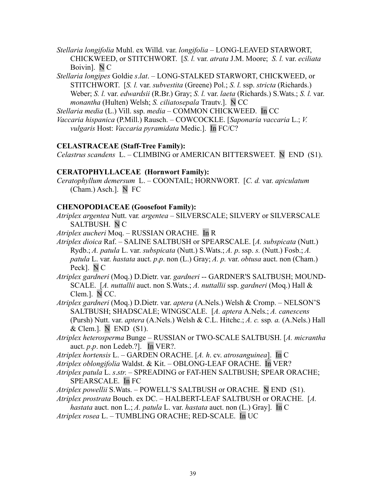- *Stellaria longifolia* Muhl. ex Willd. var. *longifolia* LONG-LEAVED STARWORT, CHICKWEED, or STITCHWORT. [*S. l.* var. *atrata* J.M. Moore; *S. l.* var. *eciliata* Boivin]. N C
- *Stellaria longipes* Goldie *s*.*lat*.LONG-STALKED STARWORT, CHICKWEED, or STITCHWORT. [*S. l.* var. *subvestita* (Greene) Pol.; *S. l.* ssp. *stricta* (Richards.) Weber; *S. l.* var. *edwardsii* (R.Br.) Gray; *S. l.* var. *laeta* (Richards.) S.Wats.; *S. l.* var. *monantha* (Hulten) Welsh; *S. ciliatosepala* Trautv.]. N CC
- *Stellaria media* (L.) Vill. ssp. *media* COMMON CHICKWEED. In CC
- *Vaccaria hispanica* (P.Mill.) Rausch. COWCOCKLE. [*Saponaria vaccaria* L.; *V. vulgaris* Host: *Vaccaria pyramidata* Medic.]. In FC/C?

### **CELASTRACEAE (Staff-Tree Family):**

*Celastrus scandens* L. – CLIMBING or AMERICAN BITTERSWEET. N END (S1).

### **CERATOPHYLLACEAE (Hornwort Family):**

*Ceratophyllum demersum* L. – COONTAIL; HORNWORT. [*C. d.* var. *apiculatum* (Cham.) Asch.]. N FC

### **CHENOPODIACEAE (Goosefoot Family):**

*Atriplex argentea* Nutt. var*. argentea –* SILVERSCALE; SILVERY or SILVERSCALE SALTBUSH.N C

*Atriplex aucheri* Moq. – RUSSIAN ORACHE. In R

*Atriplex dioica* Raf. – SALINE SALTBUSH or SPEARSCALE. [*A. subspicata* (Nutt.) Rydb.; *A. patula* L. var. *subspicata* (Nutt.) S.Wats.; *A. p*. ssp. *s.* (Nutt.) Fosb.; *A. patula* L. var. *hastata* auct. *p*.*p*. non (L.) Gray; *A. p.* var. *obtusa* auct. non (Cham.) Peck]. N C

*Atriplex gardneri* (Moq.) D.Dietr. var. *gardneri* -- GARDNER'S SALTBUSH; MOUND-SCALE. [*A. nuttallii* auct. non S.Wats.; *A. nuttallii* ssp. *gardneri* (Moq.) Hall & Clem.]. N CC.

*Atriplex gardneri* (Moq.) D.Dietr. var. *aptera* (A.Nels.) Welsh & Cromp. – NELSON'S SALTBUSH; SHADSCALE; WINGSCALE. [*A. aptera* A.Nels.; *A. canescens* (Pursh) Nutt. var. *aptera* (A.Nels.) Welsh & C.L. Hitchc.; *A. c.* ssp*. a.* (A.Nels.) Hall & Clem.]. NEND (S1).

*Atriplex heterosperma* Bunge – RUSSIAN or TWO-SCALE SALTBUSH. [*A. micrantha* auct. *p*.*p*. non Ledeb.?]. In VER?.

*Atriplex hortensis* L. – GARDEN ORACHE. [*A. h*. cv. *atrosanguinea*]. In C

*Atriplex oblongifolia* Waldst. & Kit. – OBLONG-LEAF ORACHE. In VER?

*Atriplex patula* L. *s*.*str*. – SPREADING or FAT-HEN SALTBUSH; SPEAR ORACHE; SPEARSCALE. In FC

*Atriplex powellii* S.Wats. – POWELL'S SALTBUSH or ORACHE. N END (S1).

*Atriplex prostrata* Bouch. ex DC. – HALBERT-LEAF SALTBUSH or ORACHE. [*A.*

*hastata* auct. non L.; *A. patula* L. var. *hastata* auct. non (L.) Gray]. In C

*Atriplex rosea* L. – TUMBLING ORACHE; RED-SCALE. In UC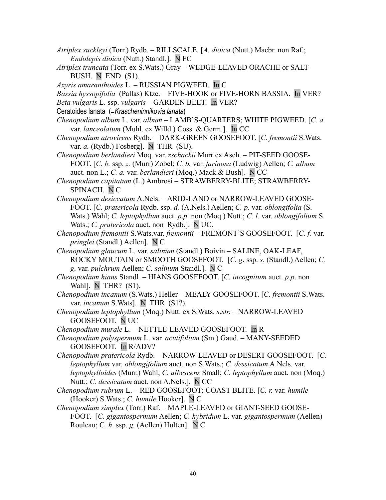- *Atriplex suckleyi* (Torr.) Rydb. RILLSCALE. [*A. dioica* (Nutt.) Macbr. non Raf.; *Endolepis dioica* (Nutt.) Standl.]. N FC
- *Atriplex truncata* (Torr. ex S.Wats.) Gray WEDGE-LEAVED ORACHE or SALT-BUSH. N END (S1).
- *Axyris amaranthoides* L. RUSSIAN PIGWEED. In C
- *Bassia hyssopifolia* (Pallas) Ktze. FIVE-HOOK or FIVE-HORN BASSIA. In VER?
- *Beta vulgaris* L. ssp. *vulgaris* GARDEN BEET. In VER?
- Ceratoides lanata (=Krascheninnikovia lanata)
- *Chenopodium album* L. var. *album* LAMB'S-QUARTERS; WHITE PIGWEED. [*C. a.* var. *lanceolatum* (Muhl. ex Willd.) Coss. & Germ.]. In CC
- *Chenopodium atrovirens* Rydb. DARK-GREEN GOOSEFOOT. [*C. fremontii* S.Wats. var. *a.* (Rydb.) Fosberg]. N THR (SU).
- *Chenopodium berlandieri* Moq. var. *zschackii* Murr ex Asch. PIT-SEED GOOSE-FOOT. [*C. b.* ssp. *z.* (Murr) Zobel; *C. b.* var. *farinosa* (Ludwig) Aellen; *C. album* auct. non L.; *C. a.* var. *berlandieri* (Moq.) Mack.& Bush]. N CC
- *Chenopodium capitatum* (L.) Ambrosi STRAWBERRY-BLITE; STRAWBERRY-SPINACH. N C
- *Chenopodium desiccatum* A.Nels. ARID-LAND or NARROW-LEAVED GOOSE-FOOT. [*C. pratericola* Rydb. ssp. *d.* (A.Nels.) Aellen; *C. p.* var. *oblongifolia* (S. Wats.) Wahl; *C. leptophyllum* auct. *p*.*p*. non (Moq.) Nutt.; *C. l.* var. *oblongifolium* S. Wats.; *C. pratericola* auct. non Rydb.]. N UC.
- *Chenopodium fremontii* S.Wats.var. *fremontii* FREMONT'S GOOSEFOOT. [*C. f.* var. *pringlei* (Standl.) Aellen]. N C
- *Chenopodium glaucum* L. var. *salinum* (Standl.) Boivin SALINE, OAK-LEAF, ROCKY MOUTAIN or SMOOTH GOOSEFOOT. [*C. g*. ssp. *s*. (Standl.) Aellen; *C. g*. var. *pulchrum* Aellen; *C. salinum* Standl.]. N C
- *Chenopodium hians* Standl*.* HIANS GOOSEFOOT. [*C. incognitum* auct. *p*.*p*. non Wahl]. N THR? (S1).
- *Chenopodium incanum* (S.Wats.) Heller MEALY GOOSEFOOT. [*C. fremontii* S.Wats. var. *incanum* S.Wats]. N THR (S1?).
- *Chenopodium leptophyllum* (Moq.) Nutt. ex S.Wats. *s*.*str*. NARROW-LEAVED GOOSEFOOT. N UC
- *Chenopodium murale* L. NETTLE-LEAVED GOOSEFOOT.In R
- *Chenopodium polyspermum* L. var*. acutifolium* (Sm.) Gaud. MANY-SEEDED GOOSEFOOT. In R/ADV?
- *Chenopodium pratericola* Rydb. NARROW-LEAVED or DESERT GOOSEFOOT. [*C. leptophyllum* var. *oblongifolium* auct. non S.Wats.; *C. dessicatum* A.Nels. var. *leptophylloides* (Murr.) Wahl; *C. albescens* Small; *C. leptophyllum* auct. non (Moq.) Nutt.; *C. dessicatum* auct. non A.Nels.]. N CC
- *Chenopodium rubrum* L. RED GOOSEFOOT; COAST BLITE. [*C. r.* var. *humile* (Hooker) S.Wats.; *C. humile* Hooker]. N C
- *Chenopodium simplex* (Torr.) Raf.MAPLE-LEAVED or GIANT-SEED GOOSE-FOOT. [*C. gigantospermum* Aellen; *C. hybridum* L. var. *gigantospermum* (Aellen) Rouleau; C*. h*. ssp. *g.* (Aellen) Hulten]. N C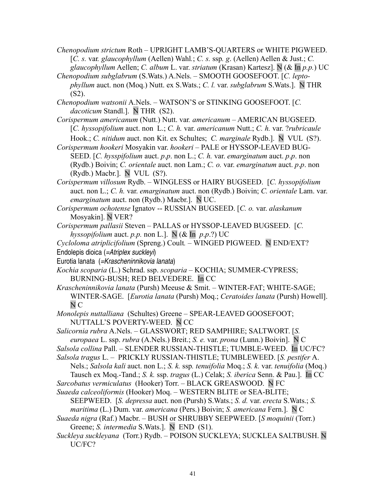- *Chenopodium strictum* Roth UPRIGHT LAMB'S-QUARTERS or WHITE PIGWEED. [*C. s.* var*. glaucophyllum* (Aellen) Wahl*.*; *C. s.* ssp*. g*. (Aellen) Aellen & Just.; *C. glaucophyllum* Aellen; *C. album* L. var. *striatum* (Krasan) Kartesz]. N (& In *p.p.*) UC
- *Chenopodium subglabrum* (S.Wats.) A.Nels. SMOOTH GOOSEFOOT. [*C. leptophyllum* auct. non (Moq.) Nutt. ex S.Wats.; *C. l.* var. *subglabrum* S.Wats.]. N THR  $(S2)$ .
- *Chenopodium watsonii* A.Nels. WATSON'S or STINKING GOOSEFOOT. [*C. dacoticum* Standl.]. N THR (S2).
- *Corispermum americanum* (Nutt.) Nutt. var*. americanum* AMERICAN BUGSEED. [*C. hyssopifolium* auct. non L.; *C. h.* var. *americanum* Nutt.; *C. h.* var. ?*rubricaule* Hook.; *C. nitidum* auct. non Kit. ex Schultes; *C. marginale* Rydb.]. N VUL (S?).
- *Corispermum hookeri* Mosyakin var. *hookeri* PALE or HYSSOP-LEAVED BUG-SEED. [*C. hysspifolium* auct. *p*.*p*. non L.; *C. h.* var. *emarginatum* auct. *p*.*p*. non (Rydb.) Boivin; *C. orientale* auct. non Lam.; *C. o.* var. *emarginatum* auct. *p*.*p*. non (Rydb.) Macbr.]. N VUL (S?).
- *Corispermum villosum* Rydb. WINGLESS or HAIRY BUGSEED. [*C. hyssopifolium* auct. non L.; *C. h.* var. *emarginatum* auct. non (Rydb.) Boivin; *C. orientale* Lam. var. *emarginatum* auct. non (Rydb.) Macbr.]. N UC.
- *Corispermum ochotense* Ignatov -- RUSSIAN BUGSEED. [*C. o.* var. *alaskanum* Mosyakin]. N VER?
- *Corispermum pallasii* Steven PALLAS or HYSSOP-LEAVED BUGSEED. [*C. hyssopifolium* auct. *p.p.* non L.]. N (& In *p*.*p*.?) UC
- *Cycloloma atriplicifolium* (Spreng.) Coult*.* WINGED PIGWEED. N END/EXT? Endolepis dioica (=Atriplex suckleyi)
- Eurotia lanata (=Krascheninnikovia lanata)
- *Kochia scoparia* (L.) Schrad. ssp. *scoparia*  KOCHIA; SUMMER-CYPRESS; BURNING-BUSH; RED BELVEDERE. In CC
- *Krascheninnikovia lanata* (Pursh) Meeuse & Smit. WINTER-FAT; WHITE-SAGE; WINTER-SAGE. [*Eurotia lanata* (Pursh) Moq.; *Ceratoides lanata* (Pursh) Howell]. N C
- *Monolepis nuttalliana* (Schultes) Greene SPEAR-LEAVED GOOSEFOOT; NUTTALL'S POVERTY-WEED. N CC
- *Salicornia rubra* A.Nels. GLASSWORT; RED SAMPHIRE; SALTWORT. [*S. europaea* L. ssp. *rubra* (A.Nels.) Breit.; *S. e.* var. *prona* (Lunn.) Boivin]. N C
- *Salsola collina* Pall. SLENDER RUSSIAN-THISTLE; TUMBLE-WEED. In UC/FC?
- *Salsola tragus* L. PRICKLY RUSSIAN-THISTLE; TUMBLEWEED. [*S. pestifer* A. Nels.; *Salsola kali* auct. non L.; *S. k.* ssp*. tenuifolia* Moq.; *S. k.* var. *tenuifolia* (Moq.) Tausch ex Moq.-Tand.; *S. k.* ssp. *tragus* (L.) Celak; *S. iberica* Senn. & Pau.]. In CC
- *Sarcobatus vermiculatus* (Hooker) Torr. BLACK GREASWOOD. N FC
- *Suaeda calceoliformis* (Hooker) Moq. WESTERN BLITE or SEA-BLITE; SEEPWEED. [*S. depressa* auct. non (Pursh) S.Wats.; *S. d.* var. *erecta* S.Wats.; *S. maritima* (L.) Dum. var. *americana* (Pers.) Boivin; *S. americana* Fern.]. N C
- *Suaeda nigra* (Raf.) Macbr. BUSH or SHRUBBY SEEPWEED. [*S moquinii* (Torr.) Greene; *S. intermedia* S.Wats.]. N END (S1).
- *Suckleya suckleyana* (Torr.) Rydb.POISON SUCKLEYA; SUCKLEA SALTBUSH. N UC/FC?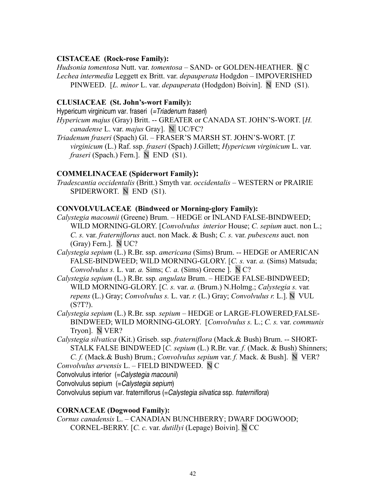### **CISTACEAE (Rock-rose Family):**

*Hudsonia tomentosa* Nutt. var. *tomentosa –* SAND- or GOLDEN-HEATHER. N C *Lechea intermedia* Leggett ex Britt. var. *depauperata* Hodgdon – IMPOVERISHED PINWEED. [*L. minor* L. var. *depauperata* (Hodgdon) Boivin]. N END (S1).

### **CLUSIACEAE (St. John's-wort Family):**

Hypericum virginicum var. fraseri (=Triadenum fraseri)

- *Hypericum majus* (Gray) Britt. -- GREATER or CANADA ST. JOHN'S-WORT. [*H. canadense* L. var. *majus* Gray]. N UC/FC?
- *Triadenum fraseri* (Spach) Gl. FRASER'S MARSH ST. JOHN'S-WORT. [*T. virginicum* (L.) Raf. ssp. *fraseri* (Spach) J.Gillett; *Hypericum virginicum* L. var. *fraseri* (Spach.) Fern.]. N END (S1).

## **COMMELINACEAE (Spiderwort Family):**

*Tradescantia occidentalis* (Britt.) Smyth var. *occidentalis* – WESTERN or PRAIRIE SPIDERWORT. N END (S1).

### **CONVOLVULACEAE (Bindweed or Morning-glory Family):**

- *Calystegia macounii* (Greene) Brum. HEDGE or INLAND FALSE-BINDWEED; WILD MORNING-GLORY. [*Convolvulus interior* House; *C. sepium* auct. non L.; *C. s.* var. *fraterniflorus* auct. non Mack. & Bush; *C. s.* var. *pubescens* auct. non (Gray) Fern.]. N UC?
- *Calystegia sepium* (L.) R.Br. ssp. *americana* (Sims) Brum. -- HEDGE or AMERICAN FALSE-BINDWEED; WILD MORNING-GLORY. [*C. s.* var. *a.* (Sims) Matsuda; *Convolvulus s.* L. var. *a.* Sims; *C. a.* (Sims) Greene ]. N C?
- *Calystegia sepium* (L.) R.Br. ssp*. angulata* Brum. HEDGE FALSE-BINDWEED; WILD MORNING-GLORY. [*C. s.* var. *a.* (Brum.) N.Holmg.; *Calystegia s.* var*. repens* (L.) Gray; *Convolvulus s.* L. var. *r.* (L.) Gray; *Convolvulus r.* L.]. N VUL (S?T?).
- *Calystegia sepium* (L.) R.Br. ssp*. sepium* HEDGE or LARGE-FLOWERED FALSE-BINDWEED; WILD MORNING-GLORY. [*Convolvulus s.* L.; *C. s.* var. *communis* Tryon]. N VER?
- *Calystegia silvatica* (Kit.) Griseb. ssp. *fraterniflora* (Mack.& Bush) Brum. -- SHORT-STALK FALSE BINDWEED [*C. sepium* (L.) R.Br. var. *f.* (Mack. & Bush) Shinners; *C. f.* (Mack.& Bush) Brum.; *Convolvulus sepium* var. *f.* Mack. & Bush]. N VER?
- *Convolvulus arvensis* L. FIELD BINDWEED. N C

Convolvulus interior (=Calystegia macounii)

Convolvulus sepium (=Calystegia sepium)

Convolvulus sepium var. fraterniflorus (=Calystegia silvatica ssp. fraterniflora)

### **CORNACEAE (Dogwood Family):**

*Cornus canadensis* L. – CANADIAN BUNCHBERRY; DWARF DOGWOOD; CORNEL-BERRY. [*C. c.* var. *dutillyi* (Lepage) Boivin]. N CC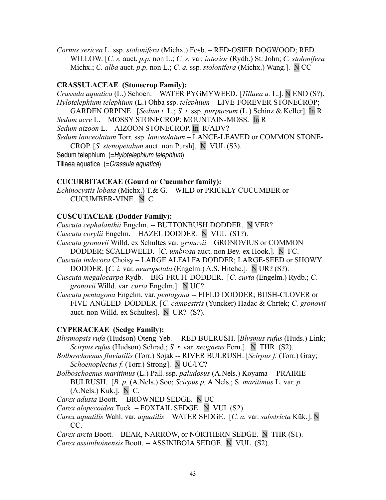*Cornus sericea* L. ssp*. stolonifera* (Michx.) Fosb. – RED-OSIER DOGWOOD; RED WILLOW. [*C. s.* auct. *p.p.* non L.; *C. s.* var*. interior* (Rydb.) St. John; *C. stolonifera* Michx.; *C. alba* auct. *p*.*p*. non L.; *C. a.* ssp*. stolonifera* (Michx.) Wang.]. N CC

## **CRASSULACEAE (Stonecrop Family):**

*Crassula aquatica* (L.) Schoen. – WATER PYGMYWEED. [*Tillaea a.* L.]. N END (S?). *Hylotelephium telephium* (L.) Ohba ssp. *telephium –* LIVE-FOREVER STONECROP; GARDEN ORPINE. [*Sedum t.* L.; *S. t.* ssp. *purpureum* (L.) Schinz & Keller]. In R *Sedum acre* L. – MOSSY STONECROP; MOUNTAIN-MOSS. In R *Sedum aizoon* L. – AIZOON STONECROP. In R/ADV? *Sedum lanceolatum* Torr. ssp. *lanceolatum* – LANCE-LEAVED or COMMON STONE-CROP. [*S. stenopetalum* auct. non Pursh]. NVUL (S3). Sedum telephium (=Hylotelephium telephium) Tillaea aquatica (= Crassula aquatica)

## **CUCURBITACEAE (Gourd or Cucumber family):**

*Echinocystis lobata* (Michx.) T.& G. – WILD or PRICKLY CUCUMBER or CUCUMBER-VINE. N C

## **CUSCUTACEAE (Dodder Family):**

*Cuscuta cephalanthii* Engelm. -- BUTTONBUSH DODDER. N VER? *Cuscuta corylii* Engelm. *–* HAZEL DODDER. NVUL (S1?).

*Cuscuta gronovii* Willd. ex Schultes var*. gronovii –* GRONOVIUS or COMMON DODDER; SCALDWEED. [*C. umbrosa* auct. non Bey. ex Hook.]. N FC.

- *Cuscuta indecora* Choisy LARGE ALFALFA DODDER; LARGE-SEED or SHOWY DODDER. [*C. i.* var. *neuropetala* (Engelm.) A.S. Hitchc.]. N UR? (S?).
- *Cuscuta megalocarpa* Rydb. BIG-FRUIT DODDER. [*C. curta* (Engelm.) Rydb.; *C. gronovii* Willd. var*. curta* Engelm.]. N UC?
- *Cuscuta pentagona* Engelm. var*. pentagona* -- FIELD DODDER; BUSH-CLOVER or FIVE-ANGLED DODDER. [*C. campestris* (Yuncker) Hadac & Chrtek; *C. gronovii* auct. non Willd. ex Schultes]. N UR? (S?).

# **CYPERACEAE (Sedge Family):**

- *Blysmopsis rufa* (Hudson) Oteng-Yeb*.* -- RED BULRUSH. [*Blysmus rufus* (Huds.) Link; *Scirpus rufus* (Hudson) Schrad.; *S. r.* var. *neogaeus* Fern.]. N THR (S2).
- *Bolboschoenus fluviatilis* (Torr.) Sojak *--* RIVER BULRUSH. [*Scirpus f.* (Torr.) Gray; *Schoenoplectus f.* (Torr.) Strong]. N UC/FC?
- *Bolboschoenus maritimus* (L.) Pall. ssp. *paludosus* (A.Nels.) Koyama *--* PRAIRIE BULRUSH. [*B. p.* (A.Nels.) Soo; *Scirpus p.* A.Nels.; S. *maritimus* L. var*. p.* (A.Nels.) Kuk.]. N C.

*Carex adusta* Boott. -- BROWNED SEDGE. N UC

*Carex alopecoidea* Tuck. – FOXTAIL SEDGE. N VUL (S2).

*Carex aquatilis* Wahl. var*. aquatilis –* WATER SEDGE. [*C. a.* var. *substricta* Kük.]. N CC.

*Carex arcta* Boott. *–* BEAR, NARROW, or NORTHERN SEDGE. N THR (S1). *Carex assiniboinensis* Boott. -- ASSINIBOIA SEDGE. N VUL (S2).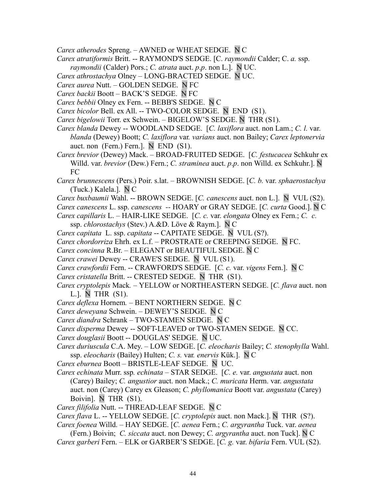- *Carex atherodes* Spreng. AWNED or WHEAT SEDGE. N C
- *Carex atratiformis* Britt. -- RAYMOND'S SEDGE. [C. *raymondii* Calder; C. *a.* ssp.
- *raymondii* (Calder) Pors.; *C. atrata* auct. *p*.*p*. non L.]. N UC.
- *Carex athrostachya* Olney LONG-BRACTED SEDGE. N UC.
- *Carex aurea* Nutt. GOLDEN SEDGE. N FC
- *Carex backii* Boott BACK'S SEDGE. N FC
- *Carex bebbii* Olney ex Fern. -- BEBB'S SEDGE. N C
- *Carex bicolor* Bell. ex All. -- TWO-COLOR SEDGE. N END (S1).
- *Carex bigelowii* Torr. ex Schwein. BIGELOW'S SEDGE. N THR (S1).
- *Carex blanda* Dewey -- WOODLAND SEDGE. [*C. laxiflora* auct. non Lam.; *C. l.* var. *blanda* (Dewey) Boott; *C. laxiflora* var*. varians* auct. non Bailey; *Carex leptonervia* auct. non (Fern.) Fern.]. N END (S1).
- *Carex brevior* (Dewey) Mack. BROAD-FRUITED SEDGE. [*C. festucacea* Schkuhr ex Willd. var. *brevior* (Dew.) Fern.; *C. straminea* auct. *p*.*p*. non Willd. ex Schkuhr.]. N FC
- *Carex brunnescens* (Pers.) Poir. s.lat. BROWNISH SEDGE. [*C. b.* var. *sphaerostachya* (Tuck.) Kalela.]. N C
- *Carex buxbaumii* Wahl. -- BROWN SEDGE. [*C. canescens* auct. non L.]. N VUL (S2).
- *Carex canescens* L. ssp. *canescens --* HOARY or GRAY SEDGE. [*C. curta* Good.]. N C
- *Carex capillaris* L. HAIR-LIKE SEDGE. [*C. c.* var. *elongata* Olney ex Fern.; *C. c.* ssp. *chlorostachys* (Stev.) A.&D. Löve & Raym.]. N C
- *Carex capitata* L. ssp. *capitata* -- CAPITATE SEDGE. N VUL (S?).
- *Carex chordorriza* Ehrh. ex L.f. PROSTRATE or CREEPING SEDGE. N FC.
- *Carex concinna* R.Br. ELEGANT or BEAUTIFUL SEDGE. N C
- *Carex crawei* Dewey -- CRAWE'S SEDGE. N VUL (S1).
- *Carex crawfordii* Fern. -- CRAWFORD'S SEDGE. [*C. c.* var. *vigens* Fern.]. N C
- *Carex cristatella* Britt. -- CRESTED SEDGE. N THR (S1).
- *Carex cryptolepis* Mack*.* YELLOW or NORTHEASTERN SEDGE. [*C. flava* auct. non L.]. N THR (S1).
- *Carex deflexa* Hornem*.* BENT NORTHERN SEDGE. N C
- *Carex deweyana* Schwein.DEWEY'S SEDGE. N C
- *Carex diandra* Schrank TWO-STAMEN SEDGE. N C
- *Carex disperma* Dewey -- SOFT-LEAVED or TWO-STAMEN SEDGE. N CC.
- *Carex douglasii* Boott -- DOUGLAS' SEDGE. N UC.
- *Carex duriuscula* C.A. Mey.LOW SEDGE. [*C. eleocharis* Bailey; *C. stenophylla* Wahl. ssp. *eleocharis* (Bailey) Hulten; *C. s.* var*. enervis* Kük.]. N C
- *Carex eburnea* Boott BRISTLE-LEAF SEDGE. N UC.
- *Carex echinata* Murr. ssp*. echinata*  STAR SEDGE. [*C. e.* var. *angustata* auct. non (Carey) Bailey; *C. angustior* auct. non Mack.; *C. muricata* Herm. var. *angustata* auct. non (Carey) Carey ex Gleason; *C. phyllomanica* Boott var. *angustata* (Carey) Boivin]. N THR (S1).
- *Carex filifolia* Nutt. -- THREAD-LEAF SEDGE. N C
- *Carex flava* L. -- YELLOW SEDGE. [*C. cryptolepis* auct. non Mack.]. N THR (S?).
- *Carex foenea* Willd. HAY SEDGE. [*C. aenea* Fern.; *C. argyrantha* Tuck. var. *aenea*
- (Fern.) Boivin; *C. siccata* auct. non Dewey; *C. argyrantha* auct. non Tuck]. N C *Carex garberi* Fern. – ELK or GARBER'S SEDGE. [*C. g.* var. *bifaria* Fern. VUL (S2).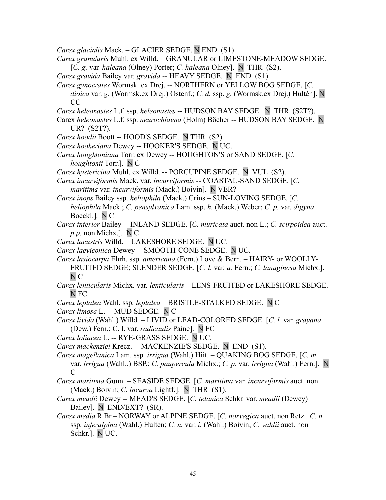*Carex glacialis* Mack. – GLACIER SEDGE. N END (S1).

*Carex granularis* Muhl. ex Willd. – GRANULAR or LIMESTONE-MEADOW SEDGE. [*C. g.* var*. haleana* (Olney) Porter; *C. haleana* Olney]. N THR (S2).

*Carex gravida* Bailey var*. gravida --* HEAVY SEDGE. N END (S1).

*Carex gynocrates* Wormsk. ex Drej. *--* NORTHERN or YELLOW BOG SEDGE. [*C. dioica* var. *g.* (Wormsk.ex Drej.) Ostenf.; *C. d.* ssp. *g.* (Wormsk.ex Drej.) Hultén]. N CC

*Carex heleonastes* L.f. ssp. *heleonastes* -- HUDSON BAY SEDGE. N THR (S2T?).

- Carex *heleonastes* L.f. ssp. *neurochlaena* (Holm) Böcher -- HUDSON BAY SEDGE. N UR? (S2T?).
- *Carex hoodii* Boott -- HOOD'S SEDGE. N THR (S2).
- *Carex hookeriana* Dewey -- HOOKER'S SEDGE. N UC.
- *Carex houghtoniana* Torr. ex Dewey -- HOUGHTON'S or SAND SEDGE. [*C. houghtonii* Torr.]. N C
- *Carex hystericina* Muhl. ex Willd. -- PORCUPINE SEDGE. N VUL (S2).
- *Carex incurviformis* Mack. var. *incurviformis* -- COASTAL-SAND SEDGE. [*C. maritima* var. *incurviformis* (Mack.) Boivin]. N VER?

*Carex inops* Bailey ssp. *heliophila* (Mack.) Crins – SUN-LOVING SEDGE. [*C. heliophila* Mack.; *C. pensylvanica* Lam. ssp. *h.* (Mack.) Weber; *C. p.* var. *digyna* Boeckl.]. N C

- *Carex interior* Bailey -- INLAND SEDGE. [*C. muricata* auct. non L.; *C. scirpoidea* auct. *p.p.* non Michx.]. N C
- *Carex lacustris* Willd. LAKESHORE SEDGE. N UC.
- *Carex laeviconica* Dewey -- SMOOTH-CONE SEDGE. N UC.

*Carex lasiocarpa* Ehrh. ssp. *americana* (Fern.) Love & Bern. *–* HAIRY- or WOOLLY-FRUITED SEDGE; SLENDER SEDGE. [*C. l.* var*. a.* Fern.; *C. lanuginosa* Michx.]. N C

- *Carex lenticularis* Michx. var*. lenticularis* LENS-FRUITED or LAKESHORE SEDGE. N FC
- *Carex leptalea* Wahl. ssp*. leptalea* BRISTLE-STALKED SEDGE. N C

*Carex limosa* L. -- MUD SEDGE. N C

- *Carex livida* (Wahl.) Willd. LIVID or LEAD-COLORED SEDGE. [*C. l.* var. *grayana* (Dew.) Fern.; C. l. var. *radicaulis* Paine]. N FC
- *Carex loliacea* L. *--* RYE-GRASS SEDGE. N UC.
- *Carex mackenziei* Krecz. -- MACKENZIE'S SEDGE. N END (S1).
- *Carex magellanica* Lam. ssp*. irrigua* (Wahl.) Hiit. QUAKING BOG SEDGE. [*C. m.* var. *irrigua* (Wahl..) BSP.; *C. paupercula* Michx.; *C. p.* var. *irrigua* (Wahl.) Fern.]. N C
- *Carex maritima* Gunn. SEASIDE SEDGE. [*C. maritima* var. *incurviformis* auct. non (Mack.) Boivin; *C. incurva* Lightf.]. N THR (S1).
- *Carex meadii* Dewey -- MEAD'S SEDGE. [*C. tetanica* Schkr*.* var. *meadii* (Dewey) Bailey]. N END/EXT? (SR).
- *Carex media* R.Br.– NORWAY or ALPINE SEDGE. [*C. norvegica* auct. non Retz.. *C. n.* ssp*. inferalpina* (Wahl.) Hulten; *C. n.* var. *i.* (Wahl.) Boivin; *C. vahlii* auct. non Schkr*.*]. N UC.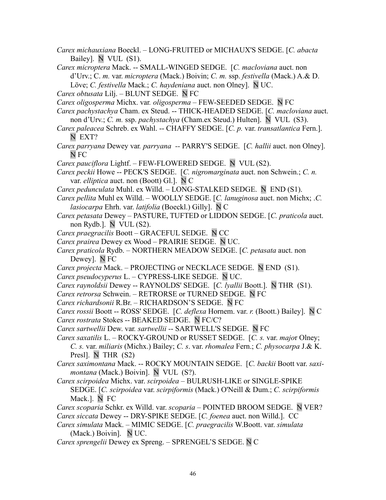- *Carex michauxiana* Boeckl. LONG-FRUITED or MICHAUX'S SEDGE. [*C. abacta* Bailey]. N VUL (S1).
- *Carex microptera* Mack. -- SMALL-WINGED SEDGE. [*C. macloviana* auct. non d'Urv.; C. *m.* var. *microptera* (Mack.) Boivin; *C. m.* ssp. *festivella* (Mack.) A.& D. Löve; *C. festivella* Mack.; *C. haydeniana* auct. non Olney]. N UC.
- *Carex obtusata* Lilj. BLUNT SEDGE. N FC
- *Carex oligosperma* Michx. var*. oligosperma* FEW-SEEDED SEDGE. N FC
- *Carex pachystachya* Cham. ex Steud. -- THICK-HEADED SEDGE. [*C. macloviana* auct. non d'Urv.; *C. m.* ssp. *pachystachya* (Cham.ex Steud.) Hulten]. N VUL (S3).
- *Carex paleacea* Schreb. ex Wahl. -- CHAFFY SEDGE. [*C. p.* var. *transatlantica* Fern.]. N EXT?
- *Carex parryana* Dewey var*. parryana --* PARRY'S SEDGE. [*C. hallii* auct. non Olney]. N FC
- *Carex pauciflora* Lightf.FEW-FLOWERED SEDGE.NVUL (S2).
- *Carex peckii* Howe -- PECK'S SEDGE. [*C. nigromarginata* auct. non Schwein.; *C. n.* var. *elliptica* auct. non (Boott) Gl.]. N C
- *Carex pedunculata* Muhl. ex Willd. LONG-STALKED SEDGE. N END (S1).
- *Carex pellita* Muhl ex Willd. WOOLLY SEDGE. [*C. lanuginosa* auct. non Michx; .*C. lasiocarpa* Ehrh. var. *latifolia* (Boeckl.) Gilly]. N C
- *Carex petasata* Dewey PASTURE, TUFTED or LIDDON SEDGE. [*C. praticola* auct. non Rydb.].  $N$  VUL (S2).
- *Carex praegracilis* Boott GRACEFUL SEDGE. N CC
- *Carex prairea* Dewey ex WoodPRAIRIE SEDGE. N UC.
- *Carex praticola* Rydb.NORTHERN MEADOW SEDGE. [*C. petasata* auct. non Dewey]. N FC
- *Carex projecta* Mack.PROJECTING or NECKLACE SEDGE.N END (S1).
- *Carex pseudocyperus* L.CYPRESS-LIKE SEDGE. N UC.
- *Carex raynoldsii* Dewey -- RAYNOLDS' SEDGE. [*C. lyallii* Boott.]. N THR (S1).
- *Carex retrorsa* Schwein.RETRORSE or TURNED SEDGE. N FC
- *Carex richardsonii* R.Br. RICHARDSON'S SEDGE. N FC
- *Carex rossii* Boott -- ROSS' SEDGE. [*C. deflexa* Hornem. var. *r.* (Boott.) Bailey]. N C *Carex rostrata* Stokes -- BEAKED SEDGE. N FC/C?
- *Carex sartwellii* Dew. var*. sartwellii -* SARTWELL'S SEDGE. N FC
- *Carex saxatilis* L. ROCKY-GROUND or RUSSET SEDGE. [*C. s.* var. *majo*r Olney; *C. s.* var. *miliaris* (Michx.) Bailey; *C. s*. var. *rhomalea* Fern.; *C. physocarpa* J.& K. Presl]. N THR (S2)
- *Carex saximontana* Mack. -- ROCKY MOUNTAIN SEDGE. [*C. backii* Boott var. *saximontana* (Mack.) Boivin]. N VUL (S?).
- *Carex scirpoidea* Michx. var. *scirpoidea* BULRUSH-LIKE or SINGLE-SPIKE SEDGE. [*C. scirpoidea* var. *scirpiformis* (Mack.) O'Neill & Dum.; *C. scirpiformis* Mack.]. N FC
- *Carex scoparia* Schkr. ex Willd. var. *scoparia* POINTED BROOM SEDGE. N VER?
- *Carex siccata* Dewey -- DRY-SPIKE SEDGE. [*C. foenea* auct. non Willd.]. CC
- *Carex simulata* Mack.MIMIC SEDGE. [*C. praegracilis* W.Boott. var. *simulata* (Mack.) Boivin]. N UC.
- *Carex sprengelii* Dewey ex Spreng. SPRENGEL'S SEDGE. N C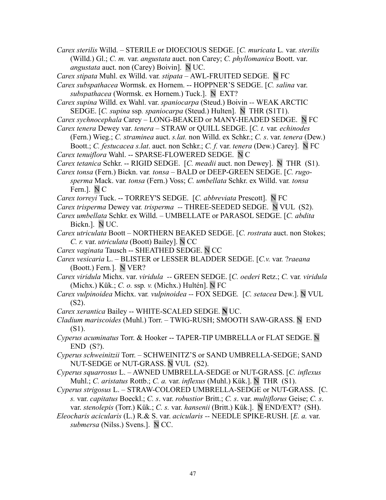*Carex sterilis* Willd. – STERILE or DIOECIOUS SEDGE. [*C. muricata* L*.* var. *sterilis* (Willd.) Gl.; *C. m.* var. *angustata* auct. non Carey; *C. phyllomanica* Boott. var. *angustata* auct. non (Carey) Boivin]. N UC.

*Carex stipata* Muhl. ex Willd. var*. stipata –* AWL-FRUITED SEDGE. N FC

- *Carex subspathacea* Wormsk. ex Hornem. -- HOPPNER'S SEDGE. [*C. salina* var. *subspathacea* (Wormsk. ex Hornem.) Tuck.]. N EXT?
- *Carex supina* Willd. ex Wahl. var. *spaniocarpa* (Steud.) Boivin *--* WEAK ARCTIC SEDGE. [*C. supina* ssp*. spaniocarpa* (Steud.) Hulten]. N THR (S1T1).
- *Carex sychnocephala* Carey LONG-BEAKED or MANY-HEADED SEDGE. N FC
- *Carex tenera* Dewey var. *tenera* STRAW or QUILL SEDGE. [*C. t.* var*. echinodes* (Fern.) Wieg.; *C. straminea* auct. *s.lat.* non Willd. ex Schkr.; *C. s*. var. *tenera* (Dew.) Boott.; *C. festucacea s.lat*. auct. non Schkr.; *C. f.* var. *tenera* (Dew.) Carey]. N FC
- *Carex tenuiflora* Wahl. -- SPARSE-FLOWERED SEDGE. N C
- *Carex tetanica* Schkr. -- RIGID SEDGE. [*C. meadii* auct. non Dewey]. N THR (S1).
- *Carex tonsa* (Fern.) Bickn. var*. tonsa* BALD or DEEP-GREEN SEDGE. [*C. rugosperma* Mack. var*. tonsa* (Fern.) Voss; *C. umbellata* Schkr. ex Willd. var*. tonsa* Fern.]. N C
- *Carex torreyi* Tuck. -- TORREY'S SEDGE. [*C. abbreviata* Prescott]. N FC
- *Carex trisperma* Dewey var*. trisperma --* THREE-SEEDED SEDGE. N VUL (S2).
- *Carex umbellata* Schkr. ex Willd.UMBELLATE or PARASOL SEDGE. [*C. abdita* Bickn.]. N UC.
- *Carex utriculata* BoottNORTHERN BEAKED SEDGE. [*C. rostrata* auct. non Stokes; *C. r.* var. *utriculata* (Boott) Bailey]. N CC
- *Carex vaginata* Tausch -- SHEATHED SEDGE. N CC
- *Carex vesicaria* L. BLISTER or LESSER BLADDER SEDGE. [*C.v.* var*.* ?*raeana* (Boott.) Fern*.*]. N VER?
- *Carex viridula* Michx. var. *viridula --* GREEN SEDGE. [*C. oederi* Retz.; *C.* var*. viridula* (Michx.) Kük.; *C. o.* ssp*. v.* (Michx.) Hultén]. N FC
- *Carex vulpinoidea* Michx. var*. vulpinoidea --* FOX SEDGE*.* [*C. setacea* Dew.]. N VUL (S2).
- *Carex xerantica* Bailey -- WHITE-SCALED SEDGE. **N** UC.
- *Cladium mariscoides* (Muhl.) Torr. TWIG-RUSH; SMOOTH SAW-GRASS. N END (S1).
- *Cyperus acuminatus* Torr. & Hooker -- TAPER-TIP UMBRELLA or FLAT SEDGE. N END (S?).
- *Cyperus schweinitzii* Torr. SCHWEINITZ'S or SAND UMBRELLA-SEDGE; SAND NUT-SEDGE or NUT-GRASS. N VUL (S2).
- *Cyperus squarrosus* L. AWNED UMBRELLA-SEDGE or NUT-GRASS. [*C. inflexus* Muhl.; *C. aristatus* Rottb.; *C. a.* var. *inflexus* (Muhl.) Kük.]. N THR (S1).
- *Cyperus strigosus* L. STRAW-COLORED UMBRELLA-SEDGE or NUT-GRASS. [C*. s.* var. *capitatus* Boeckl.; *C. s*. var. *robustior* Britt.; *C. s*. var. *multiflorus* Geise; *C. s*. var. *stenolepis* (Torr.) Kük.; *C. s.* var. *hansenii* (Britt.) Kük.]. N END/EXT? (SH).
- *Eleocharis acicularis* (L.) R.& S. var. *acicularis --* NEEDLE SPIKE-RUSH. [*E. a.* var. *submersa* (Nilss.) Svens.]. N CC.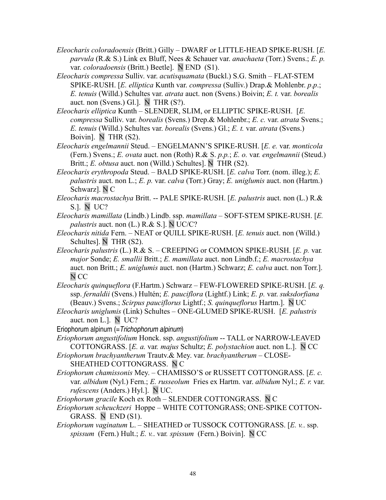- *Eleocharis coloradoensis* (Britt.) Gilly DWARF or LITTLE-HEAD SPIKE-RUSH. [*E. parvula* (R.& S.) Link ex Bluff, Nees & Schauer var. *anachaeta* (Torr.) Svens.; *E. p.* var. *coloradoensis* (Britt.) Beetle]. N END (S1).
- *Eleocharis compressa* Sulliv. var. *acutisquamata* (Buckl.) S.G. Smith FLAT-STEM SPIKE-RUSH. [*E. elliptica* Kunth var. *compressa* (Sulliv.) Drap.& Mohlenbr. *p*.*p*.; *E. tenuis* (Willd.) Schultes var. *atrata* auct. non (Svens.) Boivin; *E. t.* var. *borealis* auct. non (Svens.) Gl.]. N THR (S?).
- *Eleocharis elliptica* Kunth SLENDER, SLIM, or ELLIPTIC SPIKE-RUSH. [*E. compressa* Sulliv. var. *borealis* (Svens.) Drep.& Mohlenbr.; *E. c.* var. *atrata* Svens.; *E. tenuis* (Willd.) Schultes var. *borealis* (Svens.) Gl.; *E. t.* var. *atrata* (Svens.) Boivin]. N THR (S2).
- *Eleocharis engelmannii* Steud.ENGELMANN'S SPIKE-RUSH. [*E. e.* var. *monticola* (Fern.) Svens.; *E. ovata* auct. non (Roth) R.& S. *p.p.*; *E. o.* var*. engelmannii* (Steud.) Britt.; *E. obtusa* auct. non (Willd.) Schultes]. N THR (S2).
- *Eleocharis erythropoda* Steud. BALD SPIKE-RUSH. [*E. calva* Torr. (nom. illeg.); *E. palustris* auct. non L.; *E. p.* var. *calva* (Torr.) Gray; *E. uniglumis* auct. non (Hartm.) Schwarz]. N C
- *Eleocharis macrostachya* Britt. -- PALE SPIKE-RUSH. [*E. palustris* auct. non (L.) R.& S.]. N UC?
- *Eleocharis mamillata* (Lindb.) Lindb. ssp. *mamillata*  SOFT-STEM SPIKE-RUSH. [*E. palustris* auct. non (L.) R.& S.]. N UC/C?
- *Eleocharis nitida* Fern. NEAT or QUILL SPIKE-RUSH. [*E. tenuis* auct. non (Willd.) Schultes]. N THR (S2).
- *Eleocharis palustris* (L.) R.& S. CREEPING or COMMON SPIKE-RUSH. [*E. p.* var*. major* Sonde; *E. smallii* Britt.; *E. mamillata* auct. non Lindb.f.; *E. macrostachya* auct. non Britt.; *E. uniglumis* auct. non (Hartm.) Schwarz; *E. calva* auct. non Torr.]. N CC
- *Eleocharis quinqueflora* (F.Hartm.) Schwarz FEW-FLOWERED SPIKE-RUSH. [*E. q.* ssp. *fernaldii* (Svens.) Hultén; *E. pauciflora* (Lightf.) Link; *E. p.* var. *suksdorfiana* (Beauv.) Svens.; *Scirpus pauciflorus* Lightf.; *S. quinqueflorus* Hartm.]. N UC
- *Eleocharis uniglumis* (Link) Schultes ONE-GLUMED SPIKE-RUSH. [*E. palustris* auct. non L.]. N UC?
- Eriophorum alpinum (= Trichophorum alpinum)
- *Eriophorum angustifolium* Honck. ssp. *angustifolium* -- TALL or NARROW-LEAVED COTTONGRASS. [*E. a.* var*. majus* Schultz; *E. polystachion* auct. non L.]. N CC
- *Eriophorum brachyantherum* Trautv.& Mey. var. *brachyantherum* CLOSE-SHEATHED COTTONGRASS. N C
- *Eriophorum chamissonis* Mey. CHAMISSO'S or RUSSETT COTTONGRASS. [*E. c.* var. *albidum* (Nyl.) Fern.; *E. russeolum* Fries ex Hartm. var. *albidum* Nyl.; *E. r.* var. *rufescens* (Anders.) Hyl.]. N UC.
- *Eriophorum gracile* Koch ex RothSLENDER COTTONGRASS. N C
- *Eriophorum scheuchzeri* Hoppe WHITE COTTONGRASS; ONE-SPIKE COTTON-GRASS. N END (S1).
- *Eriophorum vaginatum* L. *–* SHEATHED or TUSSOCK COTTONGRASS. [*E. v.*. ssp. *spissum* (Fern.) Hult.; *E. v.*. var*. spissum* (Fern.) Boivin]. N CC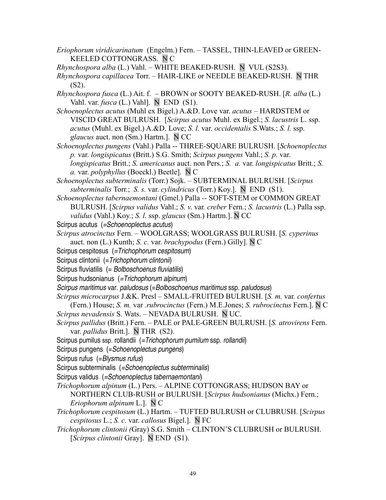- *Eriophorum viridicarinatum* (Engelm.) Fern.TASSEL, THIN-LEAVED or GREEN-KEELED COTTONGRASS. N C
- *Rhynchospora alba* (L.) Vahl. WHITE BEAKED-RUSH. N VUL (S2S3).
- *Rhynchospora capillacea* Torr.HAIR-LIKE or NEEDLE BEAKED-RUSH. N THR (S2).
- *Rhynchospora fusca* (L.) Ait. f. BROWN or SOOTY BEAKED-RUSH. [*R. alba* (L.) Vahl. var. *fusca* (L.) Vahl]. N END (S1).
- *Schoenoplectus acutus* (Muhl ex Bigel.) A.&D. Love var. *acutus* HARDSTEM or VISCID GREAT BULRUSH. [*Scirpus acutus* Muhl. ex Bigel.; *S. lacustris* L. ssp. *acutus* (Muhl. ex Bigel.) A.&D. Love; *S. l.* var. *occidentalis* S.Wats.; *S. l.* ssp. *glaucus* auct. non (Sm.) Hartm.]. N CC
- *Schoenoplectus pungens* (Vahl.) Palla -- THREE-SQUARE BULRUSH. [*Schoenoplectus p.* var. *longispicatus* (Britt.) S.G. Smith; *Scirpus pungens* Vahl.; *S. p*. var. *longispicatus* Britt.; *S. americanus* auct. non Pers.; *S. a.* var. *longispicatus* Britt.; *S. a.* var. *polyphyllus* (Boeckl.) Beetle]. N C
- *Schoenoplectus subterminalis* (Torr.) Sojk. SUBTERMINAL BULRUSH. [*Scirpus subterminalis* Torr.; *S. s.* var. *cylindricus* (Torr.) Koy.]. N END (S1).
- *Schoenoplectus tabernaemontani* (Gmel.) Palla *--* SOFT-STEM or COMMON GREAT BULRUSH. [*Scirpus validus* Vahl.; *S. v*. var*. creber* Fern.; *S. lacustris* (L.) Palla ssp. *validus* (Vahl.) Koy.; *S. l.* ssp. *glaucus* (Sm.) Hartm.]. N CC
- Scirpus acutus (=Schoenoplectus acutus)
- *Scirpus atrocinctus* Fern. WOOLGRASS; WOOLGRASS BULRUSH. [*S. cyperinus* auct. non (L.) Kunth; *S. c.* var. *brachypodus* (Fern.) Gilly]. N C
- Scirpus cespitosus (=Trichophorum cespitosum)
- Scirpus clintonii (= Trichophorum clintonii)
- Scirpus fluviatilis (= Bolboschoenus fluviatilis)
- Scirpus hudsonianus (=Trichophorum alpinum)
- Scirpus maritimus var. paludosus (=Bolboschoenus maritimus ssp. paludosus)
- *Scirpus microcarpus* J.&K. Presl SMALL-FRUITED BULRUSH. [*S. m.* var*. confertus*
- (Fern.) House; *S. m.* var *.rubrocinctus* (Fern.) M.E.Jones; *S. rubrocinctus* Fern.]. N C *Scirpus nevadensis* S. Wats. – NEVADA BULRUSH. N UC.
- *Scirpus pallidus* (Britt.) Fern. PALE or PALE-GREEN BULRUSH. [*S. atrovirens* Fern. var. *pallidus* Britt.]. N THR (S2).
- Scirpus pumilus ssp. rollandii (=Trichophorum pumilum ssp. rollandii)
- Scirpus pungens (=Schoenoplectus pungens)
- Scirpus rufus (=Blysmus rufus)
- Scirpus subterminalis (=Schoenoplectus subterminalis)
- Scirpus validus (=Schoenoplectus tabernaemontani)
- *Trichophorum alpinum* (L.) Pers. ALPINE COTTONGRASS; HUDSON BAY or NORTHERN CLUB-RUSH or BULRUSH. [*Scirpus hudsonianus* (Michx.) Fern.; *Eriophorum alpinum* L.]. N C
- *Trichophorum cespitosum* (L.) Hartm. TUFTED BULRUSH or CLUBRUSH. [*Scirpus cespitosus* L.; *S. c.* var. *callosus* Bigel.]. N FC
- *Trichophorum clintonii (*Gray) S.G. Smith CLINTON'S CLUBRUSH or BULRUSH. [*Scirpus clintonii* Gray]. N END (S1).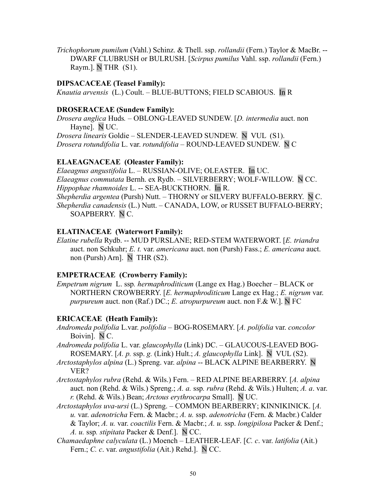*Trichophorum pumilum* (Vahl.) Schinz. & Thell. ssp. *rollandii* (Fern.) Taylor & MacBr. -- DWARF CLUBRUSH or BULRUSH. [*Scirpus pumilus* Vahl. ssp. *rollandii* (Fern.) Raym.]. N THR (S1).

### **DIPSACACEAE (Teasel Family):**

*Knautia arvensis* (L.) Coult. – BLUE-BUTTONS; FIELD SCABIOUS. In R

### **DROSERACEAE (Sundew Family):**

*Drosera anglica* Huds*. –* OBLONG-LEAVED SUNDEW. [*D. intermedia* auct. non Hayne]. N UC.

*Drosera linearis* Goldie *–* SLENDER-LEAVED SUNDEW. N VUL (S1). *Drosera rotundifolia* L. var. *rotundifolia –* ROUND-LEAVED SUNDEW. N C

### **ELAEAGNACEAE (Oleaster Family):**

*Elaeagnus angustifolia* L. – RUSSIAN-OLIVE; OLEASTER. In UC. *Elaeagnus commutata* Bernh. ex Rydb. – SILVERBERRY; WOLF-WILLOW. N CC. *Hippophae rhamnoides* L. -- SEA-BUCKTHORN. In R. *Shepherdia argentea* (Pursh) Nutt. – THORNY or SILVERY BUFFALO-BERRY. N C. *Shepherdia canadensis* (L.) Nutt. – CANADA, LOW, or RUSSET BUFFALO-BERRY; SOAPBERRY. N C.

### **ELATINACEAE (Waterwort Family):**

*Elatine rubella* Rydb. -- MUD PURSLANE; RED-STEM WATERWORT. [*E. triandra* auct. non Schkuhr; *E. t.* var. *americana* auct. non (Pursh) Fass.; *E. americana* auct. non (Pursh) Arn]. NTHR (S2).

## **EMPETRACEAE (Crowberry Family):**

*Empetrum nigrum* L. ssp*. hermaphroditicum* (Lange ex Hag.) Boecher – BLACK or NORTHERN CROWBERRY. [*E. hermaphroditicum* Lange ex Hag.; *E. nigrum* var. *purpureum* auct. non (Raf.) DC.; *E. atropurpureum* auct. non F.& W.]. N FC

## **ERICACEAE (Heath Family):**

- *Andromeda polifolia* L.var. *polifolia* BOG-ROSEMARY. [*A. polifolia* var. *concolor* Boivin]. N C.
- *Andromeda polifolia* L. var. *glaucophylla* (Link) DC. GLAUCOUS-LEAVED BOG-ROSEMARY. [*A. p.* ssp. *g.* (Link) Hult.; *A. glaucophylla* Link]. NVUL (S2).
- *Arctostaphylos alpina* (L.) Spreng. var. *alpina* -- BLACK ALPINE BEARBERRY. N VER?
- *Arctostaphylos rubra* (Rehd. & Wils.) Fern. RED ALPINE BEARBERRY. [*A. alpina* auct. non (Rehd. & Wils.) Spreng.; *A. a.* ssp*. rubra* (Rehd. & Wils.) Hulten; *A. a*. var. *r.* (Rehd. & Wils.) Bean; *Arctous erythrocarpa* Small]. N UC.
- *Arctostaphylos uva-ursi* (L.) Spreng. COMMON BEARBERRY; KINNIKINICK. [*A. u.* var. *adenotricha* Fern. & Macbr.; *A. u.* ssp. *adenotricha* (Fern. & Macbr.) Calder & Taylor; *A. u.* var. *coactilis* Fern. & Macbr.; *A. u.* ssp. *longipilosa* Packer & Denf.; *A. u.* ssp*. stipitata* Packer & Denf.]. N CC.
- *Chamaedaphne calyculata* (L.) Moench LEATHER-LEAF. [*C. c*. var. *latifolia* (Ait.) Fern.; *C. c*. var. *angustifolia* (Ait.) Rehd.]. N CC.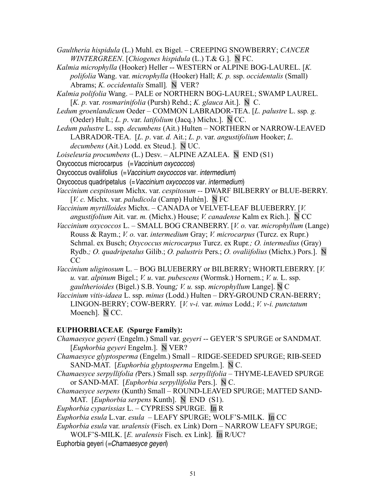- *Gaultheria hispidula* (L.) Muhl. ex Bigel. CREEPING SNOWBERRY; *CANCER WINTERGREEN*. [*Chiogenes hispidula* (L.) T.& G.]. N FC.
- *Kalmia microphylla* (Hooker) Heller -- WESTERN or ALPINE BOG-LAUREL. [*K. polifolia* Wang. var. *microphylla* (Hooker) Hall; *K. p.* ssp. *occidentalis* (Small) Abrams; *K. occidentalis* Small]*.* N VER?
- *Kalmia polifolia* Wang. PALE or NORTHERN BOG-LAUREL; SWAMP LAUREL*.* [*K. p.* var. *rosmarinifolia* (Pursh) Rehd.; *K. glauca* Ait.]. N C.
- *Ledum groenlandicum* Oeder COMMON LABRADOR-TEA. [*L. palustre* L. ssp*. g.* (Oeder) Hult.; *L. p*. var. *latifolium* (Jacq.) Michx.]. N CC.
- *Ledum palustre* L. ssp*. decumbens* (Ait.) Hulten NORTHERN or NARROW-LEAVED LABRADOR-TEA. [*L. p*. var. *d.* Ait.; *L. p*. var. *angustifolium* Hooker; *L. decumbens* (Ait.) Lodd. ex Steud.]. N UC.
- *Loiseleuria procumbens* (L.) Desv. ALPINE AZALEA. N END (S1)
- Oxycoccus microcarpus (=Vaccinium oxycoccos)
- Oxycoccus ovaliifolius (=Vaccinium oxycoccos var. intermedium)
- Oxycoccus quadripetalus (=Vaccinium oxycoccos var. intermedium)
- *Vaccinium cespitosum* Michx. var. *cespitosum --* DWARF BILBERRY or BLUE-BERRY. [*V. c.* Michx. var. *paludicola* (Camp) Hultén]. N FC
- *Vaccinium myrtilloides* Michx. CANADA or VELVET-LEAF BLUEBERRY. [*V. angustifolium* Ait. var. *m.* (Michx.) House; *V. canadense* Kalm ex Rich.]. N CC
- *Vaccinium oxycoccos* L. SMALL BOG CRANBERRY. [*V. o.* var. *microphyllum* (Lange) Rouss & Raym.; *V. o.* var. *intermedium* Gray; *V. microcarpus* (Turcz. ex Rupr.) Schmal. ex Busch; *Oxycoccus microcarpus* Turcz. ex Rupr*.; O. intermedius* (Gray) Rydb.*; O. quadripetalus* Gilib.; *O. palustris* Pers.; *O. ovaliifolius* (Michx.) Pors.]. N CC
- *Vaccinium uliginosum* L. BOG BLUEBERRY or BILBERRY; WHORTLEBERRY. [*V. u.* var. *alpinum* Bigel.; *V. u*. var. *pubescens* (Wormsk.) Hornem.; *V. u.* L. ssp. *gaultherioides* (Bigel.) S.B. Young*; V. u.* ssp. *microphyllum* Lange]. N C
- *Vaccinium vitis-idaea* L. ssp. *minus* (Lodd.) Hulten DRY-GROUND CRAN-BERRY; LINGON-BERRY; COW-BERRY. [*V. v-i.* var. *minus* Lodd.; *V. v-i. punctatum* Moench]. N CC.

## **EUPHORBIACEAE (Spurge Family):**

- *Chamaesyce geyeri* (Engelm.) Small var. *geyeri* -- GEYER'S SPURGE or SANDMAT. [*Euphorbia geyeri* Engelm.]. N VER?
- *Chamaesyce glyptosperma* (Engelm.) Small RIDGE-SEEDED SPURGE; RIB-SEED SAND-MAT. [*Euphorbia glyptosperma* Engelm.]. N C.
- *Chamaesyce serpyllifolia (*Pers.) Small ssp*. serpyllifolia* THYME-LEAVED SPURGE or SAND-MAT. [*Euphorbia serpyllifolia* Pers.]. N C.
- *Chamaesyce serpens* (Kunth) Small ROUND-LEAVED SPURGE; MATTED SAND-MAT. *[Euphorbia serpens Kunth]*. N END (S1).
- *Euphorbia cyparissias* L. CYPRESS SPURGE. In R
- *Euphorbia esula* L.var. *esula* LEAFY SPURGE; WOLF'S-MILK. In CC
- *Euphorbia esula* var. *uralensis* (Fisch. ex Link) Dorn NARROW LEAFY SPURGE; WOLF'S-MILK. [*E. uralensis* Fisch. ex Link]. In R/UC?
- Euphorbia geyeri (=Chamaesyce geyeri)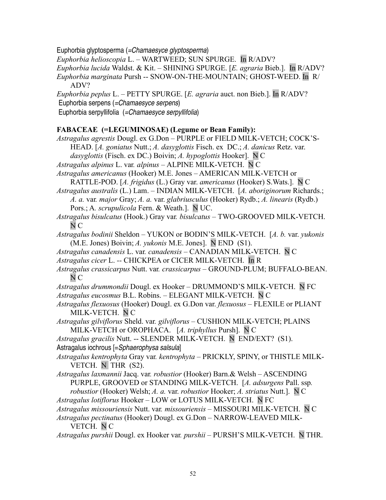Euphorbia glyptosperma (=Chamaesyce glyptosperma)

*Euphorbia helioscopia* L. – WARTWEED; SUN SPURGE. In R/ADV?

*Euphorbia lucida* Waldst. & Kit. – SHINING SPURGE. [*E. agraria* Bieb.]. In R/ADV?

*Euphorbia marginata* Pursh -- SNOW-ON-THE-MOUNTAIN; GHOST-WEED. In R/ ADV?

*Euphorbia peplus* L. – PETTY SPURGE. [*E. agraria* auct. non Bieb.]. In R/ADV?

Euphorbia serpens (=Chamaesyce serpens)

Euphorbia serpyllifolia (=Chamaesyce serpyllifolia)

### **FABACEAE (=LEGUMINOSAE) (Legume or Bean Family):**

*Astragalus agrestis* Dougl. ex G.Don – PURPLE or FIELD MILK-VETCH; COCK'S-

HEAD. [*A. goniatus* Nutt.; *A. dasyglottis* Fisch. ex DC.; *A. danicus* Retz. var. *dasyglottis* (Fisch. ex DC.) Boivin; *A. hypoglottis* Hooker]. N C

*Astragalus alpinus* L. var*. alpinus –* ALPINE MILK-VETCH. N C

*Astragalus americanus* (Hooker) M.E. Jones – AMERICAN MILK-VETCH or RATTLE-POD. [*A. frigidus* (L.) Gray var. *americanus* (Hooker) S.Wats.]. N C

*Astragalus australis* (L.) Lam. *–* INDIAN MILK-VETCH. [*A. aboriginorum* Richards.; *A. a.* var*. major* Gray; *A. a.* var. *glabriusculus* (Hooker) Rydb.; *A. linearis* (Rydb.) Pors.; A*. scrupulicola* Fern. & Weath.]. N UC.

*Astragalus bisulcatus* (Hook.) Gray var*. bisulcatus –* TWO-GROOVED MILK-VETCH. N C

*Astragalus bodinii* Sheldon – YUKON or BODIN'S MILK-VETCH. [*A. b.* var. *yukonis* (M.E. Jones) Boivin; *A. yukonis* M.E. Jones]. N END (S1).

- *Astragalus canadensis* L. var*. canadensis* CANADIAN MILK-VETCH. N C
- *Astragalus cicer* L. *--* CHICKPEA or CICER MILK-VETCH. In R
- *Astragalus crassicarpus* Nutt. var*. crassicarpus* GROUND-PLUM; BUFFALO-BEAN. N C
- *Astragalus drummondii* Dougl. ex Hooker DRUMMOND'S MILK-VETCH. N FC

*Astragalus eucosmus* B.L. Robins. – ELEGANT MILK-VETCH. N C

*Astragalus flexuosus* (Hooker) Dougl. ex G.Don var. *flexuosus –* FLEXILE or PLIANT MILK-VETCH.N C

*Astragalus gilviflorus* Sheld. var*. gilviflorus –* CUSHION MILK-VETCH; PLAINS MILK-VETCH or OROPHACA. [*A. triphyllus* Pursh]. N C

*Astragalus gracilis* Nutt. -- SLENDER MILK-VETCH. N END/EXT? (S1). Astragalus iochrous [=Sphaerophysa salsula]

*Astragalus kentrophyta* Gray var*. kentrophyta –* PRICKLY, SPINY, or THISTLE MILK-VETCH. N THR (S2).

*Astragalus laxmannii* Jacq. var*. robustior* (Hooker) Barn.& Welsh – ASCENDING PURPLE, GROOVED or STANDING MILK-VETCH. [*A. adsurgens* Pall. ssp*.*

*robustior* (Hooker) Welsh; *A. a.* var. *robustior* Hooker; *A. striatus* Nutt.]. N C *Astragalus lotiflorus* Hooker – LOW or LOTUS MILK-VETCH. N FC

*Astragalus missouriensis* Nutt. var*. missouriensis –* MISSOURI MILK-VETCH. N C

*Astragalus pectinatus* (Hooker) Dougl. ex G.Don – NARROW-LEAVED MILK-VETCH. N C

*Astragalus purshii* Dougl. ex Hooker var*. purshii –* PURSH'S MILK-VETCH. N THR.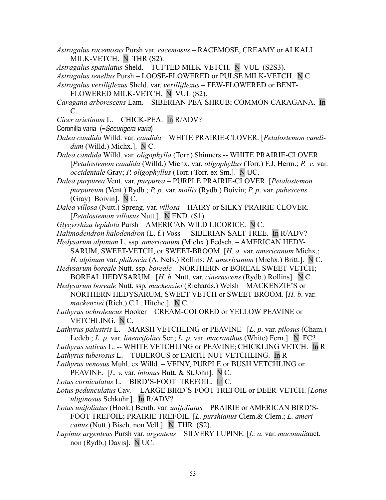*Astragalus racemosus* Pursh var*. racemosus –* RACEMOSE, CREAMY or ALKALI MILK-VETCH.N THR (S2).

*Astragalus spatulatus* Sheld. – TUFTED MILK-VETCH. N VUL (S2S3).

*Astragalus tenellus* Pursh – LOOSE-FLOWERED or PULSE MILK-VETCH. N C

- *Astragalus vexilliflexus* Sheld. var. *vexilliflexus* FEW-FLOWERED or BENT-FLOWERED MILK-VETCH. N VUL (S2).
- *Caragana arborescens* Lam. SIBERIAN PEA-SHRUB; COMMON CARAGANA. In C.
- *Cicer arietinum* L. CHICK-PEA. In R/ADV?
- Coronilla varia (=Securigera varia)
- *Dalea candida* Willd. var. *candida* WHITE PRAIRIE-CLOVER. [*Petalostemon candidum* (Willd.) Michx.]. N C.
- *Dalea candida* Willd. var. *oligophylla* (Torr.) Shinners -- WHITE PRAIRIE-CLOVER. [*Petalostemon candida* (Willd.) Michx. var. *oligophyllus* (Torr.) F.J. Herm.; *P. c.* var. *occidentale* Gray; *P. oligophyllus* (Torr.) Torr. ex Sm.]. N UC.
- *Dalea purpurea* Vent. var. *purpurea* PURPLE PRAIRIE-CLOVER. [*Petalostemon purpureum* (Vent.) Rydb.; *P. p*. var. *mollis* (Rydb.) Boivin; *P. p*. var. *pubescens* (Gray) Boivin]. N C.
- *Dalea villosa* (Nutt.) Spreng. var. *villosa* HAIRY or SILKY PRAIRIE-CLOVER. [*Petalostemon villosus* Nutt.]. N END (S1).
- *Glycyrrhiza lepidota* Pursh AMERICAN WILD LICORICE. N C.
- *Halimodendron halodendron* (L. f.) Voss -- SIBERIAN SALT-TREE. In R/ADV?
- *Hedysarum alpinum* L. ssp. *americanum* (Michx.) Fedsch. AMERICAN HEDY-SARUM, SWEET-VETCH, or SWEET-BROOM. [*H. a.* var. *americanum* Michx.; *H. alpinum* var. *philoscia* (A. Nels.) Rollins; *H. americanum* (Michx.) Britt.]. N C.
- *Hedysarum boreale* Nutt. ssp. *boreale –* NORTHERN or BOREAL SWEET-VETCH; BOREAL HEDYSARUM. [*H. b.* Nutt. var. *cinerascens* (Rydb.) Rollins]. N C.
- *Hedysarum boreale* Nutt. ssp*. mackenziei* (Richards.) Welsh MACKENZIE'S or NORTHERN HEDYSARUM, SWEET-VETCH or SWEET-BROOM. [*H. b*. var. *mackenziei* (Rich.) C.L. Hitchc.]. N C.
- *Lathyrus ochroleucus* Hooker CREAM-COLORED or YELLOW PEAVINE or VETCHLING. N C.
- *Lathyrus palustris* L. MARSH VETCHLING or PEAVINE*.* [*L. p*. var. *pilosus* (Cham.) Ledeb.; *L. p.* var. *linearifolius* Ser.; *L. p.* var. *macranthus* (White) Fern.]. N FC?
- *Lathyrus sativus* L. -- WHITE VETCHLING or PEAVINE; CHICKLING VETCH. In R
- *Lathyrus tuberosus* L. TUBEROUS or EARTH-NUT VETCHLING. In R
- *Lathyrus venosus* Muhl. ex Willd. VEINY, PURPLE or BUSH VETCHLING or PEAVINE. [*L. v*. var. *intonus* Butt. & St.John]. N C.
- *Lotus corniculatus* L. BIRD'S-FOOT TREFOIL. In C.
- *Lotus pedunculatus* Cav. -- LARGE BIRD'S-FOOT TREFOIL or DEER-VETCH. [*Lotus uliginosus* Schkuhr.]. In R/ADV?
- *Lotus unifoliatus* (Hook.) Benth. var*. unifoliatus –* PRAIRIE or AMERICAN BIRD'S-FOOT TREFOIL; PRAIRIE TREFOIL. [*L. purshianus* Clem.& Clem.; *L. americanus* (Nutt.) Bisch. non Vell.]. N THR (S2).
- *Lupinus argenteus* Pursh var*. argenteus* SILVERY LUPINE. [*L. a.* var. *macounii*auct. non (Rydb.) Davis]. N UC.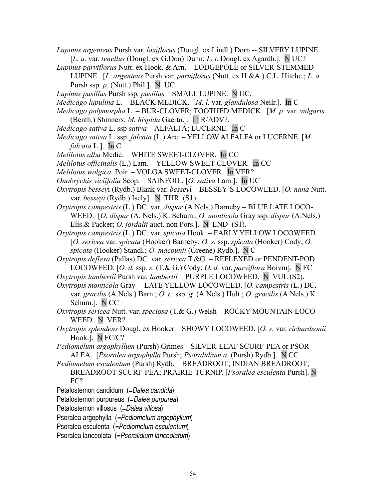- *Lupinus argenteus* Pursh var. *laxiflorus* (Dougl. ex Lindl.) Dorn -- SILVERY LUPINE. [*L. a.* var. *tenellus* (Dougl. ex G.Don) Dunn; *L. t.* Dougl. ex Agardh.]. N UC?
- *Lupinus parviflorus* Nutt. ex Hook. & Arn. LODGEPOLE or SILVER-STEMMED LUPINE. [*L. argenteus* Pursh var. *parviflorus* (Nutt. ex H.&A.) C.L. Hitchc.; *L. a.* Pursh ssp*. p.* (Nutt.) Phil.]. N UC
- *Lupinus pusillus* Pursh ssp*. pusillus* SMALL LUPINE. N UC.
- *Medicago lupulina* L. BLACK MEDICK. [*M. l.* var. *glandulosa* Neilr.]. In C
- *Medicago polymorpha* L. BUR-CLOVER; TOOTHED MEDICK. [*M. p.* var. *vulgaris* (Benth.) Shinners; *M. hispida* Gaertn.]. In R/ADV?.
- *Medicago sativa* L. ssp *sativa* ALFALFA; LUCERNE. In C
- *Medicago sativa* L. ssp. *falcata* (L.) Arc. YELLOW ALFALFA or LUCERNE. [*M. falcata* L.]. In C
- *Melilotus alba* Medic. WHITE SWEET-CLOVER. In CC
- *Melilotus officinalis* (L.) Lam.YELLOW SWEET-CLOVER. In CC
- *Melilotus wolgica* Poir. VOLGA SWEET-CLOVER. In VER?
- *Onobrychis viciifolia* Scop. SAINFOIL. [*O. sativa* Lam.]. In UC
- *Oxytropis bessey*i (Rydb.) Blank var. *bessey*i BESSEY'S LOCOWEED. [*O. nana* Nutt. var. *besseyi* (Rydb.) Isely]. N THR (S1).
- *Oxytropis campestris* (L.) DC. var. *dispar* (A.Nels.) Barneby BLUE LATE LOCO-WEED. [*O. dispar* (A. Nels.) K. Schum.; *O. monticola* Gray ssp. *dispar* (A.Nels.) Elis.& Packer; *O. jordalii* auct. non Pors.]. N END (S1).
- *Oxytropis campestris* (L.) DC. var. *spicata* Hook. EARLY YELLOW LOCOWEED. [*O. sericea* var. *spicata* (Hooker) Barneby; *O. s.* ssp. *spicata* (Hooker) Cody; *O. spicata* (Hooker) Standl.; *O. macounii* (Greene) Rydb.]. N C
- *Oxytropis deflexa* (Pallas) DC. var*. sericea* T.&G. *–* REFLEXED or PENDENT-POD LOCOWEED. [*O. d.* ssp*. s.* (T.& G.) Cody; *O. d.* var. *parviflora* Boivin]. N FC
- *Oxytropis lambertii* Pursh var*. lambertii* PURPLE LOCOWEED. N VUL (S2).
- *Oxytropis monticola* Gray -- LATE YELLOW LOCOWEED. [*O. campestris* (L.) DC. var. *gracilis* (A.Nels.) Barn.; *O. c.* ssp. *g.* (A.Nels.) Hult.; *O. gracilis* (A.Nels.) K. Schum.]. N CC
- *Oxytropis sericea* Nutt. var. *speciosa* (T.& G.) Welsh ROCKY MOUNTAIN LOCO-WEED. N VER?
- *Oxytropis splendens* Dougl. ex Hooker SHOWY LOCOWEED. [*O. s.* var. *richardsonii* Hook.]. N FC/C?
- *Pediomelum argophyllum* (Pursh) Grimes SILVER-LEAF SCURF-PEA or PSOR-ALEA. [*Psoralea argophylla* Pursh; *Psoralidium a.* (Pursh) Rydb.]. N CC
- *Pediomelum esculentum* (Pursh) Rydb. BREADROOT; INDIAN BREADROOT; BREADROOT SCURF-PEA; PRAIRIE-TURNIP. [*Psoralea esculenta* Pursh]. N FC?
- Petalostemon candidum (=Dalea candida)
- Petalostemon purpureus (=Dalea purpurea)
- Petalostemon villosus (=Dalea villosa)
- Psoralea argophylla (=Pediomelum argophyllum)
- Psoralea esculenta (=Pediomelum esculentum)
- Psoralea lanceolata (= Psoralidium lanceolatum)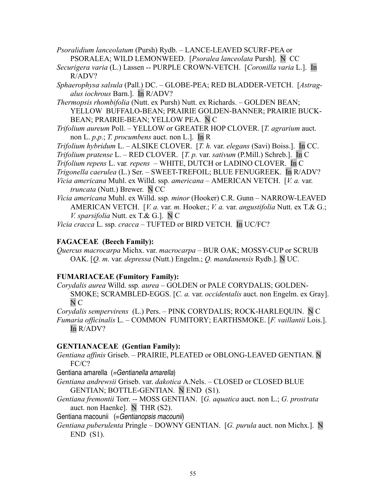- *Psoralidium lanceolatum* (Pursh) Rydb. LANCE-LEAVED SCURF-PEA or PSORALEA; WILD LEMONWEED. [*Psoralea lanceolata* Pursh]. N CC
- *Securigera varia* (L.) Lassen -- PURPLE CROWN-VETCH. [*Coronilla varia* L.]. In R/ADV?
- *Sphaerophysa salsula* (Pall.) DC.GLOBE-PEA; RED BLADDER-VETCH.[*Astragalus iochrous* Barn.]. In R/ADV?
- *Thermopsis rhombifolia* (Nutt. ex Pursh) Nutt. ex Richards. GOLDEN BEAN; YELLOW BUFFALO-BEAN; PRAIRIE GOLDEN-BANNER; PRAIRIE BUCK-BEAN; PRAIRIE-BEAN; YELLOW PEA. N C
- *Trifolium aureum* Poll. YELLOW or GREATER HOP CLOVER. [*T. agrarium* auct. non L. *p*.*p*.; *T. procumbens* auct. non L.]. In R

*Trifolium hybridum* L. – ALSIKE CLOVER. [*T. h.* var. *elegans* (Savi) Boiss.]. In CC.

*Trifolium pratense* L. – RED CLOVER. [*T. p.* var. *sativum* (P.Mill.) Schreb.]. In C

*Trifolium repens* L. var*. repens –* WHITE, DUTCH or LADINO CLOVER. In C

- *Trigonella caerulea* (L.) Ser. SWEET-TREFOIL; BLUE FENUGREEK. In R/ADV?
- *Vicia americana* Muhl. ex Willd. ssp*. americana* AMERICAN VETCH. [*V. a.* var. *truncata* (Nutt.) Brewer. N CC
- *Vicia americana* Muhl. ex Willd. ssp*. minor* (Hooker) C.R. Gunn *–* NARROW-LEAVED AMERICAN VETCH. [*V. a.* var. *m.* Hooker.; *V. a.* var. *angustifolia* Nutt. ex T.& G.; *V. sparsifolia* Nutt. ex T.& G.]. N C

*Vicia cracca* L. ssp*. cracca –* TUFTED or BIRD VETCH. In UC/FC?

# **FAGACEAE (Beech Family):**

*Quercus macrocarpa* Michx. var. *macrocarpa –* BUR OAK; MOSSY-CUP or SCRUB OAK. [*Q. m.* var. *depressa* (Nutt.) Engelm.; *Q. mandanensis* Rydb.]. N UC.

# **FUMARIACEAE (Fumitory Family):**

*Corydalis aurea* Willd. ssp*. aurea –* GOLDEN or PALE CORYDALIS; GOLDEN-SMOKE; SCRAMBLED-EGGS. [*C. a.* var. *occidentalis* auct. non Engelm. ex Gray]. N C

*Corydalis sempervirens* (L.) Pers. – PINK CORYDALIS; ROCK-HARLEQUIN. N C *Fumaria officinalis* L. *–* COMMON FUMITORY; EARTHSMOKE. [*F. vaillantii* Lois.]. In R/ADV?

# **GENTIANACEAE (Gentian Family):**

*Gentiana affinis* Griseb. – PRAIRIE, PLEATED or OBLONG-LEAVED GENTIAN. N FC/C?

Gentiana amarella (=Gentianella amarella)

- *Gentiana andrewsii* Griseb. var. *dakotica* A.Nels. CLOSED or CLOSED BLUE GENTIAN; BOTTLE-GENTIAN. N END (S1).
- *Gentiana fremontii* Torr. -- MOSS GENTIAN. [*G. aquatica* auct. non L.; *G. prostrata* auct. non Haenke]. N THR (S2).

Gentiana macounii (= Gentianopsis macounii)

*Gentiana puberulenta* Pringle – DOWNY GENTIAN. [*G. purula* auct. non Michx.]. N END (S1).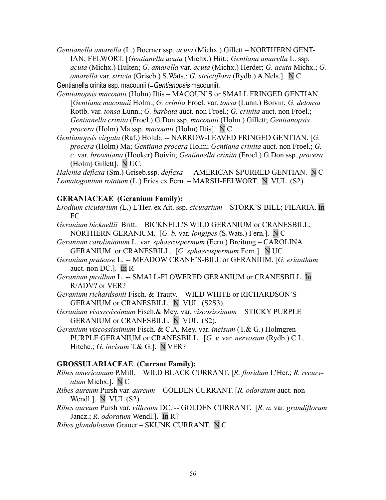*Gentianella amarella* (L.) Boerner ssp. *acuta* (Michx.) Gillett *–* NORTHERN GENT-IAN; FELWORT. [*Gentianella acuta* (Michx.) Hiit.; *Gentiana amarella* L. ssp. *acuta* (Michx.) Hulten; *G. amarella* var. *acuta* (Michx.) Herder; *G. acuta* Michx.; *G. amarella* var. *stricta* (Griseb.) S.Wats.; *G. strictiflora* (Rydb.) A.Nels.]. N C Gentianella crinita ssp. macounii (= Gentianopsis macounii).

- *Gentianopsis macounii* (Holm) Iltis MACOUN'S or SMALL FRINGED GENTIAN. [*Gentiana macounii* Holm.; *G. crinita* Froel. var. *tonsa* (Lunn.) Boivin; *G. detonsa* Rottb. var. *tonsa* Lunn.; *G. barbata* auct. non Froel.; *G. crinita* auct. non Froel.; *Gentianella crinita* (Froel.) G.Don ssp. *macounii* (Holm.) Gillett; *Gentianopsis procera* (Holm) Ma ssp. *macounii* (Holm) Iltis]. N C
- *Gentianopsis virgata* (Raf.) Holub*. --* NARROW-LEAVED FRINGED GENTIAN. [*G. procera* (Holm) Ma; *Gentiana procera* Holm; *Gentiana crinita* auct. non Froel.; *G. c.* var. *browniana* (Hooker) Boivin; *Gentianella crinita* (Froel.) G.Don ssp. *procera* (Holm) Gillett]. N UC.

*Halenia deflexa* (Sm.) Griseb.ssp. *deflexa --* AMERICAN SPURRED GENTIAN. N C *Lomatogonium rotatum* (L.) Fries ex Fern. – MARSH-FELWORT. N VUL (S2).

## **GERANIACEAE (Geranium Family):**

- *Erodium cicutarium (*L.) L'Her. ex Ait. ssp*. cicutarium* STORK'S-BILL; FILARIA. In FC
- *Geranium bicknellii* Britt.BICKNELL'S WILD GERANIUM or CRANESBILL; NORTHERN GERANIUM. [*G. b.* var*. longipes* (S.Wats.) Fern.]. N C
- *Geranium carolinianum* L. var. *sphaerospermum* (Fern.) BreitungCAROLINA GERANIUM or CRANESBILL. [*G. sphaerospermum* Fern.]. N UC
- *Geranium pratense* L. -- MEADOW CRANE'S-BILL or GERANIUM. [*G. erianthum* auct. non DC.]. In R
- *Geranium pusillum* L. -- SMALL-FLOWERED GERANIUM or CRANESBILL. In R/ADV? or VER?
- *Geranium richardsonii* Fisch. & Trautv. WILD WHITE or RICHARDSON'S GERANIUM or CRANESBILL. NVUL (S2S3).
- *Geranium viscossissimum* Fisch.& Mey. var. *viscosissimum* STICKY PURPLE GERANIUM or CRANESBILL. N VUL (S2).
- *Geranium viscossissimum* Fisch. & C.A. Mey. var. *incisum* (T.& G.) Holmgren PURPLE GERANIUM or CRANESBILL. [*G. v.* var*. nervosum* (Rydb.) C.L. Hitchc.; *G. incisum* T.& G.]. N VER?

# **GROSSULARIACEAE (Currant Family):**

- *Ribes americanum* P.Mill. WILD BLACK CURRANT. [*R. floridum* L'Her.; *R. recurvatum* Michx.]. N C
- *Ribes aureum* Pursh var*. aureum* GOLDEN CURRANT. [*R. odoratum* auct. non Wendl.]. N VUL (S2)
- *Ribes aureum* Pursh var. *villosum* DC. -- GOLDEN CURRANT. [*R. a.* var. *grandiflorum* Jancz.; *R. odoratum* Wendl.]. In R?
- *Ribes glandulosum* Grauer SKUNK CURRANT. N C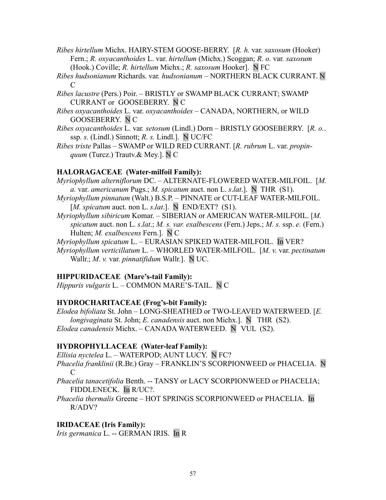- *Ribes hirtellum* Michx. HAIRY-STEM GOOSE-BERRY. [*R. h.* var. *saxosum* (Hooker) Fern.; *R. oxyacanthoides* L. var. *hirtellum* (Michx.) Scoggan; *R. o.* var*. saxosum* (Hook.) Coville; *R. hirtellum* Michx.; *R. saxosum* Hooker]. N FC
- *Ribes hudsonianum* Richards. var*. hudsonianum* NORTHERN BLACK CURRANT. N  $\mathcal{C}_{\mathcal{C}}$
- *Ribes lacustre* (Pers.) Poir. BRISTLY or SWAMP BLACK CURRANT; SWAMP CURRANT or GOOSEBERRY. N C
- *Ribes oxyacanthoides* L. var. *oxyacanthoides* CANADA, NORTHERN, or WILD GOOSEBERRY. N C
- *Ribes oxyacanthoides* L. var*. setosum* (Lindl.) Dorn BRISTLY GOOSEBERRY. [*R. o.*. ssp*. s.* (Lindl.) Sinnott; *R. s.* Lindl.]. N UC/FC
- *Ribes triste* Pallas SWAMP or WILD RED CURRANT. [*R. rubrum* L. var. *propinquum* (Turcz.) Trautv.& Mey.]. N C

## **HALORAGACEAE (Water-milfoil Family):**

- *Myriophyllum alterniflorum* DC. ALTERNATE-FLOWERED WATER-MILFOIL. [*M. a.* var. *americanum* Pugs.; *M. spicatum* auct. non L. *s*.*lat*.]. NTHR (S1).
- *Myriophyllum pinnatum* (Walt.) B.S.P. PINNATE or CUT-LEAF WATER-MILFOIL. [*M. spicatum* auct. non L. *s*.*lat*.]. NEND/EXT? (S1).
- *Myriophyllum sibiricum* Komar. SIBERIAN or AMERICAN WATER-MILFOIL. [*M. spicatum* auct. non L. *s*.*lat*.; *M. s. var. exalbescens* (Fern.) Jeps.; *M. s.* ssp. *e.* (Fern.) Hulten; *M. exalbescens* Fern.]. N C

*Myriophyllum spicatum* L. – EURASIAN SPIKED WATER-MILFOIL. In VER?

*Myriophyllum verticillatum* L. – WHORLED WATER-MILFOIL. [*M. v.* var. *pectinatum* Wallr.; *M. v.* var. *pinnatifidum* Wallr.]. N UC.

# **HIPPURIDACEAE (Mare's-tail Family):**

*Hippuris vulgaris* L. – COMMON MARE'S-TAIL. N C

# **HYDROCHARITACEAE (Frog's-bit Family):**

*Elodea bifoliata* St. John – LONG-SHEATHED or TWO-LEAVED WATERWEED. [*E. longivaginata* St. John; *E. canadensis* auct. non Michx.]. NTHR (S2). *Elodea canadensis* Michx. – CANADA WATERWEED. NVUL (S2).

## **HYDROPHYLLACEAE (Water-leaf Family):**

*Ellisia nyctelea* L. – WATERPOD; AUNT LUCY. N FC?

- *Phacelia franklinii* (R.Br.) Gray FRANKLIN'S SCORPIONWEED or PHACELIA. N C
- *Phacelia tanacetifolia* Benth. -- TANSY or LACY SCORPIONWEED or PHACELIA; FIDDLENECK. In R/UC?.
- *Phacelia thermalis* Greene HOT SPRINGS SCORPIONWEED or PHACELIA. In R/ADV?

# **IRIDACEAE (Iris Family):**

*Iris germanica* L. -- GERMAN IRIS. In R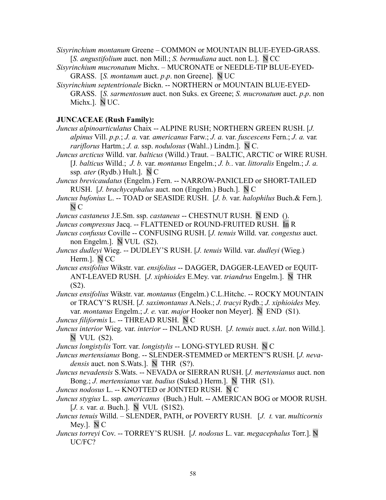*Sisyrinchium montanum* Greene – COMMON or MOUNTAIN BLUE-EYED-GRASS. [*S. angustifolium* auct. non Mill.; *S. bermudiana* auct. non L.]. N CC

- *Sisyrinchium mucronatum* Michx. MUCRONATE or NEEDLE-TIP BLUE-EYED-GRASS. [*S. montanum* auct. *p*.*p*. non Greene]. N UC
- *Sisyrinchium septentrionale* Bickn. -- NORTHERN or MOUNTAIN BLUE-EYED-GRASS. [*S. sarmentosum* auct. non Suks. ex Greene; *S. mucronatum* auct. *p*.*p*. non Michx.]. N UC.

## **JUNCACEAE (Rush Family):**

*Juncus alpinoarticulatus* Chaix -- ALPINE RUSH; NORTHERN GREEN RUSH. [*J. alpinus* Vill. *p.p.*; *J. a.* var*. americanus* Farw.; *J. a.* var. *fuscescens* Fern.; *J. a.* var*. rariflorus* Hartm.; *J. a.* ssp. *nodulosus* (Wahl..) Lindm.]. N C.

*Juncus arcticus* Willd. var. *balticus* (Willd.) Traut. – BALTIC, ARCTIC or WIRE RUSH. [J*. balticus* Willd.; *J. b.* var. *montanus* Engelm.; *J. b.*. var. *littoralis* Engelm.; *J. a.* ssp*. ater* (Rydb.) Hult.]. N C

*Juncus brevicaudatus* (Engelm.) Fern. -- NARROW-PANICLED or SHORT-TAILED RUSH. [*J. brachycephalus* auct. non (Engelm.) Buch.]. N C

*Juncus bufonius* L. -- TOAD or SEASIDE RUSH. [*J. b.* var. *halophilus* Buch.& Fern.]. N C

*Juncus castaneus* J.E.Sm. ssp. *castaneus* -- CHESTNUT RUSH. N END ().

*Juncus compressus* Jacq. -- FLATTENED or ROUND-FRUITED RUSH. In R

*Juncus confusus* Coville -- CONFUSING RUSH. [*J. tenuis* Willd. var. *congestus* auct. non Engelm.]. N VUL (S2).

*Juncus dudleyi* Wieg. -- DUDLEY'S RUSH. [*J. tenuis* Willd. var. *dudleyi* (Wieg.) Herm.]. N CC

*Juncus ensifolius* Wikstr. var. *ensifolius* -- DAGGER, DAGGER-LEAVED or EQUIT-ANT-LEAVED RUSH. [*J. xiphioides* E.Mey. var. *triandrus* Engelm.]. N THR (S2).

*Juncus ensifolius* Wikstr. var. *montanus* (Engelm.) C.L.Hitchc. -- ROCKY MOUNTAIN or TRACY'S RUSH. [*J. saximontanus* A.Nels.; *J. tracyi* Rydb.; *J. xiphioides* Mey. var. *montanus* Engelm.; *J. e.* var. *major* Hooker non Meyer]. N END (S1).

*Juncus filiformis* L. -- THREAD RUSH. N C

*Juncus interior* Wieg. var. *interior* -- INLAND RUSH. [*J. tenuis* auct. *s.lat*. non Willd.]. N VUL (S2).

*Juncus longistylis* Torr. var. *longistylis* -- LONG-STYLED RUSH. N C

*Juncus mertensianus* Bong. -- SLENDER-STEMMED or MERTEN"S RUSH. [*J. nevadensis* auct. non S.Wats.]. N THR (S?).

*Juncus nevadensis* S.Wats. -- NEVADA or SIERRAN RUSH. [*J. mertensianus* auct. non Bong.; *J. mertensianus* var. *badius* (Suksd.) Herm.]. N THR (S1).

*Juncus nodosus* L. -- KNOTTED or JOINTED RUSH. N C

*Juncus stygius* L. ssp*. americanus* (Buch.) Hult. -- AMERICAN BOG or MOOR RUSH. [*J. s.* var. *a.* Buch.]. N VUL (S1S2).

*Juncus tenuis* Willd. – SLENDER, PATH, or POVERTY RUSH. [*J. t.* var. *multicornis* Mey.]. N C

*Juncus torreyi* Cov. -- TORREY'S RUSH. [*J. nodosus* L. var. *megacephalus* Torr.]. N UC/FC?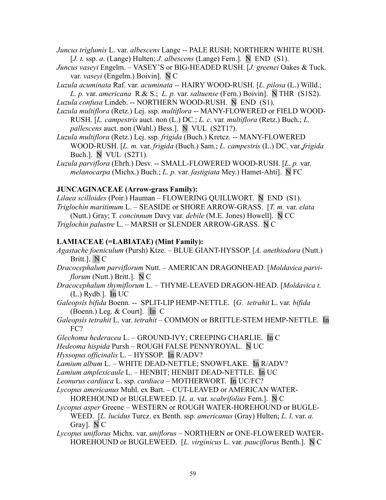- *Juncus triglumis* L. var. *albescens* Lange -- PALE RUSH; NORTHERN WHITE RUSH. [*J. t.* ssp. *a*. (Lange) Hulten; *J. albescens* (Lange) Fern.]. N END (S1).
- *Juncus vaseyi* Engelm. VASEY'S or BIG-HEADED RUSH. [*J. greenei* Oakes & Tuck. var. *vaseyi* (Engelm.) Boivin]. N C
- *Luzula acuminata* Raf. var. *acuminata --* HAIRY WOOD-RUSH. [*L. pilosa* (L.) Willd.; *L. p.* var. *americana* R.& S.; *L. p.* var. *saltuense* (Fern.) Boivin]. N THR (S1S2). *Luzula confusa* Lindeb. -- NORTHERN WOOD-RUSH. N END (S1).
- *Luzula multiflora* (Retz.) Lej. ssp. *multiflora* -- MANY-FLOWERED or FIELD WOOD-RUSH. [*L. campestris* auct. non (L.) DC.; *L. c.* var*. multiflora* (Retz.) Buch.; *L. pallescens* auct. non (Wahl.) Bess.]. N VUL (S2T1?).
- *Luzula multiflora* (Retz.) Lej. ssp. *frigida* (Buch.) Kretcz. -- MANY-FLOWERED WOOD-RUSH. [*L. m.* var. *frigida* (Buch.) Sam.; *L. campestris* (L.) DC. var. *frigida* Buch.]. N VUL (S2T1).
- *Luzula parviflora* (Ehrh.) Desv. -- SMALL-FLOWERED WOOD-RUSH. [*L. p.* var. *melanocarpa* (Michx.) Buch.; *L. p.* var. *fastigiata* Mey.) Hamet-Ahti]. N FC

## **JUNCAGINACEAE (Arrow-grass Family):**

*Lilaea scilloides* (Poir.) Hauman – FLOWERING QUILLWORT. N END (S1). *Triglochin maritimum* L. – SEASIDE or SHORE ARROW-GRASS. [*T. m.* var. *elata* (Nutt.) Gray; T*. concinnum* Davy var*. debile* (M.E. Jones) Howell]. N CC *Triglochin palustre* L. – MARSH or SLENDER ARROW-GRASS. N C

## **LAMIACEAE (=LABIATAE) (Mint Family):**

- *Agastache foeniculum* (Pursh) Ktze.BLUE GIANT-HYSSOP. [*A. anethiodora* (Nutt.) Britt.]. N C
- *Dracocephalum parviflorum* Nutt. AMERICAN DRAGONHEAD. [*Moldavica parviflorum* (Nutt.) Britt.]. N C
- *Dracocephalum thymiflorum* L.THYME-LEAVED DRAGON-HEAD. [*Moldavica t.* (L.) Rydb.]. In UC
- *Galeopsis bifida* Boenn. --SPLIT-LIP HEMP-NETTLE. [*G. tetrahit* L. var*. bifida* (Boenn.) Leg. & Court]. In C
- *Galeopsis tetrahit* L. var. *tetrahit* COMMON or BRITTLE-STEM HEMP-NETTLE. In FC?
- *Glechoma hederacea* L. GROUND-IVY; CREEPING CHARLIE. In C

*Hedeoma hispida* Pursh – ROUGH FALSE PENNYROYAL. N UC

*Hyssopus officinalis* L. – HYSSOP. In R/ADV?

*Lamium album* L. – WHITE DEAD-NETTLE; SNOWFLAKE. In R/ADV?

*Lamium amplexicaule* L. – HENBIT; HENBIT DEAD-NETTLE. In UC

*Leonurus cardiaca* L. ssp. *cardiaca* – MOTHERWORT.In UC/FC?

- *Lycopus americanus* Muhl. ex Bart.CUT-LEAVED or AMERICAN WATER-HOREHOUND or BUGLEWEED. [*L. a.* var. *scabrifolius* Fern.]. N C
- *Lycopus asper* Greene WESTERN or ROUGH WATER-HOREHOUND or BUGLE-WEED. [*L. lucidus* Turcz. ex Benth. ssp. *americanus* (Gray) Hulten; *L. l.* var. *a.* Gray]. N C
- *Lycopus uniflorus* Michx. var. *uniflorus* NORTHERN or ONE-FLOWERED WATER-HOREHOUND or BUGLEWEED. [*L. virginicus* L. var*. pauciflorus* Benth.]. N C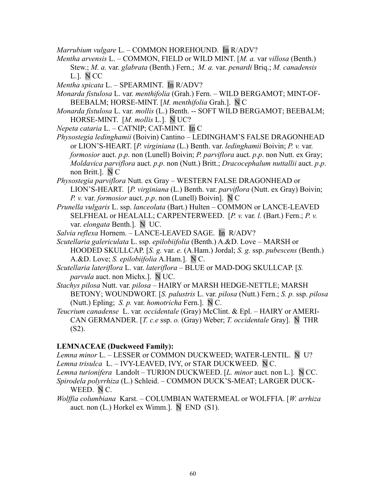*Marrubium vulgare* L. – COMMON HOREHOUND. In R/ADV?

- *Mentha arvensis* L.COMMON, FIELD or WILD MINT. [*M. a.* var *villosa* (Benth.) Stew.; *M. a.* var. *glabrata* (Benth.) Fern.; *M. a.* var. *penardi* Briq.; *M. canadensis* L.]. N CC
- *Mentha spicata* L.SPEARMINT. In R/ADV?
- *Monarda fistulosa* L. var. *menthifolia* (Grah.) Fern. WILD BERGAMOT; MINT-OF-BEEBALM; HORSE-MINT. [*M. menthifolia* Grah.]. N C
- *Monarda fistulosa* L. var. *mollis* (L.) Benth. -- SOFT WILD BERGAMOT; BEEBALM; HORSE-MINT. [*M. mollis* L.]. N UC?
- *Nepeta cataria* L. CATNIP; CAT-MINT. In C
- *Physostegia ledinghamii* (Boivin) Cantino LEDINGHAM'S FALSE DRAGONHEAD or LION'S-HEART. [*P. virginiana* (L.) Benth. var. *ledinghamii* Boivin; *P. v.* var. *formosior* auct. *p*.*p*. non (Lunell) Boivin; *P. parviflora* auct. *p*.*p*. non Nutt. ex Gray; *Moldavica parviflora* auct. *p*.*p*. non (Nutt.) Britt.; *Dracocephalum nuttallii* auct. *p*.*p*. non Britt.]. N C
- *Physostegia parviflora* Nutt. ex GrayWESTERN FALSE DRAGONHEAD or LION'S-HEART.[*P. virginiana* (L.) Benth. var. *parviflora* (Nutt. ex Gray) Boivin; *P. v.* var. *formosior* auct. *p*.*p*. non (Lunell) Boivin]. N C
- *Prunella vulgaris* L. ssp. *lanceolata* (Bart.) HultenCOMMON or LANCE-LEAVED SELFHEAL or HEALALL; CARPENTERWEED. [*P. v.* var*. l.* (Bart.) Fern.; *P. v.* var. *elongata* Benth.]. N UC.
- *Salvia reflexa* Hornem. LANCE-LEAVED SAGE. In R/ADV?
- *Scutellaria galericulata* L. ssp. *epilobiifolia* (Benth.) A.&D. Love MARSH or HOODED SKULLCAP. [*S. g.* var. *e.* (A.Ham.) Jordal; *S. g.* ssp. *pubescens* (Benth.) A.&D. Love; *S. epilobiifolia* A.Ham.]. N C.
- *Scutellaria lateriflora* L. var. *lateriflora*  BLUE or MAD-DOG SKULLCAP. [*S. parvula* auct. non Michx.]. N UC.
- *Stachys pilosa* Nutt. var. *pilosa*  HAIRY or MARSH HEDGE-NETTLE; MARSH BETONY; WOUNDWORT. [*S. palustris* L. var. *pilosa* (Nutt.) Fern.; *S. p.* ssp. *pilosa* (Nutt.) Epling; *S. p.* var. *homotricha* Fern.]. N C.
- *Teucrium canadense* L. var*. occidentale* (Gray) McClint. & Epl. HAIRY or AMERI-CAN GERMANDER. [*T. c.e* ssp. *o.* (Gray) Weber; *T. occidentale* Gray]. N THR (S2).

## **LEMNACEAE (Duckweed Family):**

*Lemna minor* L. – LESSER or COMMON DUCKWEED; WATER-LENTIL. N U? *Lemna trisulca* L. – IVY-LEAVED, IVY, or STAR DUCKWEED. N C.

- *Lemna turionifera* Landolt TURION DUCKWEED. [*L. minor* auct. non L.]. N CC. *Spirodela polyrrhiza* (L.) Schleid. – COMMON DUCK'S-MEAT; LARGER DUCK-
	- WEED. N C.
- *Wolffia columbiana* Karst. COLUMBIAN WATERMEAL or WOLFFIA. [*W. arrhiza* auct. non  $(L)$  Horkel ex Wimm.]. N END  $(S1)$ .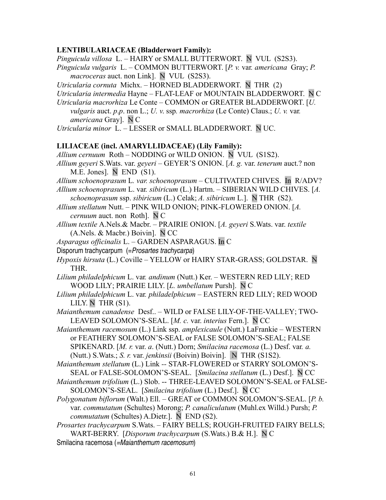#### **LENTIBULARIACEAE (Bladderwort Family):**

*Pinguicula villosa* L. – HAIRY or SMALL BUTTERWORT. N VUL (S2S3).

- *Pinguicula vulgaris* L. COMMON BUTTERWORT. [*P. v.* var*. americana* Gray; *P. macroceras* auct. non Link]. N VUL (S2S3).
- *Utricularia cornuta* Michx. HORNED BLADDERWORT. N THR (2)

*Utricularia intermedia* Hayne – FLAT-LEAF or MOUNTAIN BLADDERWORT. N C

*Utricularia macrorhiza* Le Conte – COMMON or GREATER BLADDERWORT. [*U. vulgaris* auct. *p*.*p*. non L.; *U. v*. ssp*. macrorhiza* (Le Conte) Claus.; *U. v.* var*. americana* Gray]. N C

*Utricularia minor* L. – LESSER or SMALL BLADDERWORT. N UC.

#### **LILIACEAE (incl. AMARYLLIDACEAE) (Lily Family):**

- *Allium cernuum* Roth NODDING or WILD ONION. N VUL (S1S2).
- *Allium geyeri* S.Wats. var. *geyeri* GEYER'S ONION. [*A. g.* var. *tenerum* auct.? non M.E. Jones]. N END (S1).
- *Allium schoenoprasum* L*. var. schoenoprasum* CULTIVATED CHIVES. In R/ADV? *Allium schoenoprasum* L. var*. sibiricum* (L.) Hartm. – SIBERIAN WILD CHIVES. [*A.*
- *schoenoprasum* ssp. *sibiricum* (L.) Celak; *A. sibiricum* L.]. N THR (S2).
- *Allium stellatum* Nutt. PINK WILD ONION; PINK-FLOWERED ONION. [*A. cernuum* auct. non Roth]. N C
- *Allium textile* A.Nels.& Macbr. PRAIRIE ONION. [*A. geyeri* S.Wats. var. *textile* (A.Nels. & Macbr.) Boivin]. N CC
- *Asparagus officinalis* L. GARDEN ASPARAGUS. In C
- Disporum trachycarpum (= Prosartes trachycarpa)
- *Hypoxis hirsuta* (L.) Coville YELLOW or HAIRY STAR-GRASS; GOLDSTAR. N THR.
- *Lilium philadelphicum* L. var*. andinum* (Nutt.) Ker. WESTERN RED LILY; RED WOOD LILY; PRAIRIE LILY. [*L. umbellatum* Pursh]. N C
- *Lilium philadelphicum* L. var*. philadelphicum* EASTERN RED LILY; RED WOOD LILY. N THR  $(S1)$ .
- *Maianthemum canadense* Desf.. WILD or FALSE LILY-OF-THE-VALLEY; TWO-LEAVED SOLOMON'S-SEAL. [*M. c.* var. *interius* Fern.]. N CC
- *Maianthemum racemosum* (L.) Link ssp. *amplexicaule* (Nutt.) LaFrankieWESTERN or FEATHERY SOLOMON'S-SEAL or FALSE SOLOMON'S-SEAL; FALSE SPIKENARD. [*M. r.* var. *a*. (Nutt.) Dorn; *Smilacina racemosa* (L.) Desf. var*. a.* (Nutt.) S.Wats.; *S. r.* var. *jenkinsii* (Boivin) Boivin]. N THR (S1S2).

*Maianthemum stellatum* (L.) Link *--* STAR-FLOWERED or STARRY SOLOMON'S-SEAL or FALSE-SOLOMON'S-SEAL.[*Smilacina stellatum* (L.) Desf.]. N CC

- *Maianthemum trifolium* (L.) Slob. -- THREE-LEAVED SOLOMON'S-SEAL or FALSE-SOLOMON'S-SEAL. [*Smilacina trifolium* (L.) Desf.]. N CC
- *Polygonatum biflorum* (Walt.) Ell. GREAT or COMMON SOLOMON'S-SEAL. [*P. b.* var. *commutatum* (Schultes) Morong; *P. canaliculatum* (Muhl.ex Willd.) Pursh; *P. commutatum* (Schultes) A.Dietr.]. N END (S2).
- *Prosartes trachycarpum* S.Wats. FAIRY BELLS; ROUGH-FRUITED FAIRY BELLS; WART-BERRY. [*Disporum trachycarpum* (S.Wats.) B.& H.]. N C
- Smilacina racemosa (=Maianthemum racemosum)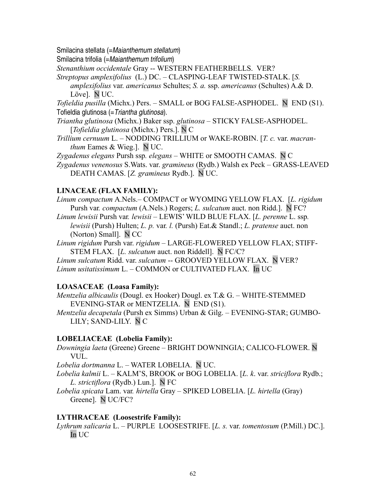Smilacina stellata (=Maianthemum stellatum)

Smilacina trifolia (=Maianthemum trifolium)

*Stenanthium occidentale* Gray -- WESTERN FEATHERBELLS. VER?

*Streptopus amplexifolius* (L.) DC. – CLASPING-LEAF TWISTED-STALK. [*S. amplexifolius* var. *americanus* Schultes; *S. a.* ssp. *americanus* (Schultes) A.& D. Löve]. N UC.

*Tofieldia pusilla* (Michx.) Pers. – SMALL or BOG FALSE-ASPHODEL. N END (S1). Tofieldia glutinosa (= Triantha glutinosa).

*Triantha glutinosa* (Michx.) Baker ssp. *glutinosa* – STICKY FALSE-ASPHODEL. [*Tofieldia glutinosa* (Michx.) Pers.]. N C

*Trillium cernuum* L. – NODDING TRILLIUM or WAKE-ROBIN. [*T. c.* var. *macranthum* Eames & Wieg.]. N UC.

*Zygadenus elegans* Pursh ssp*. elegans* – WHITE or SMOOTH CAMAS. N C

*Zygadenus venenosus* S.Wats. var. *gramineus* (Rydb.) Walsh ex Peck – GRASS-LEAVED DEATH CAMAS. [*Z. gramineus* Rydb.]. N UC.

### **LINACEAE (FLAX FAMILY):**

*Linum compactum* A.Nels.– COMPACT or WYOMING YELLOW FLAX. [*L. rigidum* Pursh var*. compactum* (A.Nels.) Rogers; *L. sulcatum* auct. non Ridd.]. N FC? *Linum lewisii* Pursh var*. lewisii –* LEWIS' WILD BLUE FLAX. [*L. perenne* L. ssp*. lewisii* (Pursh) Hulten; *L. p.* var*. l.* (Pursh) Eat.& Standl.; *L. pratense* auct. non

(Norton) Small]. N CC

*Linum rigidum* Pursh var. *rigidum –* LARGE-FLOWERED YELLOW FLAX; STIFF-STEM FLAX.[*L. sulcatum* auct. non Riddell]. N FC/C?

*Linum sulcatum* Ridd. var. *sulcatum* -- GROOVED YELLOW FLAX. N VER? *Linum usitatissimum* L. – COMMON or CULTIVATED FLAX. In UC

## **LOASACEAE (Loasa Family):**

*Mentzelia albicaulis* (Dougl. ex Hooker) Dougl. ex T.& G. – WHITE-STEMMED EVENING-STAR or MENTZELIA. N END (S1).

*Mentzelia decapetala* (Pursh ex Simms) Urban & Gilg. – EVENING-STAR; GUMBO-LILY; SAND-LILY. N C

### **LOBELIACEAE (Lobelia Family):**

*Downingia laeta* (Greene) Greene – BRIGHT DOWNINGIA; CALICO-FLOWER. N VUL.

*Lobelia dortmanna* L. – WATER LOBELIA. N UC.

*Lobelia kalmii* L. – KALM'S, BROOK or BOG LOBELIA. [*L. k*. var. *striciflora* Rydb.; *L. strictiflora* (Rydb.) Lun.]. N FC

*Lobelia spicata* Lam. var*. hirtella* Gray – SPIKED LOBELIA. [*L. hirtella* (Gray) Greene]. N UC/FC?

### **LYTHRACEAE (Loosestrife Family):**

*Lythrum salicaria* L. – PURPLE LOOSESTRIFE. [*L. s.* var. *tomentosum* (P.Mill.) DC.]. In UC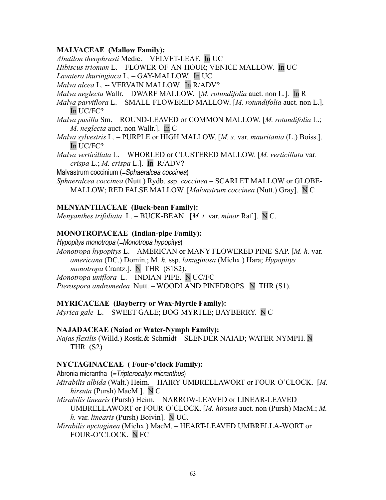### **MALVACEAE (Mallow Family):**

*Abutilon theophrasti* Medic. – VELVET-LEAF.In UC

*Hibiscus trionum* L. – FLOWER-OF-AN-HOUR; VENICE MALLOW. In UC

*Lavatera thuringiaca* L. *–* GAY-MALLOW. In UC

*Malva alcea* L. -- VERVAIN MALLOW. In R/ADV?

*Malva neglecta* Wallr. – DWARF MALLOW. [*M. rotundifolia* auct. non L.]. In R

*Malva parviflora* L. – SMALL-FLOWERED MALLOW. [*M. rotundifolia* auct. non L.]. In UC/FC?

- *Malva pusilla* Sm. ROUND-LEAVED or COMMON MALLOW. [*M. rotundifolia* L.; *M. neglecta* auct. non Wallr.]. In C
- *Malva sylvestris* L. PURPLE or HIGH MALLOW. [*M. s.* var. *mauritania* (L.) Boiss.]. In UC/FC?
- *Malva verticillata* L. WHORLED or CLUSTERED MALLOW. [*M. verticillata* var*. crispa* L.; *M. crispa* L.]. In R/ADV?
- Malvastrum coccinium (=Sphaeralcea coccinea)

*Sphaeralcea coccinea* (Nutt.) Rydb. ssp. *coccinea –* SCARLET MALLOW or GLOBE-MALLOW; RED FALSE MALLOW. [*Malvastrum coccinea* (Nutt.) Gray]. N C

### **MENYANTHACEAE (Buck-bean Family):**

*Menyanthes trifoliata* L. – BUCK-BEAN. [*M. t.* var. *minor* Raf.]. N C.

### **MONOTROPACEAE (Indian-pipe Family):**

Hypopitys monotropa (=Monotropa hypopitys) *Monotropa hypopitys* L. – AMERICAN or MANY-FLOWERED PINE-SAP. [*M. h.* var. *americana* (DC.) Domin.; M*. h.* ssp. *lanuginosa* (Michx.) Hara; *Hypopitys monotropa* Crantz.]. N THR (S1S2). *Monotropa uniflora* L. – INDIAN-PIPE. N UC/FC *Pterospora andromedea* Nutt. – WOODLAND PINEDROPS. N THR (S1).

### **MYRICACEAE (Bayberry or Wax-Myrtle Family):**

*Myrica gale* L. – SWEET-GALE; BOG-MYRTLE; BAYBERRY. N C

### **NAJADACEAE (Naiad or Water-Nymph Family):**

*Najas flexilis* (Willd.) Rostk.& Schmidt – SLENDER NAIAD; WATER-NYMPH. N THR (S2)

### **NYCTAGINACEAE ( Four-o'clock Family):**

Abronia micrantha (=Tripterocalyx micranthus)

*Mirabilis albida* (Walt.) Heim. – HAIRY UMBRELLAWORT or FOUR-O'CLOCK. [*M. hirsuta* (Pursh) MacM.]. N C

*Mirabilis linearis* (Pursh) Heim. – NARROW-LEAVED or LINEAR-LEAVED UMBRELLAWORT or FOUR-O'CLOCK. [*M. hirsuta* auct. non (Pursh) MacM.; *M. h.* var. *linearis* (Pursh) Boivin]. N UC.

*Mirabilis nyctaginea* (Michx.) MacM. – HEART-LEAVED UMBRELLA-WORT or FOUR-O'CLOCK. N FC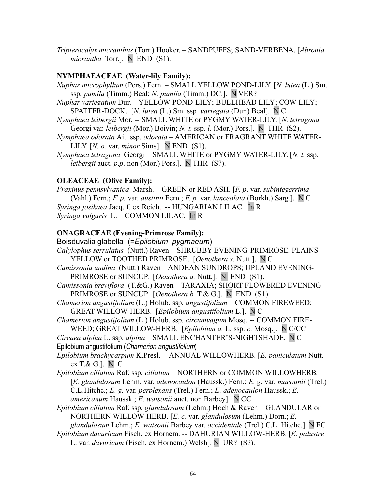*Tripterocalyx micranthus* (Torr.) Hooker. *–* SANDPUFFS; SAND-VERBENA. [*Abronia micrantha* Torr.]. N END (S1).

### **NYMPHAEACEAE (Water-lily Family):**

- *Nuphar microphyllum* (Pers.) Fern. SMALL YELLOW POND-LILY. [*N. lutea* (L.) Sm. ssp*. pumila* (Timm.) Beal; *N. pumila* (Timm.) DC.]. N VER?
- *Nuphar variegatum* Dur. YELLOW POND-LILY; BULLHEAD LILY; COW-LILY; SPATTER-DOCK. [*N. lutea* (L.) Sm. ssp*. variegata* (Dur.) Beal]. N C
- *Nymphaea leibergii* Mor. -- SMALL WHITE or PYGMY WATER-LILY. [*N. tetragona* Georgi var*. leibergii* (Mor.) Boivin; *N. t.* ssp. *l.* (Mor.) Pors.]. N THR (S2).
- *Nymphaea odorata* Ait. ssp. *odorata*  AMERICAN or FRAGRANT WHITE WATER-LILY. [*N. o.* var. *minor* Sims]. N END (S1).
- *Nymphaea tetragona* Georgi SMALL WHITE or PYGMY WATER-LILY. [*N. t.* ssp*. leibergii* auct. *p*.*p*. non (Mor.) Pors.]. N THR (S?).

### **OLEACEAE (Olive Family):**

*Fraxinus pennsylvanica* Marsh. – GREEN or RED ASH. [*F. p*. var. *subintegerrima* (Vahl.) Fern.; *F. p.* var. *austinii* Fern.; *F. p.* var. *lanceolata* (Borkh.) Sarg.]. N C *Syringa josikaea* Jacq. f. ex Reich. **--** HUNGARIAN LILAC. In R *Syringa vulgaris* L. – COMMON LILAC. In R

### **ONAGRACEAE (Evening-Primrose Family):**

Boisduvalia glabella (=*Epilobium pygmaeum*) *Calylophus serrulatus* (Nutt.) Raven – SHRUBBY EVENING-PRIMROSE; PLAINS YELLOW or TOOTHED PRIMROSE. [*Oenothera s.* Nutt.]. N C

*Camissonia andina* (Nutt.) Raven – ANDEAN SUNDROPS; UPLAND EVENING-PRIMROSE or SUNCUP. [*Oenothera a.* Nutt.]. N END (S1).

- *Camissonia breviflora* (T.&G.) Raven TARAXIA; SHORT-FLOWERED EVENING-PRIMROSE or SUNCUP. [*Oenothera b.* T.& G.]. N END (S1).
- *Chamerion angustifolium* (L.) Holub. ssp*. angustifolium* COMMON FIREWEED; GREAT WILLOW-HERB. [*Epilobium angustifolium* L.]. N C
- *Chamerion angustifolium* (L.) Holub. ssp*. circumvagum* Mosq. -- COMMON FIRE-WEED; GREAT WILLOW-HERB. [*Epilobium a.* L. ssp. *c.* Mosq.]. N C/CC

*Circaea alpina* L. ssp. *alpina –* SMALL ENCHANTER'S-NIGHTSHADE. N C Epilobium angustifolium (Chamerion angustifolium)

- *Epilobium brachycarpum* K.Presl. -- ANNUAL WILLOWHERB. [*E. paniculatum* Nutt. ex T.& G.]. N C
- *Epilobium ciliatum* Raf. ssp*. ciliatum* NORTHERN or COMMON WILLOWHERB*.* [*E. glandulosum* Lehm. var. *adenocaulon* (Haussk.) Fern.; *E. g.* var. *macounii* (Trel.) C.L.Hitchc.; *E. g.* var. *perplexans* (Trel.) Fern.; *E. adenocaulon* Haussk.; *E. americanum* Haussk.; *E. watsonii* auct. non Barbey]. N CC
- *Epilobium ciliatum* Raf. ssp*. glandulosum* (Lehm.) Hoch & Raven GLANDULAR or NORTHERN WILLOW-HERB. [*E. c.* var. *glandulosum* (Lehm.) Dorn.; *E.*
- *glandulosum* Lehm.; *E. watsonii* Barbey var. *occidentale* (Trel.) C.L. Hitchc.]. N FC
- *Epilobium davuricum* Fisch. ex Hornem. -- DAHURIAN WILLOW-HERB. [*E. palustre* L. var. *davuricum* (Fisch. ex Hornem.) Welsh]. N UR? (S?).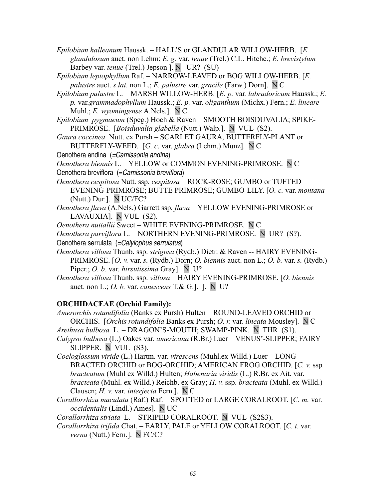- *Epilobium halleanum* Haussk.HALL'S or GLANDULAR WILLOW-HERB. [*E. glandulosum* auct. non Lehm; *E. g.* var. *tenue* (Trel.) C.L. Hitchc.; *E. brevistylum* Barbey var. *tenue* (Trel.) Jepson ]. N UR? (SU)
- *Epilobium leptophyllum* Raf. NARROW-LEAVED or BOG WILLOW-HERB. [*E. palustre* auct. *s*.*lat*. non L.; *E. palustre* var. *gracile* (Farw.) Dorn]. N C
- *Epilobium palustre* L. MARSH WILLOW-HERB. [*E. p.* var*. labradoricum* Haussk.; *E. p.* var.*grammadophyllum* Haussk.; *E. p.* var. *oliganthum* (Michx.) Fern.; *E. lineare* Muhl.; *E. wyomingense* A.Nels.]. N C
- *Epilobium pygmaeum* (Speg.) Hoch & Raven SMOOTH BOISDUVALIA; SPIKE-PRIMROSE. [*Boisduvalia glabella* (Nutt.) Walp.]. N VUL (S2).
- *Gaura coccinea* Nutt. ex Pursh SCARLET GAURA, BUTTERFLY-PLANT or BUTTERFLY-WEED. [*G. c*. var. *glabra* (Lehm.) Munz]. N C

Oenothera andina (=Camissonia andina)

*Oenothera biennis* L. – YELLOW or COMMON EVENING-PRIMROSE. N C Oenothera breviflora (= Camissonia breviflora)

- *Oenothera cespitosa* Nutt. ssp*. cespitosa* ROCK-ROSE; GUMBO or TUFTED EVENING-PRIMROSE; BUTTE PRIMROSE; GUMBO-LILY. [*O. c.* var. *montana* (Nutt.) Dur.]. N UC/FC?
- *Oenothera flava* (A.Nels.) Garrett ssp*. flava* YELLOW EVENING-PRIMROSE or LAVAUXIA]. N VUL (S2).
- *Oenothera nuttallii* Sweet WHITE EVENING-PRIMROSE. N C
- *Oenothera parviflora* L. NORTHERN EVENING-PRIMROSE. N UR?(S?).
- Oenothera serrulata (=Calylophus serrulatus)
- *Oenothera villosa* Thunb. ssp. *strigosa* (Rydb.) Dietr. & Raven -- HAIRY EVENING-PRIMROSE. [*O. v.* var. *s.* (Rydb.) Dorn; *O. biennis* auct. non L.; *O. b.* var. *s.* (Rydb.) Piper.; *O. b.* var. *hirsutissima* Gray]. N U?
- *Oenothera villosa* Thunb. ssp. *villosa*  HAIRY EVENING-PRIMROSE. [*O. biennis* auct. non L.; *O. b.* var. *canescens* T.& G.]. ]. N U?

# **ORCHIDACEAE (Orchid Family):**

- *Amerorchis rotundifolia* (Banks ex Pursh) Hulten ROUND-LEAVED ORCHID or ORCHIS. [*Orchis rotundifolia* Banks ex Pursh; *O. r.* var*. lineata* Mousley]. N C *Arethusa bulbosa* L. – DRAGON'S-MOUTH; SWAMP-PINK. N THR (S1).
- *Calypso bulbosa* (L.) Oakes var. *americana* (R.Br.) Luer VENUS'-SLIPPER; FAIRY SLIPPER. N VUL (S3).
- *Coeloglossum viride* (L.) Hartm. var. *virescens* (Muhl.ex Willd.) Luer LONG-BRACTED ORCHID or BOG-ORCHID; AMERICAN FROG ORCHID. [*C. v.* ssp*. bracteatum* (Muhl ex Willd.) Hulten; *Habenaria viridis* (L.) R.Br. ex Ait. var. *bracteata* (Muhl. ex Willd.) Reichb. ex Gray; *H. v.* ssp. *bracteata* (Muhl. ex Willd.) Clausen; *H. v.* var. *interjecta* Fern.]. N C
- *Corallorrhiza maculata* (Raf.) Raf.SPOTTED or LARGE CORALROOT. [*C. m.* var. *occidentalis* (Lindl.) Ames]. N UC

*Corallorrhiza striata* L. – STRIPED CORALROOT. N VUL (S2S3).

*Corallorrhiza trifida* Chat. – EARLY, PALE or YELLOW CORALROOT. [*C. t.* var. *verna* (Nutt.) Fern.]. N FC/C?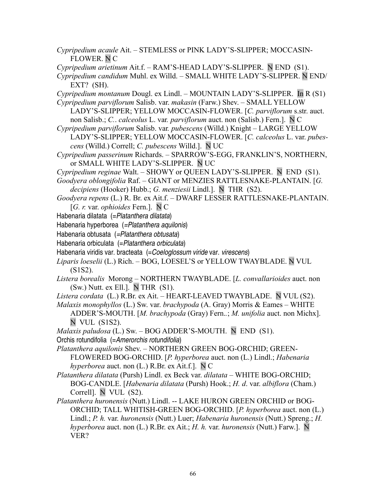- *Cypripedium acaule* Ait. STEMLESS or PINK LADY'S-SLIPPER; MOCCASIN-FLOWER. N C
- *Cypripedium arietinum* Ait.f. RAM'S-HEAD LADY'S-SLIPPER. N END (S1).
- *Cypripedium candidum* Muhl. ex Willd. SMALL WHITE LADY'S-SLIPPER. N END/ EXT? (SH).
- *Cypripedium montanum* Dougl. ex Lindl. MOUNTAIN LADY'S-SLIPPER. In R (S1) *Cypripedium parviflorum* Salisb. var. *makasin* (Farw.) Shev. – SMALL YELLOW
- LADY'S-SLIPPER; YELLOW MOCCASIN-FLOWER. [*C. parviflorum* s.str. auct. non Salisb.; *C.*. *calceolus* L. var*. parviflorum* auct. non (Salisb.) Fern.]. N C
- *Cypripedium parviflorum* Salisb. var*. pubescens* (Willd.) Knight LARGE YELLOW LADY'S-SLIPPER; YELLOW MOCCASIN-FLOWER. [*C. calceolus* L. var. *pubescens* (Willd.) Correll; *C. pubescens* Willd.]. N UC
- *Cypripedium passerinum* Richards. SPARROW'S-EGG, FRANKLIN'S, NORTHERN, or SMALL WHITE LADY'S-SLIPPER. N UC
- *Cypripedium reginae* Walt. SHOWY or QUEEN LADY'S-SLIPPER. NEND (S1).
- *Goodyera oblongifolia* Raf. GIANT or MENZIES RATTLESNAKE-PLANTAIN. [*G. decipiens* (Hooker) Hubb.; *G. menziesii* Lindl.]. NTHR (S2).
- *Goodyera repens* (L.) R. Br. ex Ait.f.DWARF LESSER RATTLESNAKE-PLANTAIN. [*G. r.* var. *ophioides* Fern.]. N C
- Habenaria dilatata (= Platanthera dilatata)
- Habenaria hyperborea (=Platanthera aquilonis)
- Habenaria obtusata (=Platanthera obtusata)
- Habenaria orbiculata (= Platanthera orbiculata)
- Habenaria viridis var. bracteata (=Coeloglossum viride var. virescens)
- *Liparis loeselii* (L.) Rich. BOG, LOESEL'S or YELLOW TWAYBLADE. N VUL (S1S2).
- *Listera borealis* Morong NORTHERN TWAYBLADE. [*L. convallarioides* auct. non (Sw.) Nutt. ex Ell.]. N THR (S1).
- *Listera cordata* (L.) R.Br. ex Ait. HEART-LEAVED TWAYBLADE. N VUL (S2).
- *Malaxis monophyllos* (L.) Sw. var. *brachypoda* (A. Gray) Morris & Eames WHITE ADDER'S-MOUTH. [*M. brachypoda* (Gray) Fern.*.*; *M. unifolia* auct. non Michx].
	- N VUL (S1S2).

*Malaxis paludosa* (L.) Sw. – BOG ADDER'S-MOUTH. N END (S1).

- Orchis rotundifolia (=Amerorchis rotundifolia)
- *Platanthera aquilonis* Shev.NORTHERN GREEN BOG-ORCHID; GREEN-FLOWERED BOG-ORCHID. [*P. hyperborea* auct. non (L.) Lindl.; *Habenaria hyperborea* auct. non (L.) R.Br. ex Ait.f.]. N C
- *Platanthera dilatata* (Pursh) Lindl. ex Beck var. *dilatata –* WHITE BOG-ORCHID; BOG-CANDLE. [*Habenaria dilatata* (Pursh) Hook.; *H. d*. var. *albiflora* (Cham.) Correll]. N VUL (S2).
- *Platanthera huronensis* (Nutt.) Lindl. -- LAKE HURON GREEN ORCHID or BOG-ORCHID; TALL WHITISH-GREEN BOG-ORCHID. [*P. hyperborea* auct. non (L.) Lindl.; *P. h.* var. *huronensis* (Nutt.) Luer; *Habenaria huronensis* (Nutt.) Spreng.; *H. hyperborea* auct. non (L.) R.Br. ex Ait.; *H. h.* var. *huronensis* (Nutt.) Farw.]. N VER?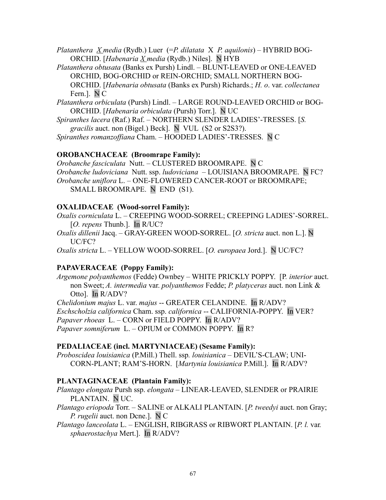*Platanthera X media* (Rydb.) Luer(=*P. dilatata* X *P. aquilonis*) – HYBRID BOG-ORCHID. [*Habenaria X media* (Rydb.) Niles]. N HYB

*Platanthera obtusata* (Banks ex Pursh) Lindl. – BLUNT-LEAVED or ONE-LEAVED ORCHID, BOG-ORCHID or REIN-ORCHID; SMALL NORTHERN BOG-ORCHID. [*Habenaria obtusata* (Banks ex Pursh) Richards.; *H. o*. var. *collectanea* Fern.]. N C

*Platanthera orbiculata* (Pursh) Lindl. – LARGE ROUND-LEAVED ORCHID or BOG-ORCHID. [*Habenaria orbiculata* (Pursh) Torr.]. N UC

*Spiranthes lacera* (Raf.) Raf. – NORTHERN SLENDER LADIES'-TRESSES. [*S. gracilis* auct. non (Bigel.) Beck]. N VUL (S2 or S2S3?).

*Spiranthes romanzoffiana* Cham. – HOODED LADIES'-TRESSES. N C

## **OROBANCHACEAE (Broomrape Family):**

*Orobanche fasciculata* Nutt. – CLUSTERED BROOMRAPE. N C *Orobanche ludoviciana* Nutt. ssp. *ludoviciana* – LOUISIANA BROOMRAPE. N FC? *Orobanche uniflora* L. – ONE-FLOWERED CANCER-ROOT or BROOMRAPE; SMALL BROOMRAPE. N END (S1).

## **OXALIDACEAE (Wood-sorrel Family):**

*Oxalis corniculata* L. – CREEPING WOOD-SORREL; CREEPING LADIES'-SORREL. [*O. repens* Thunb.]. In R/UC?

*Oxalis dillenii* Jacq. – GRAY-GREEN WOOD-SORREL. [*O. stricta* auct. non L.]. N UC/FC?

*Oxalis stricta* L. – YELLOW WOOD-SORREL. [*O. europaea* Jord.]. N UC/FC?

## **PAPAVERACEAE (Poppy Family):**

*Argemone polyanthemos* (Fedde) Ownbey – WHITE PRICKLY POPPY. [P*. interior* auct. non Sweet; *A. intermedia* var. *polyanthemos* Fedde; *P. platyceras* auct. non Link & Otto]. In R/ADV?

*Chelidonium majus* L. var. *majus* -- GREATER CELANDINE. In R/ADV? *Eschscholzia californica* Cham. ssp. *californica* -- CALIFORNIA-POPPY. In VER? *Papaver rhoeas* L. *–* CORN or FIELD POPPY. In R/ADV? *Papaver somniferum* L. *–* OPIUM or COMMON POPPY.In R?

## **PEDALIACEAE (incl. MARTYNIACEAE) (Sesame Family):**

*Proboscidea louisianica* (P.Mill.) Thell. ssp*. louisianica* – DEVIL'S-CLAW; UNI-CORN-PLANT; RAM'S-HORN. [*Martynia louisianica* P.Mill.]. In R/ADV?

## **PLANTAGINACEAE (Plantain Family):**

*Plantago elongata* Pursh ssp. *elongata –* LINEAR-LEAVED, SLENDER or PRAIRIE PLANTAIN. N UC.

*Plantago eriopoda* Torr. *–* SALINE or ALKALI PLANTAIN. [*P. tweedyi* auct. non Gray; *P. rugelii* auct. non Dcne.]. N C

*Plantago lanceolata* L. – ENGLISH, RIBGRASS or RIBWORT PLANTAIN. [*P. l.* var*. sphaerostachya* Mert.]. In R/ADV?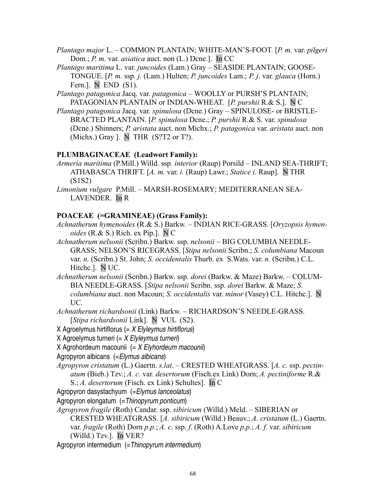*Plantago major* L. – COMMON PLANTAIN; WHITE-MAN'S-FOOT. [*P. m.* var. *pilgeri* Dom.; *P. m.* var. *asiatica* auct. non (L.) Dcne.]. In CC

*Plantago maritima* L. var. *juncoides* (Lam.) Gray – SEASIDE PLANTAIN; GOOSE-TONGUE. [*P. m.* ssp*. j.* (Lam.) Hulten; *P. juncoides* Lam.; *P. j*. var*. glauca* (Horn.) Fern.]. N END (S1).

*Plantago patagonica* Jacq. var*. patagonica –* WOOLLY or PURSH'S PLANTAIN; PATAGONIAN PLANTAIN or INDIAN-WHEAT. [*P. purshii* R.& S.]. N C

*Plantago patagonica* Jacq. var*. spinulosa* (Dcne.) Gray – SPINULOSE- or BRISTLE-BRACTED PLANTAIN. [*P. spinulosa* Dcne.; *P. purshii* R.& S. var. *spinulosa* (Dcne.) Shinners; *P. aristata* auct. non Michx.; *P. patagonica* var. *aristata* auct. non (Michx.) Gray ]. N THR (S?T2 or T?).

# **PLUMBAGINACEAE (Leadwort Family):**

*Armeria maritima* (P.Mill.) Willd. ssp*. interior* (Raup) Porsild – INLAND SEA-THRIFT; ATHABASCA THRIFT. [*A. m.* var. *i.* (Raup) Lawr.; *Statice i.* Raup]. N THR (S1S2)

*Limonium vulgare* P.Mill. – MARSH-ROSEMARY; MEDITERRANEAN SEA-LAVENDER. In R

## **POACEAE (=GRAMINEAE) (Grass Family):**

*Achnatherum hymenoides* (R.& S.) Barkw. – INDIAN RICE-GRASS. [*Oryzopsis hymenoides* ( $R \& S$ .) Rich. ex Pip.].  $N C$ 

*Achnatherum nelsonii* (Scribn.) Barkw. ssp. *nelsonii –* BIG COLUMBIA NEEDLE-GRASS; NELSON'S RICEGRASS. [*Stipa nelsonii* Scribn.; *S. columbiana* Macoun var. *n.* (Scribn.) St. John; *S. occidentalis* Thurb. ex S.Wats. var. *n.* (Scribn.) C.L. Hitchc.]. N UC.

*Achnatherum nelsonii* (Scribn.) Barkw. ssp. *dorei* (Barkw. & Maze) Barkw. – COLUM-BIA NEEDLE-GRASS. [*Stipa nelsonii* Scribn. ssp. *dorei* Barkw. & Maze; *S. columbiana* auct. non Macoun; *S. occidentalis* var. *minor* (Vasey) C.L. Hitchc.]. N UC.

*Achnatherum richardsonii* (Link) Barkw. – RICHARDSON'S NEEDLE-GRASS. [*Stipa richardsonii* Link]. N VUL (S2).

X Agroelymus hirtiflorus  $(= X Elyleymus hirtiflorus)$ 

X Agroelymus turneri  $(= X E$ lyleymus turneri)

X Agrohordeum macounii  $= X E$  *Nordeum macounii*)

Agropyron albicans (=Elymus albicans)

*Agropyron cristatum* (L.) Gaertn. *s*.*lat*. – CRESTED WHEATGRASS. [*A. c.* ssp. *pectinatum* (Bieb.) Tzv.; *A. c.* var*. desertorum* (Fisch.ex Link) Dorn; *A. pectiniforme* R.&

S.; *A. desertorum* (Fisch. ex Link) Schultes]. In C

Agropyron dasystachyum (=Elymus lanceolatus)

Agropyron elongatum (=Thinopyrum ponticum)

*Agropyron fragile* (Roth) Candar. ssp. *sibiricum* (Willd.) Meld. – SIBERIAN or

CRESTED WHEATGRASS. [*A. sibiricum* (Willd.) Beauv.; *A. cristatum* (L.) Gaertn. var. *fragile* (Roth) Dorn *p*.*p*.; *A. c*. ssp. *f*. (Roth) A.Love *p*.*p*.; *A. f.* var. *sibiricum*

(Willd.) Tzv.]. In VER?

Agropyron intermedium (= Thinopyrum intermedium)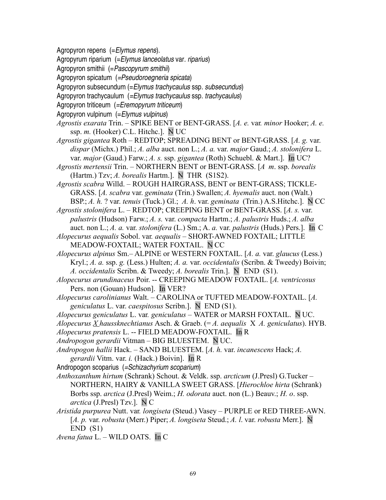Agropyron repens (=Elymus repens).

Agropyrum riparium (=Elymus lanceolatus var. riparius)

- Agropyron smithii (=Pascopyrum smithii)
- Agropyron spicatum (=Pseudoroegneria spicata)
- Agropyron subsecundum (=Elymus trachycaulus ssp. subsecundus)
- Agropyron trachycaulum (=Elymus trachycaulus ssp. trachycaulus)
- Agropyron triticeum (=Eremopyrum triticeum)
- Agropyron vulpinum (=Elymus vulpinus)
- *Agrostis exarata* Trin. SPIKE BENT or BENT-GRASS. [*A. e.* var*. minor* Hooker; *A. e.* ssp. *m.* (Hooker) C.L. Hitchc.]. N UC
- *Agrostis gigantea* Roth REDTOP; SPREADING BENT or BENT-GRASS. [*A. g.* var. *dispar* (Michx.) Phil.; *A. alba* auct. non L.; *A. a.* var. *major* Gaud.; *A. stolonifera* L. var. *major* (Gaud.) Farw.; *A. s.* ssp. *gigantea* (Roth) Schuebl. & Mart.]. In UC?
- *Agrostis mertensii* Trin. NORTHERN BENT or BENT-GRASS. [*A m*. ssp. *borealis* (Hartm.) Tzv; *A. borealis* Hartm.]. N THR (S1S2).
- *Agrostis scabra* Willd. *–* ROUGH HAIRGRASS, BENT or BENT-GRASS; TICKLE-GRASS. [*A. scabra* var. *geminata* (Trin.) Swallen; *A. hyemalis* auct. non (Walt.) BSP.; *A. h.* ? var. *tenuis* (Tuck.) Gl.; *A. h*. var. *geminata* (Trin.) A.S.Hitchc.]. N CC
- *Agrostis stolonifera* L. REDTOP; CREEPING BENT or BENT-GRASS. [*A. s.* var. *palustris* (Hudson) Farw.; *A. s.* var. *compacta* Hartm.; *A. palustris* Huds.; *A. alba* auct. non L.; *A. a.* var. *stolonifera* (L.) Sm.; A. *a.* var. *palustris* (Huds.) Pers.]. In C
- *Alopecurus aequalis* Sobol. var*. aequalis* SHORT-AWNED FOXTAIL; LITTLE MEADOW-FOXTAIL; WATER FOXTAIL. N CC
- *Alopecurus alpinus* Sm.– ALPINE or WESTERN FOXTAIL. [*A. a.* var. *glaucus* (Less.) Kryl.; *A. a.* ssp. *g.* (Less.) Hulten; *A. a.* var. *occidentalis* (Scribn. & Tweedy) Boivin; *A. occidentalis* Scribn. & Tweedy; *A. borealis* Trin.]. N END (S1).
- *Alopecurus arundinaceus* Poir. -- CREEPING MEADOW FOXTAIL. [*A. ventricosus* Pers. non (Gouan) Hudson]. In VER?
- *Alopecurus carolinianus* Walt.CAROLINA or TUFTED MEADOW-FOXTAIL. [*A. geniculatus* L. var. *caespitosus* Scribn.]. N END (S1).
- *Alopecurus geniculatus* L. var*. geniculatus* WATER or MARSH FOXTAIL. N UC.
- *Alopecurus X haussknechtianus* Asch. & Graeb. (= *A. aequalis* X *A. geniculatus*). HYB.
- *Alopecurus pratensis* L. -- FIELD MEADOW-FOXTAIL. In R
- *Andropogon gerardii* Vitman BIG BLUESTEM. N UC.
- *Andropogon hallii* Hack. SAND BLUESTEM. [*A. h.* var. *incanescens* Hack; *A. gerardii* Vitm. var. *i.* (Hack.) Boivin]. In R
- Andropogon scoparius (=Schizachyrium scoparium)
- *Anthoxanthum hirtum* (Schrank) Schout. & Veldk. ssp. *arcticum* (J.Presl) G.Tucker NORTHERN, HAIRY & VANILLA SWEET GRASS. [*Hierochloe hirta* (Schrank) Borbs ssp. *arctica* (J.Presl) Weim.; *H. odorata* auct. non (L.) Beauv.; *H. o*. ssp. *arctica* (J.Presl) Tzv.]. N C
- *Aristida purpurea* Nutt. var*. longiseta* (Steud.) Vasey *–* PURPLE or RED THREE-AWN. [*A. p.* var. *robusta* (Merr.) Piper; *A. longiseta* Steud.; *A. l*. var. *robusta* Merr.]. N  $END(S1)$
- *Avena fatua* L. WILD OATS. In C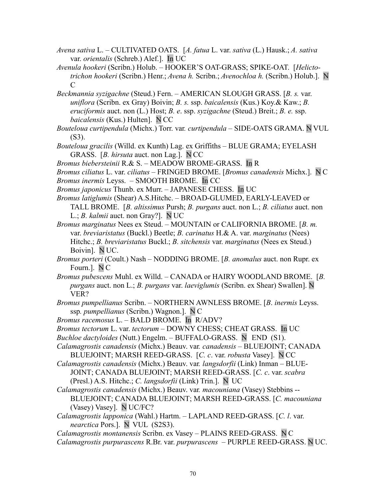- *Avena sativa* L. CULTIVATED OATS. [*A. fatua* L. var. *sativa* (L.) Hausk.; *A. sativa* var. *orientalis* (Schreb.) Alef.]. In UC
- *Avenula hookeri* (Scribn.) Holub.HOOKER'S OAT-GRASS; SPIKE-OAT. [*Helictotrichon hookeri* (Scribn.) Henr.; *Avena h.* Scribn.; *Avenochloa h.* (Scribn.) Holub.]. N C
- *Beckmannia syzigachne* (Steud.) Fern.AMERICAN SLOUGH GRASS. [*B. s.* var. *uniflora* (Scribn. ex Gray) Boivin; *B. s.* ssp. *baicalensis* (Kus.) Koy.& Kaw.; *B. eruciformis* auct. non (L.) Host; *B. e*. ssp. *syzigachne* (Steud.) Breit.; *B. e.* ssp. *baicalensis* (Kus.) Hulten]. N CC
- *Bouteloua curtipendula* (Michx.) Torr. var*. curtipendula* SIDE-OATS GRAMA. N VUL (S3).
- *Bouteloua gracilis* (Willd. ex Kunth) Lag. ex Griffiths BLUE GRAMA; EYELASH GRASS. [*B. hirsuta* auct. non Lag.]. N CC
- *Bromus biebersteinii* R.& S. MEADOW BROME-GRASS. In R
- *Bromus ciliatus* L. var. *ciliatus* FRINGED BROME. [*Bromus canadensis* Michx.]. N C *Bromus inermis* Leyss. *–* SMOOTH BROME. In CC
- *Bromus japonicus* Thunb. ex Murr.JAPANESE CHESS. In UC
- *Bromus latiglumis* (Shear) A.S.Hitchc. BROAD-GLUMED, EARLY-LEAVED or TALL BROME. [*B. altissimus* Pursh; *B. purgans* auct. non L.; *B. ciliatus* auct. non L.; *B. kalmii* auct. non Gray?]. N UC
- *Bromus marginatus* Nees ex Steud. MOUNTAIN or CALIFORNIA BROME. [*B. m.* var. *breviaristatus* (Buckl.) Beetle; *B. carinatus* H.& A. var. *marginatus* (Nees) Hitchc.; *B. breviaristatus* Buckl.; *B. sitchensis* var. *marginatus* (Nees ex Steud.) Boivin]. N UC.
- *Bromus porteri* (Coult.) Nash NODDING BROME. [*B. anomalus* auct. non Rupr. ex Fourn.]. NC
- *Bromus pubescens* Muhl. ex Willd. CANADA or HAIRY WOODLAND BROME. [*B. purgans* auct. non L.; *B. purgans* var. *laeviglumis* (Scribn. ex Shear) Swallen]. N VER?
- *Bromus pumpellianus* Scribn.NORTHERN AWNLESS BROME. [*B*. *inermis* Leyss. ssp*. pumpellianus* (Scribn.) Wagnon.]. N C
- *Bromus racemosus* L. BALD BROME. In R/ADV?
- *Bromus tectorum* L. var. *tectorum* DOWNY CHESS; CHEAT GRASS. In UC
- *Buchloe dactyloides* (Nutt.) Engelm. BUFFALO-GRASS. N END (S1).
- *Calamagrostis canadensis* (Michx.) Beauv. var*. canadensis* BLUEJOINT; CANADA BLUEJOINT; MARSH REED-GRASS. [*C. c*. var. *robusta* Vasey]. N CC
- *Calamagrostis canadensis* (Michx.) Beauv. var*. langsdorfii* (Link) Inman BLUE-JOINT; CANADA BLUEJOINT; MARSH REED-GRASS. [*C. c*. var. *scabra* (Presl.) A.S. Hitchc.; *C. langsdorfii* (Link) Trin.]. N UC
- *Calamagrostis canadensis* (Michx.) Beauv. var*. macouniana* (Vasey) Stebbins -- BLUEJOINT; CANADA BLUEJOINT; MARSH REED-GRASS. [*C. macouniana* (Vasey) Vasey]. N UC/FC?
- *Calamagrostis lapponica* (Wahl.) Hartm. LAPLAND REED-GRASS. [*C. l*. var. *nearctica* Pors.]. N VUL (S2S3).

*Calamagrostis montanensis* Scribn. ex Vasey – PLAINS REED-GRASS. N C

*Calamagrostis purpurascens* R.Br. var. *purpurascens –* PURPLE REED-GRASS. N UC.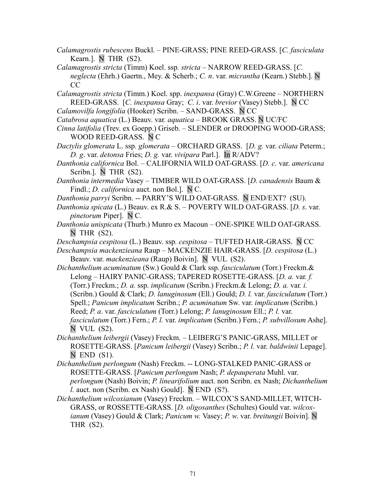- *Calamagrostis rubescens* Buckl. PINE-GRASS; PINE REED-GRASS. [*C. fasciculata* Kearn.]. NTHR (S2).
- *Calamagrostis stricta* (Timm) Koel. ssp*. stricta* NARROW REED-GRASS. [*C. neglecta* (Ehrh.) Gaertn., Mey. & Scherb.; *C. n*. var. *micrantha* (Kearn.) Stebb.]. N CC
- *Calamagrostis stricta* (Timm.) Koel. spp. *inexpansa* (Gray) C.W.Greene NORTHERN REED-GRASS. [*C. inexpansa* Gray; *C. i*. var. *brevior* (Vasey) Stebb.]. N CC
- *Calamovilfa longifolia* (Hooker) Scribn. SAND-GRASS. N CC
- *Catabrosa aquatica* (L.) Beauv. var*. aquatica* BROOK GRASS. N UC/FC
- *Cinna latifolia* (Trev. ex Goepp.) Griseb. SLENDER or DROOPING WOOD-GRASS; WOOD REED-GRASS. N C
- *Dactylis glomerata* L. ssp*. glomerata* ORCHARD GRASS. [*D. g.* var. *ciliata* Peterm.; *D. g*. var. *detonsa* Fries; *D. g.* var. *vivipara* Parl.]. In R/ADV?
- *Danthonia californica* Bol. CALIFORNIA WILD OAT-GRASS. [*D. c.* var. *americana* Scribn.]. N THR (S2).
- *Danthonia intermedia* Vasey TIMBER WILD OAT-GRASS. [*D. canadensis* Baum & Findl.; *D. californica* auct. non Bol.]. N C.
- *Danthonia parryi* Scribn. -- PARRY'S WILD OAT-GRASS. N END/EXT? (SU).
- *Danthonia spicata* (L.) Beauv. ex R.& S. POVERTY WILD OAT-GRASS. [*D. s*. var. *pinetorum* Piper]. N C.
- *Danthonia unispicata* (Thurb.) Munro ex Macoun ONE-SPIKE WILD OAT-GRASS. N THR (S2).
- *Deschampsia cespitosa* (L.) Beauv. ssp*. cespitosa –* TUFTED HAIR-GRASS. N CC
- *Deschampsia mackenzieana* Raup MACKENZIE HAIR-GRASS. [*D. cespitosa* (L.) Beauv. var. *mackenzieana* (Raup) Boivin]. N VUL (S2).
- *Dichanthelium acuminatum* (Sw.) Gould & Clark ssp. *fasciculatum* (Torr.) Freckm.& Lelong – HAIRY PANIC-GRASS; TAPERED ROSETTE-GRASS. [*D. a.* var*. f.* (Torr.) Freckm.; *D. a.* ssp. *implicatum* (Scribn.) Freckm.& Lelong; *D. a.* var*. i.* (Scribn.) Gould & Clark; *D. lanuginosum* (Ell.) Gould; *D. l.* var. *fasciculatum* (Torr.) Spell.; *Panicum implicatum* Scribn.; *P. acuminatum* Sw. var. *implicatum* (Scribn.) Reed; *P. a*. var. *fasciculatum* (Torr.) Lelong; *P. lanuginosum* Ell.; *P. l.* var. *fasciculatum* (Torr.) Fern.; *P. l.* var. *implicatum* (Scribn.) Fern.; *P. subvillosum* Ashe]. N VUL (S2).
- *Dichanthelium leibergii* (Vasey) Freckm. LEIBERG'S PANIC-GRASS, MILLET or ROSETTE-GRASS. [*Panicum leibergii* (Vasey) Scribn.; *P. l.* var. *baldwinii* Lepage].  $N$  END  $(S1)$ .
- *Dichanthelium perlongum* (Nash) Freckm. -- LONG-STALKED PANIC-GRASS or ROSETTE-GRASS. [*Panicum perlongum* Nash; *P. depauperata* Muhl. var. *perlongum* (Nash) Boivin; *P. linearifolium* auct. non Scribn. ex Nash; *Dichanthelium l.* auct. non (Scribn. ex Nash) Gould]. N END (S?).
- *Dichanthelium wilcoxianum* (Vasey) Freckm. WILCOX'S SAND-MILLET, WITCH-GRASS, or ROSSETTE-GRASS. [*D. oligosanthes* (Schultes) Gould var. *wilcoxianum* (Vasey) Gould & Clark; *Panicum w.* Vasey; *P. w*. var. *breitungii* Boivin]. N THR (S2).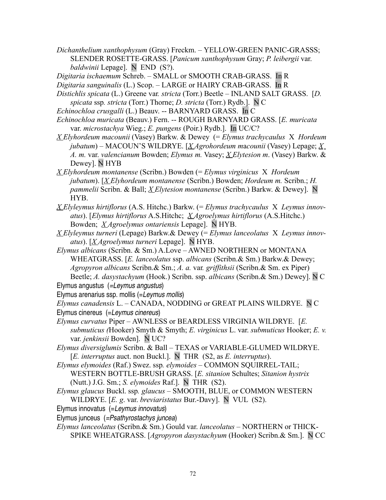*Dichanthelium xanthophysum* (Gray) Freckm. *–* YELLOW-GREEN PANIC-GRASSS; SLENDER ROSETTE-GRASS. [*Panicum xanthophysum* Gray; *P. leibergii* var. *baldwinii* Lepage]. N END (S?).

*Digitaria ischaemum* Schreb. – SMALL or SMOOTH CRAB-GRASS. In R

*Digitaria sanguinalis* (L.) Scop. – LARGE or HAIRY CRAB-GRASS. In R

*Distichlis spicata* (L.) Greene var*. stricta* (Torr.) Beetle – INLAND SALT GRASS. [*D. spicata* ssp*. stricta* (Torr.) Thorne; *D. stricta* (Torr.) Rydb.]. N C

```
Echinochloa crusgalli (L.) Beauv. -- BARNYARD GRASS. In C
```
- *Echinochloa muricata* (Beauv.) Fern. -- ROUGH BARNYARD GRASS. [*E. muricata* var. *microstachya* Wieg.; *E. pungens* (Poir.) Rydb.]. In UC/C?
- *X Elyhordeum macounii* (Vasey) Barkw. & Dewey (= *Elymus trachycaulus* X *Hordeum jubatum*) – MACOUN'S WILDRYE. [*X Agrohordeum m*a*counii* (Vasey) Lepage; *X A. m.* var. *valencianum* Bowden; *Elymus m.* Vasey; *X Elytesion m*. (Vasey) Barkw. & Dewey]. N HYB
- *X Elyhordeum montanense* (Scribn.) Bowden (= *Elymus virginicus* X *Hordeum jubatum*). [*X Elyhordeum montanense* (Scribn.) Bowden; *Hordeum m.* Scribn.; *H. pammelii* Scribn. & Ball; *X Elytesion montanense* (Scribn.) Barkw. & Dewey]. N HYB.
- *X Elyleymus hirtiflorus* (A.S. Hitchc.) Barkw. (= *Elymus trachycaulus* X *Leymus innovatus*). [*Elymus hirtiflorus* A.S.Hitchc; *X Agroelymus hirtiflorus* (A.S.Hitchc.) Bowden; *X Agroelymus ontariensis* Lepage]. N HYB.
- *X Elyleymus turneri* (Lepage) Barkw.& Dewey (= *Elymus lanceolatus* X *Leymus innovatus*). [*X Agroelymus turneri* Lepage]. N HYB.
- *Elymus albicans* (Scribn. & Sm.) A.Love AWNED NORTHERN or MONTANA WHEATGRASS. [*E. lanceolatus* ssp. *albicans* (Scribn.& Sm.) Barkw.& Dewey; *Agropyron albicans* Scribn.& Sm.; *A. a.* var*. griffithsii* (Scribn.& Sm. ex Piper) Beetle; *A. dasystachyum* (Hook.) Scribn. ssp. *albicans* (Scribn.& Sm.) Dewey]. N C

Elymus angustus (=Leymus angustus)

Elymus arenarius ssp. mollis (=Leymus mollis)

*Elymus canadensis* L. *–* CANADA, NODDING or GREAT PLAINS WILDRYE. N C Elymus cinereus (=Leymus cinereus)

- *Elymus curvatus* PiperAWNLESS or BEARDLESS VIRGINIA WILDRYE. [*E. submuticus (*Hooker) Smyth & Smyth; *E. virginicus* L. var. *submuticus* Hooker; *E. v.* var. *jenkinsii* Bowden]. N UC?
- *Elymus diversiglumis* Scribn. & BallTEXAS or VARIABLE-GLUMED WILDRYE. [*E. interruptus* auct. non Buckl.]. N THR (S2, as *E. interruptus*).
- *Elymus elymoides* (Raf.) Swez. ssp*. elymoides* COMMON SQUIRREL-TAIL; WESTERN BOTTLE-BRUSH GRASS. [*E. sitanion* Schultes; *Sitanion hystrix* (Nutt.) J.G. Sm.; *S. elymoides* Raf.]. N THR (S2).
- *Elymus glaucus* Buckl. ssp*. glaucus* SMOOTH, BLUE, or COMMON WESTERN WILDRYE. [*E. g*. var. *breviaristatus* Bur.-Davy]. N VUL (S2).
- Elymus innovatus (=Leymus innovatus)

Elymus junceus (=Psathyrostachys juncea)

*Elymus lanceolatus* (Scribn.& Sm.) Gould var. *lanceolatus –* NORTHERN or THICK-SPIKE WHEATGRASS. [*Agropyron dasystachyum* (Hooker) Scribn.& Sm.]. N CC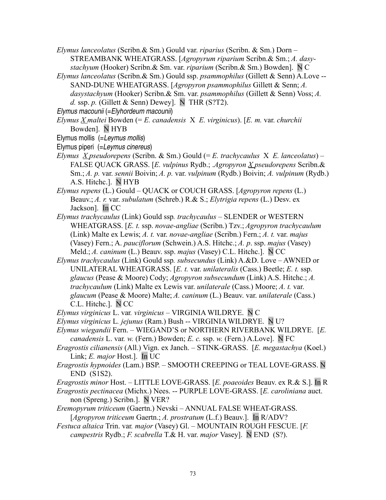- *Elymus lanceolatus* (Scribn.& Sm.) Gould var. *riparius* (Scribn. & Sm.) Dorn STREAMBANK WHEATGRASS. [*Agropyrum riparium* Scribn.& Sm.; *A. dasystachyum* (Hooker) Scribn.& Sm. var. *riparium* (Scribn.& Sm.) Bowden]. N C
- *Elymus lanceolatus* (Scribn.& Sm.) Gould ssp. *psammophilus* (Gillett & Senn) A.Love -- SAND-DUNE WHEATGRASS. [*Agropyron psammophilus* Gillett & Senn; *A. dasystachyum* (Hooker) Scribn.& Sm. var. *psammophilus* (Gillett & Senn) Voss; *A. d.* ssp. *p.* (Gillett  $\&$  Senn) Dewey]. N THR (S?T2).

Elymus macounii (=Elyhordeum macounii)

- *Elymus X maltei* Bowden (= *E. canadensis* X *E. virginicus*). [*E. m.* var. *churchii* Bowden]. N HYB
- Elymus mollis (=Leymus mollis)
- Elymus piperi (=Leymus cinereus)
- *Elymus X pseudorepens* (Scribn. & Sm.) Gould (= *E. trachycaulus* X *E. lanceolatus*) FALSE QUACK GRASS. [*E. vulpinus* Rydb.; .*Agropyron X pseudorepens* Scribn.& Sm.; *A. p.* var. *sennii* Boivin; *A. p.* var. *vulpinum* (Rydb.) Boivin; *A. vulpinum* (Rydb.) A.S. Hitchc.]. N HYB
- *Elymus repens* (L.) GouldQUACK or COUCH GRASS. [*Agropyron repens* (L.) Beauv.; *A. r.* var. *subulatum* (Schreb.) R.& S.; *Elytrigia repens* (L.) Desv. ex Jackson]. In CC
- *Elymus trachycaulus* (Link) Gould ssp*. trachycaulus* SLENDER or WESTERN WHEATGRASS. [*E. t.* ssp. *novae-angliae* (Scribn.) Tzv.; *Agropyron trachycaulum* (Link) Malte ex Lewis; *A. t.* var. *novae-angliae* (Scribn.) Fern.; *A. t.* var. *majus* (Vasey) Fern.; A. *pauciflorum* (Schwein.) A.S. Hitchc.; *A. p*. ssp. *majus* (Vasey) Meld.; *A. caninum* (L.) Beauv. ssp. *majus* (Vasey) C.L. Hitchc.]. N CC
- *Elymus trachycaulus* (Link) Gould ssp*. subsecundus* (Link) A.&D. Love AWNED or UNILATERAL WHEATGRASS. [*E. t.* var. *unilateralis* (Cass.) Beetle; *E. t.* ssp. *glaucus* (Pease & Moore) Cody; *Agropyron subsecundum* (Link) A.S. Hitchc.; *A. trachycaulum* (Link) Malte ex Lewis var. *unilaterale* (Cass.) Moore; *A. t.* var. *glaucum* (Pease & Moore) Malte; *A. caninum* (L.) Beauv. var. *unilaterale* (Cass.) C.L. Hitchc.]. N CC
- *Elymus virginicus* L. var*. virginicus* VIRGINIA WILDRYE. N C
- *Elymus virginicus* L*. jejunus* (Ram.) Bush -- VIRGINIA WILDRYE. N U?
- *Elymus wiegandii* Fern. WIEGAND'S or NORTHERN RIVERBANK WILDRYE. [*E. canadensis* L. var*. w.* (Fern.) Bowden; *E. c.* ssp. *w.* (Fern.) A.Love]. N FC
- *Eragrostis cilianensis* (All.) Vign. ex Janch. STINK-GRASS. [*E. megastachya* (Koel.) Link; *E. major* Host.]. In UC
- *Eragrostis hypnoides* (Lam.) BSP. SMOOTH CREEPING or TEAL LOVE-GRASS. N END (S1S2).

*Eragrostis minor* Host. *–* LITTLE LOVE-GRASS. [*E. poaeoides* Beauv. ex R.& S.]. In R

- *Eragrostis pectinacea* (Michx.) Nees. -- PURPLE LOVE-GRASS. [*E. caroliniana* auct. non (Spreng.) Scribn.]. N VER?
- *Eremopyrum triticeum* (Gaertn.) Nevski ANNUAL FALSE WHEAT-GRASS. [*Agropyron triticeum* Gaertn.; *A. prostratum* (L.f.) Beauv.]. In R/ADV?
- *Festuca altaica* Trin. var*. major* (Vasey) Gl. MOUNTAIN ROUGH FESCUE. [*F. campestris* Rydb.; *F. scabrella* T.& H. var. *major* Vasey]. N END (S?).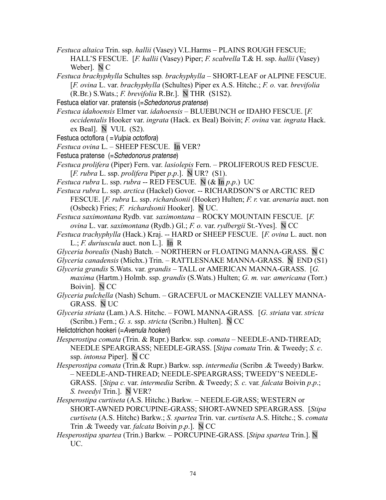*Festuca altaica* Trin. ssp. *hallii* (Vasey) V.L.Harms – PLAINS ROUGH FESCUE; HALL'S FESCUE. [*F. hallii* (Vasey) Piper; *F. scabrella* T.& H. ssp. *hallii* (Vasey) Weber]. N C

*Festuca brachyphylla* Schultes ssp*. brachyphylla –* SHORT-LEAF or ALPINE FESCUE. [*F. ovina* L. var. *brachyphylla* (Schultes) Piper ex A.S. Hitchc.; *F. o.* var. *brevifolia* (R.Br.) S.Wats.; *F. brevifolia* R.Br.]. N THR (S1S2).

Festuca elatior var. pratensis (=Schedonorus pratense)

*Festuca idahoensis* Elmer var. *idahoensis –* BLUEBUNCH or IDAHO FESCUE. [*F. occidentalis* Hooker var. *ingrata* (Hack. ex Beal) Boivin; *F. ovina* var*. ingrata* Hack. ex Beal]. N VUL (S2).

- Festuca octoflora ( =Vulpia octoflora)
- *Festuca ovina* L. SHEEP FESCUE. In VER?
- Festuca pratense (=Schedonorus pratense)
- *Festuca prolifera* (Piper) Fern. var. *lasiolepis* Fern. PROLIFEROUS RED FESCUE. [*F. rubra* L. ssp. *prolifera* Piper *p*.*p*.].N UR? (S1).

*Festuca rubra* L. ssp. *rubra* -- RED FESCUE. N (& In *p*.*p*.) UC

*Festuca rubra* L. ssp. *arctica* (Hackel) Govor. -- RICHARDSON'S or ARCTIC RED FESCUE. [*F. rubra* L. ssp. *richardsonii* (Hooker) Hulten; *F. r.* var. *arenaria* auct. non (Osbeck) Fries; *F. richardsonii* Hooker]. N UC.

*Festuca saximontana* Rydb. var*. saximontana –* ROCKY MOUNTAIN FESCUE. [*F. ovina* L. var. *saximontana* (Rydb.) Gl.; *F. o.* var. *rydbergii* St.-Yves]. N CC

- *Festuca trachyphylla* (Hack.) Kraj. -- HARD or SHEEP FESCUE. [*F. ovina* L. auct. non L.; *F. duriuscula* auct. non L.]. In R
- *Glyceria borealis* (Nash) Batch.NORTHERN or FLOATING MANNA-GRASS. N C

*Glyceria canadensis* (Michx.) Trin. *–* RATTLESNAKE MANNA-GRASS. N END (S1)

*Glyceria grandis* S.Wats. var. *grandis* – TALL or AMERICAN MANNA-GRASS. [*G. maxima* (Hartm.) Holmb. ssp. *grandis* (S.Wats.) Hulten; *G. m. var. americana* (Torr.) Boivin]. N CC

*Glyceria pulchella* (Nash) Schum. *–* GRACEFUL or MACKENZIE VALLEY MANNA-GRASS. N UC

*Glyceria striata* (Lam.) A.S. Hitchc. *–* FOWL MANNA-GRASS*.* [*G. striata* var. *stricta* (Scribn.) Fern.; *G. s.* ssp. *stricta* (Scribn.) Hulten]. N CC

Helictotrichon hookeri (=Avenula hookeri)

- *Hesperostipa comata* (Trin. & Rupr.) Barkw. ssp*. comata* NEEDLE-AND-THREAD; NEEDLE SPEARGRASS; NEEDLE-GRASS. [*Stipa comata* Trin. & Tweedy; *S. c*. ssp. *intonsa* Piper]. N CC
- *Hesperostipa comata* (Trin.& Rupr.) Barkw. ssp. *intermedia* (Scribn .& Tweedy) Barkw. *–* NEEDLE-AND-THREAD; NEEDLE-SPEARGRASS; TWEEDY'S NEEDLE-GRASS. [*Stipa c.* var. *intermedia* Scribn. & Tweedy; *S. c.* var*. falcata* Boivin *p*.*p*.; *S. tweedyi* Trin.]. N VER?
- *Hesperostipa curtiseta* (A.S. Hitchc.) Barkw.NEEDLE-GRASS; WESTERN or SHORT-AWNED PORCUPINE-GRASS; SHORT-AWNED SPEARGRASS. [*Stipa curtiseta* (A.S. Hitchc) Barkw.; *S. spartea* Trin. var. *curtiseta* A.S. Hitchc.; S. *comata* Trin .& Tweedy var. *falcata* Boivin *p*.*p*.]. N CC
- *Hesperostipa spartea* (Trin.) Barkw*.* PORCUPINE-GRASS. [*Stipa spartea* Trin.]. N UC.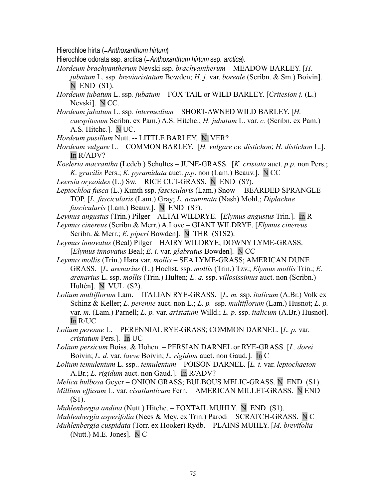Hierochloe hirta (=Anthoxanthum hirtum)

Hierochloe odorata ssp. arctica (=Anthoxanthum hirtum ssp. arctica).

*Hordeum brachyantherum* Nevski ssp. *brachyantherum –* MEADOW BARLEY. [*H. jubatum* L. ssp. *breviaristatum* Bowden; *H. j.* var. *boreale* (Scribn. & Sm.) Boivin].  $N$  END  $(S1)$ .

*Hordeum jubatum* L. ssp*. jubatum –* FOX-TAIL or WILD BARLEY. [*Critesion j.* (L.) Nevski]. N CC.

- *Hordeum jubatum* L. ssp*. intermedium* SHORT-AWNED WILD BARLEY. [*H. caespitosum* Scribn. ex Pam.) A.S. Hitchc.; *H. jubatum* L. var. *c.* (Scribn. ex Pam.) A.S. Hitchc.]. N UC.
- *Hordeum pusillum* Nutt. -- LITTLE BARLEY. N VER?
- *Hordeum vulgare* L. COMMON BARLEY. [*H. vulgare cv. distichon*; *H. distichon* L.]. In R/ADV?
- *Koeleria macrantha* (Ledeb.) SchultesJUNE-GRASS. [*K. cristata* auct. *p*.*p*. non Pers.; *K. gracilis* Pers.; *K. pyramidata* auct. *p*.*p*. non (Lam.) Beauv.]. N CC
- *Leersia oryzoides* (L.) Sw. RICE CUT-GRASS. N END (S?).

*Leptochloa fusca* (L.) Kunth ssp. *fascicularis* (Lam.) Snow -- BEARDED SPRANGLE-TOP. [*L. fascicularis* (Lam.) Gray; *L. acuminata* (Nash) Mohl.; *Diplachne fascicularis* (Lam.) Beauv.]. N END (S?).

*Leymus angustus* (Trin.) Pilger – ALTAI WILDRYE. [*Elymus angustus* Trin.]. In R

- *Leymus cinereus* (Scribn.& Merr.) A.Love GIANT WILDRYE. [*Elymus cinereus* Scribn. & Merr.; *E. piperi* Bowden]. N THR (S1S2).
- *Leymus innovatus* (Beal) Pilger HAIRY WILDRYE; DOWNY LYME-GRASS. [*Elymus innovatus* Beal; *E. i.* var. *glabratus* Bowden]. N CC
- *Leymus mollis* (Trin.) Hara var. *mollis* SEA LYME-GRASS; AMERICAN DUNE GRASS. [*L. arenarius* (L.) Hochst. ssp. *mollis* (Trin.) Tzv.; *Elymus mollis* Trin.; *E. arenarius* L. ssp. *mollis* (Trin.) Hulten; *E. a.* ssp. *villosissimus* auct. non (Scribn.) Hultén]. N VUL (S2).

*Lolium multiflorum* Lam. *–* ITALIAN RYE-GRASS. [*L. m.* ssp. *italicum* (A.Br.) Volk ex Schinz & Keller; *L. perenne* auct. non L.; *L. p.* ssp. *multiflorum* (Lam.) Husnot; *L. p.* var. *m.* (Lam.) Parnell; *L. p.* var. *aristatum* Willd.; *L. p.* ssp. *italicum* (A.Br.) Husnot]. In R/UC

- *Lolium perenne* L.PERENNIAL RYE-GRASS; COMMON DARNEL. [*L. p.* var. *cristatum* Pers.]. In UC
- *Lolium persicum* Boiss. & Hohen. PERSIAN DARNEL or RYE-GRASS. [*L. dorei* Boivin; *L. d.* var. *laeve* Boivin; *L. rigidum* auct. non Gaud.]. In C
- *Lolium temulentum* L. ssp.. *temulentum* POISON DARNEL. [*L. t.* var. *leptochaeton* A.Br.; *L. rigidum* auct. non Gaud.]. In R/ADV?

*Melica bulbosa* Geyer *–* ONION GRASS; BULBOUS MELIC-GRASS. N END (S1).

*Millium effusum* L. var. *cisatlanticum* Fern. *–* AMERICAN MILLET-GRASS. N END (S1).

*Muhlenbergia andina* (Nutt.) Hitchc. – FOXTAIL MUHLY. N END (S1).

*Muhlenbergia asperifolia* (Nees & Mey. ex Trin.) Parodi – SCRATCH-GRASS. N C

*Muhlenbergia cuspidata* (Torr. ex Hooker) Rydb. *–* PLAINS MUHLY. [*M. brevifolia* (Nutt.) M.E. Jones]. N C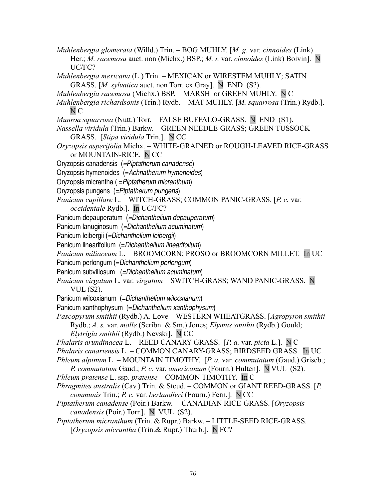- *Muhlenbergia glomerata* (Willd.) Trin.BOG MUHLY. [*M. g*. var*. cinnoides* (Link) Her.; *M. racemosa* auct. non (Michx.) BSP.; *M. r.* var. *cinnoides* (Link) Boivin]. N UC/FC?
- *Muhlenbergia mexicana* (L.) Trin. MEXICAN or WIRESTEM MUHLY; SATIN GRASS. [*M. sylvatica* auct. non Torr. ex Gray]. N END (S?).
- *Muhlenbergia racemosa* (Michx.) BSP.MARSH or GREEN MUHLY. N C
- *Muhlenbergia richardsonis* (Trin.) Rydb. MAT MUHLY. [*M. squarrosa* (Trin.) Rydb.]. N C
- *Munroa squarrosa* (Nutt.) Torr. FALSE BUFFALO-GRASS. N END (S1).
- *Nassella viridula* (Trin.) Barkw. GREEN NEEDLE-GRASS; GREEN TUSSOCK GRASS. [*Stipa viridula* Trin.]. N CC
- *Oryzopsis asperifolia* Michx.WHITE-GRAINED or ROUGH-LEAVED RICE-GRASS or MOUNTAIN-RICE. N CC
- Oryzopsis canadensis (=Piptatherum canadense)
- Oryzopsis hymenoides (=Achnatherum hymenoides)
- Oryzopsis micrantha ( =Piptatherum micranthum)
- Oryzopsis pungens (=Piptatherum pungens)
- *Panicum capillare* L.WITCH-GRASS; COMMON PANIC-GRASS. [*P. c.* var.
- *occidentale* Rydb.]. In UC/FC?
- Panicum depauperatum (=Dichanthelium depauperatum)
- Panicum lanuginosum (=Dichanthelium acuminatum)
- Panicum leibergii (=Dichanthelium leibergii)
- Panicum linearifolium (=Dichanthelium linearifolium)
- *Panicum miliaceum* L. BROOMCORN; PROSO or BROOMCORN MILLET. In UC
- Panicum perlongum (=Dichanthelium perlongum)
- Panicum subvillosum (=Dichanthelium acuminatum)
- *Panicum virgatum* L*.* var. *virgatum* SWITCH-GRASS; WAND PANIC-GRASS. N VUL (S2).
- Panicum wilcoxianum (=Dichanthelium wilcoxianum)
- Panicum xanthophysum (=Dichanthelium xanthophysum)
- *Pascopyrum smithii* (Rydb.) A. LoveWESTERN WHEATGRASS. [*Agropyron smithii* Rydb.; *A. s.* var. *molle* (Scribn. & Sm.) Jones; *Elymus smithii* (Rydb.) Gould; *Elytrigia smithii* (Rydb.) Nevski]. N CC
- *Phalaris arundinacea* L. REED CANARY-GRASS. [*P. a.* var. *picta* L.]. N C
- *Phalaris canariensis* L. COMMON CANARY-GRASS; BIRDSEED GRASS. In UC
- *Phleum alpinum* L. MOUNTAIN TIMOTHY.[*P. a.* var. *commutatum* (Gaud.) Griseb.;
- *P. commutatum* Gaud.; *P. c*. var*. americanum* (Fourn.) Hulten]. N VUL (S2).
- *Phleum pratense* L. ssp*. pratense* COMMON TIMOTHY. In C
- *Phragmites australis* (Cav.) Trin. & Steud. COMMON or GIANT REED-GRASS. [*P. communis* Trin.; *P. c.* var. *berlandieri* (Fourn.) Fern.]. N CC
- *Piptatherum canadense* (Poir.) Barkw. -- CANADIAN RICE-GRASS. [*Oryzopsis canadensis* (Poir.) Torr.]. N VUL (S2).
- *Piptatherum micranthum* (Trin. & Rupr.) Barkw. LITTLE-SEED RICE-GRASS. [*Oryzopsis micrantha* (Trin.& Rupr.) Thurb.]. N FC?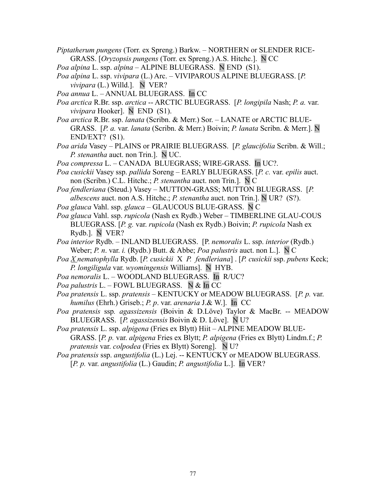- *Piptatherum pungens* (Torr. ex Spreng.) Barkw. NORTHERN or SLENDER RICE-GRASS. [*Oryzopsis pungens* (Torr. ex Spreng.) A.S. Hitchc.]. N CC
- *Poa alpina* L. ssp. *alpina* ALPINE BLUEGRASS. N END (S1).
- *Poa alpina* L. ssp. *vivipara* (L.) Arc. VIVIPAROUS ALPINE BLUEGRASS. [*P. vivipara* (L.) Willd.]. N VER?
- *Poa annua* L. ANNUAL BLUEGRASS. In CC
- *Poa arctica* R.Br. ssp. *arctica* -- ARCTIC BLUEGRASS. [*P. longipila* Nash; *P. a.* var. *vivipara* Hooker]. N END (S1).
- *Poa arctica* R.Br. ssp. *lanata* (Scribn. & Merr.) Sor.LANATE or ARCTIC BLUE-GRASS. [*P. a.* var. *lanata* (Scribn. & Merr.) Boivin; *P. lanata* Scribn. & Merr.]. N END/EXT? (S1).
- *Poa arida* Vasey PLAINS or PRAIRIE BLUEGRASS. [*P. glaucifolia* Scribn. & Will.; *P. stenantha* auct. non Trin.]. N UC.
- *Poa compressa* L. CANADA BLUEGRASS; WIRE-GRASS. In UC?.
- *Poa cusickii* Vasey ssp. *pallida* Soreng EARLY BLUEGRASS. [*P. c.* var. *epilis* auct. non (Scribn.) C.L. Hitchc.; *P. stenantha* auct. non Trin.]. N C
- *Poa fendleriana* (Steud.) VaseyMUTTON-GRASS; MUTTON BLUEGRASS. [*P. albescens* auct. non A.S. Hitchc.; *P. stenantha* auct. non Trin.]. N UR? (S?).
- *Poa glauca* Vahl. ssp. *glauca* GLAUCOUS BLUE-GRASS. N C
- *Poa glauca* Vahl. ssp. *rupicola* (Nash ex Rydb.) Weber TIMBERLINE GLAU-COUS BLUEGRASS. [*P. g.* var. *rupicola* (Nash ex Rydb.) Boivin; *P. rupicola* Nash ex Rydb.]. N VER?
- *Poa interior* Rydb. INLAND BLUEGRASS. [P. *nemoralis* L. ssp. *interior* (Rydb.) Weber; *P. n*. var. *i.* (Rydb.) Butt. & Abbe; *Poa palustris* auct. non L.]. N C
- *Poa X nematophylla* Rydb. [*P. cusickii* X *P. fendleriana*] . [*P. cusickii* ssp. *pubens* Keck; *P. longiligula* var. *wyomingensis* Williams]. N HYB.
- *Poa nemoralis* L. WOODLAND BLUEGRASS. In R/UC?
- *Poa palustris* L. FOWL BLUEGRASS. N & In CC
- *Poa pratensis* L. ssp. *pratensis* KENTUCKY or MEADOW BLUEGRASS. [*P. p.* var. *humilus* (Ehrh.) Griseb.; *P. p*. var. *arenaria* J.& W.]. In CC
- *Poa pratensis* ssp*. agassizensis* (Boivin & D.Löve) Taylor & MacBr. -- MEADOW BLUEGRASS. [*P. agassizensis* Boivin & D. Löve]. N U?
- *Poa pratensis* L. ssp. *alpigena* (Fries ex Blytt) Hiit ALPINE MEADOW BLUE-GRASS. [*P. p.* var. *alpigena* Fries ex Blytt; *P. alpigena* (Fries ex Blytt) Lindm.f.; *P. pratensis* var. *colpodea* (Fries ex Blytt) Soreng]. N U?
- *Poa pratensis* ssp. *angustifolia* (L.) Lej. -- KENTUCKY or MEADOW BLUEGRASS. [*P. p.* var. *angustifolia* (L.) Gaudin; *P. angustifolia* L.]. In VER?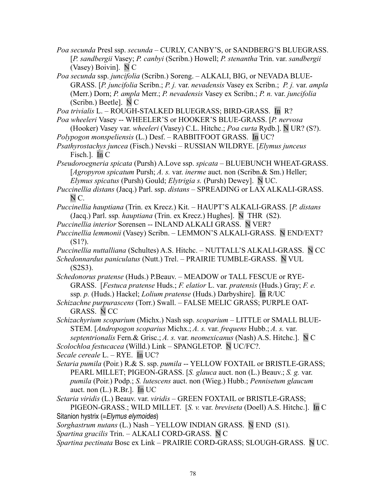*Poa secunda* Presl ssp. *secunda* – CURLY, CANBY'S, or SANDBERG'S BLUEGRASS. [*P. sandbergii* Vasey; *P. canbyi* (Scribn.) Howell; *P. stenantha* Trin. var. *sandbergii* (Vasey) Boivin].N C

*Poa secunda* ssp. *juncifolia* (Scribn.) Soreng. – ALKALI, BIG, or NEVADA BLUE-GRASS. [*P. juncifolia* Scribn.; *P. j.* var. *nevadensis* Vasey ex Scribn.; *P. j.* var. *ampla* (Merr.) Dorn; *P. ampla* Merr.; *P. nevadensis* Vasey ex Scribn.; *P. n.* var. *juncifolia* (Scribn.) Beetle]. N C

*Poa trivialis* L. – ROUGH-STALKED BLUEGRASS; BIRD-GRASS. In R?

*Poa wheeleri* Vasey -- WHEELER'S or HOOKER'S BLUE-GRASS. [*P. nervosa*

(Hooker) Vasey var. *wheeleri* (Vasey) C.L. Hitchc.; *Poa curta* Rydb.]. N UR? (S?). *Polypogon monspeliensis* (L.) Desf. – RABBITFOOT GRASS. In UC?

*Psathyrostachys juncea* (Fisch.) Nevski – RUSSIAN WILDRYE. [*Elymus junceus* Fisch.]. In C

*Pseudoroegneria spicata* (Pursh) A.Love ssp. *spicata –* BLUEBUNCH WHEAT-GRASS. [*Agropyron spicatum* Pursh; *A. s.* var. *inerme* auct. non (Scribn.& Sm.) Heller; *Elymus spicatus* (Pursh) Gould; *Elytrigia s.* (Pursh) Dewey]. N UC.

*Puccinellia distans* (Jacq.) Parl. ssp. *distans –* SPREADING or LAX ALKALI-GRASS. N C.

*Puccinellia hauptiana* (Trin. ex Krecz.) Kit. *–* HAUPT'S ALKALI-GRASS. [*P. distans* (Jacq.) Parl. ssp*. hauptiana* (Trin. ex Krecz.) Hughes]. N THR (S2).

*Puccinellia interior* Sorensen -- INLAND ALKALI GRASS. N VER?

*Puccinellia lemmonii* (Vasey) Scribn. – LEMMON'S ALKALI-GRASS. N END/EXT? (S1?).

*Puccinellia nuttalliana* (Schultes) A.S. Hitchc. *–* NUTTALL'S ALKALI-GRASS. N CC

*Schedonnardus paniculatus* (Nutt.) Trel. *–* PRAIRIE TUMBLE-GRASS. N VUL (S2S3).

*Schedonorus pratense* (Huds.) P.Beauv. – MEADOW or TALL FESCUE or RYE-GRASS. [*Festuca pratense* Huds.; *F. elatior* L. var. *pratensis* (Huds.) Gray; *F. e.* ssp*. p.* (Huds.) Hackel; *Lolium pratense* (Huds.) Darbyshire]. In R/UC

*Schizachne purpurascens* (Torr.) Swall. *–* FALSE MELIC GRASS; PURPLE OAT-GRASS. N CC

*Schizachyrium scoparium* (Michx.) Nash ssp. *scoparium –* LITTLE or SMALL BLUE-STEM. [*Andropogon scoparius* Michx.; *A. s.* var. *frequens* Hubb.; *A. s.* var. *septentrionalis* Fern.& Grisc.; *A. s.* var. *neomexicanus* (Nash) A.S. Hitchc.]. N C

*Scolochloa festucacea* (Willd.) Link *–* SPANGLETOP. N UC/FC?.

*Secale cereale* L. *–* RYE. In UC?

*Setaria pumila* (Poir*.*) R.& S. ssp. *pumila* -- YELLOW FOXTAIL or BRISTLE-GRASS; PEARL MILLET; PIGEON-GRASS. [*S. glauca* auct. non (L.) Beauv.; *S. g.* var. *pumila* (Poir.) Podp.; *S. lutescens* auct. non (Wieg.) Hubb.; *Pennisetum glaucum* auct. non (L.) R.Br.]. In UC

*Setaria viridis* (L.) Beauv. var. *viridis –* GREEN FOXTAIL or BRISTLE-GRASS; PIGEON-GRASS.; WILD MILLET. [*S. v.* var. *breviseta* (Doell) A.S. Hitchc.]. In C Sitanion hystrix (=Elymus elymoides)

*Sorghastrum nutans* (L.) Nash – YELLOW INDIAN GRASS. N END (S1).

*Spartina gracilis* Trin. *–* ALKALI CORD-GRASS. N C

*Spartina pectinata* Bosc ex Link – PRAIRIE CORD-GRASS; SLOUGH-GRASS. N UC.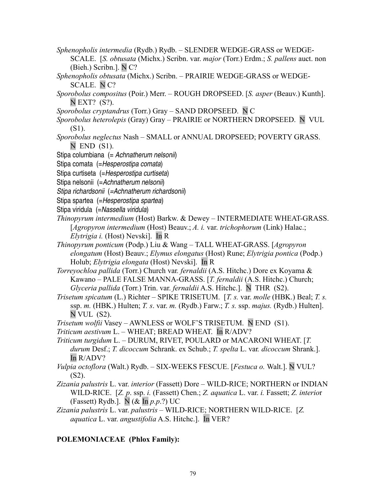- *Sphenopholis intermedia* (Rydb.) Rydb. SLENDER WEDGE-GRASS or WEDGE-
	- SCALE. [*S. obtusata* (Michx.) Scribn. var. *major* (Torr.) Erdm.; *S. pallens* auct. non (Bieh.) Scribn.]. N C?
- *Sphenopholis obtusata* (Michx.) Scribn. PRAIRIE WEDGE-GRASS or WEDGE-SCALE. N C?
- *Sporobolus compositus* (Poir.) Merr. ROUGH DROPSEED. [*S. asper* (Beauv.) Kunth]. N EXT? (S?).
- *Sporobolus cryptandrus* (Torr.) Gray SAND DROPSEED. N C
- *Sporobolus heterolepis* (Gray) Gray PRAIRIE or NORTHERN DROPSEED. N VUL (S1).
- *Sporobolus neglectus* Nash SMALL or ANNUAL DROPSEED; POVERTY GRASS.  $N$  END  $(S1)$ .
- Stipa columbiana (= Achnatherum nelsonii)
- Stipa comata (=Hesperostipa comata)
- Stipa curtiseta (= Hesperostipa curtiseta)
- Stipa nelsonii (=Achnatherum nelsonii)
- Stipa richardsonii (=Achnatherum richardsonii)
- Stipa spartea (=Hesperostipa spartea)
- Stipa viridula (=Nassella viridula)
- *Thinopyrum intermedium* (Host) Barkw. & Dewey INTERMEDIATE WHEAT-GRASS. [*Agropyron intermedium* (Host) Beauv.; *A. i.* var. *trichophorum* (Link) Halac.; *Elytrigia i.* (Host) Nevski]. In R
- *Thinopyrum ponticum* (Podp.) Liu & Wang TALL WHEAT-GRASS. [*Agropyron elongatum* (Host) Beauv.; *Elymus elongatus* (Host) Rune; *Elytrigia pontica* (Podp.) Holub; *Elytrigia elongata* (Host) Nevski]. In R
- *Torreyochloa pallida* (Torr.) Church var*. fernaldii* (A.S. Hitchc.) Dore ex Koyama & Kawano *–* PALE FALSE MANNA-GRASS. [*T. fernaldii* (A.S. Hitchc.) Church; *Glyceria pallida* (Torr.) Trin. var. *fernaldii* A.S. Hitchc.]. N THR (S2).
- *Trisetum spicatum* (L.) RichterSPIKE TRISETUM. [*T. s.* var. *molle* (HBK.) Beal; *T. s.* ssp. *m.* (HBK.) Hulten; *T. s*. var. *m.* (Rydb.) Farw.; *T. s.* ssp. *majus.* (Rydb.) Hulten]. N VUL (S2).
- *Trisetum wolfii* Vasey AWNLESS or WOLF'S TRISETUM. N END (S1).
- *Triticum aestivum* L.WHEAT; BREAD WHEAT. In R/ADV?
- *Triticum turgidum* L. DURUM, RIVET, POULARD or MACARONI WHEAT. [*T. durum* Desf.; *T. dicoccum* Schrank. ex Schub.; *T. spelta* L. var*. dicoccum* Shrank.]. In R/ADV?
- *Vulpia octoflora* (Walt.) Rydb. SIX-WEEKS FESCUE. [*Festuca o.* Walt.]. N VUL? (S2).
- *Zizania palustris* L. var. *interior* (Fassett) Dore WILD-RICE; NORTHERN or INDIAN WILD-RICE. [*Z. p*. ssp. *i.* (Fassett) Chen.; *Z. aquatica* L. var. *i.* Fassett; *Z. interio*r (Fassett) Rydb.]. N (& In *p.p*.?) UC
- *Zizania palustris* L. var. *palustris* WILD-RICE; NORTHERN WILD-RICE. [*Z. aquatica* L. var. *angustifolia* A.S. Hitchc.]. In VER?

#### **POLEMONIACEAE (Phlox Family):**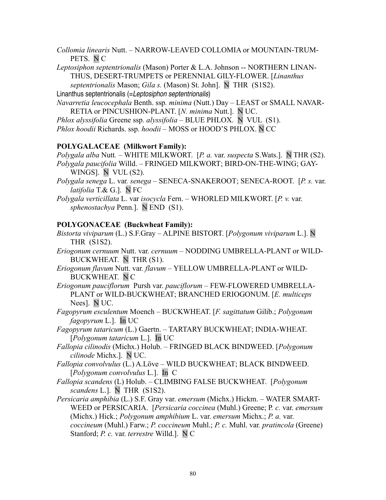*Collomia linearis* Nutt. – NARROW-LEAVED COLLOMIA or MOUNTAIN-TRUM-PETS. N C

*Leptosiphon septentrionalis* (Mason) Porter & L.A. Johnson -- NORTHERN LINAN-THUS, DESERT-TRUMPETS or PERENNIAL GILY-FLOWER. [*Linanthus*

*septentrionalis* Mason; *Gila s.* (Mason) St. John]. N THR (S1S2).

Linanthus septentrionalis (=Leptosiphon septentrionalis)

*Navarretia leucocephala* Benth. ssp*. minima* (Nutt.) Day *–* LEAST or SMALL NAVAR-RETIA or PINCUSHION-PLANT. [*N. minima* Nutt.]. N UC.

*Phlox alyssifolia* Greene ssp*. alyssifolia –* BLUE PHLOX. N VUL (S1).

*Phlox hoodii* Richards. ssp. *hoodii –* MOSS or HOOD'S PHLOX. N CC

#### **POLYGALACEAE (Milkwort Family):**

*Polygala alba* Nutt*. –* WHITE MILKWORT. [*P. a.* var. *suspecta* S.Wats.]. N THR (S2). *Polygala paucifolia* Willd. *–* FRINGED MILKWORT; BIRD-ON-THE-WING; GAY-WINGS]. N VUL (S2).

*Polygala senega* L. var*. senega –* SENECA-SNAKEROOT; SENECA-ROOT. [*P. s.* var. *latifolia* T.& G.]. N FC

*Polygala verticillata* L. var *isocycla* Fern. *–* WHORLED MILKWORT. [*P. v.* var. *sphenostachya* Penn.]. N END (S1).

#### **POLYGONACEAE (Buckwheat Family):**

- *Bistorta viviparum* (L.) S.F.Gray ALPINE BISTORT. [*Polygonum viviparum* L.]. N THR (S1S2).
- *Eriogonum cernuum* Nutt. var. *cernuum* NODDING UMBRELLA-PLANT or WILD-BUCKWHEAT. N THR (S1).
- *Eriogonum flavum* Nutt. var*. flavum* YELLOW UMBRELLA-PLANT or WILD-BUCKWHEAT. N C
- *Eriogonum pauciflorum* Pursh var. *pauciflorum* FEW-FLOWERED UMBRELLA-PLANT or WILD-BUCKWHEAT; BRANCHED ERIOGONUM. [*E. multiceps* Nees]. N UC.
- *Fagopyrum esculentum* Moench BUCKWHEAT. [*F. sagittatum* Gilib.; *Polygonum fagopyrum* L.]. In UC
- *Fagopyrum tataricum* (L.) Gaertn. TARTARY BUCKWHEAT; INDIA-WHEAT. [*Polygonum tataricum* L.]. In UC
- *Fallopia cilinodis* (Michx.) Holub. FRINGED BLACK BINDWEED. [*Polygonum cilinode* Michx.]. N UC.
- *Fallopia convolvulus* (L.) A.LöveWILD BUCKWHEAT; BLACK BINDWEED. [*Polygonum convolvulus* L.]. In C
- *Fallopia scandens* (L) Holub. *–* CLIMBING FALSE BUCKWHEAT. [*Polygonum scandens* L.]. N THR (S1S2).
- *Persicaria amphibia* (L.) S.F. Gray var. *emersum* (Michx.) Hickm. WATER SMART-WEED or PERSICARIA. [*Persicaria coccinea* (Muhl.) Greene; P*. c.* var. *emersum* (Michx.) Hick.; *Polygonum amphibium* L. var. *emersum* Michx.; *P. a.* var. *coccineum* (Muhl.) Farw.; *P. coccineum* Muhl.; *P. c.* Muhl. var*. pratincola* (Greene) Stanford; *P. c.* var. *terrestre* Willd.]. N C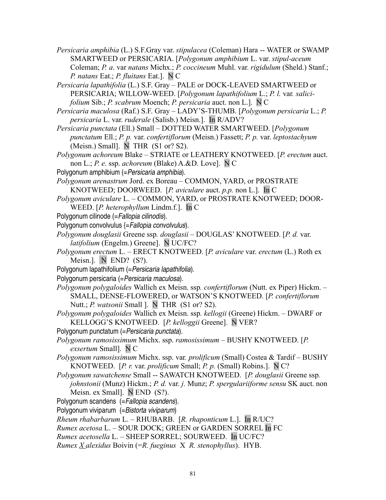*Persicaria amphibia* (L.) S.F.Gray var. *stipulacea* (Coleman) Hara -- WATER or SWAMP SMARTWEED or PERSICARIA. [*Polygonum amphibium* L. var. *stipul-aceum* Coleman; *P. a*. var *natans* Michx.; *P. coccineum* Muhl. var. *rigidulum* (Sheld.) Stanf.; *P. natans* Eat.; *P. fluitans* Eat.]. N C

*Persicaria lapathifolia* (L.) S.F. Gray *–* PALE or DOCK-LEAVED SMARTWEED or PERSICARIA; WILLOW-WEED. [*Polygonum lapathifolium L.*; *P. l. var. salicifolium* Sib.; *P. scabrum* Moench; *P. persicaria* auct. non L.]. N C

*Persicaria maculosa* (Raf.) S.F. Gray – LADY'S-THUMB. [*Polygonum persicaria* L.; *P. persicaria* L. var. *ruderale* (Salisb.) Meisn.]. In R/ADV?

*Persicaria punctata* (Ell.) Small *–* DOTTED WATER SMARTWEED. [*Polygonum punctatum* Ell.; *P. p.* var. *confertiflorum* (Meisn.) Fassett; *P. p.* var. *leptostachyum* (Meisn.) Small]. N THR  $(S1 or ? S2)$ .

*Polygonum achoreum* Blake – STRIATE or LEATHERY KNOTWEED. [*P. erectum* auct. non L.; *P. e*. ssp. *achoreum* (Blake) A.&D. Love]. N C

Polygonum amphibium (= Persicaria amphibia).

*Polygonum arenastrum* Jord. ex Boreau – COMMON, YARD, or PROSTRATE KNOTWEED; DOORWEED. [*P. aviculare* auct. *p.p.* non L.]. In C

*Polygonum aviculare* L. – COMMON, YARD, or PROSTRATE KNOTWEED; DOOR-WEED. [*P. heterophyllum* Lindm.f.]. In C

Polygonum cilinode (=Fallopia cilinodis).

Polygonum convolvulus {=Fallopia convolvulus).

- *Polygonum douglasii* Greene ssp*. douglasii* DOUGLAS' KNOTWEED. [*P. d.* var. *latifolium* (Engelm.) Greene]. N UC/FC?
- *Polygonum erectum* L. ERECT KNOTWEED. [*P. aviculare* var. *erectum* (L.) Roth ex Meisn.]. N END? (S?).
- Polygonum lapathifolium (= Persicaria lapathifolia).

Polygonum persicaria (= Persicaria maculosa).

*Polygonum polygaloides* Wallich ex Meisn. ssp*. confertiflorum* (Nutt. ex Piper) Hickm. – SMALL, DENSE-FLOWERED, or WATSON'S KNOTWEED. [*P. confertiflorum* Nutt.; *P. watsonii* Small ]. N THR (S1 or? S2).

- *Polygonum polygaloides* Wallich ex Meisn. ssp*. kellogii* (Greene) Hickm. DWARF or KELLOGG'S KNOTWEED. [*P. kelloggii* Greene]. N VER?
- Polygonum punctatum (= Persicaria punctata).

*Polygonum ramosissimum* Michx. ssp. *ramosissimum –* BUSHY KNOTWEED. [*P. exsertum* Small]. N C

*Polygonum ramosissimum* Michx. ssp. var*. prolificum* (Small) Costea & Tardif – BUSHY KNOTWEED. [*P. r.* var. *prolificum* Small; *P. p.* (Small) Robins.]. N C?

*Polygonum sawatchense* Small -- SAWATCH KNOTWEED. [*P. douglasii* Greene ssp*. johnstonii* (Munz) Hickm.; *P. d.* var. *j.* Munz; *P. spergulariiforme sensu* SK auct. non Meisn. ex Small]. N END (S?).

Polygonum scandens (=Fallopia scandens).

Polygonum viviparum (= Bistorta viviparum)

*Rheum rhabarbarum* L. – RHUBARB. [*R. rhaponticum* L.]. In R/UC?

*Rumex acetosa* L. – SOUR DOCK; GREEN or GARDEN SORREL In FC

*Rumex acetosella* L. – SHEEP SORREL; SOURWEED. In UC/FC?

*Rumex X alexidus* Boivin (=*R. fueginus* X *R. stenophyllus*). HYB.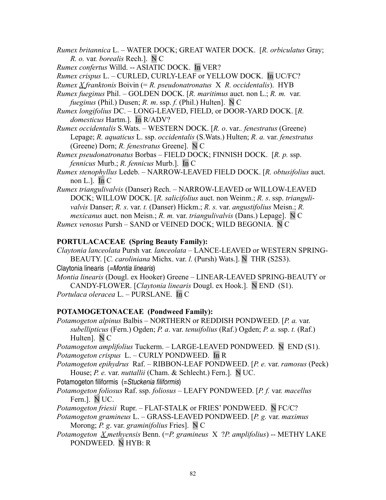- *Rumex britannica* L.WATER DOCK; GREAT WATER DOCK. [*R. orbiculatus* Gray; *R. o.* var*. borealis* Rech.].N C
- *Rumex confertus* Willd. -- ASIATIC DOCK. In VER?
- *Rumex crispus* L. CURLED, CURLY-LEAF or YELLOW DOCK. In UC/FC?
- *Rumex X franktonis* Boivin (= *R. pseudonatronatus* X *R. occidentalis*). HYB
- *Rumex fueginus* Phil. GOLDEN DOCK. [*R. maritimus* auct. non L.; *R. m.* var. *fueginus* (Phil.) Dusen; *R. m*. ssp. *f.* (Phil.) Hulten]. N C
- *Rumex longifolius* DC. LONG-LEAVED, FIELD, or DOOR-YARD DOCK. [*R. domesticus* Hartm.]. In R/ADV?
- *Rumex occidentalis* S.Wats. WESTERN DOCK. [*R. o*. var.*. fenestratus* (Greene) Lepage; *R. aquaticus* L. ssp. *occidentalis* (S.Wats.) Hulten; *R. a.* var. *fenestratus* (Greene) Dorn; *R. fenestratus* Greene]. N C

*Rumex pseudonatronatus* Borbas – FIELD DOCK; FINNISH DOCK. [*R. p.* ssp. *fennicus* Murb.; *R. fennicus* Murb.]. In C

*Rumex stenophyllus* Ledeb. *–* NARROW-LEAVED FIELD DOCK. [*R. obtusifolius* auct. non L.]. In  $C$ 

*Rumex triangulivalvis* (Danser) Rech. – NARROW-LEAVED or WILLOW-LEAVED DOCK; WILLOW DOCK. [*R. salicifolius* auct. non Weinm.; *R. s*. ssp. *triangulivalvis* Danser; *R. s*. var. *t.* (Danser) Hickm.; *R. s.* var. *angustifolius* Meisn.; *R. mexicanus* auct. non Meisn.; *R. m.* var. *triangulivalvis* (Dans.) Lepage]. N C *Rumex venosus* Pursh – SAND or VEINED DOCK; WILD BEGONIA. N C

#### **PORTULACACEAE (Spring Beauty Family):**

*Claytonia lanceolata* Pursh var*. lanceolata –* LANCE-LEAVED or WESTERN SPRING-BEAUTY. [*C. caroliniana* Michx. var. *l.* (Pursh) Wats.]. N THR (S2S3).

Claytonia linearis (=Montia linearis)

*Montia linearis* (Dougl. ex Hooker) Greene *–* LINEAR-LEAVED SPRING-BEAUTY or CANDY-FLOWER. [*Claytonia linearis* Dougl. ex Hook.]. N END (S1). *Portulaca oleracea* L. – PURSLANE. In C

### **POTAMOGETONACEAE (Pondweed Family):**

*Potamogeton alpinus* Balbis – NORTHERN or REDDISH PONDWEED. [*P. a.* var. *subellipticus* (Fern.) Ogden; *P. a*. var. *tenuifolius* (Raf.) Ogden; *P. a.* ssp. *t.* (Raf.) Hulten]. N C

*Potamogeton amplifolius* Tuckerm. – LARGE-LEAVED PONDWEED.N END (S1). *Potamogeton crispus* L. – CURLY PONDWEED.In R

*Potamogeton epihydrus* Raf. *–* RIBBON-LEAF PONDWEED. [*P. e.* var. *ramosus* (Peck) House; *P. e.* var. *nuttallii* (Cham. & Schlecht.) Fern.]. N UC.

Potamogeton filiformis (=Stuckenia filiformis)

*Potamogeton foliosus* Raf. ssp. *foliosus –* LEAFY PONDWEED. [*P. f.* var*. macellus* Fern.]. N UC.

*Potamogeton friesii* Rupr. – FLAT-STALK or FRIES' PONDWEED. N FC/C?

*Potamogeton gramineus* L. – GRASS-LEAVED PONDWEED. [*P. g.* var. *maximus* Morong; *P. g*. var. *graminifolius* Fries]. N C

*Potamogeton X methyensis* Benn. (=*P. gramineus* X ?*P. amplifolius*) -- METHY LAKE PONDWEED. N HYB: R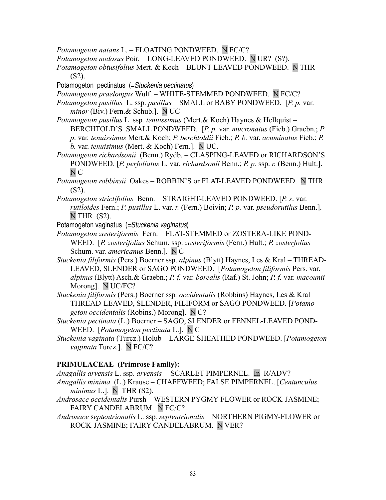- *Potamogeton natans* L. FLOATING PONDWEED. N FC/C?.
- *Potamogeton nodosus* Poir. LONG-LEAVED PONDWEED. N UR? (S?).
- *Potamogeton obtusifolius* Mert. & Koch BLUNT-LEAVED PONDWEED.N THR (S2).
- Potamogeton pectinatus (=Stuckenia pectinatus)
- *Potamogeton praelongus* Wulf. WHITE-STEMMED PONDWEED. N FC/C?
- *Potamogeton pusillus* L. ssp. *pusillus* SMALL or BABY PONDWEED. [*P. p.* var. *minor* (Biv.) Fern.& Schub.]. N UC
- *Potamogeton pusillus* L. ssp*. tenuissimus* (Mert.& Koch) Haynes & Hellquist BERCHTOLD'S SMALL PONDWEED. [*P. p.* var. *mucronatus* (Fieb.) Graebn.; *P. p*. var*. tenuissimus* Mert.& Koch; *P. berchtoldii* Fieb.; *P. b.* var. *acuminatus* Fieb.; *P. b.* var. *tenuisimus* (Mert. & Koch) Fern.]. N UC.
- *Potamogeton richardsonii* (Benn.) Rydb. CLASPING-LEAVED or RICHARDSON'S PONDWEED. [*P. perfoliatus* L. var. *richardsonii* Benn.; *P. p.* ssp. *r.* (Benn.) Hult.]. N C
- *Potamogeton robbinsii* Oakes ROBBIN'S or FLAT-LEAVED PONDWEED. N THR (S2).
- *Potamogeton strictifolius* Benn. STRAIGHT-LEAVED PONDWEED. [*P. s*. var. *rutiloides* Fern.; *P. pusillus* L. var. *r.* (Fern.) Boivin; *P. p.* var. *pseudorutilus* Benn.].  $N$  THR  $(S2)$ .
- Potamogeton vaginatus (=Stuckenia vaginatus)
- *Potamogeton zosteriformis* Fern. FLAT-STEMMED or ZOSTERA-LIKE POND-WEED. [*P. zosterifolius* Schum. ssp. *zosteriformis* (Fern.) Hult.; *P. zosterfolius* Schum. var. *americanus* Benn.]. N C
- *Stuckenia filiformis* (Pers.) Boerner ssp. *alpinus* (Blytt) Haynes, Les & Kral THREAD-LEAVED, SLENDER or SAGO PONDWEED. [*Potamogeton filiformis* Pers. var. *alpinus* (Blytt) Asch.& Graebn.; *P. f.* var. *borealis* (Raf.) St. John; *P. f.* var. *macounii* Morong]. N UC/FC?
- *Stuckenia filiformis* (Pers.) Boerner ssp*. occidentalis* (Robbins) Haynes, Les & Kral THREAD-LEAVED, SLENDER, FILIFORM or SAGO PONDWEED. [*Potamogeton occidentalis* (Robins.) Morong]. N C?
- *Stuckenia pectinata* (L.) Boerner SAGO, SLENDER or FENNEL-LEAVED POND-WEED. [*Potamogeton pectinata* L.]. N C
- *Stuckenia vaginata* (Turcz.) Holub LARGE-SHEATHED PONDWEED. [*Potamogeton vaginata* Turcz.]. N FC/C?

#### **PRIMULACEAE (Primrose Family):**

- *Anagallis arvensis* L. ssp. *arvensis* -- SCARLET PIMPERNEL. In R/ADV?
- *Anagallis minima* (L.) Krause CHAFFWEED; FALSE PIMPERNEL. [*Centunculus minimus* L.]. N THR (S2).
- *Androsace occidentalis* Pursh WESTERN PYGMY-FLOWER or ROCK-JASMINE; FAIRY CANDELABRUM. N FC/C?
- *Androsace* s*eptentrionalis* L. ssp*. septentrionalis* NORTHERN PIGMY-FLOWER or ROCK-JASMINE; FAIRY CANDELABRUM. N VER?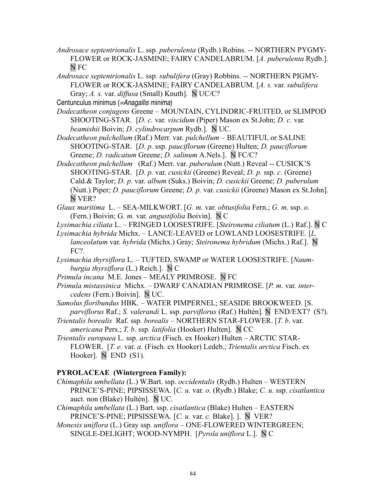- *Androsace septentrionalis* L. ssp. *puberulenta* (Rydb.) Robins. -- NORTHERN PYGMY-FLOWER or ROCK-JASMINE; FAIRY CANDELABRUM. [*A. puberulenta* Rydb.]. N FC
- *Androsace septentrionalis* L*.* ssp*. subulifera* (Gray) Robbins. *--* NORTHERN PIGMY-FLOWER or ROCK-JASMINE; FAIRY CANDELABRUM. [*A. s.* var. *subulifera* Gray; *A. s.* var. *diffusa* (Small) Knuth]. N UC/C?

Centunculus minimus (=Anagallis minima)

*Dodecatheon conjugens* Greene – MOUNTAIN, CYLINDRIC-FRUITED, or SLIMPOD SHOOTING-STAR. [*D. c.* var. *viscidum* (Piper) Mason ex St.John; *D. c.* var*. beamishii* Boivin; *D. cylindrocarpum* Rydb.]. N UC.

*Dodecatheon pulchellum* (Raf.) Merr. var*. pulchellum –* BEAUTIFUL or SALINE SHOOTING-STAR. [*D. p.* ssp. *pauciflorum* (Greene) Hulten; *D. pauciflorum* Greene; *D. radicatum* Greene; *D. salinum* A.Nels.]. N FC/C?

*Dodecatheon pulchellum* (Raf.) Merr. var. *puberulum* (Nutt.) Reveal -- CUSICK'S SHOOTING-STAR. [*D. p.* var. *cusickii* (Greene) Reveal; *D. p.* ssp. *c.* (Greene) Cald.& Taylor; *D. p.* var. *album* (Suks.) Boivin; *D. cusickii* Greene; *D. puberulum* (Nutt.) Piper; *D. pauciflorum* Greene; *D. p.* var. *cusickii* (Greene) Mason ex St.John]. N VER?

*Glaux maritima* L. – SEA-MILKWORT. [*G. m.* var. *obtusifolia* Fern.; *G. m*. ssp. *o.* (Fern.) Boivin; G*. m.* var. *angustifolia* Boivin]. N C

*Lysimachia ciliata* L. – FRINGED LOOSESTRIFE. [*Steironema ciliatum* (L.) Raf.]. N C

*Lysimachia hybrida* Michx. – LANCE-LEAVED or LOWLAND LOOSESTRIFE. [*L. lanceolatum* var. *hybrida* (Michx.) Gray; *Steironema hybridum* (Michx.) Raf.]. N FC?.

- *Lysimachia thyrsiflora* L. TUFTED, SWAMP or WATER LOOSESTRIFE. [*Naumburgia thyrsiflora* (L.) Reich.]. N C
- *Primula incana* M.E. Jones MEALY PRIMROSE. N FC

*Primula mistassinica* Michx. *–* DWARF CANADIAN PRIMROSE. [*P. m*. var. *intercedens* (Fern.) Boivin]. N UC.

- *Samolus floribundus* HBK. WATER PIMPERNEL; SEASIDE BROOKWEED. [S. *parviflorus* Raf.; *S. valerandi* L. ssp. *parviflorus* (Raf.) Hultén]. N END/EXT? (S?).
- *Trientalis borealis* Raf. ssp*. borealis* NORTHERN STAR-FLOWER. [*T. b*. var. *americana* Pers.; *T. b*. ssp*. latifolia* (Hooker) Hulten]. N CC
- *Trientalis europaea* L. ssp*. arctica* (Fisch. ex Hooker) Hulten ARCTIC STAR-FLOWER. [*T. e.* var. *a.* (Fisch. ex Hooker) Ledeb.; *Trientalis arctica* Fisch. ex Hooker]. N END (S1).

#### **PYROLACEAE (Wintergreen Family):**

- *Chimaphila umbellata* (L.) W.Bart. ssp. *occidentalis* (Rydb.) Hulten WESTERN PRINCE'S-PINE; PIPSISSEWA. [*C. u.* var. *o.* (Rydb.) Blake; *C. u.* ssp. *cisatlantica* auct. non (Blake) Hultén]. N UC.
- *Chimaphila umbellata* (L.) Bart. ssp. *cisatlantica* (Blake) Hulten EASTERN PRINCE'S-PINE; PIPSISSEWA. [*C. u.* var. *c.* Blake]. ]. N VER?
- *Monesis uniflora* (L.) Gray ssp*. uniflora* ONE-FLOWERED WINTERGREEN; SINGLE-DELIGHT; WOOD-NYMPH. [*Pyrola uniflora* L.]. N C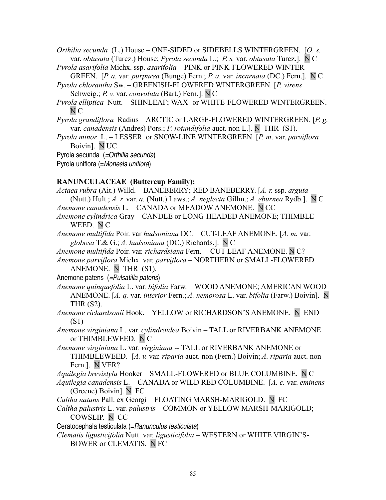*Orthilia secunda* (L.) House – ONE-SIDED or SIDEBELLS WINTERGREEN. [*O. s.* var. *obtusata* (Turcz.) House; *Pyrola secunda* L.; *P. s.* var. *obtusata* Turcz.]. N C

- *Pyrola asarifolia* Michx. ssp. *asarifolia* PINK or PINK-FLOWERED WINTER-GREEN. [*P. a.* var. *purpurea* (Bunge) Fern.; *P. a.* var. *incarnata* (DC.) Fern.]. N C
- *Pyrola chlorantha* Sw.GREENISH-FLOWERED WINTERGREEN. [*P. virens* Schweig.; *P. v.* var. *convoluta* (Bart.) Fern.]. N C
- *Pyrola elliptica* Nutt. SHINLEAF; WAX- or WHITE-FLOWERED WINTERGREEN. N C
- *Pyrola grandiflora* Radius ARCTIC or LARGE-FLOWERED WINTERGREEN. [*P. g.* var. *canadensis* (Andres) Pors.; *P. rotundifolia* auct. non L.]. N THR (S1).
- *Pyrola minor* L. LESSER or SNOW-LINE WINTERGREEN. [*P. m*. var. *parviflora* Boivin]. N UC.
- Pyrola secunda (=Orthilia secunda)
- Pyrola uniflora (=Monesis uniflora)

## **RANUNCULACEAE (Buttercup Family):**

*Actaea rubra* (Ait.) Willd. *–* BANEBERRY; RED BANEBERRY. [*A. r.* ssp. *arguta* (Nutt.) Hult.; *A. r.* var. *a.* (Nutt.) Laws.; *A. neglecta* Gillm.; *A. eburnea* Rydb.]. N C *Anemone canadensis* L. – CANADA or MEADOW ANEMONE. N CC *Anemone cylindrica* Gray – CANDLE or LONG-HEADED ANEMONE; THIMBLE-WEED. NC *Anemone multifida* Poir. var *hudsoniana* DC. – CUT-LEAF ANEMONE. [*A. m.* var. *globosa* T.& G.; *A. hudsoniana* (DC.) Richards.]. N C *Anemone multifida* Poir. var*. richardsiana* Fern. -- CUT-LEAF ANEMONE. N C? *Anemone parviflora* Michx. var*. parviflora –* NORTHERN or SMALL-FLOWERED ANEMONE. N THR (S1). Anemone patens (=Pulsatilla patens) *Anemone quinquefolia* L. var*. bifolia* Farw. *–* WOOD ANEMONE; AMERICAN WOOD ANEMONE. [*A. q.* var. *interior* Fern.; *A. nemorosa* L. var. *bifolia* (Farw.) Boivin]. N THR (S2). *Anemone richardsonii* Hook. – YELLOW or RICHARDSON'S ANEMONE. N END (S1) *Anemone virginiana* L. var*. cylindroidea* Boivin – TALL or RIVERBANK ANEMONE or THIMBLEWEED. N C *Anemone virginiana* L. var*. virginiana* -- TALL or RIVERBANK ANEMONE or THIMBLEWEED. [*A. v.* var*. riparia* auct. non (Fern.) Boivin; *A. riparia* auct. non Fern.]. N VER? *Aquilegia brevistyla* Hooker – SMALL-FLOWERED or BLUE COLUMBINE. N C *Aquilegia canadensis* L. – CANADA or WILD RED COLUMBINE. [*A. c.* var. *eminens* (Greene) Boivin]. N FC *Caltha natans* Pall. ex Georgi – FLOATING MARSH-MARIGOLD. N FC *Caltha palustris* L. var. *palustris –* COMMON or YELLOW MARSH-MARIGOLD; COWSLIP. N CC Ceratocephala testiculata (=Ranunculus testiculata) *Clematis ligusticifolia* Nutt. var*. ligusticifolia –* WESTERN or WHITE VIRGIN'S-BOWER or CLEMATIS. N FC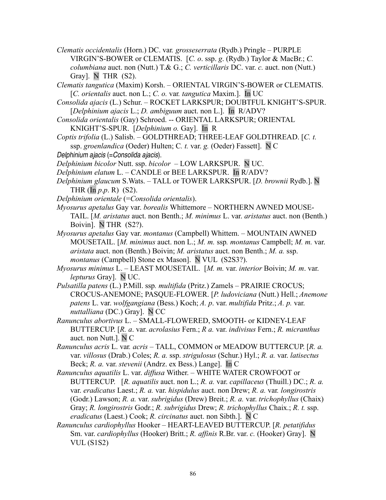- *Clematis occidentalis* (Horn.) DC. var*. grosseserrata* (Rydb.) Pringle *–* PURPLE VIRGIN'S-BOWER or CLEMATIS. [*C. o*. ssp. *g*. (Rydb.) Taylor & MacBr.; *C. columbiana* auct. non (Nutt.) T.& G.; *C. verticillaris* DC. var. *c.* auct. non (Nutt.) Gray]. N THR (S2).
- *Clematis tangutica* (Maxim) Korsh. ORIENTAL VIRGIN'S-BOWER or CLEMATIS. [*C. orientalis* auct. non L.; *C. o.* var*. tangutica* Maxim.]. In UC
- *Consolida ajacis* (L.) Schur. ROCKET LARKSPUR; DOUBTFUL KNIGHT'S-SPUR. [*Delphinium ajacis* L.; *D. ambiguum* auct. non L.]. In R/ADV?
- *Consolida orientalis* (Gay) Schroed. -- ORIENTAL LARKSPUR; ORIENTAL KNIGHT'S-SPUR. [*Delphinium o.* Gay]. In R
- *Coptis trifolia* (L.) Salisb. GOLDTHREAD; THREE-LEAF GOLDTHREAD. [*C. t.* ssp. *groenlandica* (Oeder) Hulten; C*. t.* var. *g.* (Oeder) Fassett]. N C
- Delphinium ajacis (=Consolida ajacis).

*Delphinium bicolor* Nutt. ssp. *bicolor –* LOW LARKSPUR. N UC.

- *Delphinium elatum* L. CANDLE or BEE LARKSPUR. In R/ADV?
- *Delphinium glaucum* S.Wats. TALL or TOWER LARKSPUR. [*D. brownii* Rydb.]. N THR  $(\text{In } p.p. R)$  (S2).
- *Delphinium orientale* (=*Consolida orientalis*).
- *Myosurus apetalus* Gay var. *borealis* Whittemore NORTHERN AWNED MOUSE-TAIL. [*M. aristatus* auct. non Benth.; *M. minimus* L. var. *aristatus* auct. non (Benth.) Boivin]. N THR (S2?).
- *Myosurus apetalus* Gay var. *montanus* (Campbell) Whittem. MOUNTAIN AWNED MOUSETAIL. [*M. minimus* auct. non L.; *M. m.* ssp*. montanus* Campbell; *M. m.* var. *aristata* auct. non (Benth.) Boivin; *M. aristatus* auct. non Benth.; *M. a.* ssp. *montanus* (Campbell) Stone ex Mason]. N VUL (S2S3?).
- *Myosurus minimus* L. LEAST MOUSETAIL. [*M. m.* var. *interior* Boivin; *M. m*. var. *lepturus* Gray]. N UC.
- *Pulsatilla patens* (L.) P.Mill. ssp*. multifida* (Pritz.) Zamels PRAIRIE CROCUS; CROCUS-ANEMONE; PASQUE-FLOWER. [*P. ludoviciana* (Nutt.) Hell.; *Anemone patens* L. var. *wolfgangiana* (Bess.) Koch; *A. p*. var. *multifida* Pritz.; *A. p.* var. *nuttalliana* (DC.) Gray]. N CC
- *Ranunculus abortivus* L. SMALL-FLOWERED, SMOOTH- or KIDNEY-LEAF BUTTERCUP. [*R. a*. var. *acrolasius* Fern.; *R a.* var. *indivisus* Fern.; *R. micranthus* auct. non Nutt.]. N C
- *Ranunculus acris* L. var*. acris* TALL, COMMON or MEADOW BUTTERCUP. [*R. a.* var. *villosus* (Drab.) Coles; *R. a.* ssp. *strigulosus* (Schur.) Hyl.; *R. a.* var. *latisectus* Beck; *R. a.* var. *stevenii* (Andrz. ex Bess.) Lange]. In C
- *Ranunculus aquatilis* L. var. *diffusa* Wither.WHITE WATER CROWFOOT or BUTTERCUP. [*R. aquatilis* auct. non L.; *R. a.* var. *capillaceus* (Thuill.) DC.; *R. a.* var. *eradicatus* Laest.; *R. a.* var. *hispidulus* auct. non Drew; *R. a.* var*. longirostris* (Godr.) Lawson; *R. a.* var. *subrigidus* (Drew) Breit.; *R. a.* var. *trichophyllus* (Chaix) Gray; *R. longirostris* Godr.; *R. subrigidus* Drew; *R. trichophyllus* Chaix.; *R. t.* ssp. *eradicatus* (Laest.) Cook; *R. circinatus* auct. non Sibth.]. N C
- *Ranunculus cardiophyllus* Hooker HEART-LEAVED BUTTERCUP. [*R. petatifidus* Sm. var. *cardiophyllus* (Hooker) Britt.; *R. affinis* R.Br. var. *c.* (Hooker) Gray]. N VUL (S1S2)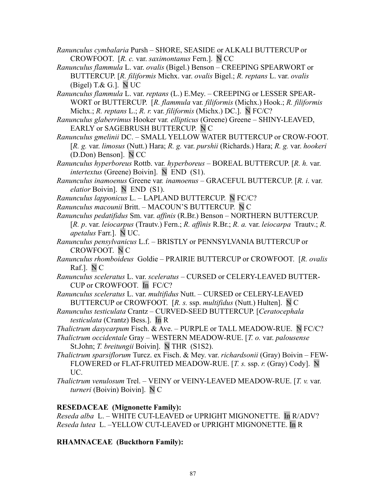*Ranunculus cymbalaria* Pursh *–* SHORE, SEASIDE or ALKALI BUTTERCUP or CROWFOOT. [*R. c.* var. *saximontanus* Fern.]. N CC

*Ranunculus flammula* L. var. *ovalis* (Bigel.) Benson *–* CREEPING SPEARWORT or BUTTERCUP. [*R. filiformis* Michx. var. *ovalis* Bigel.; *R. reptans* L. var. *ovalis* (Bigel) T. $\&$  G.]. N UC

*Ranunculus flammula* L. var. *reptans* (L.) E.Mey. – CREEPING or LESSER SPEAR-WORT or BUTTERCUP. [*R. flammula* var*. filiformis* (Michx.) Hook.; *R. filiformis* Michx.; *R. reptans* L.; *R. r.* var. *filiformis* (Michx.) DC.]. N FC/C?

*Ranunculus glaberrimus* Hooker var*. ellipticus* (Greene) Greene – SHINY-LEAVED, EARLY or SAGEBRUSH BUTTERCUP. N C

*Ranunculus gmelinii* DC. – SMALL YELLOW WATER BUTTERCUP or CROW-FOOT. [*R. g.* var. *limosus* (Nutt.) Hara; *R. g.* var. *purshii* (Richards.) Hara; *R. g.* var. *hookeri* (D.Don) Benson]. N CC

*Ranunculus hyperboreus* Rottb. var*. hyperboreus –* BOREAL BUTTERCUP. [*R. h.* var. *intertextus* (Greene) Boivin]. N END (S1).

*Ranunculus inamoenus* Greene var*. inamoenus* – GRACEFUL BUTTERCUP. [*R. i*. var. *elatior* Boivin]. N END (S1).

*Ranunculus lapponicus* L. – LAPLAND BUTTERCUP. N FC/C?

*Ranunculus macounii* Britt. – MACOUN'S BUTTERCUP. N C

*Ranunculus pedatifidus* Sm. var. *affinis* (R.Br.) Benson *–* NORTHERN BUTTERCUP. [*R. p*. var. *leiocarpus* (Trautv.) Fern.; *R. affinis* R.Br.; *R. a.* var. *leiocarpa* Trautv.; *R. apetalus* Farr.].N UC.

*Ranunculus pensylvanicus* L.f. – BRISTLY or PENNSYLVANIA BUTTERCUP or CROWFOOT. N C

*Ranunculus rhomboideus* Goldie – PRAIRIE BUTTERCUP or CROWFOOT. [*R. ovalis* Raf.]. N C

*Ranunculus sceleratus* L. var. *sceleratus* – CURSED or CELERY-LEAVED BUTTER-CUP or CROWFOOT. In FC/C?

*Ranunculus sceleratus* L. var. *multifidus* Nutt. – CURSED or CELERY-LEAVED BUTTERCUP or CROWFOOT. [*R. s.* ssp. *multifidus* (Nutt.) Hulten]. N C

*Ranunculus testiculata* Crantz – CURVED-SEED BUTTERCUP. [*Ceratocephala testiculata* (Crantz) Bess.]. In R

*Thalictrum dasycarpum* Fisch. & Ave. *–* PURPLE or TALL MEADOW-RUE. N FC/C?

*Thalictrum occidentale* Gray *–* WESTERN MEADOW-RUE. [*T. o.* var. *palousense* St.John; *T. breitungii* Boivin]. N THR (S1S2).

- *Thalictrum sparsiflorum* Turcz. ex Fisch. & Mey. var. *richardsonii* (Gray) BoivinFEW-FLOWERED or FLAT-FRUITED MEADOW-RUE. [*T. s.* ssp. *r.* (Gray) Cody]. N UC.
- *Thalictrum venulosum* Trel.VEINY or VEINY-LEAVED MEADOW-RUE. [*T. v.* var. *turneri* (Boivin) Boivin]. N C

## **RESEDACEAE (Mignonette Family):**

*Reseda alba* L. – WHITE CUT-LEAVED or UPRIGHT MIGNONETTE. In R/ADV? *Reseda lutea* L. –YELLOW CUT-LEAVED or UPRIGHT MIGNONETTE. In R

**RHAMNACEAE (Buckthorn Family):**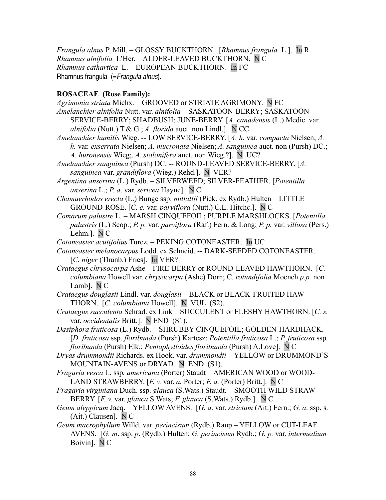*Frangula alnus* P. Mill. – GLOSSY BUCKTHORN. [*Rhamnus frangula* L.]. In R *Rhamnus alnifolia* L'Her. – ALDER-LEAVED BUCKTHORN. N C *Rhamnus cathartica* L. – EUROPEAN BUCKTHORN. In FC Rhamnus frangula (= Frangula alnus).

### **ROSACEAE (Rose Family):**

*Agrimonia striata* Michx. – GROOVED or STRIATE AGRIMONY. N FC *Amelanchier alnifolia* Nutt. var. *alnifolia –* SASKATOON-BERRY; SASKATOON SERVICE-BERRY; SHADBUSH; JUNE-BERRY. [*A. canadensis* (L.) Medic. var. *alnifolia* (Nutt.) T.& G.; *A. florida* auct. non Lindl.]. N CC

*Amelanchier humilis* Wieg. -- LOW SERVICE-BERRY. [*A. h.* var. *compacta* Nielsen; *A. h.* var*. exserrata* Nielsen; *A. mucronata* Nielsen; *A. sanguinea* auct. non (Pursh) DC.;

*A. huronensis* Wieg;. *A. stolonifera* auct. non Wieg.?]. N UC?

*Amelanchier sanguinea* (Pursh) DC. -- ROUND-LEAVED SERVICE-BERRY. [*A. sanguinea* var. *grandiflora* (Wieg.) Rehd.]. N VER?

*Argentina anserina* (L.) Rydb. – SILVERWEED; SILVER-FEATHER. [*Potentilla anserina* L.; *P. a*. var. *sericea* Hayne]. N C

*Chamaerhodos erecta* (L.) Bunge ssp. *nuttallii* (Pick. ex Rydb.) Hulten – LITTLE GROUND-ROSE. [*C. e.* var. *parviflora* (Nutt.) C.L. Hitchc.]. N C

*Comarum palustre* L. – MARSH CINQUEFOIL; PURPLE MARSHLOCKS. [*Potentilla palustris* (L.) Scop.; *P. p.* var. *parviflora* (Raf.) Fern. & Long; *P. p.* var. *villosa* (Pers.) Lehm.]. N C

*Cotoneaster acutifolius* Turcz. – PEKING COTONEASTER. In UC

- *Cotoneaster melanocarpus* Lodd. ex Schneid. -- DARK-SEEDED COTONEASTER. [*C. niger* (Thunb.) Fries]. In VER?
- *Crataegus chrysocarpa* Ashe FIRE-BERRY or ROUND-LEAVED HAWTHORN. [*C. columbiana* Howell var. *chrysocarpa* (Ashe) Dorn; C*. rotundifolia* Moench *p.p.* non Lamb]. N C

*Crataegus douglasii* Lindl. var. *douglasii –* BLACK or BLACK-FRUITED HAW-THORN. [*C. columbiana* Howell]. N VUL (S2).

*Crataegus succulenta* Schrad. ex Link – SUCCULENT or FLESHY HAWTHORN. [*C. s.* var. *occidentalis* Britt.]. N END (S1).

*Dasiphora fruticosa* (L.) Rydb. – SHRUBBY CINQUEFOIL; GOLDEN-HARDHACK. [*D. fruticosa* ssp. *floribunda* (Pursh) Kartesz; *Potentilla fruticosa* L.; *P. fruticosa* ssp*. floribunda* (Pursh) Elk.; *Pentaphylloides floribunda* (Pursh) A.Love]. N C

*Dryas drummondii* Richards. ex Hook. var. *drummondii –* YELLOW or DRUMMOND'S MOUNTAIN-AVENS or DRYAD. N END (S1).

*Fragaria vesca* L. ssp*. americana* (Porter) Staudt *–* AMERICAN WOOD or WOOD-LAND STRAWBERRY. [*F. v.* var. *a.* Porter; *F. a.* (Porter) Britt.]. N C

- *Fragaria virginiana* Duch. ssp. *glauca* (S.Wats.) Staudt. SMOOTH WILD STRAW-BERRY. [*F. v.* var. *glauca* S.Wats; *F. glauca* (S.Wats.) Rydb.]. N C
- *Geum aleppicum* Jacq. YELLOW AVENS. [*G. a*. var. *strictum* (Ait.) Fern.; *G. a*. ssp. s. (Ait.) Clausen]. N C
- *Geum macrophyllum* Willd. var. *perincisum* (Rydb.) Raup YELLOW or CUT-LEAF AVENS. [*G. m*. ssp. *p*. (Rydb.) Hulten; *G. perincisum* Rydb.; *G. p.* var. *intermedium* Boivin]. N C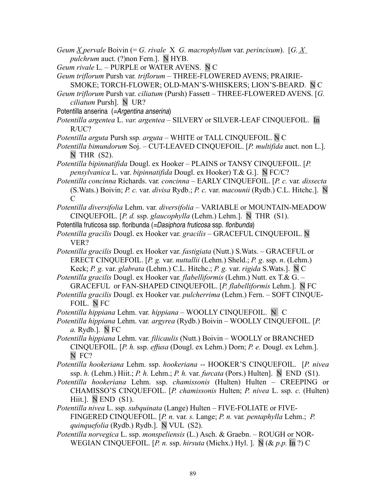- *Geum X pervale* Boivin (= *G. rivale* X *G. macrophyllum* var. *perincisum*). [*G. X pulchrum* auct. (?)non Fern.]. N HYB.
- *Geum rivale* L. PURPLE or WATER AVENS. N C
- *Geum triflorum* Pursh var*. triflorum* THREE-FLOWERED AVENS; PRAIRIE-SMOKE; TORCH-FLOWER; OLD-MAN'S-WHISKERS; LION'S-BEARD. N C
- *Geum triflorum* Pursh var. *ciliatum* (Pursh) Fassett THREE-FLOWERED AVENS. [*G. ciliatum* Pursh]. N UR?
- Potentilla anserina (=Argentina anserina)
- *Potentilla argentea* L. *var. argentea* SILVERY or SILVER-LEAF CINQUEFOIL. In R/UC?
- *Potentilla arguta* Pursh ssp*. arguta* WHITE or TALL CINQUEFOIL. N C
- *Potentilla bimundorum* Soj. CUT-LEAVED CINQUEFOIL. [*P. multifida* auct. non L.]. N THR (S2).
- *Potentilla bipinnatifida* Dougl. ex Hooker PLAINS or TANSY CINQUEFOIL. [*P. pensylvanica* L. var. *bipinnatifida* Dougl. ex Hooker) T.& G.]. N FC/C?
- *Potentilla concinna* Richards. var*. concinna* EARLY CINQUEFOIL. [*P. c.* var*. dissecta* (S.Wats.) Boivin; *P. c.* var. *divisa* Rydb.; *P. c.* var. *macounii* (Rydb.) C.L. Hitchc.]. N C
- *Potentilla diversifolia* Lehm. var*. diversifolia* VARIABLE or MOUNTAIN-MEADOW CINQUEFOIL. [*P. d.* ssp. *glaucophylla* (Lehm.) Lehm.]. N THR (S1).
- Potentilla fruticosa ssp. floribunda (=Dasiphora fruticosa ssp. floribunda)
- *Potentilla gracilis* Dougl. ex Hooker var. *gracilis* GRACEFUL CINQUEFOIL. N VER?
- *Potentilla gracilis* Dougl. ex Hooker var. *fastigiata* (Nutt.) S.Wats. GRACEFUL or ERECT CINQUEFOIL. [*P. g.* var. *nuttallii* (Lehm.) Sheld.; *P. g*. ssp. *n*. (Lehm.) Keck; *P. g.* var. *glabrata* (Lehm.) C.L. Hitchc.; *P. g.* var. *rigida* S.Wats.]. N C
- *Potentilla gracilis* Dougl. ex Hooker var*. flabelliformis* (Lehm.) Nutt. ex T.& G. *–* GRACEFUL or FAN-SHAPED CINQUEFOIL. [*P. flabelliformis* Lehm.]. N FC
- *Potentilla gracilis* Dougl. ex Hooker var. *pulcherrima* (Lehm.) Fern. SOFT CINQUE-FOIL. N FC
- *Potentilla hippiana* Lehm. var*. hippiana* WOOLLY CINQUEFOIL. N C
- *Potentilla hippiana* Lehm. var*. argyrea* (Rydb.) Boivin WOOLLY CINQUEFOIL. [*P. a.* Rydb.]. N FC
- *Potentilla hippiana* Lehm. var*. filicaulis* (Nutt.) Boivin WOOLLY or BRANCHED CINQUEFOIL. [*P. h.* ssp. *effusa* (Dougl. ex Lehm.) Dorn; *P. e.* Dougl. ex Lehm.]. N FC?

*Potentilla hookeriana* Lehm. ssp. *hookeriana* -- HOOKER'S CINQUEFOIL. [*P. nivea* ssp. *h.* (Lehm.) Hiit.; *P. h.* Lehm.; *P. h.* var. *furcata* (Pors.) Hulten]. N END (S1).

- *Potentilla hookeriana* Lehm. ssp. *chamissonis* (Hulten) Hulten CREEPING or CHAMISSO'S CINQUEFOIL. [*P. chamissonis* Hulten; *P. nivea* L. ssp. *c.* (Hulten) Hiit.].N END (S1).
- *Potentilla nivea* L. ssp. *subquinata* (Lange) Hulten FIVE-FOLIATE or FIVE-FINGERED CINQUEFOIL. [*P. n.* var*. s.* Lange; *P. n.* var*. pentaphylla* Lehm.; *P. quinquefolia* (Rydb.) Rydb.]. N VUL (S2).
- *Potentilla norvegica* L. ssp. *monspeliensis* (L.) Asch. & Graebn. ROUGH or NOR-WEGIAN CINQUEFOIL. [*P. n.* ssp. *hirsuta* (Michx.) Hyl. ]. N (& *p.p.* In ?) C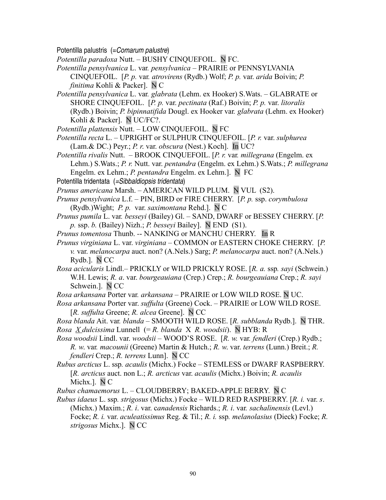Potentilla palustris (=Comarum palustre)

*Potentilla paradoxa* Nutt. – BUSHY CINQUEFOIL. N FC.

*Potentilla pensylvanica* L. var*. pensylvanica* – PRAIRIE or PENNSYLVANIA CINQUEFOIL. [*P. p.* var*. atrovirens* (Rydb.) Wolf; *P. p.* var. *arida* Boivin; *P. finitima* Kohli & Packer]. N C

*Potentilla pensylvanica* L. var*. glabrata* (Lehm. ex Hooker) S.Wats. – GLABRATE or SHORE CINQUEFOIL.[*P. p.* var. *pectinata* (Raf.) Boivin; *P. p.* var. *litoralis* (Rydb.) Boivin; *P. bipinnatifida* Dougl. ex Hooker var*. glabrata* (Lehm. ex Hooker) Kohli & Packer]. N UC/FC?.

*Potentilla plattensis* Nutt. – LOW CINQUEFOIL. N FC

- *Potentilla recta* L. UPRIGHT or SULPHUR CINQUEFOIL. [*P. r.* var. *sulphurea* (Lam.& DC.) Peyr.; *P. r*. var. *obscura* (Nest.) Koch]. In UC?
- *Potentilla rivalis* Nutt. BROOK CINQUEFOIL. [*P. r.* var*. millegrana* (Engelm. ex Lehm.) S.Wats.; *P. r.* Nutt. var. *pentandra* (Engelm. ex Lehm.) S.Wats.; *P. millegrana* Engelm. ex Lehm.; *P. pentandra* Engelm. ex Lehm.]. N FC
- Potentilla tridentata (=Sibbaldiopsis tridentata)

*Prunus americana* Marsh. – AMERICAN WILD PLUM. N VUL (S2).

*Prunus pensylvanica* L.f. *–* PIN, BIRD or FIRE CHERRY. [*P. p.* ssp. *corymbulosa* (Rydb.)Wight; *P. p.* var. *saximontana* Rehd.]. N C

*Prunus pumila* L. var*. besseyi* (Bailey) Gl. – SAND, DWARF or BESSEY CHERRY. [*P. p.* ssp. *b.* (Bailey) Nizh.; *P. besseyi* Bailey]. N END (S1).

- *Prunus tomentosa* Thunb. *-* NANKING or MANCHU CHERRY. In R
- *Prunus virginiana* L. var. *virginiana* COMMON or EASTERN CHOKE CHERRY. [*P. v.* var. *melanocarpa* auct. non? (A.Nels.) Sarg; *P. melanocarpa* auct. non? (A.Nels.) Rydb.]. N CC
- *Rosa acicularis* Lindl.– PRICKLY or WILD PRICKLY ROSE. [*R. a.* ssp*. sayi* (Schwein.) W.H. Lewis; *R. a*. var. *bourgeauiana* (Crep.) Crep.; *R. bourgeauiana* Crep.; *R. sayi* Schwein.]. N CC

*Rosa arkansana* Porter var*. arkansana –* PRAIRIE or LOW WILD ROSE. N UC.

*Rosa arkansana* Porter var. *suffulta* (Greene) Cock. – PRAIRIE or LOW WILD ROSE. [*R. suffulta* Greene; *R. alcea* Greene]. N CC

*Rosa blanda* Ait. var*. blanda –* SMOOTH WILD ROSE. [*R. subblanda* Rydb.]. N THR. *Rosa X dulcissima* Lunnell (= *R. blanda* X *R. woodsii*).N HYB: R

*Rosa woodsii* Lindl. var. *woodsii –* WOOD'S ROSE. [*R. w.* var*. fendleri* (Crep.) Rydb.; *R. w*. var*. macounii* (Greene) Martin & Hutch.; *R. w*. var. *terrens* (Lunn.) Breit.; *R. fendleri* Crep.; *R. terrens* Lunn]. N CC

*Rubus arcticus* L. ssp*. acaulis* (Michx.) Focke – STEMLESS or DWARF RASPBERRY. [*R. arcticus* auct. non L.; *R. arcticus* var. *acaulis* (Michx.) Boivin; *R. acaulis* Michx.]. N C

*Rubus chamaemorus* L. – CLOUDBERRY; BAKED-APPLE BERRY. N C

*Rubus idaeus* L. ssp*. strigosus* (Michx.) Focke *–* WILD RED RASPBERRY. [*R. i.* var. *s*. (Michx.) Maxim.; *R. i*. var. c*anadensis* Richards.; *R. i*. var*. sachalinensis* (Levl.) Focke; *R. i.* var. *aculeatissimus* Reg. & Til.; *R. i.* ssp*. melanolasius* (Dieck) Focke; *R. strigosus* Michx.]. N CC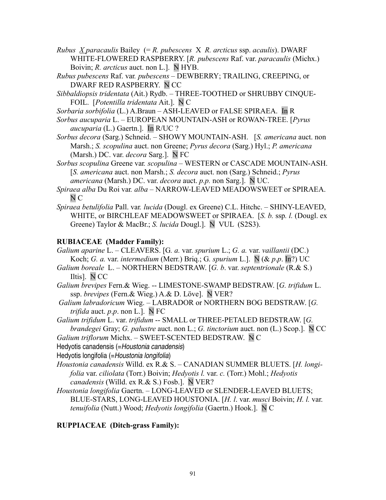- *Rubus X paracaulis* Bailey (= *R. pubescens* X *R. arcticus* ssp. *acaulis*). DWARF WHITE-FLOWERED RASPBERRY. [*R. pubescens* Raf. var. *paracaulis* (Michx.) Boivin; *R. arcticus* auct. non L.]. N HYB.
- *Rubus pubescens* Raf. var*. pubescens* DEWBERRY; TRAILING, CREEPING, or DWARF RED RASPBERRY. N CC
- *Sibbaldiopsis tridentata* (Ait.) Rydb. THREE-TOOTHED or SHRUBBY CINQUE-FOIL. [*Potentilla tridentata* Ait.]. N C
- *Sorbaria sorbifolia* (L.) A.Braun ASH-LEAVED or FALSE SPIRAEA. In R
- *Sorbus aucuparia* L. EUROPEAN MOUNTAIN-ASH or ROWAN-TREE. [*Pyrus aucuparia* (L.) Gaertn.]. In R/UC ?
- *Sorbus decora* (Sarg.) Schneid. SHOWY MOUNTAIN-ASH. [*S. americana* auct. non Marsh.; *S. scopulina* auct. non Greene; *Pyrus decora* (Sarg.) Hyl.; *P. americana* (Marsh.) DC. var. *decora* Sarg.]. N FC
- *Sorbus scopulina* Greene var*. scopulina*  WESTERN or CASCADE MOUNTAIN-ASH. [*S. americana* auct. non Marsh.; *S. decora* auct. non (Sarg.) Schneid.; *Pyrus americana* (Marsh.) DC. var. *decora* auct. *p.p.* non Sarg.]. N UC.
- *Spiraea alba* Du Roi var*. alba* NARROW-LEAVED MEADOWSWEET or SPIRAEA. N C
- *Spiraea betulifolia* Pall. var*. lucida* (Dougl. ex Greene) C.L. Hitchc. SHINY-LEAVED, WHITE, or BIRCHLEAF MEADOWSWEET or SPIRAEA. [*S. b.* ssp*. l.* (Dougl. ex Greene) Taylor & MacBr.; *S. lucida* Dougl.]. N VUL (S2S3).

### **RUBIACEAE (Madder Family):**

- *Galium aparine* L. CLEAVERS. [G*. a.* var. *spurium* L.; *G. a.* var. *vaillantii* (DC.) Koch; *G. a.* var. *intermedium* (Merr.) Briq.; G*. spurium* L.]. N (& *p*.*p*. In?) UC
- *Galium boreale* L. NORTHERN BEDSTRAW. [*G. b*. var. *septentrionale* (R.& S.) Iltis]. N CC
- *Galium brevipes* Fern.& Wieg. -- LIMESTONE-SWAMP BEDSTRAW. [*G. trifidum* L. ssp. *brevipes* (Fern.& Wieg.) A.& D. Löve]. N VER?
- *Galium labradoricum* Wieg. LABRADOR or NORTHERN BOG BEDSTRAW. [*G. trifida* auct. *p*.*p*. non L.]. N FC
- *Galium trifidum* L. var. *trifidum* -- SMALL or THREE-PETALED BEDSTRAW. [*G. brandegei* Gray; *G. palustre* auct. non L.; *G. tinctorium* auct. non (L.) Scop.]. N CC

*Galium triflorum* Michx. – SWEET-SCENTED BEDSTRAW. N C

Hedyotis canadensis (=Houstonia canadensis)

Hedyotis longifolia (=Houstonia longifolia)

- *Houstonia canadensis* Willd. ex R.& S. CANADIAN SUMMER BLUETS. [*H. longifolia* var. *ciliolata* (Torr.) Boivin; *Hedyotis l.* var. *c.* (Torr.) Mohl.; *Hedyotis canadensis* (Willd. ex R.& S.) Fosb.]. N VER?
- *Houstonia longifolia* Gaertn. LONG-LEAVED or SLENDER-LEAVED BLUETS; BLUE-STARS, LONG-LEAVED HOUSTONIA. [*H. l*. var. *musci* Boivin; *H. l.* var. *tenuifolia* (Nutt.) Wood; *Hedyotis longifolia* (Gaertn.) Hook.]. N C

### **RUPPIACEAE (Ditch-grass Family):**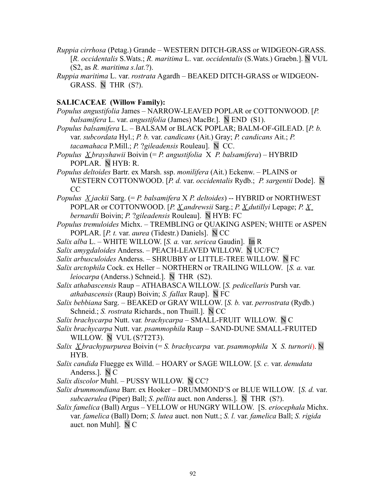- *Ruppia cirrhosa* (Petag.) GrandeWESTERN DITCH-GRASS or WIDGEON-GRASS. [*R. occidentalis* S.Wats.; *R. maritima* L. var. *occidentalis* (S.Wats.) Graebn.]. N VUL (S2, as *R. maritima s.lat.*?).
- *Ruppia maritima* L. var. *rostrata* Agardh BEAKED DITCH-GRASS or WIDGEON-GRASS. NTHR (S?).

#### **SALICACEAE (Willow Family):**

- *Populus angustifolia* James NARROW-LEAVED POPLAR or COTTONWOOD. [*P. balsamifera* L. var. *angustifolia* (James) MacBr.]. N END (S1).
- *Populus balsamifera* L.BALSAM or BLACK POPLAR; BALM-OF-GILEAD. [*P. b.* var. *subcordata* Hyl.; *P. b.* var. *candicans* (Ait.) Gray; *P. candicans* Ait.; *P. tacamahaca* P.Mill.; *P.* ?*gileadensis* Rouleau]. N CC.
- *Populus X brayshawii* Boivin (= *P. angustifolia* X *P. balsamifera*) HYBRID POPLAR. N HYB: R.
- *Populus deltoides* Bartr. ex Marsh. ssp. *monilifera* (Ait.) Eckenw. PLAINS or WESTERN COTTONWOOD. [*P. d.* var. *occidentalis* Rydb.; *P. sargentii* Dode]. N CC
- *Populus X jackii* Sarg. (= *P. balsamifera* X *P. deltoides*) -- HYBRID or NORTHWEST POPLAR or COTTONWOOD. [*P. X andrewsii* Sarg.; *P. X dutillyi* Lepage; *P. X bernardii* Boivin; *P.* ?*gileadensis* Rouleau]. N HYB: FC
- *Populus tremuloides* Michx.TREMBLING or QUAKING ASPEN; WHITE or ASPEN POPLAR. [*P. t.* var. *aurea* (Tidestr.) Daniels]. N CC
- *Salix alba* L. WHITE WILLOW. [*S. a.* var. *sericea* Gaudin]. In R
- *Salix amygdaloides* Anderss. PEACH-LEAVED WILLOW. N UC/FC?
- *Salix arbusculoides* Anderss. SHRUBBY or LITTLE-TREE WILLOW. N FC
- *Salix arctophila* Cock. ex Heller NORTHERN or TRAILING WILLOW. [*S. a.* var*. leiocarpa* (Anderss.) Schneid.]. N THR (S2).
- *Salix athabascensis* Raup ATHABASCA WILLOW. [*S. pedicellaris* Pursh var. *athabascensis* (Raup) Boivin; *S. fallax* Raup]. N FC
- *Salix bebbiana* Sarg. BEAKED or GRAY WILLOW. [*S. b.* var. *perrostrata* (Rydb.) Schneid.; *S. rostrata* Richards., non Thuill.]. N CC
- *Salix brachycarpa* Nutt. var*. brachycarpa* SMALL-FRUIT WILLOW. N C
- *Salix brachycarpa* Nutt. var. *psammophila* Raup SAND-DUNE SMALL-FRUITED WILLOW. N VUL (S?T2T3).
- *Salix X brachypurpurea* Boivin (= *S. brachycarpa* var. *psammophila* X *S. turnorii*). N HYB.
- *Salix candida* Fluegge ex Willd. HOARY or SAGE WILLOW. [*S. c.* var. *denudata* Anderss.]. N C
- *Salix discolor* Muhl. PUSSY WILLOW. N CC?
- *Salix drummondiana* Barr. ex Hooker DRUMMOND'S or BLUE WILLOW. [*S. d.* var. *subcaerulea* (Piper) Ball; *S*. *pellita* auct. non Anderss.]. N THR (S?).
- *Salix famelica* (Ball) Argus YELLOW or HUNGRY WILLOW. [S. *eriocephala* Michx. var. *famelica* (Ball) Dorn; *S. lutea* auct. non Nutt.; *S. l.* var. *famelica* Ball; *S. rigida* auct. non Muhl]. N C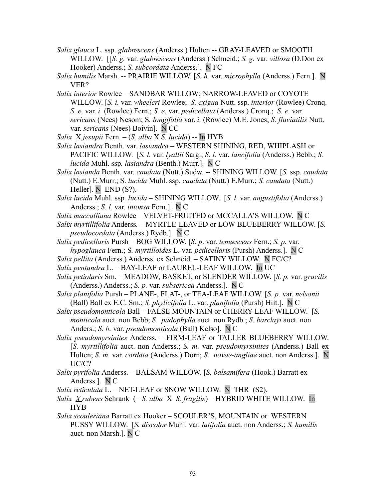- *Salix glauca* L. ssp. *glabrescens* (Anderss.) Hulten -- GRAY-LEAVED or SMOOTH WILLOW. [[*S. g.* var. *glabrescens* (Anderss.) Schneid.; *S. g.* var. *villosa* (D.Don ex Hooker) Anderss.; *S. subcordata* Anderss.]. N FC
- *Salix humilis* Marsh. -- PRAIRIE WILLOW. [*S. h.* var. *microphylla* (Anderss.) Fern.]. N VER?
- *Salix interior* Rowlee SANDBAR WILLOW; NARROW-LEAVED or COYOTE WILLOW. [*S. i.* var. *wheeleri* Rowlee; *S. exigua* Nutt. ssp. *interior* (Rowlee) Cronq. *S*. *e*. var. *i.* (Rowlee) Fern.; *S. e*. var*. pedicellata* (Anderss.) Cronq.; *S. e.* var. *sericans* (Nees) Nesom; S*. longifolia* var. *i.* (Rowlee) M.E. Jones; *S. fluviatilis* Nutt. var. *sericans* (Nees) Boivin]. N CC
- *Salix* X *jesupii* Fern. (*S. alba* X *S. lucida*) -- In HYB
- *Salix lasiandra* Benth. var. *lasiandra –* WESTERN SHINING, RED, WHIPLASH or PACIFIC WILLOW. [*S. l.* var. *lyallii* Sarg.; *S. l.* var. *lancifolia* (Anderss.) Bebb.; *S. lucida* Muhl. ssp*. lasiandra* (Benth.) Murr.]. N C
- *Salix lasianda* Benth. var. *caudata* (Nutt.) Sudw. -- SHINING WILLOW. [*S.* ssp. *caudata* (Nutt.) E.Murr.; S. *lucida* Muhl. ssp. *caudata* (Nutt.) E.Murr.; *S. caudata* (Nutt.) Heller]. N END (S?).
- *Salix lucida* Muhl. ssp*. lucida* SHINING WILLOW. [*S. l.* var. *angustifolia* (Anderss.) Anderss.; *S. l.* var. *intonsa* Fern.]. N C
- *Salix maccalliana* Rowlee VELVET-FRUITED or MCCALLA'S WILLOW. N C
- *Salix myrtillifolia* Anderss*.* MYRTLE-LEAVED or LOW BLUEBERRY WILLOW. [*S. pseudocordata* (Anderss.) Rydb.]. N C
- *Salix pedicellaris* Pursh BOG WILLOW. [*S. p*. var. *tenuescens* Fern.; *S. p.* var. *hypoglauca* Fern.; S*. myrtilloides* L. var. *pedicellaris* (Pursh) Anderss.]. N C
- *Salix pellita* (Anderss.) Anderss. ex Schneid. SATINY WILLOW. N FC/C?
- *Salix pentandra* L. BAY-LEAF or LAUREL-LEAF WILLOW. In UC
- *Salix petiolaris* Sm. MEADOW, BASKET, or SLENDER WILLOW. [*S. p.* var. *gracilis* (Anderss.) Anderss.; *S. p.* var. *subsericea* Anderss.]. N C
- *Salix planifolia* PurshPLANE-, FLAT-, or TEA-LEAF WILLOW. [*S. p.* var. *nelsonii* (Ball) Ball ex E.C. Sm.; *S. phylicifolia* L. var. *planifolia* (Pursh) Hiit.]. N C
- *Salix pseudomonticola* Ball FALSE MOUNTAIN or CHERRY-LEAF WILLOW. [*S. monticola* auct. non Bebb; *S. padophylla* auct. non Rydb.; *S. barclayi* auct. non Anders.; *S. b.* var. *pseudomonticola* (Ball) Kelso]. N C
- *Salix pseudomyrsinites* Anderss. FIRM-LEAF or TALLER BLUEBERRY WILLOW. [*S. myrtillifolia* auct. non Anderss.; *S. m.* var. *pseudomyrsinites* (Anderss.) Ball ex Hulten; *S. m.* var. *cordata* (Anderss.) Dorn; *S. novae-angliae* auct. non Anderss.]. N UC/C?
- *Salix pyrifolia* Anderss. BALSAM WILLOW. [*S. balsamifera* (Hook.) Barratt ex Anderss.]. N C
- *Salix reticulata* L.NET-LEAF or SNOW WILLOW. N THR (S2).
- *Salix X rubens* Schrank (= *S. alba* X *S. fragilis*) HYBRID WHITE WILLOW. In HYB
- *Salix scouleriana* Barratt ex Hooker SCOULER'S, MOUNTAIN or WESTERN PUSSY WILLOW. [*S. discolor* Muhl. var. *latifolia* auct. non Anderss.; *S. humilis* auct. non Marsh.]. N C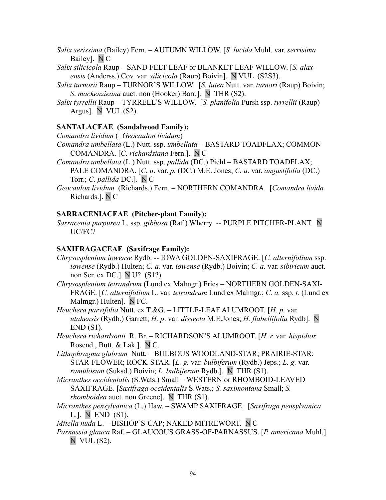*Salix serissima* (Bailey) Fern. – AUTUMN WILLOW. [*S. lucida* Muhl. var. *serrisima* Bailey]. N C

*Salix silicicola* Raup – SAND FELT-LEAF or BLANKET-LEAF WILLOW. [*S. alaxensis* (Anderss.) Cov. var. *silicicola* (Raup) Boivin]. N VUL (S2S3).

- *Salix turnorii* Raup TURNOR'S WILLOW. [*S. lutea* Nutt. var. *turnori* (Raup) Boivin; *S*. *mackenzieana* auct. non (Hooker) Barr.]. N THR (S2).
- *Salix tyrrellii* Raup TYRRELL'S WILLOW. [*S. planifolia* Pursh ssp. *tyrrellii* (Raup) Argus]. N VUL (S2).

### **SANTALACEAE (Sandalwood Family):**

*Comandra lividum* (=*Geocaulon lividum*)

- *Comandra umbellata* (L.) Nutt. ssp. *umbellata* BASTARD TOADFLAX; COMMON COMANDRA. [*C. richardsiana* Fern.]. N C
- *Comandra umbellata* (L.) Nutt. ssp. *pallida* (DC.) Piehl BASTARD TOADFLAX; PALE COMANDRA. [*C. u*. var. *p.* (DC.) M.E. Jones; *C. u*. var. *angustifolia* (DC.) Torr.; *C. pallida* DC.]. N C
- *Geocaulon lividum* (Richards.) Fern. NORTHERN COMANDRA. [*Comandra livida* Richards.]. N C

### **SARRACENIACEAE (Pitcher-plant Family):**

*Sarracenia purpurea* L. ssp*. gibbosa* (Raf.) Wherry *--* PURPLE PITCHER-PLANT. N UC/FC?

### **SAXIFRAGACEAE (Saxifrage Family):**

- *Chrysosplenium iowense* Rydb. -- IOWA GOLDEN-SAXIFRAGE. [*C. alternifolium* ssp. *iowense* (Rydb.) Hulten; *C. a.* var. *iowense* (Rydb.) Boivin; *C. a.* var. *sibiricum* auct. non Ser. ex DC.]. N U? (S1?)
- *Chrysosplenium tetrandrum* (Lund ex Malmgr.) Fries NORTHERN GOLDEN-SAXI-FRAGE. [*C. alternifolium* L. var*. tetrandrum* Lund ex Malmgr.; *C. a.* ssp. *t.* (Lund ex Malmgr.) Hulten]. N FC.
- *Heuchera parvifolia* Nutt. ex T.&G. LITTLE-LEAF ALUMROOT. [*H. p.* var*. utahensis* (Rydb.) Garrett; *H. p*. var. *dissecta* M.E.Jones; *H. flabellifolia* Rydb]. N  $END(S1)$ .

*Heuchera richardsonii* R. Br. – RICHARDSON'S ALUMROOT. [*H. r*. var. *hispidior* Rosend., Butt. & Lak.]. N C.

*Lithophragma glabrum* Nutt. – BULBOUS WOODLAND-STAR; PRAIRIE-STAR; STAR-FLOWER; ROCK-STAR. [*L. g.* var. *bulbiferum* (Rydb.) Jeps.; *L. g.* var. *ramulosum* (Suksd.) Boivin; *L. bulbiferum* Rydb.]. N THR (S1).

- *Micranthes occidentalis* (S.Wats.) Small WESTERN or RHOMBOID-LEAVED SAXIFRAGE. [*Saxifraga occidentalis* S.Wats.; *S. saximontana* Small; *S. rhomboidea* auct. non Greene]. N THR (S1).
- *Micranthes pensylvanica* (L.) Haw. SWAMP SAXIFRAGE. [*Saxifraga pensylvanica* L.]. N END (S1).

*Mitella nuda* L. – BISHOP'S-CAP; NAKED MITREWORT. N C

*Parnassia glauca* Raf. – GLAUCOUS GRASS-OF-PARNASSUS. [*P. americana* Muhl.]. N VUL (S2).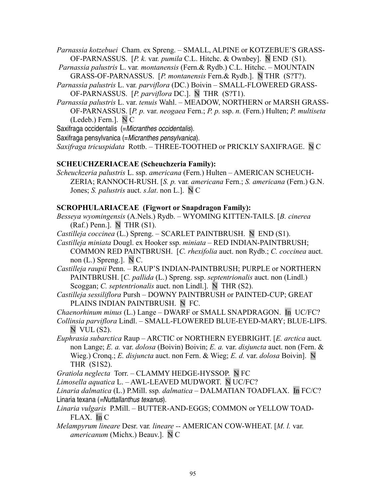*Parnassia kotzebuei* Cham. ex Spreng. – SMALL, ALPINE or KOTZEBUE'S GRASS-OF-PARNASSUS. [*P. k.* var*. pumila* C.L. Hitchc. & Ownbey]. N END (S1).

- *Parnassia palustris* L. var*. montanensis* (Fern.& Rydb.) C.L. Hitchc. MOUNTAIN GRASS-OF-PARNASSUS. [*P. montanensis* Fern.& Rydb.]. N THR (S?T?).
- *Parnassia palustris* L. var*. parviflora* (DC.) Boivin SMALL-FLOWERED GRASS-OF-PARNASSUS. [*P. parviflora* DC.]. N THR (S?T1).
- *Parnassia palustris* L. var. *tenuis* Wahl. MEADOW, NORTHERN or MARSH GRASS-OF-PARNASSUS. [*P. p.* var. *neogaea* Fern.; *P. p.* ssp. *n.* (Fern.) Hulten; *P. multiseta* (Ledeb.) Fern.]. N C

Saxifraga occidentalis (=Micranthes occidentalis).

Saxifraga pensylvanica (=Micranthes pensylvanica).

*Saxifraga tricuspidata* Rottb. *–* THREE-TOOTHED or PRICKLY SAXIFRAGE. N C

### **SCHEUCHZERIACEAE (Scheuchzeria Family):**

*Scheuchzeria palustris* L. ssp. *americana* (Fern.) Hulten – AMERICAN SCHEUCH-ZERIA; RANNOCH-RUSH. [*S. p.* var*. americana* Fern.; *S. americana* (Fern.) G.N. Jones; *S. palustris* auct. *s*.*lat*. non L.]. N C

### **SCROPHULARIACEAE (Figwort or Snapdragon Family):**

- *Besseya wyomingensis* (A.Nels.) Rydb. *–* WYOMING KITTEN-TAILS. [*B. cinerea*  $(Raf.)$  Penn.]. N THR  $(S1)$ .
- *Castilleja coccinea* (L.) Spreng.SCARLET PAINTBRUSH. N END (S1).
- *Castilleja miniata* Dougl. ex Hooker ssp. *miniata –* RED INDIAN-PAINTBRUSH; COMMON RED PAINTBRUSH. [*C. rhexifolia* auct. non Rydb.; *C. coccinea* auct. non (L.) Spreng.]. N C.
- *Castilleja raupii* Penn. RAUP'S INDIAN-PAINTBRUSH; PURPLE or NORTHERN PAINTBRUSH. [*C. pallida* (L.) Spreng. ssp. *septentrionalis* auct. non (Lindl.) Scoggan; *C. septentrionalis* auct. non Lindl.]. N THR (S2).
- *Castilleja sessiliflora* Pursh DOWNY PAINTBRUSH or PAINTED-CUP; GREAT PLAINS INDIAN PAINTBRUSH. N FC.
- *Chaenorhinum minus* (L.) Lange DWARF or SMALL SNAPDRAGON. In UC/FC?
- *Collinsia parviflora* Lindl. SMALL-FLOWERED BLUE-EYED-MARY; BLUE-LIPS. N VUL (S2).
- *Euphrasia subarctica* Raup ARCTIC or NORTHERN EYEBRIGHT. [*E. arctica* auct. non Lange; *E. a.* var. *dolosa* (Boivin) Boivin; *E. a.* var. *disjuncta* auct. non (Fern. & Wieg.) Cronq.; *E. disjuncta* auct. non Fern. & Wieg; *E. d.* var. *dolosa* Boivin]. N THR (S1S2).

*Gratiola neglecta* Torr. – CLAMMY HEDGE-HYSSOP. N FC

*Limosella aquatica* L. – AWL-LEAVED MUDWORT. N UC/FC?

*Linaria dalmatica* (L.) P.Mill. ssp*. dalmatica –* DALMATIAN TOADFLAX. In FC/C? Linaria texana (=Nuttallanthus texanus).

- *Linaria vulgaris* P.Mill.BUTTER-AND-EGGS; COMMON or YELLOW TOAD-FLAX. In C
- *Melampyrum lineare* Desr. var*. lineare --* AMERICAN COW-WHEAT. [*M. l.* var. *americanum* (Michx.) Beauv.]. N C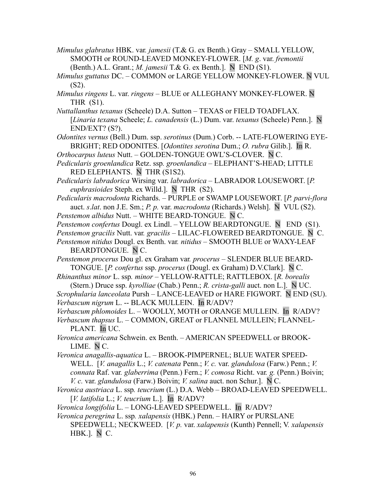- *Mimulus glabratus* HBK. var*. jamesii* (T.& G. ex Benth.) Gray SMALL YELLOW, SMOOTH or ROUND-LEAVED MONKEY-FLOWER. [*M. g*. var. *fremontii* (Benth.) A.L. Grant.; *M. jamesii* T.& G. ex Benth.]. N END (S1).
- *Mimulus guttatus* DC. COMMON or LARGE YELLOW MONKEY-FLOWER. N VUL  $(S2)$ .
- *Mimulus ringens* L. var. *ringens* BLUE or ALLEGHANY MONKEY-FLOWER. N THR (S1).
- *Nuttallanthus texanus* (Scheele) D.A. SuttonTEXAS or FIELD TOADFLAX. [*Linaria texana* Scheele; *L. canadensis* (L.) Dum. var. *texanus* (Scheele) Penn.]. N END/EXT? (S?).
- *Odontites vernus* (Bell.) Dum. ssp. *serotinus* (Dum.) Corb. -- LATE-FLOWERING EYE-BRIGHT; RED ODONITES. [*Odontites serotina* Dum.; *O. rubra* Gilib.]. In R.
- *Orthocarpus luteus* Nutt. GOLDEN-TONGUE OWL'S-CLOVER. N C.
- *Pedicularis groenlandica* Retz. ssp*. groenlandica* ELEPHANT'S-HEAD; LITTLE RED ELEPHANTS. N THR (S1S2).
- *Pedicularis labradorica* Wirsing var. *labradorica* LABRADOR LOUSEWORT. [*P. euphrasioides* Steph. ex Willd.]. N THR (S2).
- *Pedicularis macrodonta* Richards. PURPLE or SWAMP LOUSEWORT. [*P. parvi-flora* auct. *s*.*lat*. non J.E. Sm.; *P. p.* var. *macrodonta* (Richards.) Welsh]. N VUL (S2). *Penstemon albidus* Nutt. – WHITE BEARD-TONGUE. N C.
- *Penstemon confertus* Dougl. ex Lindl. YELLOW BEARDTONGUE. N END (S1).
- *Penstemon gracilis* Nutt. var*. gracilis* LILAC-FLOWERED BEARDTONGUE. N C.
- *Penstemon nitidus* Dougl. ex Benth. var*. nitidus* SMOOTH BLUE or WAXY-LEAF BEARDTONGUE. N C.
- *Penstemon procerus* Dou gl. ex Graham var*. procerus* SLENDER BLUE BEARD-TONGUE. [*P. confertus* ssp. *procerus* (Dougl. ex Graham) D.V.Clark]. N C.
- *Rhinanthus minor* L. ssp*. minor* YELLOW-RATTLE; RATTLEBOX. [*R. borealis* (Stern.) Druce ssp. *kyrolliae* (Chab.) Penn.; *R. crista-galli* auct. non L.]. N UC.
- *Scrophularia lanceolata* Pursh LANCE-LEAVED or HARE FIGWORT. N END (SU). *Verbascum nigrum* L. -- BLACK MULLEIN. In R/ADV?
- *Verbascum phlomoides* L. WOOLLY, MOTH or ORANGE MULLEIN. In R/ADV?
- *Verbascum thapsus* L. COMMON, GREAT or FLANNEL MULLEIN; FLANNEL-PLANT. In UC.
- *Veronica americana* Schwein. ex Benth. AMERICAN SPEEDWELL or BROOK-LIME. N C.
- *Veronica anagallis-aquatica* L. BROOK-PIMPERNEL; BLUE WATER SPEED-WELL. [*V. anagallis* L.; *V. catenata* Penn.; *V. c.* var. *glandulosa* (Farw.) Penn.; *V. connata* Raf. var*. glaberrima* (Penn.) Fern.; *V. comosa* Richt. var*. g.* (Penn.) Boivin; *V. c.* var. *glandulosa* (Farw.) Boivin; *V. salina* auct. non Schur.]. N C.
- *Veronica austriaca* L. ssp*. teucrium* (L.) D.A. WebbBROAD-LEAVED SPEEDWELL. [*V. latifolia* L.; *V. teucrium* L.]. In R/ADV?
- *Veronica longifolia* L. LONG-LEAVED SPEEDWELL. In R/ADV?
- *Veronica peregrina* L. ssp*. xalapensis* (HBK.) Penn. HAIRY or PURSLANE SPEEDWELL; NECKWEED. [*V. p.* var. *xalapensis* (Kunth) Pennell; V*. xalapensis* HBK.]. N C.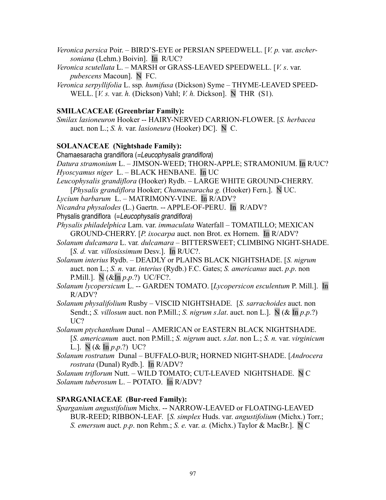*Veronica persica* Poir. – BIRD'S-EYE or PERSIAN SPEEDWELL. [*V. p.* var. *aschersoniana* (Lehm.) Boivin]. In R/UC?

*Veronica scutellata* L. – MARSH or GRASS-LEAVED SPEEDWELL. [*V. s*. var. *pubescens* Macoun]. N FC.

*Veronica serpyllifolia* L. ssp*. humifusa* (Dickson) Syme – THYME-LEAVED SPEED-WELL. [*V. s.* var. *h.* (Dickson) Vahl; *V. h.* Dickson]. N THR (S1).

## **SMILACACEAE (Greenbriar Family):**

*Smilax lasioneuron* Hooker -- HAIRY-NERVED CARRION-FLOWER. [*S. herbacea* auct. non L.; *S. h.* var. *lasioneura* (Hooker) DC]. N C.

## **SOLANACEAE (Nightshade Family):**

Chamaesaracha grandiflora (=Leucophysalis grandiflora) *Datura stramonium* L. – JIMSON-WEED; THORN-APPLE; STRAMONIUM. In R/UC? *Hyoscyamus niger* L. *–* BLACK HENBANE. In UC

*Leucophysalis grandiflora* (Hooker) Rydb. *–* LARGE WHITE GROUND-CHERRY. [*Physalis grandiflora* Hooker; *Chamaesaracha g.* (Hooker) Fern.]. N UC.

*Lycium barbarum* L. *–* MATRIMONY-VINE. In R/ADV?

*Nicandra physalodes* (L.) Gaertn. -- APPLE-OF-PERU. In R/ADV?

Physalis grandiflora (=Leucophysalis grandiflora)

*Physalis philadelphica* Lam. var. *immaculata* Waterfall – TOMATILLO; MEXICAN GROUND-CHERRY. [*P. ixocarpa* auct. non Brot. ex Hornem. In R/ADV?

*Solanum dulcamara* L. var*. dulcamara –* BITTERSWEET; CLIMBING NIGHT-SHADE. [*S. d.* var*. villosissimum* Desv.]. In R/UC?.

*Solanum interius* Rydb. – DEADLY or PLAINS BLACK NIGHTSHADE. [*S. nigrum* auct. non L.; *S. n.* var. *interius* (Rydb.) F.C. Gates; *S. americanus* auct. *p*.*p*. non P.Mill.]. N (&In *p*.*p*.?) UC/FC?.

*Solanum lycopersicum* L. -- GARDEN TOMATO. [*Lycopersicon esculentum* P. Mill.]. In R/ADV?

*Solanum physalifolium* Rusby – VISCID NIGHTSHADE*.* [*S. sarrachoides* auct. non Sendt.; *S. villosum* auct. non P.Mill.; *S. nigrum s*.*lat*. auct. non L.]. N (& In *p*.*p*.?) UC?

*Solanum ptychanthum* Dunal *–* AMERICAN or EASTERN BLACK NIGHTSHADE. [*S. americanum* auct. non P.Mill.; *S. nigrum* auct. *s*.*lat*. non L.; *S. n.* var. *virginicum* L.].  $N$  ( $\&$  In  $p.p.$ ?) UC?

*Solanum rostratum* Dunal – BUFFALO-BUR; HORNED NIGHT-SHADE. [*Androcera rostrata* (Dunal) Rydb.]. In R/ADV?

*Solanum triflorum* Nutt. – WILD TOMATO; CUT-LEAVED NIGHTSHADE. N C *Solanum tuberosum* L. – POTATO. In R/ADV?

## **SPARGANIACEAE (Bur-reed Family):**

*Sparganium angustifolium* Michx. -- NARROW-LEAVED or FLOATING-LEAVED BUR-REED; RIBBON-LEAF. [*S. simplex* Huds. var. *angustifolium* (Michx.) Torr.; *S. emersum* auct. *p*.*p*. non Rehm.; *S. e.* var. *a.* (Michx.) Taylor & MacBr.]. N C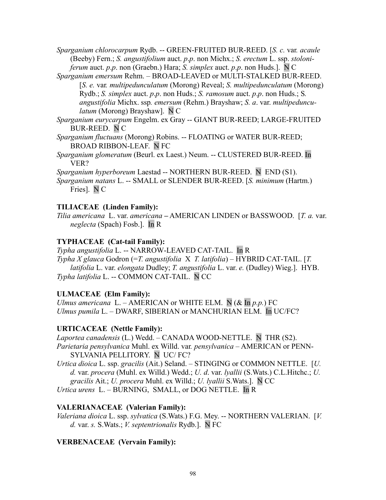*Sparganium chlorocarpum* Rydb. -- GREEN-FRUITED BUR-REED. [*S. c.* var*. acaule* (Beeby) Fern.; *S. angustifolium* auct. *p*.*p*. non Michx.; *S. erectum* L. ssp. *stoloniferum* auct. *p*.*p*. non (Graebn.) Hara; *S. simplex* auct. *p*.*p*. non Huds.]. N C

*Sparganium emersum* Rehm. – BROAD-LEAVED or MULTI-STALKED BUR-REED. [*S. e.* var*. multipedunculatum* (Morong) Reveal; *S. multipedunculatum* (Morong) Rydb.; *S. simplex* auct. *p*.*p*. non Huds.; *S. ramosum* auct. *p*.*p*. non Huds.; S*. angustifolia* Michx. ssp*. emersum* (Rehm.) Brayshaw; *S. a*. var. *multipedunculatum* (Morong) Brayshaw]. N C

*Sparganium eurycarpum* Engelm. ex Gray -- GIANT BUR-REED; LARGE-FRUITED BUR-REED. N C

*Sparganium fluctuans* (Morong) Robins. -- FLOATING or WATER BUR-REED; BROAD RIBBON-LEAF. N FC

*Sparganium glomeratum* (Beurl. ex Laest.) Neum. -- CLUSTERED BUR-REED. In VER?

*Sparganium hyperboreum* Laestad -- NORTHERN BUR-REED. N END (S1).

*Sparganium natans* L. -- SMALL or SLENDER BUR-REED. [*S. minimum* (Hartm.) Fries]. N C

## **TILIACEAE (Linden Family):**

*Tilia americana* L. var. *americana* **–** AMERICAN LINDEN or BASSWOOD. [*T. a.* var. *neglecta* (Spach) Fosb.]. In R

## **TYPHACEAE (Cat-tail Family):**

*Typha angustifolia* L. -- NARROW-LEAVED CAT-TAIL. In R *Typha X glauca* Godron (=*T. angustifolia* X *T. latifolia*) – HYBRID CAT-TAIL. [*T. latifolia* L. var. *elongata* Dudley; *T. angustifolia* L. var. *e.* (Dudley) Wieg.]. HYB. *Typha latifolia* L. -- COMMON CAT-TAIL. N CC

# **ULMACEAE (Elm Family):**

*Ulmus americana* L. – AMERICAN or WHITE ELM. N  $(\&$  In  $p.p.)$  FC *Ulmus pumila* L. – DWARF, SIBERIAN or MANCHURIAN ELM. In UC/FC?

# **URTICACEAE (Nettle Family):**

*Laportea canadensis* (L.) Wedd. – CANADA WOOD-NETTLE. N THR (S2). *Parietaria pensylvanica* Muhl. ex Willd. var*. pensylvanica –* AMERICAN or PENN-SYLVANIA PELLITORY. N UC/ FC?

*Urtica dioica* L. ssp. *gracilis* (Ait.) Seland. *–* STINGING or COMMON NETTLE. [*U. d.* var. *procera* (Muhl. ex Willd.) Wedd.; *U. d*. var. *lyallii* (S.Wats.) C.L.Hitchc.; *U. gracilis* Ait.; *U. procera* Muhl. ex Willd.; *U. lyallii* S.Wats.]. N CC

*Urtica urens* L. – BURNING, SMALL, or DOG NETTLE. In R

# **VALERIANACEAE (Valerian Family):**

*Valeriana dioica* L. ssp. *sylvatica* (S.Wats.) F.G. Mey. -- NORTHERN VALERIAN. [*V. d.* var. *s.* S.Wats.; *V. septentrionalis* Rydb.]. N FC

# **VERBENACEAE (Vervain Family):**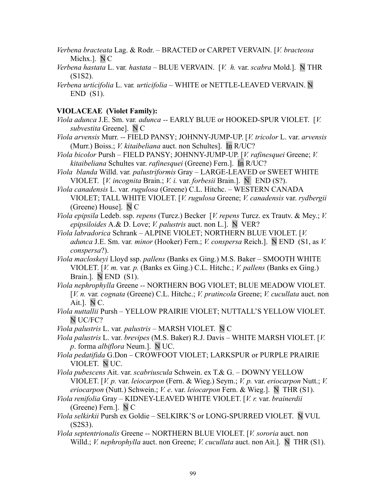- *Verbena bracteata* Lag. & Rodr. BRACTED or CARPET VERVAIN. [*V. bracteosa* Michx.]. N C
- *Verbena hastata* L. var*. hastata* BLUE VERVAIN. [*V. h.* var. *scabra* Mold.]. N THR (S1S2).
- *Verbena urticifolia* L. var*. urticifolia* WHITE or NETTLE-LEAVED VERVAIN. N END (S1).

#### **VIOLACEAE (Violet Family):**

- *Viola adunca* J.E. Sm. var*. adunca --* EARLY BLUE or HOOKED-SPUR VIOLET. [*V. subvestita* Greene]. N C
- *Viola arvensis* Murr. *--* FIELD PANSY; JOHNNY-JUMP-UP. [*V. tricolor* L. var. *arvensis* (Murr.) Boiss.; *V. kitaibeliana* auct. non Schultes]. In R/UC?
- *Viola bicolor* PurshFIELD PANSY; JOHNNY-JUMP-UP. [*V. rafinesquei* Greene; *V. kitaibeliana* Schultes var. *rafinesquei* (Greene) Fern.]. In R/UC?
- *Viola blanda* Willd. var*. palustriformis* Gray LARGE-LEAVED or SWEET WHITE VIOLET. [*V. incognita* Brain.; *V. i.* var. *forbesii* Brain.]. N END (S?).
- *Viola canadensis* L. var*. rugulosa* (Greene) C.L. Hitchc. WESTERN CANADA VIOLET; TALL WHITE VIOLET. [*V. rugulosa* Greene; *V. canadensis* var. *rydbergii* (Greene) House]. N C

*Viola epipsila* Ledeb. ssp. *repens* (Turcz.) Becker [*V. repens* Turcz. ex Trautv. & Mey.; *V. epipsiloides* A.& D. Love; *V. palustris* auct. non L.]. N VER?

- *Viola labradorica* Schrank *–* ALPINE VIOLET; NORTHERN BLUE VIOLET. [*V. adunca* J.E. Sm. var*. minor* (Hooker) Fern.; *V. conspersa* Reich.]. N END (S1, as *V. conspersa*?).
- *Viola macloskeyi* Lloyd ssp. *pallens* (Banks ex Ging.) M.S. Baker SMOOTH WHITE VIOLET. [*V. m.* var*. p.* (Banks ex Ging.) C.L. Hitchc.; *V. pallens* (Banks ex Ging.) Brain.]. N END (S1).
- *Viola nephrophylla* Greene *--* NORTHERN BOG VIOLET; BLUE MEADOW VIOLET. [*V. n.* var*. cognata* (Greene) C.L. Hitchc.; *V. pratincola* Greene; *V. cucullata* auct. non Ait.]. N C.
- *Viola nuttallii* PurshYELLOW PRAIRIE VIOLET; NUTTALL'S YELLOW VIOLET. N UC/FC?
- *Viola palustris* L. var*. palustris* MARSH VIOLET. N C
- *Viola palustris* L. var. *brevipes* (M.S. Baker) R.J. Davis WHITE MARSH VIOLET. [*V. p*. forma *albiflora* Neum.]. N UC.
- *Viola pedatifida* G.DonCROWFOOT VIOLET; LARKSPUR or PURPLE PRAIRIE VIOLET. N UC.
- *Viola pubescens* Ait. var. *scabriuscula* Schwein. ex T.& G. *–* DOWNY YELLOW VIOLET. [*V. p.* var. *leiocarpon* (Fern. & Wieg.) Seym.; *V. p.* var. *eriocarpon* Nutt.; *V. eriocarpon* (Nutt.) Schwein.; *V. e*. var. *leiocarpon* Fern. & Wieg.]. N THR (S1).
- *Viola renifolia* Gray *–* KIDNEY-LEAVED WHITE VIOLET. [*V. r.* var. *brainerdii* (Greene) Fern.]. N C
- *Viola selkirkii* Pursh ex GoldieSELKIRK'S or LONG-SPURRED VIOLET. N VUL (S2S3).
- *Viola septentrionalis* Greene *--* NORTHERN BLUE VIOLET. [*V. sororia* auct. non Willd.; *V. nephrophylla* auct. non Greene; *V. cucullata* auct. non Ait.]. N THR (S1).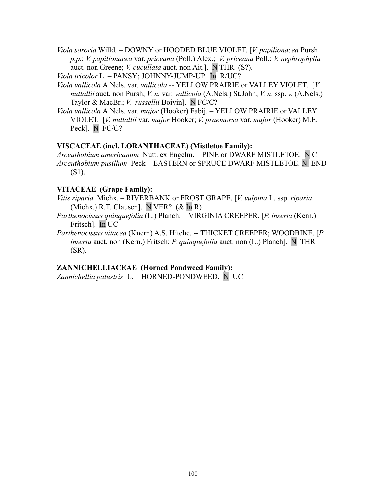*Viola sororia* Willd*. –* DOWNY or HOODED BLUE VIOLET. [*V. papilionacea* Pursh *p.p.*; *V. papilionacea* var. *priceana* (Poll.) Alex.; *V. priceana* Poll.; *V. nephrophylla* auct. non Greene; *V. cucullata* auct. non Ait.]. N THR (S?).

*Viola tricolor* L. – PANSY; JOHNNY-JUMP-UP. In R/UC?

- *Viola vallicola* A.Nels. var*. vallicola --* YELLOW PRAIRIE or VALLEY VIOLET. [*V. nuttallii* auct. non Pursh; *V. n.* var. *vallicola* (A.Nels.) St.John; *V. n*. ssp. *v.* (A.Nels.) Taylor & MacBr.; *V. russellii* Boivin]. N FC/C?
- *Viola vallicola* A.Nels. var. *major* (Hooker) Fabij. YELLOW PRAIRIE or VALLEY VIOLET. [*V. nuttallii* var. *major* Hooker; *V. praemorsa* var. *major* (Hooker) M.E. Peck]. N FC/C?

### **VISCACEAE (incl. LORANTHACEAE) (Mistletoe Family):**

*Arceuthobium americanum* Nutt. ex Engelm. – PINE or DWARF MISTLETOE. N C *Arceuthobium pusillum* Peck – EASTERN or SPRUCE DWARF MISTLETOE. N END (S1).

## **VITACEAE (Grape Family):**

- *Vitis riparia* Michx. RIVERBANK or FROST GRAPE. [*V. vulpina* L. ssp. *riparia* (Michx.) R.T. Clausen]. N VER? (& In R)
- *Parthenocissus quinquefolia* (L.) Planch.VIRGINIA CREEPER. [*P. inserta* (Kern.) Fritsch]. In UC
- *Parthenocissus vitacea* (Knerr.) A.S. Hitchc. -- THICKET CREEPER; WOODBINE. [*P. inserta* auct. non (Kern.) Fritsch; *P. quinquefolia* auct. non (L.) Planch]. N THR (SR).

## **ZANNICHELLIACEAE (Horned Pondweed Family):**

*Zannichellia palustris* L. – HORNED-PONDWEED. N UC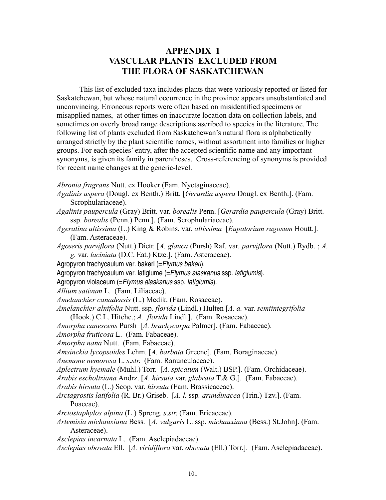## **APPENDIX 1 VASCULAR PLANTS EXCLUDED FROM THE FLORA OF SASKATCHEWAN**

This list of excluded taxa includes plants that were variously reported or listed for Saskatchewan, but whose natural occurrence in the province appears unsubstantiated and unconvincing. Erroneous reports were often based on misidentified specimens or misapplied names, at other times on inaccurate location data on collection labels, and sometimes on overly broad range descriptions ascribed to species in the literature. The following list of plants excluded from Saskatchewan's natural flora is alphabetically arranged strictly by the plant scientific names, without assortment into families or higher groups. For each species' entry, after the accepted scientific name and any important synonyms, is given its family in parentheses. Cross-referencing of synonyms is provided for recent name changes at the generic-level.

*Abronia fragrans* Nutt. ex Hooker (Fam. Nyctaginaceae).

- *Agalinis aspera* (Dougl. ex Benth.) Britt. [*Gerardia aspera* Dougl. ex Benth.]. (Fam. Scrophulariaceae).
- *Agalinis paupercula* (Gray) Britt. var. *borealis* Penn. [*Gerardia paupercula* (Gray) Britt. ssp. *borealis* (Penn.) Penn.]. (Fam. Scrophulariaceae).
- *Ageratina altissima* (L.) King & Robins. var*. altissima* [*Eupatorium rugosum* Houtt.]. (Fam. Asteraceae).
- *Agoseris parviflora* (Nutt.) Dietr. [*A. glauca* (Pursh) Raf. var. *parviflora* (Nutt.) Rydb. ; *A. g.* var. *laciniata* (D.C. Eat.) Ktze.]. (Fam. Asteraceae).
- Agropyron trachycaulum var. bakeri (=Elymus bakeri).
- Agropyron trachycaulum var. latiglume (= Elymus alaskanus ssp. latiglumis).
- Agropyron violaceum (=Elymus alaskanus ssp. latiglumis).
- *Allium sativum* L. (Fam. Liliaceae).
- *Amelanchier canadensis* (L.) Medik. (Fam. Rosaceae).
- *Amelanchier alnifolia* Nutt. ssp. *florida* (Lindl.) Hulten [*A. a.* var. *semiintegrifolia*
- (Hook.) C.L. Hitchc.; *A. florida* Lindl.]. (Fam. Rosaceae).
- *Amorpha canescens* Pursh [*A. brachycarpa* Palmer]. (Fam. Fabaceae).
- *Amorpha fruticosa* L. (Fam. Fabaceae).
- *Amorpha nana* Nutt. (Fam. Fabaceae).
- *Amsinckia lycopsoides* Lehm. [*A. barbata* Greene]. (Fam. Boraginaceae).
- *Anemone nemorosa* L. *s*.*str*. (Fam. Ranunculaceae).
- *Aplectrum hyemale* (Muhl.) Torr. [*A. spicatum* (Walt.) BSP.]. (Fam. Orchidaceae).
- *Arabis escholtziana* Andrz. [*A. hirsuta* var. *glabrata* T.& G.]. (Fam. Fabaceae).
- *Arabis hirsuta* (L.) Scop. var. *hirsuta* (Fam. Brassicaceae).
- *Arctagrostis latifolia* (R. Br.) Griseb. [*A. l.* ssp*. arundinacea* (Trin.) Tzv.]. (Fam. Poaceae).
- *Arctostaphylos alpina* (L.) Spreng. *s*.*str*. (Fam. Ericaceae).
- *Artemisia michauxiana* Bess. [*A. vulgaris* L. ssp. *michauxiana* (Bess.) St.John]. (Fam. Asteraceae).
- *Asclepias incarnata* L. (Fam. Asclepiadaceae).
- *Asclepias obovata* Ell. [*A. viridiflora* var. *obovata* (Ell.) Torr.]. (Fam. Asclepiadaceae).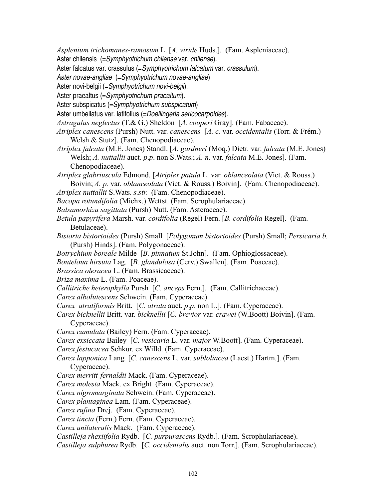*Asplenium trichomanes-ramosum* L. [*A. viride* Huds.]. (Fam. Aspleniaceae).

Aster chilensis (=Symphyotrichum chilense var. chilense).

Aster falcatus var. crassulus (=Symphyotrichum falcatum var. crassulum).

Aster novae-angliae (=Symphyotrichum novae-angliae)

Aster novi-belgii (=Symphyotrichum novi-belgii).

Aster praealtus (=Symphyotrichum praealtum).

Aster subspicatus (=Symphyotrichum subspicatum)

Aster umbellatus var. latifolius (=Doellingeria sericocarpoides).

*Astragalus neglectus* (T.& G.) Sheldon [*A. cooperi* Gray]. (Fam. Fabaceae).

*Atriplex canescens* (Pursh) Nutt. var. *canescens* [*A. c.* var. *occidentalis* (Torr. & Frém.) Welsh & Stutz]. (Fam. Chenopodiaceae).

*Atriplex falcata* (M.E. Jones) Standl. [*A. gardneri* (Moq.) Dietr. var. *falcata* (M.E. Jones) Welsh; *A. nuttallii* auct. *p*.*p*. non S.Wats.; *A. n.* var. *falcata* M.E. Jones]. (Fam. Chenopodiaceae).

*Atriplex glabriuscula* Edmond. [*Atriplex patula* L. var. *oblanceolata* (Vict. & Rouss.) Boivin; *A. p.* var. *oblanceolata* (Vict. & Rouss.) Boivin].(Fam. Chenopodiaceae).

*Atriplex nuttallii* S.Wats. *s.str.* (Fam. Chenopodiaceae).

*Bacopa rotundifolia* (Michx.) Wettst. (Fam. Scrophulariaceae).

*Balsamorhiza sagittata* (Pursh) Nutt. (Fam. Asteraceae).

*Betula papyrifera* Marsh. var*. cordifolia* (Regel) Fern. [*B. cordifolia* Regel]. (Fam. Betulaceae).

*Bistorta bistortoides* (Pursh) Small [*Polygonum bistortoides* (Pursh) Small; *Persicaria b.* (Pursh) Hinds]. (Fam. Polygonaceae).

*Botrychium boreale* Milde [*B. pinnatum* St.John]. (Fam. Ophioglossaceae).

*Bouteloua hirsuta* Lag. [*B. glandulosa* (Cerv.) Swallen]. (Fam*.* Poaceae).

*Brassica oleracea* L. (Fam. Brassicaceae).

*Briza maxima* L. (Fam. Poaceae).

*Callitriche heterophylla* Pursh [*C. anceps* Fern.]. (Fam. Callitrichaceae).

*Carex albolutescens* Schwein. (Fam. Cyperaceae).

*Carex atratiformis* Britt. [*C. atrata* auct. *p*.*p*. non L.]. (Fam. Cyperaceae).

*Carex bicknellii* Britt. var. *bicknellii* [*C. brevior* var. *crawei* (W.Boott) Boivin]. (Fam. Cyperaceae).

*Carex cumulata* (Bailey) Fern. (Fam. Cyperaceae).

*Carex exsiccata* Bailey [*C. vesicaria* L. var. *major* W.Boott]. (Fam. Cyperaceae).

*Carex festucacea* Schkur. ex Willd. (Fam. Cyperaceae).

*Carex lapponica* Lang [*C. canescens* L. var. *subloliacea* (Laest.) Hartm.]. (Fam. Cyperaceae).

*Carex merritt-fernaldii* Mack. (Fam. Cyperaceae).

*Carex molesta* Mack. ex Bright (Fam. Cyperaceae).

*Carex nigromarginata* Schwein. (Fam. Cyperaceae).

*Carex plantaginea* Lam. (Fam. Cyperaceae).

*Carex rufina* Drej. (Fam. Cyperaceae).

*Carex tincta* (Fern.) Fern. (Fam. Cyperaceae).

*Carex unilateralis* Mack. (Fam. Cyperaceae).

*Castilleja rhexiifolia* Rydb. [*C. purpurascens* Rydb.]. (Fam. Scrophulariaceae).

*Castilleja sulphurea* Rydb. [*C. occidentalis* auct. non Torr.]. (Fam. Scrophulariaceae).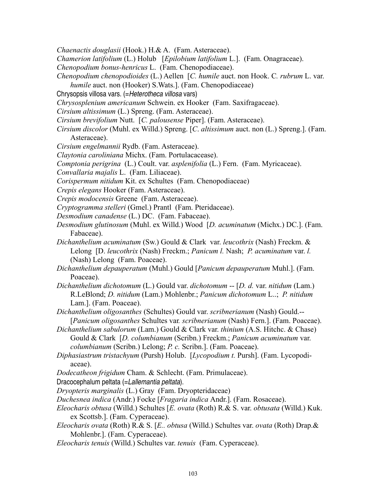- *Chaenactis douglasii* (Hook.) H.& A. (Fam. Asteraceae).
- *Chamerion latifolium* (L.) Holub [*Epilobium latifolium* L.]. (Fam. Onagraceae).
- *Chenopodium bonus-henricus* L. (Fam. Chenopodiaceae).
- *Chenopodium chenopodioides* (L.) Aellen [*C. humile* auct. non Hook. C*. rubrum* L. var. *humile* auct. non (Hooker) S.Wats.]. (Fam. Chenopodiaceae)
- Chrysopsis villosa vars. (=Heterotheca villosa vars)
- *Chrysosplenium americanum* Schwein. ex Hooker (Fam. Saxifragaceae).
- *Cirsium altissimum* (L.) Spreng. (Fam. Asteraceae).
- *Cirsium brevifolium* Nutt. [*C. palousense* Piper]. (Fam. Asteraceae).
- *Cirsium discolor* (Muhl. ex Willd.) Spreng. [*C*. *altissimum* auct. non (L.) Spreng.]. (Fam. Asteraceae).
- *Cirsium engelmannii* Rydb. (Fam. Asteraceae).
- *Claytonia caroliniana* Michx. (Fam. Portulacacease).
- *Comptonia perigrina* (L.) Coult. var. *asplenifolia* (L.) Fern. (Fam. Myricaceae).
- *Convallaria majalis* L. (Fam. Liliaceae).
- *Corispermum nitidum* Kit. ex Schultes (Fam. Chenopodiaceae)
- *Crepis elegans* Hooker (Fam. Asteraceae).
- *Crepis modocensis* Greene (Fam. Asteraceae).
- *Cryptogramma stelleri* (Gmel.) Prantl (Fam. Pteridaceae).
- *Desmodium canadense* (L.) DC. (Fam. Fabaceae).
- *Desmodium glutinosum* (Muhl. ex Willd.) Wood [*D. acuminatum* (Michx.) DC.]. (Fam. Fabaceae).
- *Dichanthelium acuminatum* (Sw.) Gould & Clark var. *leucothrix* (Nash) Freckm. & Lelong [D. *leucothrix* (Nash) Freckm.; *Panicum l.* Nash; *P. acuminatum* var. *l.* (Nash) Lelong (Fam. Poaceae).
- *Dichanthelium depauperatum* (Muhl.) Gould [*Panicum depauperatum* Muhl.]. (Fam. Poaceae).
- *Dichanthelium dichotomum* (L.) Gould var. *dichotomum* -- [*D. d.* var. *nitidum* (Lam.) R.LeBlond; *D. nitidum* (Lam.) Mohlenbr.; *Panicum dichotomum* L..; *P. nitidum* Lam.]. (Fam. Poaceae).
- *Dichanthelium oligosanthes* (Schultes) Gould var. *scribnerianum* (Nash) Gould.-- [*Panicum oligosanthes* Schultes var*. scribnerianum* (Nash) Fern.]. (Fam. Poaceae).
- *Dichanthelium sabulorum* (Lam.) Gould & Clark var. *thinium* (A.S. Hitchc. & Chase) Gould & Clark [*D. columbianum* (Scribn.) Freckm.; *Panicum acuminatum* var. *columbianum* (Scribn.) Lelong; *P. c.* Scribn.]. (Fam. Poaceae).
- *Diphasiastrum tristachyum* (Pursh) Holub. [*Lycopodium t.* Pursh]. (Fam. Lycopodiaceae).
- *Dodecatheon frigidum* Cham. & Schlecht. (Fam. Primulaceae).

Dracocephalum peltata (=Lallemantia peltata).

- *Dryopteris marginalis* (L.) Gray (Fam. Dryopteridaceae)
- *Duchesnea indica* (Andr.) Focke [*Fragaria indica* Andr.]. (Fam. Rosaceae).
- *Eleocharis obtusa* (Willd.) Schultes [*E. ovata* (Roth) R.& S. var. *obtusata* (Willd.) Kuk. ex Scottsb.]. (Fam. Cyperaceae).
- *Eleocharis ovata* (Roth) R.& S. [*E.. obtusa* (Willd.) Schultes var. *ovata* (Roth) Drap.& Mohlenbr.]. (Fam. Cyperaceae).
- *Eleocharis tenuis* (Willd.) Schultes var. *tenuis* (Fam. Cyperaceae).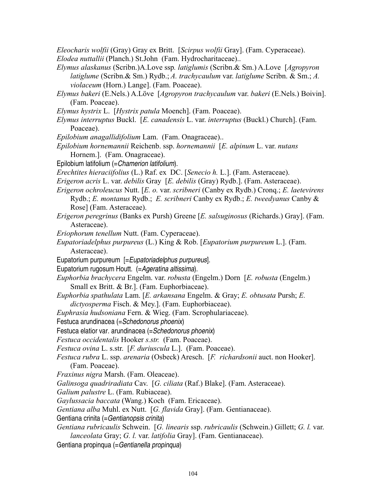*Eleocharis wolfii* (Gray) Gray ex Britt. [*Scirpus wolfii* Gray]. (Fam. Cyperaceae). *Elodea nuttallii* (Planch.) St.John (Fam. Hydrocharitaceae)..

- *Elymus alaskanus* (Scribn.)A.Love ssp*. latiglumis* (Scribn.& Sm.) A.Love [*Agropyron latiglume* (Scribn.& Sm.) Rydb.; *A. trachycaulum* var. *latiglume* Scribn. & Sm.; *A. violaceum* (Horn.) Lange]. (Fam. Poaceae).
- *Elymus bakeri* (E.Nels.) A.Löve [*Agropyron trachycaulum* var. *bakeri* (E.Nels.) Boivin]. (Fam. Poaceae).
- *Elymus hystrix* L. [*Hystrix patula* Moench]. (Fam. Poaceae).
- *Elymus interruptus* Buckl. [*E. canadensis* L. var. *interruptus* (Buckl.) Church]. (Fam. Poaceae).
- *Epilobium anagallidifolium* Lam. (Fam. Onagraceae)..
- *Epilobium hornemannii* Reichenb. ssp. *hornemannii* [*E. alpinum* L. var. *nutans* Hornem.]. (Fam. Onagraceae).
- Epilobium latifolium (= Chamerion latifolium).
- *Erechtites hieraciifolius* (L.) Raf. ex DC. [*Senecio h.* L.]. (Fam. Asteraceae).
- *Erigeron acris* L. var. *debilis* Gray [*E. debilis* (Gray) Rydb.]. (Fam. Asteraceae).
- *Erigeron ochroleucus* Nutt. [*E. o.* var. *scribneri* (Canby ex Rydb.) Cronq.; *E. laetevirens* Rydb.; *E. montanus* Rydb.; *E. scribneri* Canby ex Rydb.; *E. tweedyanus* Canby & Rose] (Fam. Asteraceae).
- *Erigeron peregrinus* (Banks ex Pursh) Greene [*E. salsuginosus* (Richards.) Gray]. (Fam. Asteraceae).
- *Eriophorum tenellum* Nutt. (Fam. Cyperaceae).
- *Eupatoriadelphus purpureus* (L.) King & Rob. [*Eupatorium purpureum* L.]. (Fam. Asteraceae).
- Eupatorium purpureum [=Eupatoriadelphus purpureus].
- Eupatorium rugosum Houtt. (= Ageratina altissima).
- *Euphorbia brachycera* Engelm. var. *robusta* (Engelm.) Dorn [*E. robusta* (Engelm.) Small ex Britt. & Br.]. (Fam. Euphorbiaceae).
- *Euphorbia spathulata* Lam. [*E. arkansana* Engelm. & Gray; *E. obtusata* Pursh; *E. dictyosperma* Fisch. & Mey.]. (Fam. Euphorbiaceae).
- *Euphrasia hudsoniana* Fern. & Wieg. (Fam. Scrophulariaceae).
- Festuca arundinacea (=Schedonorus phoenix)
- Festuca elatior var. arundinacea (=Schedonorus phoenix)
- *Festuca occidentalis* Hooker *s.str.* (Fam. Poaceae).
- *Festuca ovina* L. s.str. [*F. duriuscula* L.]. (Fam. Poaceae).
- *Festuca rubra* L. ssp. *arenaria* (Osbeck) Aresch. [*F. richardsonii* auct. non Hooker]. (Fam. Poaceae).
- *Fraxinus nigra* Marsh. (Fam. Oleaceae).
- *Galinsoga quadriradiata* Cav. [*G. ciliata* (Raf.) Blake]. (Fam. Asteraceae).
- *Galium palustre* L. (Fam. Rubiaceae).
- *Gaylussacia baccata* (Wang.) Koch (Fam. Ericaceae).
- *Gentiana alba* Muhl. ex Nutt. [*G. flavida* Gray]. (Fam. Gentianaceae).
- Gentiana crinita (=Gentianopsis crinita)
- *Gentiana rubricaulis* Schwein. [*G. linearis* ssp. *rubricaulis* (Schwein.) Gillett; *G. l.* var. *lanceolata* Gray; *G. l.* var. *latifolia* Gray]. (Fam. Gentianaceae).

Gentiana propinqua (=Gentianella propinqua)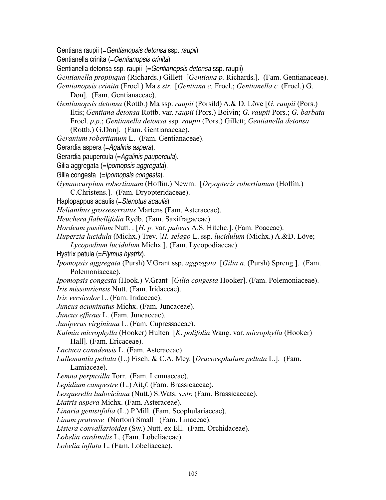Gentiana raupii (=Gentianopsis detonsa ssp. raupii)

Gentianella crinita (=Gentianopsis crinita)

- Gentianella detonsa ssp. raupii (= Gentianopsis detonsa ssp. raupii)
- *Gentianella propinqua* (Richards.) Gillett [*Gentiana p.* Richards.]. (Fam. Gentianaceae).
- *Gentianopsis crinita* (Froel.) Ma *s.str*. [*Gentiana c.* Froel.; *Gentianella c.* (Froel.) G. Don]. (Fam. Gentianaceae).
- *Gentianopsis detonsa* (Rottb.) Ma ssp. *raupii* (Porsild) A.& D. Löve [*G. raupii* (Pors.) Iltis; *Gentiana detonsa* Rottb. var. *raupii* (Pors.) Boivin; *G. raupii* Pors.; *G. barbata* Froel. *p*.*p*.; *Gentianella detonsa* ssp. *raupii* (Pors.) Gillett; *Gentianella detonsa* (Rottb.) G.Don]. (Fam. Gentianaceae).
- *Geranium robertianum* L. (Fam. Gentianaceae).
- Gerardia aspera (=Agalinis aspera).
- Gerardia paupercula (=Agalinis paupercula).
- Gilia aggregata (=Ipomopsis aggregata).
- Gilia congesta (=Ipomopsis congesta).
- *Gymnocarpium robertianum* (Hoffm.) Newm. [*Dryopteris robertianum* (Hoffm.)
	- C.Christens.]. (Fam. Dryopteridaceae).
- Haplopappus acaulis (=Stenotus acaulis)
- *Helianthus grosseserratus* Martens (Fam. Asteraceae).
- *Heuchera flabellifolia* Rydb. (Fam. Saxifragaceae).
- *Hordeum pusillum* Nutt. . [*H. p.* var. *pubens* A.S. Hitchc.]. (Fam. Poaceae).
- *Huperzia lucidula* (Michx.) Trev. [*H. selago* L. ssp. *lucidulum* (Michx.) A.&D. Löve;
- *Lycopodium lucidulum* Michx.]. (Fam. Lycopodiaceae).
- Hystrix patula (= Elymus hystrix).
- *Ipomopsis aggregata* (Pursh) V.Grant ssp. *aggregata* [*Gilia a.* (Pursh) Spreng.]. (Fam. Polemoniaceae).
- *Ipomopsis congesta* (Hook.) V.Grant [*Gilia congesta* Hooker]. (Fam. Polemoniaceae). *Iris missouriensis* Nutt. (Fam. Iridaceae).
- *Iris versicolor* L. (Fam. Iridaceae).
- *Juncus acuminatus* Michx. (Fam. Juncaceae).
- *Juncus effusus* L. (Fam. Juncaceae).
- *Juniperus virginiana* L. (Fam. Cupressaceae).
- *Kalmia microphylla* (Hooker) Hulten [*K*. *polifolia* Wang. var. *microphylla* (Hooker) Hall]. (Fam. Ericaceae).
- *Lactuca canadensis* L. (Fam. Asteraceae).
- *Lallemantia peltata* (L.) Fisch. & C.A. Mey. [*Dracocephalum peltata* L.]. (Fam. Lamiaceae).
- *Lemna perpusilla* Torr.(Fam. Lemnaceae).
- *Lepidium campestre* (L.) Ait.*f.* (Fam. Brassicaceae).
- *Lesquerella ludoviciana* (Nutt.) S.Wats. *s*.*str*. (Fam. Brassicaceae).
- *Liatris aspera* Michx. (Fam. Asteraceae).
- *Linaria genistifolia* (L.) P.Mill. (Fam. Scophulariaceae).
- *Linum pratense* (Norton) Small (Fam. Linaceae).
- *Listera convallarioides* (Sw.) Nutt. ex Ell. (Fam. Orchidaceae).
- *Lobelia cardinalis* L. (Fam. Lobeliaceae).
- *Lobelia inflata* L. (Fam. Lobeliaceae).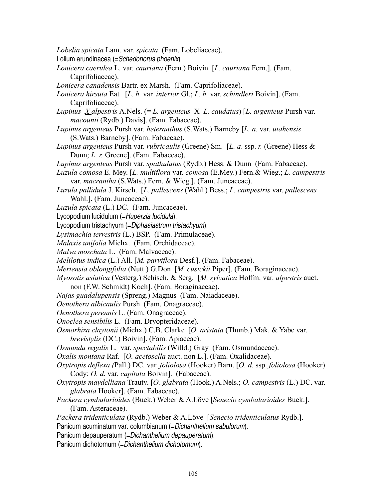*Lobelia spicata* Lam. var. *spicata* (Fam. Lobeliaceae).

Lolium arundinacea (=Schedonorus phoenix)

- *Lonicera caerulea* L. var*. cauriana* (Fern.) Boivin [*L. cauriana* Fern.]. (Fam. Caprifoliaceae).
- *Lonicera canadensis* Bartr. ex Marsh. (Fam. Caprifoliaceae).
- *Lonicera hirsuta* Eat*.* [*L. h.* var*. interior* Gl.; *L. h.* var. *schindleri* Boivin]. (Fam. Caprifoliaceae).
- *Lupinus X alpestris* A.Nels. (= *L. argenteus* X *L. caudatus*) [*L. argenteus* Pursh var. *macounii* (Rydb.) Davis]. (Fam. Fabaceae).
- *Lupinus argenteus* Pursh var*. heteranthus* (S.Wats.) Barneby [*L. a.* var. *utahensis* (S.Wats.) Barneby]. (Fam. Fabaceae).
- *Lupinus argenteus* Pursh var. *rubricaulis* (Greene) Sm. [*L. a*. ssp. *r.* (Greene) Hess & Dunn; *L. r.* Greene]. (Fam. Fabaceae).
- *Lupinus argenteus* Pursh var. *spathulatus* (Rydb.) Hess. & Dunn (Fam. Fabaceae).
- *Luzula comosa* E. Mey. [*L. multiflora* var. *comosa* (E.Mey.) Fern.& Wieg.; *L. campestris* var. *macrantha* (S.Wats.) Fern. & Wieg.]. (Fam. Juncaceae).
- *Luzula pallidula* J. Kirsch. [*L. pallescens* (Wahl.) Bess.; *L. campestris* var. *pallescens* Wahl.]. (Fam. Juncaceae).
- *Luzula spicata* (L.) DC. (Fam. Juncaceae).
- Lycopodium lucidulum (= Huperzia lucidula).
- Lycopodium tristachyum (=Diphasiastrum tristachyum).
- *Lysimachia terrestris* (L.) BSP. (Fam. Primulaceae).
- *Malaxis unifolia* Michx. (Fam. Orchidaceae).
- *Malva moschata* L. (Fam. Malvaceae).
- *Melilotus indica* (L.) All. [*M. parviflora* Desf.]. (Fam. Fabaceae).
- *Mertensia oblongifolia* (Nutt.) G.Don [*M. cusickii* Piper]. (Fam. Boraginaceae).
- *Myosotis asiatica* (Vesterg.) Schisch. & Serg. [*M. sylvatica* Hoffm. var. *alpestris* auct.
- non (F.W. Schmidt) Koch]. (Fam. Boraginaceae).
- *Najas guadalupensis* (Spreng.) Magnus(Fam. Naiadaceae).
- *Oenothera albicaulis* Pursh (Fam. Onagraceae).
- *Oenothera perennis* L. (Fam. Onagraceae).
- *Onoclea sensibilis* L. (Fam. Dryopteridaceae).
- *Osmorhiza claytonii* (Michx.) C.B. Clarke [*O. aristata* (Thunb.) Mak. & Yabe var. *brevistylis* (DC.) Boivin]. (Fam. Apiaceae).
- *Osmunda regalis* L. var. *spectabilis* (Willd.) Gray (Fam. Osmundaceae).
- *Oxalis montana* Raf. [*O. acetosella* auct. non L.]. (Fam. Oxalidaceae).
- *Oxytropis deflexa (*Pall.) DC. var. *foliolosa* (Hooker) Barn. [*O. d.* ssp. *foliolosa* (Hooker) Cody; *O. d*. var. *capitata* Boivin]. (Fabaceae).
- *Oxytropis maydelliana* Trautv. [*O. glabrata* (Hook.) A.Nels.; *O. campestris* (L.) DC. var. *glabrata* Hooker]. (Fam. Fabaceae).
- *Packera cymbalarioides* (Buek.) Weber & A.Löve [*Senecio cymbalarioides* Buek.]. (Fam. Asteraceae).
- *Packera tridenticulata* (Rydb.) Weber & A.Löve [*Senecio tridenticulatus* Rydb.].
- Panicum acuminatum var. columbianum (= Dichanthelium sabulorum).
- Panicum depauperatum (=Dichanthelium depauperatum).
- Panicum dichotomum (=Dichanthelium dichotomum).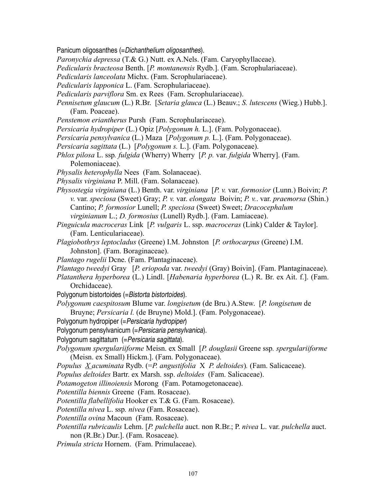Panicum oligosanthes (=Dichanthelium oligosanthes).

*Paronychia depressa* (T.& G.) Nutt. ex A.Nels. (Fam. Caryophyllaceae).

*Pedicularis bracteosa* Benth. [*P. montanensis* Rydb.]. (Fam. Scrophulariaceae).

*Pedicularis lanceolata* Michx. (Fam. Scrophulariaceae).

*Pedicularis lapponica* L. (Fam. Scrophulariaceae).

*Pedicularis parviflora* Sm. ex Rees (Fam. Scrophulariaceae).

*Pennisetum glaucum* (L.) R.Br. [*Setaria glauca* (L.) Beauv.; *S. lutescens* (Wieg.) Hubb.]. (Fam. Poaceae).

- *Penstemon eriantherus* Pursh (Fam. Scrophulariaceae).
- *Persicaria hydropiper* (L.) Opiz [*Polygonum h.* L.]. (Fam. Polygonaceae).
- *Persicaria pensylvanica* (L.) Maza [*Polygonum p.* L.]. (Fam. Polygonaceae).
- *Persicaria sagittata* (L.) [*Polygonum s.* L.]. (Fam. Polygonaceae).
- *Phlox pilosa* L. ssp*. fulgida* (Wherry) Wherry [*P. p.* var. *fulgida* Wherry]. (Fam. Polemoniaceae).
- *Physalis heterophylla* Nees (Fam. Solanaceae).
- *Physalis virginiana* P. Mill. (Fam. Solanaceae).
- *Physostegia virginiana* (L.) Benth. var. *virginiana* [*P. v.* var. *formosior* (Lunn.) Boivin; *P. v*. var. *speciosa* (Sweet) Gray; *P. v.* var. *elongata* Boivin; *P. v.*. var. *praemorsa* (Shin.) Cantino; *P. formosior* Lunell; *P. speciosa* (Sweet) Sweet; *Dracocephalum virginianum* L.; *D. formosius* (Lunell) Rydb.]. (Fam. Lamiaceae).
- *Pinguicula macroceras* Link [*P. vulgaris* L. ssp. *macroceras* (Link) Calder & Taylor]. (Fam. Lenticulariaceae).
- *Plagiobothrys leptocladus* (Greene) I.M. Johnston [*P. orthocarpus* (Greene) I.M. Johnston]. (Fam. Boraginaceae).
- *Plantago rugelii* Dcne. (Fam. Plantaginaceae).
- *Plantago tweedyi* Gray [*P. eriopoda* var. *tweedyi* (Gray) Boivin]. (Fam. Plantaginaceae).
- *Platanthera hyperborea* (L.) Lindl. [*Habenaria hyperborea* (L.) R. Br. ex Ait. f.]. (Fam. Orchidaceae).
- Polygonum bistortoides (=Bistorta bistortoides).
- *Polygonum caespitosum* Blume var. *longisetum* (de Bru.) A.Stew. [*P. longisetum* de Bruyne; *Persicaria l.* (de Bruyne) Mold.]. (Fam. Polygonaceae).
- Polygonum hydropiper (= Persicaria hydropiper)

Polygonum pensylvanicum (= Persicaria pensylvanica).

Polygonum sagittatum (= Persicaria sagittata).

*Polygonum spergulariiforme* Meisn. ex Small [*P. douglasii* Greene ssp*. spergulariiforme* (Meisn. ex Small) Hickm.]. (Fam. Polygonaceae).

*Populus X acuminata* Rydb. (=*P. angustifolia* X *P. deltoides*)*.* (Fam. Salicaceae).

*Populus deltoides* Bartr. ex Marsh. ssp. *deltoides* (Fam. Salicaceae).

*Potamogeton illinoiensis* Morong(Fam. Potamogetonaceae).

*Potentilla biennis* Greene (Fam. Rosaceae).

*Potentilla flabellifolia* Hooker ex T.& G. (Fam. Rosaceae).

*Potentilla nivea* L. ssp*. nivea* (Fam. Rosaceae).

*Potentilla ovina* Macoun (Fam. Rosaceae).

*Potentilla rubricaulis* Lehm. [*P. pulchella* auct. non R.Br.; P. *nivea* L. var. *pulchella* auct. non (R.Br.) Dur.]. (Fam. Rosaceae).

*Primula stricta* Hornem. (Fam. Primulaceae).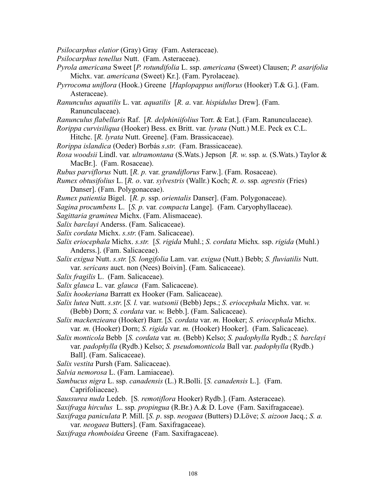- *Psilocarphus elatior* (Gray) Gray (Fam. Asteraceae).
- *Psilocarphus tenellus* Nutt. (Fam. Asteraceae).
- *Pyrola americana* Sweet [*P. rotundifolia* L. ssp. *americana* (Sweet) Clausen; *P. asarifolia* Michx. var. *americana* (Sweet) Kr.]. (Fam. Pyrolaceae).
- *Pyrrocoma uniflora* (Hook.) Greene [*Haplopappus uniflorus* (Hooker) T.& G.]. (Fam. Asteraceae).
- *Ranunculus aquatilis* L. var*. aquatilis* [*R. a*. var. *hispidulus* Drew]. (Fam. Ranunculaceae).
- *Ranunculus flabellaris* Raf. [*R. delphiniifolius* Torr. & Eat.]. (Fam. Ranunculaceae).
- *Rorippa curvisiliqua* (Hooker) Bess. ex Britt. var*. lyrata* (Nutt.) M.E. Peck ex C.L. Hitchc. [*R. lyrata* Nutt. Greene]. (Fam. Brassicaceae).
- *Rorippa islandica* (Oeder) Borbás *s*.*str*. (Fam. Brassicaceae).
- *Rosa woodsii* Lindl. var*. ultramontana* (S.Wats.) Jepson [*R. w*. ssp*. u.* (S.Wats.) Taylor & MacBr.]. (Fam. Rosaceae).
- *Rubus parviflorus* Nutt. [*R. p.* var. *grandiflorus* Farw.]. (Fam. Rosaceae).
- *Rumex obtusifolius* L. [*R. o*. var. *sylvestris* (Wallr.) Koch; *R. o*. ssp*. agrestis* (Fries) Danser]. (Fam. Polygonaceae).
- *Rumex patientia* Bigel. [*R. p.* ssp. *orientalis* Danser]. (Fam. Polygonaceae).
- *Sagina procumbens* L. [*S. p.* var*. compacta* Lange]. (Fam. Caryophyllaceae).
- *Sagittaria graminea* Michx. (Fam. Alismaceae).
- *Salix barclayi* Anderss. (Fam. Salicaceae).
- *Salix cordata* Michx. *s.str*. (Fam. Salicaceae).
- *Salix eriocephala* Michx. *s.str.* [*S. rigida* Muhl.; *S. cordata* Michx*.* ssp. *rigida* (Muhl.) Anderss.]. (Fam. Salicaceae).
- *Salix exigua* Nutt. *s.str.* [*S. longifolia* Lam. var. *exigua* (Nutt.) Bebb; *S. fluviatilis* Nutt. var. *sericans* auct. non (Nees) Boivin]. (Fam. Salicaceae).
- *Salix fragilis* L.(Fam. Salicaceae).
- *Salix glauca* L. var*. glauca* (Fam. Salicaceae).
- *Salix hookeriana* Barratt ex Hooker (Fam. Salicaceae).
- *Salix lutea* Nutt. *s.str*. [*S. l.* var. *watsonii* (Bebb) Jeps.; *S. eriocephala* Michx. var. *w.* (Bebb) Dorn; *S. cordata* var. *w.* Bebb.]. (Fam. Salicaceae).
- *Salix mackenzieana* (Hooker) Barr. [*S. cordata* var. *m.* Hooker; *S. eriocephala* Michx. var*. m.* (Hooker) Dorn; *S. rigida* var. *m.* (Hooker) Hooker]. (Fam. Salicaceae).
- *Salix monticola* Bebb [*S. cordata* var*. m.* (Bebb) Kelso; *S. padophylla* Rydb.; *S. barclayi* var. *padophylla* (Rydb.) Kelso; *S. pseudomonticola* Ball var. *padophylla* (Rydb.) Ball]. (Fam. Salicaceae).
- *Salix vestita* Pursh (Fam. Salicaceae).
- *Salvia nemorosa* L. (Fam. Lamiaceae).
- *Sambucus nigra* L. ssp. *canadensis* (L.) R.Bolli. [*S. canadensis* L.]. (Fam. Caprifoliaceae).
- *Saussurea nuda* Ledeb. [S*. remotiflora* Hooker) Rydb.]. (Fam. Asteraceae).
- *Saxifraga hirculus* L. ssp*. propingua* (R.Br.) A.& D. Love (Fam. Saxifragaceae).
- *Saxifraga paniculata* P. Mill. [*S. p*. ssp. *neogaea* (Butters) D.Löve; *S. aizoon* Jacq.; *S. a.* var. *neogaea* Butters]. (Fam. Saxifragaceae).
- *Saxifraga rhomboidea* Greene (Fam. Saxifragaceae).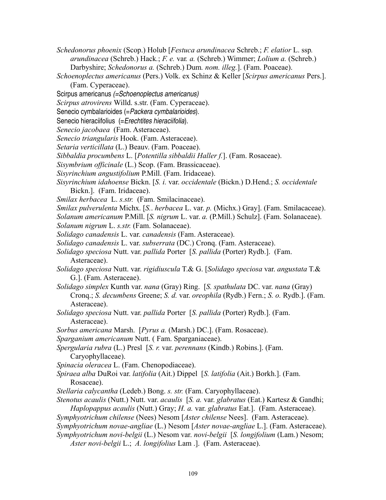- *Schedonorus phoenix* (Scop.) Holub [*Festuca arundinacea* Schreb.; *F. elatior* L. ssp*. arundinacea* (Schreb.) Hack*.*; *F. e.* var*. a.* (Schreb.) Wimmer; *Lolium a.* (Schreb.) Darbyshire; *Schedonorus a.* (Schreb.) Dum*. nom. illeg.*]. (Fam. Poaceae).
- *Schoenoplectus americanus* (Pers.) Volk. ex Schinz & Keller [*Scirpus americanus* Pers.]. (Fam. Cyperaceae).
- Scirpus americanus (=Schoenoplectus americanus)
- *Scirpus atrovirens* Willd. s.str. (Fam. Cyperaceae).
- Senecio cymbalarioides (=Packera cymbalarioides).
- Senecio hieraciifolius (= Erechtites hieraciifolia).
- *Senecio jacobaea* (Fam. Asteraceae).
- *Senecio triangularis* Hook. (Fam. Asteraceae).
- *Setaria verticillata* (L.) Beauv. (Fam. Poaceae).
- *Sibbaldia procumbens* L. [*Potentilla sibbaldii Haller f.*]. (Fam. Rosaceae).
- *Sisymbrium officinale* (L.) Scop. (Fam. Brassicaceae).
- *Sisyrinchium angustifolium* P.Mill. (Fam. Iridaceae).
- *Sisyrinchium idahoense* Bickn. [*S. i.* var. *occidentale* (Bickn.) D.Hend.; *S. occidentale* Bickn.]. (Fam. Iridaceae).
- *Smilax herbacea* L. *s.str.* (Fam. Smilacinaceae).
- *Smilax pulverulenta* Michx. [*S.*. *herbacea* L. var. *p.* (Michx.) Gray]. (Fam. Smilacaceae).

*Solanum americanum* P.Mill. [*S. nigrum* L. var. *a.* (P.Mill.) Schulz]. (Fam. Solanaceae).

- *Solanum nigrum* L. *s.str.* (Fam. Solanaceae).
- *Solidago canadensis* L. var. *canadensis* (Fam. Asteraceae).
- *Solidago canadensis* L. var. *subserrata* (DC.) Cronq. (Fam. Asteraceae).
- *Solidago speciosa* Nutt. var. *pallida* Porter [*S. pallida* (Porter) Rydb.]. (Fam. Asteraceae).
- *Solidago speciosa* Nutt. var. *rigidiuscula* T.& G. [*Solidago speciosa* var. *angustata* T.& G.]. (Fam. Asteraceae).
- *Solidago simplex* Kunth var. *nana* (Gray) Ring. [*S. spathulata* DC. var. *nana* (Gray) Cronq.; *S. decumbens* Greene; *S. d.* var. *oreophila* (Rydb.) Fern.; *S. o.* Rydb.]. (Fam. Asteraceae).
- *Solidago speciosa* Nutt. var. *pallida* Porter [*S. pallida* (Porter) Rydb.]. (Fam. Asteraceae).
- *Sorbus americana* Marsh. [*Pyrus a.* (Marsh.) DC.]. (Fam. Rosaceae).
- *Sparganium americanum* Nutt. ( Fam. Sparganiaceae).
- *Spergularia rubra* (L.) Presl [*S. r.* var. *perennans* (Kindb.) Robins.]. (Fam. Caryophyllaceae).
- *Spinacia oleracea* L. (Fam. Chenopodiaceae).
- *Spiraea alba* DuRoi var. *latifolia* (Ait.) Dippel [*S. latifolia* (Ait.) Borkh.]. (Fam. Rosaceae).
- *Stellaria calycantha* (Ledeb.) Bong. *s. str.* (Fam. Caryophyllaceae).
- *Stenotus acaulis* (Nutt.) Nutt. var. *acaulis* [*S. a.* var. *glabratus* (Eat.) Kartesz & Gandhi; *Haplopappus acaulis* (Nutt.) Gray; *H. a.* var. *glabratus* Eat.]. (Fam. Asteraceae).
- *Symphyotrichum chilense* (Nees) Nesom [*Aster chilense* Nees]. (Fam. Asteraceae).
- *Symphyotrichum novae-angliae* (L.) Nesom [*Aster novae-angliae* L.]. (Fam. Asteraceae).
- *Symphyotrichum novi-belgii* (L.) Nesom var. *novi-belgii* [*S. longifolium* (Lam.) Nesom;
	- *Aster novi-belgii* L.; *A. longifolius* Lam .].(Fam. Asteraceae).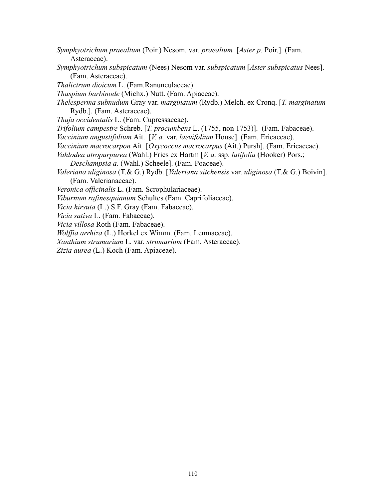- *Symphyotrichum praealtum* (Poir.) Nesom. var. *praealtum* [*Aster p.* Poir.]. (Fam. Asteraceae).
- *Symphyotrichum subspicatum* (Nees) Nesom var. *subspicatum* [*Aster subspicatus* Nees]. (Fam. Asteraceae).
- *Thalictrum dioicum* L. (Fam.Ranunculaceae).
- *Thaspium barbinode* (Michx.) Nutt. (Fam. Apiaceae).
- *Thelesperma subnudum* Gray var. *marginatum* (Rydb.) Melch. ex Cronq. [*T. marginatum* Rydb.]. (Fam. Asteraceae).
- *Thuja occidentalis* L. (Fam. Cupressaceae).
- *Trifolium campestre* Schreb. [*T. procumbens* L. (1755, non 1753)]. (Fam. Fabaceae).
- *Vaccinium angustifolium* Ait. [*V. a.* var. *laevifolium* House]. (Fam. Ericaceae).
- *Vaccinium macrocarpon* Ait. [*Oxycoccus macrocarpus* (Ait.) Pursh]. (Fam. Ericaceae).
- *Vahlodea atropurpurea* (Wahl.) Fries ex Hartm [*V. a.* ssp. *latifolia* (Hooker) Pors.;
- *Deschampsia a.* (Wahl.) Scheele]. (Fam. Poaceae).
- *Valeriana uliginosa* (T.& G.) Rydb. [*Valeriana sitchensis* var. *uliginosa* (T.& G.) Boivin]. (Fam. Valerianaceae).
- *Veronica officinalis* L. (Fam. Scrophulariaceae).
- *Viburnum rafinesquianum* Schultes (Fam. Caprifoliaceae).
- *Vicia hirsuta* (L.) S.F. Gray (Fam. Fabaceae).
- *Vicia sativa* L. (Fam. Fabaceae).
- *Vicia villosa* Roth (Fam. Fabaceae).
- *Wolffia arrhiza* (L.) Horkel ex Wimm. (Fam. Lemnaceae).
- *Xanthium strumarium* L*.* var*. strumarium* (Fam. Asteraceae).
- *Zizia aurea* (L.) Koch (Fam. Apiaceae).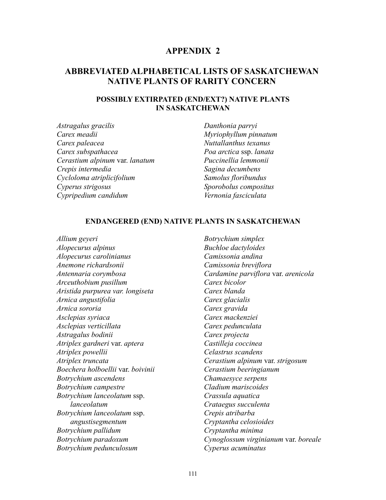## **APPENDIX 2**

# **ABBREVIATED ALPHABETICAL LISTS OF SASKATCHEWAN NATIVE PLANTS OF RARITY CONCERN**

## **POSSIBLY EXTIRPATED (END/EXT?) NATIVE PLANTS IN SASKATCHEWAN**

*Astragalus gracilis Carex meadii Carex paleacea Carex subspathacea Cerastium alpinum* var. *lanatum Crepis intermedia Cycloloma atriplicifolium Cyperus strigosus Cypripedium candidum*

*Danthonia parryi Myriophyllum pinnatum Nuttallanthus texanus Poa arctica* ssp. *lanata Puccinellia lemmonii Sagina decumbens Samolus floribundus Sporobolus compositus Vernonia fasciculata*

#### **ENDANGERED (END) NATIVE PLANTS IN SASKATCHEWAN**

*Allium geyeri Alopecurus alpinus Alopecurus carolinianus Anemone richardsonii Antennaria corymbosa Arceuthobium pusillum Aristida purpurea var. longiseta Arnica angustifolia Arnica sororia Asclepias syriaca Asclepias verticillata Astragalus bodinii Atriplex gardneri* var. *aptera Atriplex powellii Atriplex truncata Boechera holboellii* var. *boivinii Botrychium ascendens Botrychium campestre Botrychium lanceolatum* ssp. *lanceolatum Botrychium lanceolatum* ssp. *angustisegmentum Botrychium pallidum Botrychium paradoxum Botrychium pedunculosum*

*Botrychium simplex Buchloe dactyloides Camissonia andina Camissonia breviflora Cardamine parviflora* var. *arenicola Carex bicolor Carex blanda Carex glacialis Carex gravida Carex mackenziei Carex pedunculata Carex projecta Castilleja coccinea Celastrus scandens Cerastium alpinum* var. *strigosum Cerastium beeringianum Chamaesyce serpens Cladium mariscoides Crassula aquatica Crataegus succulenta Crepis atribarba Cryptantha celosioides Cryptantha minima Cynoglossum virginianum* var. *boreale Cyperus acuminatus*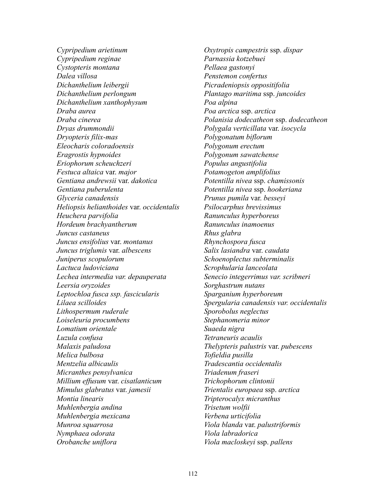*Cypripedium arietinum Cypripedium reginae Cystopteris montana Dalea villosa Dichanthelium leibergii Dichanthelium perlongum Dichanthelium xanthophysum Draba aurea Draba cinerea Dryas drummondii Dryopteris filix-mas Eleocharis coloradoensis Eragrostis hypnoides Eriophorum scheuchzeri Festuca altaica* var. *major Gentiana andrewsii* var. *dakotica Gentiana puberulenta Glyceria canadensis Heliopsis helianthoides* var. *occidentalis Heuchera parvifolia Hordeum brachyantherum Juncus castaneus Juncus ensifolius* var. *montanus Juncus triglumis* var. *albescens Juniperus scopulorum Lactuca ludoviciana Lechea intermedia var. depauperata Leersia oryzoides Leptochloa fusca ssp. fascicularis Lilaea scilloides Lithospermum ruderale Loiseleuria procumbens Lomatium orientale Luzula confusa Malaxis paludosa Melica bulbosa Mentzelia albicaulis Micranthes pensylvanica Millium effusum* var. *cisatlanticum Mimulus glabratus* var. *jamesii Montia linearis Muhlenbergia andina Muhlenbergia mexicana Munroa squarrosa Nymphaea odorata Orobanche uniflora* 

*Oxytropis campestris* ssp. *dispar Parnassia kotzebuei Pellaea gastonyi Penstemon confertus Picradeniopsis oppositifolia Plantago maritima* ssp. *juncoides Poa alpina Poa arctica* ssp. *arctica Polanisia dodecatheon* ssp. *dodecatheon Polygala verticillata* var. *isocycla Polygonatum biflorum Polygonum erectum Polygonum sawatchense Populus angustifolia Potamogeton amplifolius Potentilla nivea* ssp. *chamissonis Potentilla nivea* ssp. *hookeriana Prunus pumila* var. *besseyi Psilocarphus brevissimus Ranunculus hyperboreus Ranunculus inamoenus Rhus glabra Rhynchospora fusca Salix lasiandra* var. *caudata Schoenoplectus subterminalis Scrophularia lanceolata Senecio integerrimus var. scribneri Sorghastrum nutans Sparganium hyperboreum Spergularia canadensis var. occidentalis Sporobolus neglectus Stephanomeria minor Suaeda nigra Tetraneuris acaulis Thelypteris palustris* var. *pubescens Tofieldia pusilla Tradescantia occidentalis Triadenum fraseri Trichophorum clintonii Trientalis europaea* ssp. *arctica Tripterocalyx micranthus Trisetum wolfii Verbena urticifolia Viola blanda* var. *palustriformis Viola labradorica Viola macloskeyi* ssp. *pallens*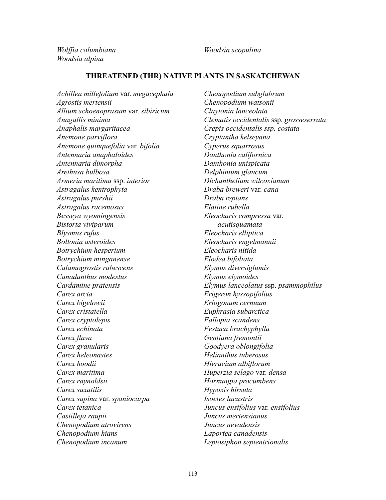*Wolffia columbiana Woodsia alpina* 

*Woodsia scopulina* 

## **THREATENED (THR) NATIVE PLANTS IN SASKATCHEWAN**

*Achillea millefolium* var. *megacephala Agrostis mertensii Allium schoenoprasum* var. *sibiricum Anagallis minima Anaphalis margaritacea Anemone parviflora Anemone quinquefolia* var. *bifolia Antennaria anaphaloides Antennaria dimorpha Arethusa bulbosa Armeria maritima* ssp. *interior Astragalus kentrophyta Astragalus purshii Astragalus racemosus Besseya wyomingensis Bistorta viviparum Blysmus rufus Boltonia asteroides Botrychium hesperium Botrychium minganense Calamogrostis rubescens Canadanthus modestus Cardamine pratensis Carex arcta Carex bigelowii Carex cristatella Carex cryptolepis Carex echinata Carex flava Carex granularis Carex heleonastes Carex hoodii Carex maritima Carex raynoldsii Carex saxatilis Carex supina* var. *spaniocarpa Carex tetanica Castilleja raupii Chenopodium atrovirens Chenopodium hians Chenopodium incanum*

*Chenopodium subglabrum Chenopodium watsonii Claytonia lanceolata Clematis occidentalis* ssp. *grosseserrata Crepis occidentalis ssp. costata Cryptantha kelseyana Cyperus squarrosus Danthonia californica Danthonia unispicata Delphinium glaucum Dichanthelium wilcoxianum Draba breweri* var. *cana Draba reptans Elatine rubella Eleocharis compressa* var. *acutisquamata Eleocharis elliptica Eleocharis engelmannii Eleocharis nitida Elodea bifoliata Elymus diversiglumis Elymus elymoides Elymus lanceolatus* ssp. *psammophilus Erigeron hyssopifolius Eriogonum cernuum Euphrasia subarctica Fallopia scandens Festuca brachyphylla Gentiana fremontii Goodyera oblongifolia Helianthus tuberosus Hieracium albiflorum Huperzia selago* var. *densa Hornungia procumbens Hypoxis hirsuta Isoetes lacustris Juncus ensifolius* var. *ensifolius Juncus mertensianus Juncus nevadensis Laportea canadensis Leptosiphon septentrionalis*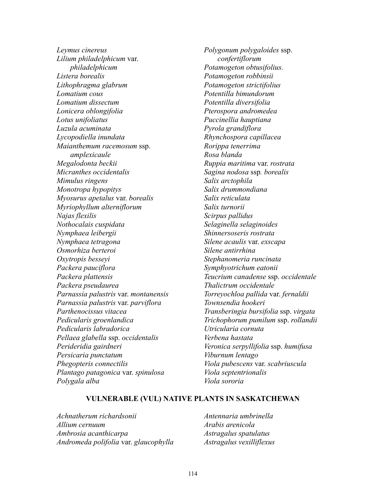*Leymus cinereus Lilium philadelphicum* var. *philadelphicum Listera borealis Lithophragma glabrum Lomatium cous Lomatium dissectum Lonicera oblongifolia Lotus unifoliatus Luzula acuminata Lycopodiella inundata Maianthemum racemosum* ssp. *amplexicaule Megalodonta beckii Micranthes occidentalis Mimulus ringens Monotropa hypopitys Myosurus apetalus* var. *borealis Myriophyllum alterniflorum Najas flexilis Nothocalais cuspidata Nymphaea leibergii Nymphaea tetragona Osmorhiza berteroi Oxytropis besseyi Packera pauciflora Packera plattensis Packera pseudaurea Parnassia palustris* var. *montanensis Parnassia palustris* var. *parviflora Parthenocissus vitacea Pedicularis groenlandica Pedicularis labradorica Pellaea glabella* ssp. *occidentalis Perideridia gairdneri Persicaria punctatum Phegopteris connectilis Plantago patagonica* var. *spinulosa Polygala alba*

*Polygonum polygaloides* ssp. *confertiflorum Potamogeton obtusifolius. Potamogeton robbinsii Potamogeton strictifolius Potentilla bimundorum Potentilla diversifolia Pterospora andromedea Puccinellia hauptiana Pyrola grandiflora Rhynchospora capillacea Rorippa tenerrima Rosa blanda Ruppia maritima* var. *rostrata Sagina nodosa* ssp*. borealis Salix arctophila Salix drummondiana Salix reticulata Salix turnorii Scirpus pallidus Selaginella selaginoides Shinnersoseris rostrata Silene acaulis* var. *exscapa Silene antirrhina Stephanomeria runcinata Symphyotrichum eatonii Teucrium canadense* ssp. *occidentale Thalictrum occidentale Torreyochloa pallida* var. *fernaldii Townsendia hookeri Transberingia bursifolia* ssp. *virgata Trichophorum pumilum* ssp. *rollandii Utricularia cornuta Verbena hastata Veronica serpyllifolia* ssp. *humifusa Viburnum lentago Viola pubescens* var. *scabriuscula Viola septentrionalis Viola sororia*

#### **VULNERABLE (VUL) NATIVE PLANTS IN SASKATCHEWAN**

*Achnatherum richardsonii Allium cernuum Ambrosia acanthicarpa Andromeda polifolia* var. *glaucophylla* *Antennaria umbrinella Arabis arenicola Astragalus spatulatus Astragalus vexilliflexus*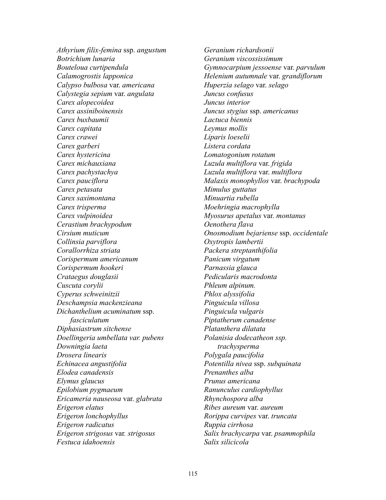*Athyrium filix-femina* ssp. *angustum Botrichium lunaria Bouteloua curtipendula Calamogrostis lapponica Calypso bulbosa* var. *americana Calystegia sepium* var. *angulata Carex alopecoidea Carex assiniboinensis Carex buxbaumii Carex capitata Carex crawei Carex garberi Carex hystericina Carex michauxiana Carex pachystachya Carex pauciflora Carex petasata Carex saximontana Carex trisperma Carex vulpinoidea Cerastium brachypodum Cirsium muticum Collinsia parviflora Corallorrhiza striata Corispermum americanum Corispermum hookeri Crataegus douglasii Cuscuta corylii Cyperus schweinitzii Deschampsia mackenzieana Dichanthelium acuminatum* ssp. *fasciculatum Diphasiastrum sitchense Doellingeria umbellata var. pubens Downingia laeta Drosera linearis Echinacea angustifolia Elodea canadensis Elymus glaucus Epilobium pygmaeum Ericameria nauseosa* var. *glabrata Erigeron elatus Erigeron lonchophyllus Erigeron radicatus Erigeron strigosus* var*. strigosus Festuca idahoensis* 

*Geranium richardsonii Geranium viscossissimum Gymnocarpium jessoense* var. *parvulum Helenium autumnale* var. *grandiflorum Huperzia selago* var. *selago Juncus confusus Juncus interior Juncus stygius* ssp. *americanus Lactuca biennis Leymus mollis Liparis loeselii Listera cordata Lomatogonium rotatum Luzula multiflora* var. *frigida Luzula multiflora* var. *multiflora Malaxis monophyllos* var. *brachypoda Mimulus guttatus Minuartia rubella Moehringia macrophylla Myosurus apetalus* var. *montanus Oenothera flava Onosmodium bejariense* ssp. *occidentale Oxytropis lambertii Packera streptanthifolia Panicum virgatum Parnassia glauca Pedicularis macrodonta Phleum alpinum. Phlox alyssifolia Pinguicula villosa Pinguicula vulgaris Piptatherum canadense Platanthera dilatata Polanisia dodecatheon ssp. trachysperma Polygala paucifolia Potentilla nivea* ssp. *subquinata Prenanthes alba Prunus americana Ranunculus cardiophyllus Rhynchospora alba Ribes aureum* var. *aureum Rorippa curvipes* var. *truncata Ruppia cirrhosa Salix brachycarpa* var. *psammophila Salix silicicola*